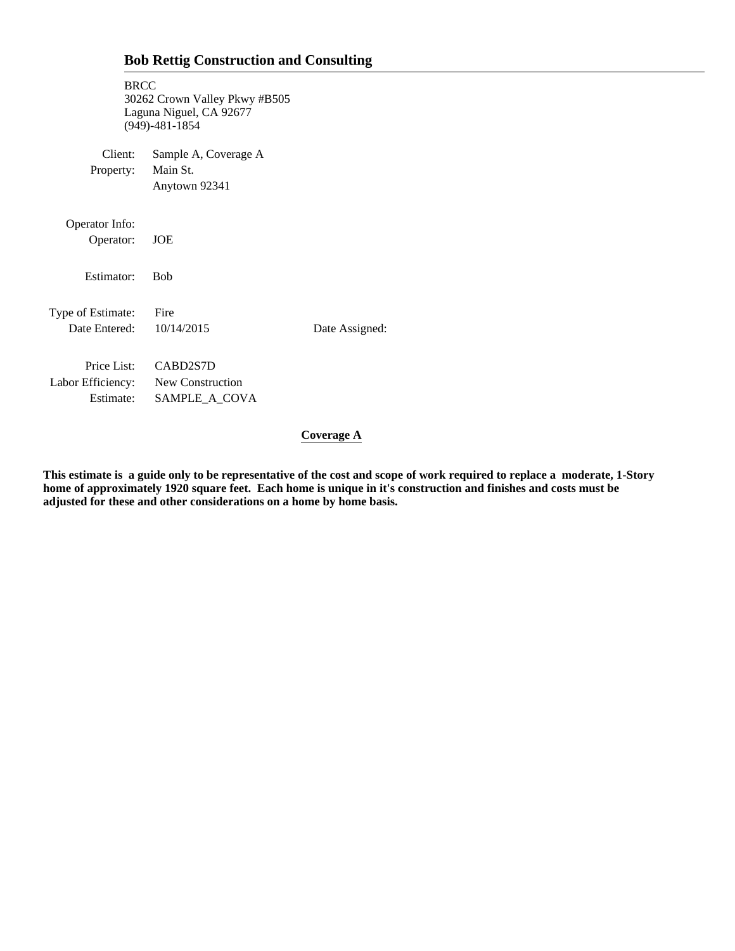| <b>BRCC</b>                                                    | 30262 Crown Valley Pkwy #B505<br>Laguna Niguel, CA 92677<br>$(949) - 481 - 1854$ |                |
|----------------------------------------------------------------|----------------------------------------------------------------------------------|----------------|
| Client:<br>Property:                                           | Sample A, Coverage A<br>Main St.<br>Anytown 92341                                |                |
| Operator Info:<br>Operator:                                    | <b>JOE</b>                                                                       |                |
| Estimator:                                                     | <b>Rob</b>                                                                       |                |
| Type of Estimate:<br>Date Entered: 10/14/2015                  | Fire                                                                             | Date Assigned: |
| Price List:<br>Labor Efficiency: New Construction<br>Estimate: | CABD2S7D<br>SAMPLE_A_COVA                                                        |                |

**Coverage A**

Ŷ,

**This estimate is a guide only to be representative of the cost and scope of work required to replace a moderate, 1-Story home of approximately 1920 square feet. Each home is unique in it's construction and finishes and costs must be adjusted for these and other considerations on a home by home basis.**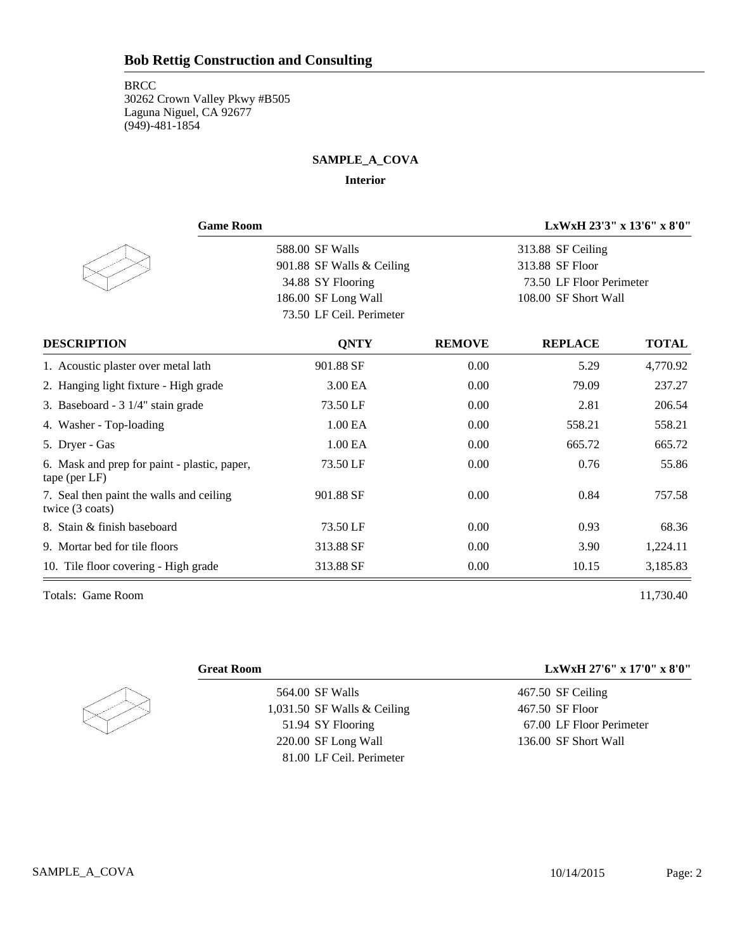### **BRCC**

30262 Crown Valley Pkwy #B505 Laguna Niguel, CA 92677 (949)-481-1854

## **SAMPLE\_A\_COVA**

#### **Interior**

| <b>Game Room</b>                                              |                           | LxWxH 23'3" x 13'6" x 8'0" |                          |              |  |
|---------------------------------------------------------------|---------------------------|----------------------------|--------------------------|--------------|--|
|                                                               | 588.00 SF Walls           |                            | 313.88 SF Ceiling        |              |  |
|                                                               | 901.88 SF Walls & Ceiling |                            | 313.88 SF Floor          |              |  |
|                                                               | 34.88 SY Flooring         |                            | 73.50 LF Floor Perimeter |              |  |
|                                                               | 186.00 SF Long Wall       |                            | 108.00 SF Short Wall     |              |  |
|                                                               | 73.50 LF Ceil. Perimeter  |                            |                          |              |  |
| <b>DESCRIPTION</b>                                            | <b>QNTY</b>               | <b>REMOVE</b>              | <b>REPLACE</b>           | <b>TOTAL</b> |  |
| 1. Acoustic plaster over metal lath                           | 901.88 SF                 | 0.00                       | 5.29                     | 4,770.92     |  |
| 2. Hanging light fixture - High grade                         | 3.00 EA                   | 0.00                       | 79.09                    | 237.27       |  |
| 3. Baseboard - 3 1/4" stain grade                             | 73.50 LF                  | 0.00                       | 2.81                     | 206.54       |  |
| 4. Washer - Top-loading                                       | 1.00 EA                   | 0.00                       | 558.21                   | 558.21       |  |
| 5. Dryer - Gas                                                | 1.00 EA                   | 0.00                       | 665.72                   | 665.72       |  |
| 6. Mask and prep for paint - plastic, paper,<br>tape (per LF) | 73.50 LF                  | 0.00                       | 0.76                     | 55.86        |  |
| 7. Seal then paint the walls and ceiling<br>twice (3 coats)   | 901.88 SF                 | 0.00                       | 0.84                     | 757.58       |  |
| 8. Stain & finish baseboard                                   | 73.50 LF                  | 0.00                       | 0.93                     | 68.36        |  |
| 9. Mortar bed for tile floors                                 | 313.88 SF                 | 0.00                       | 3.90                     | 1,224.11     |  |
| 10. Tile floor covering - High grade                          | 313.88 SF                 | 0.00                       | 10.15                    | 3,185.83     |  |

Totals: Game Room 11,730.40



564.00 SF Walls 1,031.50 SF Walls & Ceiling 51.94 SY Flooring 220.00 SF Long Wall 81.00 LF Ceil. Perimeter

**Great Room LxWxH 27'6" x 17'0" x 8'0"**

467.50 SF Ceiling 467.50 SF Floor 67.00 LF Floor Perimeter 136.00 SF Short Wall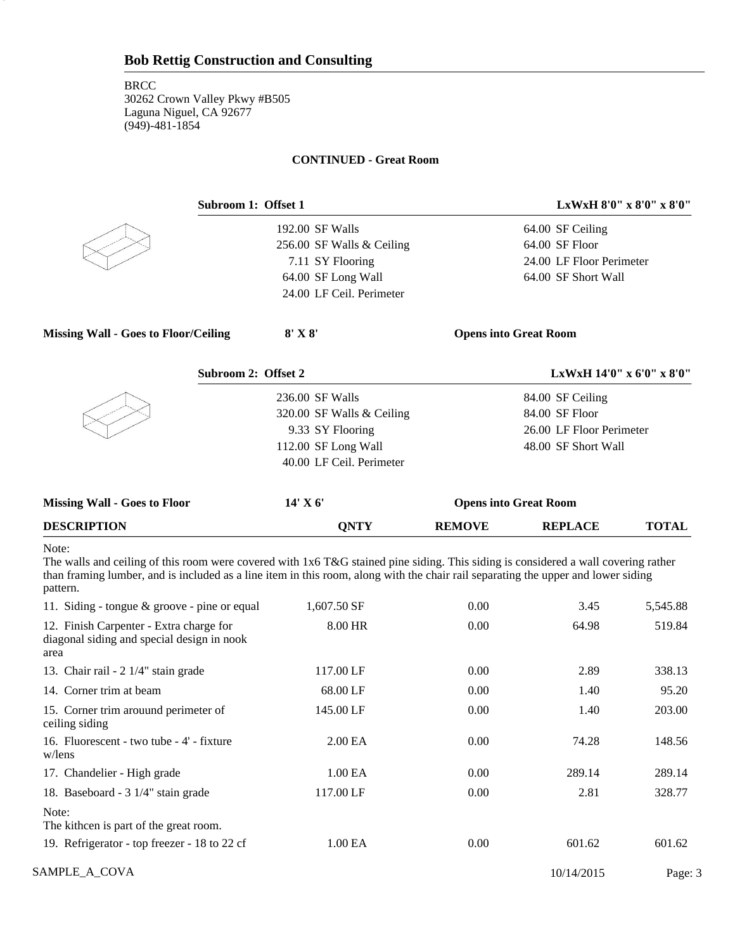#### **CONTINUED - Great Room**



3

192.00 SF Walls 256.00 SF Walls & Ceiling 7.11 SY Flooring 64.00 SF Long Wall 24.00 LF Ceil. Perimeter

**Subroom 1: Offset 1 LxWxH 8'0" x 8'0" x 8'0"**

64.00 SF Ceiling 64.00 SF Floor 24.00 LF Floor Perimeter 64.00 SF Short Wall

**Missing Wall - Goes to Floor/Ceiling 8' X 8' Opens into Great Room**

| Subroom 2: Offset 2       | LxWxH 14'0" x 6'0" x 8'0" |
|---------------------------|---------------------------|
| 236.00 SF Walls           | 84.00 SF Ceiling          |
| 320.00 SF Walls & Ceiling | 84.00 SF Floor            |
| 9.33 SY Flooring          | 26.00 LF Floor Perimeter  |
| 112.00 SF Long Wall       | 48.00 SF Short Wall       |
| 40.00 LF Ceil. Perimeter  |                           |
|                           |                           |

| <b>Missing Wall - Goes to Floor</b> | 14' X 6'<br><b>Opens into Great Room</b> |               |                |              |
|-------------------------------------|------------------------------------------|---------------|----------------|--------------|
| <b>DESCRIPTION</b>                  | ONTY                                     | <b>REMOVE</b> | <b>REPLACE</b> | <b>TOTAL</b> |

#### Note:

 $\begin{bmatrix} 1 & 1 \\ 1 & 1 \end{bmatrix}$ 

The walls and ceiling of this room were covered with 1x6 T&G stained pine siding. This siding is considered a wall covering rather than framing lumber, and is included as a line item in this room, along with the chair rail separating the upper and lower siding pattern.

| 11. Siding - tongue $\&$ groove - pine or equal                                               | 1,607.50 SF       | 0.00 | 3.45       | 5,545.88 |
|-----------------------------------------------------------------------------------------------|-------------------|------|------------|----------|
| 12. Finish Carpenter - Extra charge for<br>diagonal siding and special design in nook<br>area | 8.00 HR           | 0.00 | 64.98      | 519.84   |
| 13. Chair rail - 2 1/4" stain grade                                                           | 117.00 LF         | 0.00 | 2.89       | 338.13   |
| 14. Corner trim at beam                                                                       | 68.00 LF          | 0.00 | 1.40       | 95.20    |
| 15. Corner trim arouund perimeter of<br>ceiling siding                                        | 145.00 LF         | 0.00 | 1.40       | 203.00   |
| 16. Fluorescent - two tube - 4' - fixture<br>w/lens                                           | 2.00 <sub>E</sub> | 0.00 | 74.28      | 148.56   |
| 17. Chandelier - High grade                                                                   | 1.00 EA           | 0.00 | 289.14     | 289.14   |
| 18. Baseboard - 3 1/4" stain grade                                                            | 117.00 LF         | 0.00 | 2.81       | 328.77   |
| Note:<br>The kithcen is part of the great room.                                               |                   |      |            |          |
| 19. Refrigerator - top freezer - 18 to 22 cf                                                  | 1.00 EA           | 0.00 | 601.62     | 601.62   |
| SAMPLE_A_COVA                                                                                 |                   |      | 10/14/2015 | Page: 3  |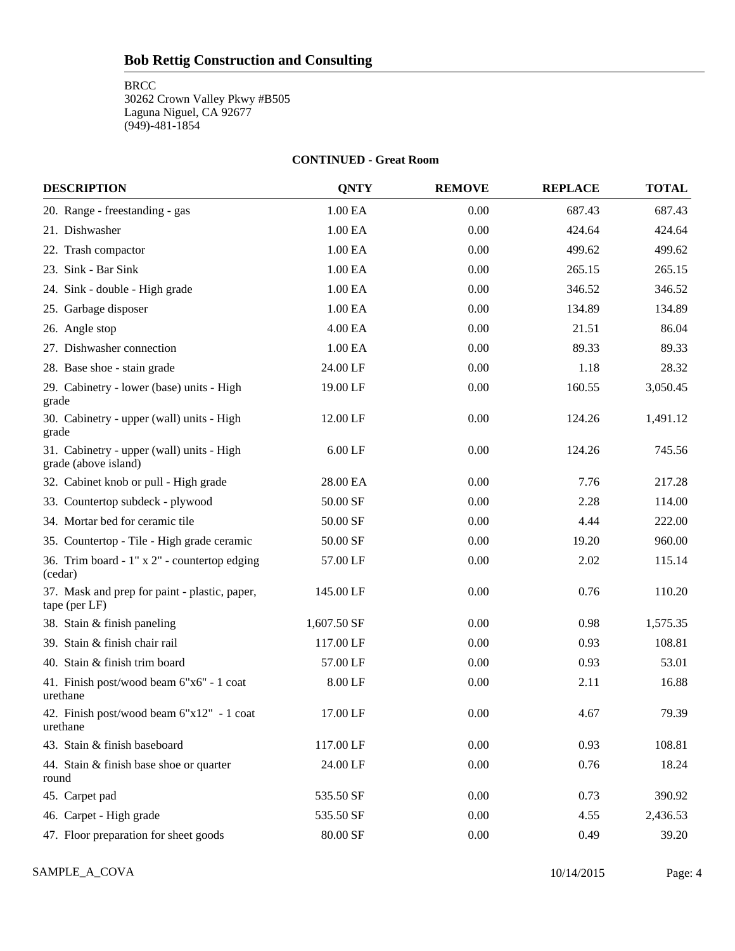**BRCC** 

30262 Crown Valley Pkwy #B505 Laguna Niguel, CA 92677 (949)-481-1854

#### **CONTINUED - Great Room**

| <b>DESCRIPTION</b>                                                | <b>QNTY</b> | <b>REMOVE</b> | <b>REPLACE</b> | <b>TOTAL</b> |
|-------------------------------------------------------------------|-------------|---------------|----------------|--------------|
| 20. Range - freestanding - gas                                    | 1.00 EA     | 0.00          | 687.43         | 687.43       |
| 21. Dishwasher                                                    | 1.00 EA     | 0.00          | 424.64         | 424.64       |
| 22. Trash compactor                                               | 1.00 EA     | 0.00          | 499.62         | 499.62       |
| 23. Sink - Bar Sink                                               | 1.00 EA     | 0.00          | 265.15         | 265.15       |
| 24. Sink - double - High grade                                    | 1.00 EA     | 0.00          | 346.52         | 346.52       |
| 25. Garbage disposer                                              | 1.00 EA     | 0.00          | 134.89         | 134.89       |
| 26. Angle stop                                                    | 4.00 EA     | 0.00          | 21.51          | 86.04        |
| 27. Dishwasher connection                                         | 1.00 EA     | 0.00          | 89.33          | 89.33        |
| 28. Base shoe - stain grade                                       | 24.00 LF    | 0.00          | 1.18           | 28.32        |
| 29. Cabinetry - lower (base) units - High<br>grade                | 19.00 LF    | 0.00          | 160.55         | 3,050.45     |
| 30. Cabinetry - upper (wall) units - High<br>grade                | 12.00 LF    | 0.00          | 124.26         | 1,491.12     |
| 31. Cabinetry - upper (wall) units - High<br>grade (above island) | $6.00$ LF   | 0.00          | 124.26         | 745.56       |
| 32. Cabinet knob or pull - High grade                             | 28.00 EA    | 0.00          | 7.76           | 217.28       |
| 33. Countertop subdeck - plywood                                  | 50.00 SF    | 0.00          | 2.28           | 114.00       |
| 34. Mortar bed for ceramic tile                                   | 50.00 SF    | 0.00          | 4.44           | 222.00       |
| 35. Countertop - Tile - High grade ceramic                        | 50.00 SF    | 0.00          | 19.20          | 960.00       |
| 36. Trim board - 1" x 2" - countertop edging<br>(cedar)           | 57.00 LF    | 0.00          | 2.02           | 115.14       |
| 37. Mask and prep for paint - plastic, paper,<br>tape (per LF)    | 145.00 LF   | 0.00          | 0.76           | 110.20       |
| 38. Stain & finish paneling                                       | 1,607.50 SF | 0.00          | 0.98           | 1,575.35     |
| 39. Stain & finish chair rail                                     | 117.00 LF   | 0.00          | 0.93           | 108.81       |
| 40. Stain & finish trim board                                     | 57.00 LF    | 0.00          | 0.93           | 53.01        |
| 41. Finish post/wood beam 6"x6" - 1 coat<br>urethane              | 8.00 LF     | 0.00          | 2.11           | 16.88        |
| 42. Finish post/wood beam 6"x12" - 1 coat<br>urethane             | 17.00 LF    | 0.00          | 4.67           | 79.39        |
| 43. Stain & finish baseboard                                      | 117.00 LF   | 0.00          | 0.93           | 108.81       |
| 44. Stain & finish base shoe or quarter<br>round                  | 24.00 LF    | 0.00          | 0.76           | 18.24        |
| 45. Carpet pad                                                    | 535.50 SF   | 0.00          | 0.73           | 390.92       |
| 46. Carpet - High grade                                           | 535.50 SF   | 0.00          | 4.55           | 2,436.53     |
| 47. Floor preparation for sheet goods                             | 80.00 SF    | 0.00          | 0.49           | 39.20        |

SAMPLE\_A\_COVA Page: 4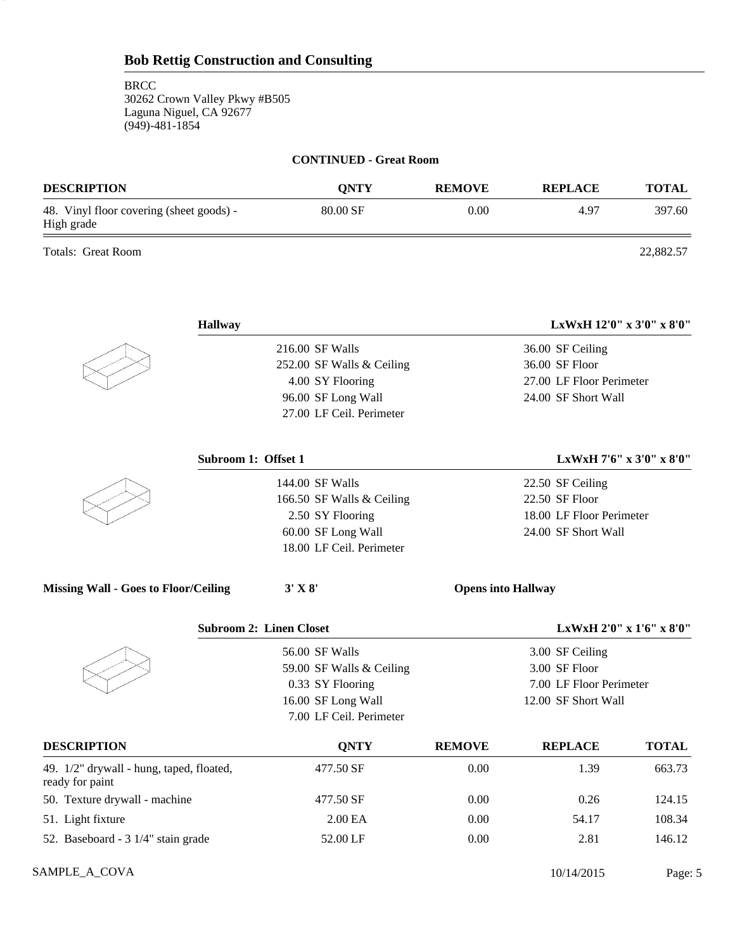### **CONTINUED - Great Room**

| <b>DESCRIPTION</b>                                     | <b>ONTY</b> | <b>REMOVE</b> | <b>REPLACE</b> | <b>TOTAL</b> |
|--------------------------------------------------------|-------------|---------------|----------------|--------------|
| 48. Vinyl floor covering (sheet goods) -<br>High grade | 80.00 SF    | 0.00          | 4.97           | 397.60       |
| <b>Totals: Great Room</b>                              |             |               |                | 22,882.57    |

5

| <b>Hallway</b>                                              |                                |               | LxWxH 12'0" x 3'0" x 8'0" |                          |
|-------------------------------------------------------------|--------------------------------|---------------|---------------------------|--------------------------|
|                                                             | 216.00 SF Walls                |               | 36.00 SF Ceiling          |                          |
|                                                             | 252.00 SF Walls & Ceiling      |               | 36.00 SF Floor            |                          |
|                                                             | 4.00 SY Flooring               |               | 27.00 LF Floor Perimeter  |                          |
|                                                             | 96.00 SF Long Wall             |               | 24.00 SF Short Wall       |                          |
|                                                             | 27.00 LF Ceil. Perimeter       |               |                           |                          |
|                                                             | Subroom 1: Offset 1            |               |                           | LxWxH 7'6" x 3'0" x 8'0" |
|                                                             | 144.00 SF Walls                |               | 22.50 SF Ceiling          |                          |
|                                                             | 166.50 SF Walls & Ceiling      |               | 22.50 SF Floor            |                          |
|                                                             | 2.50 SY Flooring               |               | 18.00 LF Floor Perimeter  |                          |
|                                                             | 60.00 SF Long Wall             |               | 24.00 SF Short Wall       |                          |
|                                                             | 18.00 LF Ceil. Perimeter       |               |                           |                          |
| <b>Missing Wall - Goes to Floor/Ceiling</b>                 | $3'$ X $8'$                    |               | <b>Opens into Hallway</b> |                          |
|                                                             | <b>Subroom 2: Linen Closet</b> |               |                           | LxWxH 2'0" x 1'6" x 8'0" |
|                                                             | 56.00 SF Walls                 |               | 3.00 SF Ceiling           |                          |
|                                                             | 59.00 SF Walls & Ceiling       |               | 3.00 SF Floor             |                          |
|                                                             | 0.33 SY Flooring               |               | 7.00 LF Floor Perimeter   |                          |
|                                                             | 16.00 SF Long Wall             |               | 12.00 SF Short Wall       |                          |
|                                                             | 7.00 LF Ceil. Perimeter        |               |                           |                          |
| <b>DESCRIPTION</b>                                          | <b>QNTY</b>                    | <b>REMOVE</b> | <b>REPLACE</b>            | <b>TOTAL</b>             |
| 49. 1/2" drywall - hung, taped, floated,<br>ready for paint | 477.50 SF                      | 0.00          | 1.39                      | 663.73                   |
| 50. Texture drywall - machine                               | 477.50 SF                      | 0.00          | 0.26                      | 124.15                   |
| 51. Light fixture                                           | 2.00 EA                        | 0.00          | 54.17                     | 108.34                   |
| 52. Baseboard - 3 1/4" stain grade                          | 52.00 LF                       | 0.00          | 2.81                      | 146.12                   |

SAMPLE\_A\_COVA Page: 5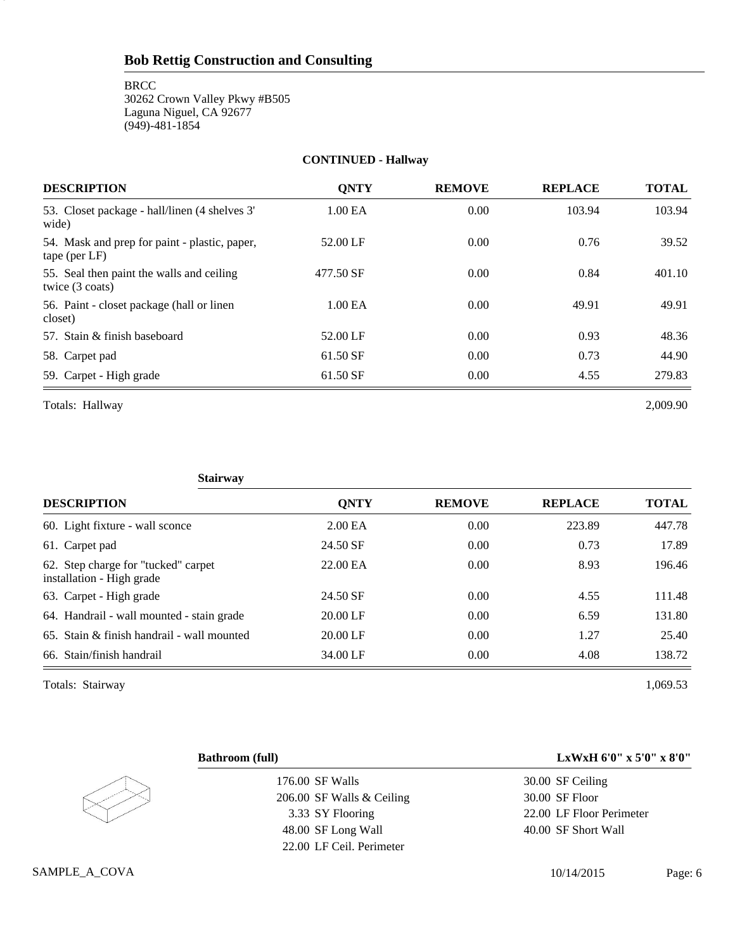**BRCC** 

6

30262 Crown Valley Pkwy #B505 Laguna Niguel, CA 92677 (949)-481-1854

## **CONTINUED - Hallway**

| <b>DESCRIPTION</b>                                               | <b>ONTY</b> | <b>REMOVE</b> | <b>REPLACE</b> | <b>TOTAL</b> |
|------------------------------------------------------------------|-------------|---------------|----------------|--------------|
| 53. Closet package - hall/linen (4 shelves 3'<br>wide)           | 1.00 EA     | 0.00          | 103.94         | 103.94       |
| 54. Mask and prep for paint - plastic, paper,<br>$tape$ (per LF) | 52.00 LF    | 0.00          | 0.76           | 39.52        |
| 55. Seal then paint the walls and ceiling<br>twice (3 coats)     | 477.50 SF   | 0.00          | 0.84           | 401.10       |
| 56. Paint - closet package (hall or linen)<br>closet)            | 1.00 EA     | 0.00          | 49.91          | 49.91        |
| 57. Stain & finish baseboard                                     | 52.00 LF    | 0.00          | 0.93           | 48.36        |
| 58. Carpet pad                                                   | 61.50 SF    | 0.00          | 0.73           | 44.90        |
| 59. Carpet - High grade                                          | 61.50 SF    | 0.00          | 4.55           | 279.83       |

Totals: Hallway 2,009.90

| <b>Stairway</b>                                                  |                    |               |                |              |
|------------------------------------------------------------------|--------------------|---------------|----------------|--------------|
| <b>DESCRIPTION</b>                                               | <b>ONTY</b>        | <b>REMOVE</b> | <b>REPLACE</b> | <b>TOTAL</b> |
| 60. Light fixture - wall sconce                                  | 2.00 <sub>E</sub>  | 0.00          | 223.89         | 447.78       |
| 61. Carpet pad                                                   | 24.50 SF           | 0.00          | 0.73           | 17.89        |
| 62. Step charge for "tucked" carpet<br>installation - High grade | 22.00 EA           | 0.00          | 8.93           | 196.46       |
| 63. Carpet - High grade                                          | 24.50 SF           | 0.00          | 4.55           | 111.48       |
| 64. Handrail - wall mounted - stain grade                        | $20.00 \text{ LF}$ | 0.00          | 6.59           | 131.80       |
| $65.$ Stain & finish handrail - wall mounted                     | $20.00$ LF         | 0.00          | 1.27           | 25.40        |
| 66. Stain/finish handrail                                        | 34.00 LF           | 0.00          | 4.08           | 138.72       |

Totals: Stairway 1,069.53

| <b>Bathroom (full)</b>    | LxWxH 6'0" x 5'0" x 8'0" |
|---------------------------|--------------------------|
| 176.00 SF Walls           | 30.00 SF Ceiling         |
| 206.00 SF Walls & Ceiling | 30.00 SF Floor           |
| 3.33 SY Flooring          | 22.00 LF Floor Perimeter |
| 48.00 SF Long Wall        | 40.00 SF Short Wall      |
| 22.00 LF Ceil. Perimeter  |                          |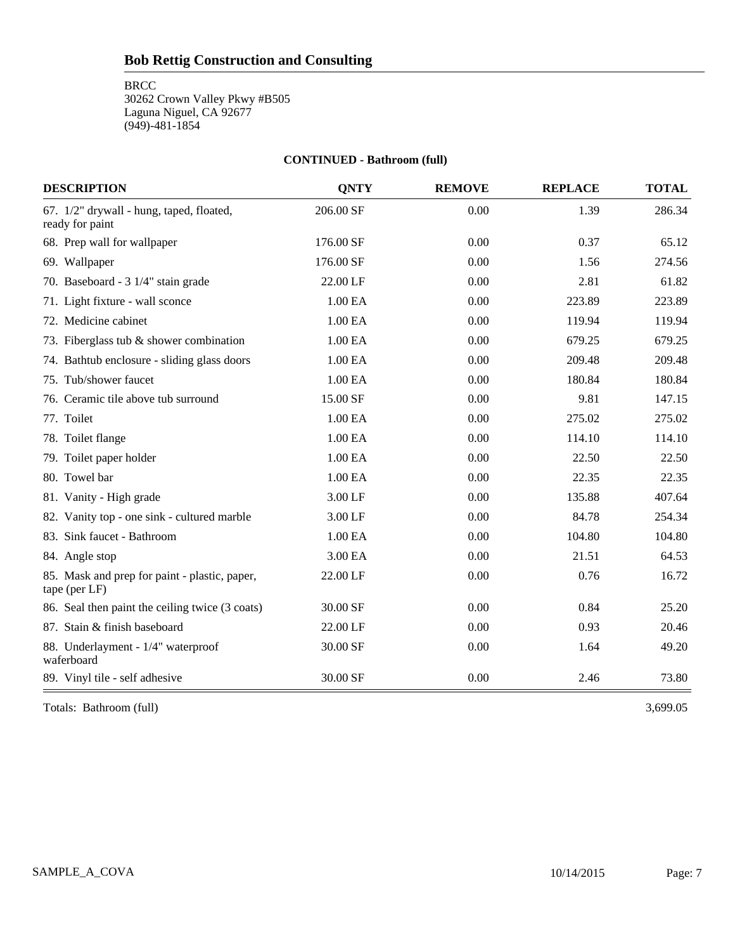**BRCC** 

30262 Crown Valley Pkwy #B505 Laguna Niguel, CA 92677 (949)-481-1854

## **CONTINUED - Bathroom (full)**

| <b>DESCRIPTION</b>                                             | <b>QNTY</b> | <b>REMOVE</b> | <b>REPLACE</b> | <b>TOTAL</b> |
|----------------------------------------------------------------|-------------|---------------|----------------|--------------|
| 67. 1/2" drywall - hung, taped, floated,<br>ready for paint    | 206.00 SF   | 0.00          | 1.39           | 286.34       |
| 68. Prep wall for wallpaper                                    | 176.00 SF   | 0.00          | 0.37           | 65.12        |
| 69. Wallpaper                                                  | 176.00 SF   | 0.00          | 1.56           | 274.56       |
| 70. Baseboard - 3 1/4" stain grade                             | 22.00 LF    | 0.00          | 2.81           | 61.82        |
| 71. Light fixture - wall sconce                                | 1.00 EA     | 0.00          | 223.89         | 223.89       |
| 72. Medicine cabinet                                           | 1.00 EA     | 0.00          | 119.94         | 119.94       |
| 73. Fiberglass tub $&$ shower combination                      | 1.00 EA     | 0.00          | 679.25         | 679.25       |
| 74. Bathtub enclosure - sliding glass doors                    | 1.00 EA     | 0.00          | 209.48         | 209.48       |
| 75. Tub/shower faucet                                          | 1.00 EA     | 0.00          | 180.84         | 180.84       |
| 76. Ceramic tile above tub surround                            | 15.00 SF    | 0.00          | 9.81           | 147.15       |
| 77. Toilet                                                     | 1.00 EA     | 0.00          | 275.02         | 275.02       |
| 78. Toilet flange                                              | 1.00 EA     | 0.00          | 114.10         | 114.10       |
| 79. Toilet paper holder                                        | 1.00 EA     | 0.00          | 22.50          | 22.50        |
| 80. Towel bar                                                  | 1.00 EA     | 0.00          | 22.35          | 22.35        |
| 81. Vanity - High grade                                        | 3.00 LF     | 0.00          | 135.88         | 407.64       |
| 82. Vanity top - one sink - cultured marble                    | 3.00 LF     | 0.00          | 84.78          | 254.34       |
| 83. Sink faucet - Bathroom                                     | 1.00 EA     | 0.00          | 104.80         | 104.80       |
| 84. Angle stop                                                 | 3.00 EA     | $0.00\,$      | 21.51          | 64.53        |
| 85. Mask and prep for paint - plastic, paper,<br>tape (per LF) | 22.00 LF    | 0.00          | 0.76           | 16.72        |
| 86. Seal then paint the ceiling twice (3 coats)                | 30.00 SF    | 0.00          | 0.84           | 25.20        |
| 87. Stain & finish baseboard                                   | 22.00 LF    | 0.00          | 0.93           | 20.46        |
| 88. Underlayment - 1/4" waterproof<br>waferboard               | 30.00 SF    | 0.00          | 1.64           | 49.20        |
| 89. Vinyl tile - self adhesive                                 | 30.00 SF    | 0.00          | 2.46           | 73.80        |

Totals: Bathroom (full) 3,699.05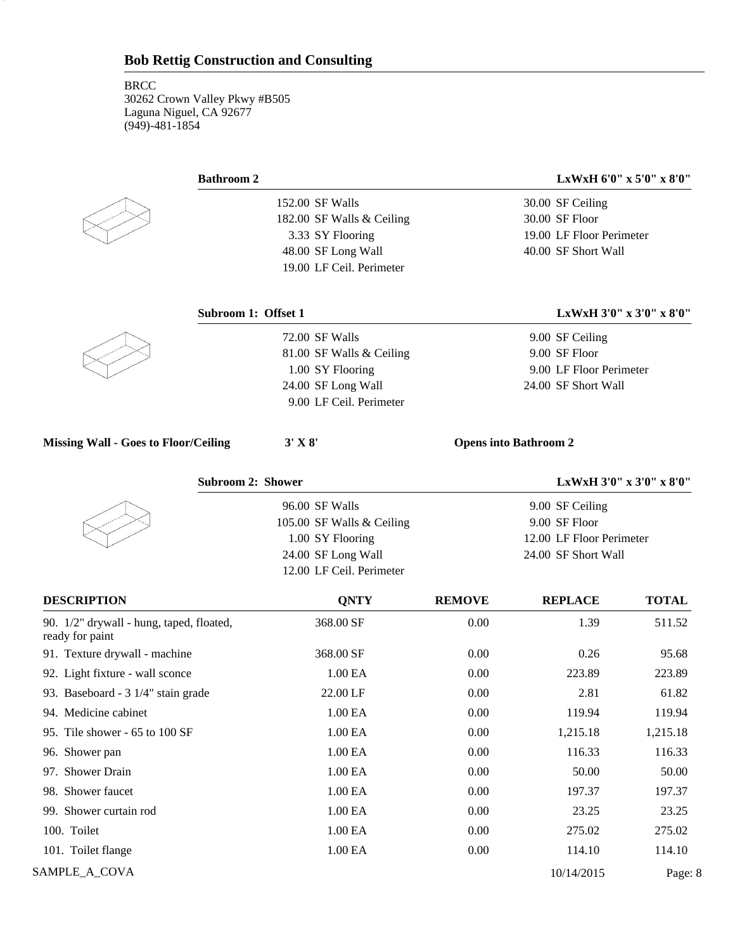### **Bathroom 2 LxWxH 6'0" x 5'0" x 8'0"**

30.00 SF Ceiling 30.00 SF Floor 19.00 LF Floor Perimeter 40.00 SF Short Wall

8

152.00 SF Walls 182.00 SF Walls & Ceiling 3.33 SY Flooring 48.00 SF Long Wall 19.00 LF Ceil. Perimeter

**Subroom 1: Offset 1 LxWxH 3'0" x 3'0" x 8'0"**

| 72.00 SF Walls           | 9.00 SF Ceiling         |
|--------------------------|-------------------------|
| 81.00 SF Walls & Ceiling | 9.00 SF Floor           |
| 1.00 SY Flooring         | 9.00 LF Floor Perimeter |
| 24.00 SF Long Wall       | 24.00 SF Short Wall     |
| 9.00 LF Ceil. Perimeter  |                         |

#### **Missing Wall - Goes to Floor/Ceiling 3' X 8' Opens into Bathroom 2**

| <b>Subroom 2: Shower</b>  | LxWxH $3'0''$ x $3'0''$ x $8'0''$ |
|---------------------------|-----------------------------------|
| 96.00 SF Walls            | 9.00 SF Ceiling                   |
| 105.00 SF Walls & Ceiling | 9.00 SF Floor                     |
| 1.00 SY Flooring          | 12.00 LF Floor Perimeter          |
| 24.00 SF Long Wall        | 24.00 SF Short Wall               |
| 12.00 LF Ceil. Perimeter  |                                   |

| <b>DESCRIPTION</b>                                          | <b>ONTY</b> | <b>REMOVE</b> | <b>REPLACE</b> | <b>TOTAL</b> |
|-------------------------------------------------------------|-------------|---------------|----------------|--------------|
| 90. 1/2" drywall - hung, taped, floated,<br>ready for paint | 368.00 SF   | 0.00          | 1.39           | 511.52       |
| 91. Texture drywall - machine                               | 368.00 SF   | 0.00          | 0.26           | 95.68        |
| 92. Light fixture - wall sconce                             | 1.00 EA     | 0.00          | 223.89         | 223.89       |
| 93. Baseboard - 3 1/4" stain grade                          | 22.00 LF    | 0.00          | 2.81           | 61.82        |
| 94. Medicine cabinet                                        | 1.00 EA     | 0.00          | 119.94         | 119.94       |
| 95. Tile shower - 65 to 100 SF                              | 1.00 EA     | 0.00          | 1,215.18       | 1,215.18     |
| 96. Shower pan                                              | 1.00 EA     | 0.00          | 116.33         | 116.33       |
| 97. Shower Drain                                            | 1.00 EA     | 0.00          | 50.00          | 50.00        |
| 98. Shower faucet                                           | 1.00 EA     | 0.00          | 197.37         | 197.37       |
| 99. Shower curtain rod                                      | 1.00 EA     | 0.00          | 23.25          | 23.25        |
| 100. Toilet                                                 | 1.00 EA     | 0.00          | 275.02         | 275.02       |
| 101. Toilet flange                                          | 1.00 EA     | 0.00          | 114.10         | 114.10       |
| SAMPLE_A_COVA                                               |             |               | 10/14/2015     | Page: 8      |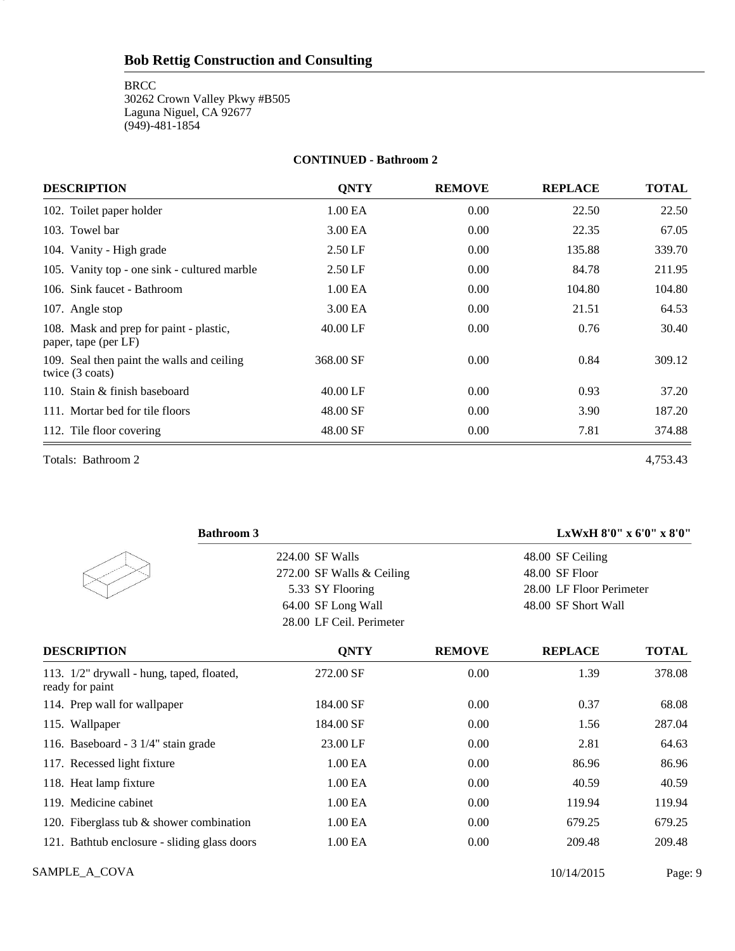**BRCC** 30262 Crown Valley Pkwy #B505 Laguna Niguel, CA 92677 (949)-481-1854

#### **CONTINUED - Bathroom 2**

| <b>DESCRIPTION</b>                                                      | <b>QNTY</b>         | <b>REMOVE</b> | <b>REPLACE</b> | <b>TOTAL</b> |
|-------------------------------------------------------------------------|---------------------|---------------|----------------|--------------|
| 102. Toilet paper holder                                                | 1.00 EA             | 0.00          | 22.50          | 22.50        |
| 103. Towel bar                                                          | 3.00 EA             | 0.00          | 22.35          | 67.05        |
| 104. Vanity - High grade                                                | $2.50$ LF           | 0.00          | 135.88         | 339.70       |
| 105. Vanity top - one sink - cultured marble                            | $2.50$ LF           | 0.00          | 84.78          | 211.95       |
| 106. Sink faucet - Bathroom                                             | 1.00 <sub>E</sub> A | 0.00          | 104.80         | 104.80       |
| 107. Angle stop                                                         | 3.00 EA             | 0.00          | 21.51          | 64.53        |
| 108. Mask and prep for paint - plastic,<br>paper, tape (per LF)         | $40.00 \mathrm{LF}$ | 0.00          | 0.76           | 30.40        |
| 109. Seal then paint the walls and ceiling<br>twice $(3 \text{ coats})$ | 368.00 SF           | 0.00          | 0.84           | 309.12       |
| 110. Stain & finish baseboard                                           | $40.00 \mathrm{LF}$ | 0.00          | 0.93           | 37.20        |
| 111. Mortar bed for tile floors                                         | 48.00 SF            | 0.00          | 3.90           | 187.20       |
| 112. Tile floor covering                                                | 48.00 SF            | 0.00          | 7.81           | 374.88       |

Totals: Bathroom 2 4,753.43

9

| <b>Bathroom 3</b>                                            |                           |               | LxWxH 8'0" x 6'0" x 8'0" |              |  |
|--------------------------------------------------------------|---------------------------|---------------|--------------------------|--------------|--|
|                                                              | 224.00 SF Walls           |               | 48.00 SF Ceiling         |              |  |
|                                                              | 272.00 SF Walls & Ceiling |               | 48.00 SF Floor           |              |  |
|                                                              | 5.33 SY Flooring          |               | 28.00 LF Floor Perimeter |              |  |
|                                                              | 64.00 SF Long Wall        |               | 48.00 SF Short Wall      |              |  |
|                                                              | 28.00 LF Ceil. Perimeter  |               |                          |              |  |
| <b>DESCRIPTION</b>                                           | <b>QNTY</b>               | <b>REMOVE</b> | <b>REPLACE</b>           | <b>TOTAL</b> |  |
| 113. 1/2" drywall - hung, taped, floated,<br>ready for paint | 272.00 SF                 | 0.00          | 1.39                     | 378.08       |  |
| 114. Prep wall for wallpaper                                 | 184.00 SF                 | 0.00          | 0.37                     | 68.08        |  |
| 115. Wallpaper                                               | 184.00 SF                 | 0.00          | 1.56                     | 287.04       |  |
| 116. Baseboard - 3 1/4" stain grade                          | 23.00 LF                  | 0.00          | 2.81                     | 64.63        |  |
| 117. Recessed light fixture                                  | 1.00 <sub>E</sub> A       | 0.00          | 86.96                    | 86.96        |  |
| 118. Heat lamp fixture                                       | 1.00 <sub>E</sub> A       | 0.00          | 40.59                    | 40.59        |  |
| 119. Medicine cabinet                                        | 1.00 <sub>E</sub> A       | 0.00          | 119.94                   | 119.94       |  |
| 120. Fiberglass tub $&$ shower combination                   | 1.00 EA                   | 0.00          | 679.25                   | 679.25       |  |
| 121. Bathtub enclosure - sliding glass doors                 | 1.00 EA                   | 0.00          | 209.48                   | 209.48       |  |

SAMPLE\_A\_COVA Page: 9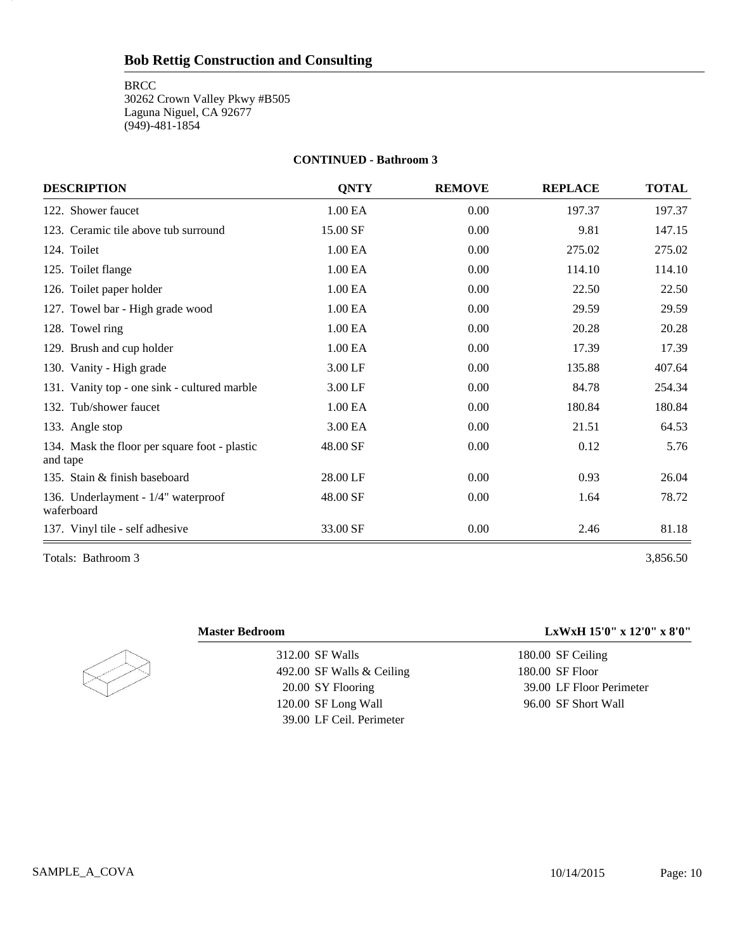**BRCC** 30262 Crown Valley Pkwy #B505 Laguna Niguel, CA 92677 (949)-481-1854

#### **CONTINUED - Bathroom 3**

| <b>DESCRIPTION</b>                                        | <b>ONTY</b> | <b>REMOVE</b> | <b>REPLACE</b> | <b>TOTAL</b> |
|-----------------------------------------------------------|-------------|---------------|----------------|--------------|
| 122. Shower faucet                                        | 1.00 EA     | 0.00          | 197.37         | 197.37       |
| 123. Ceramic tile above tub surround                      | 15.00 SF    | 0.00          | 9.81           | 147.15       |
| 124. Toilet                                               | 1.00 EA     | 0.00          | 275.02         | 275.02       |
| 125. Toilet flange                                        | 1.00 EA     | 0.00          | 114.10         | 114.10       |
| 126. Toilet paper holder                                  | 1.00 EA     | 0.00          | 22.50          | 22.50        |
| 127. Towel bar - High grade wood                          | 1.00 EA     | 0.00          | 29.59          | 29.59        |
| 128. Towel ring                                           | 1.00 EA     | 0.00          | 20.28          | 20.28        |
| 129. Brush and cup holder                                 | 1.00 EA     | 0.00          | 17.39          | 17.39        |
| 130. Vanity - High grade                                  | 3.00 LF     | 0.00          | 135.88         | 407.64       |
| 131. Vanity top - one sink - cultured marble              | 3.00 LF     | 0.00          | 84.78          | 254.34       |
| 132. Tub/shower faucet                                    | 1.00 EA     | 0.00          | 180.84         | 180.84       |
| 133. Angle stop                                           | 3.00 EA     | 0.00          | 21.51          | 64.53        |
| 134. Mask the floor per square foot - plastic<br>and tape | 48.00 SF    | 0.00          | 0.12           | 5.76         |
| 135. Stain & finish baseboard                             | 28.00 LF    | 0.00          | 0.93           | 26.04        |
| 136. Underlayment - 1/4" waterproof<br>waferboard         | 48.00 SF    | 0.00          | 1.64           | 78.72        |
| 137. Vinyl tile - self adhesive                           | 33.00 SF    | 0.00          | 2.46           | 81.18        |

Totals: Bathroom 3 3,856.50

10

312.00 SF Walls 492.00 SF Walls & Ceiling 20.00 SY Flooring 120.00 SF Long Wall 39.00 LF Ceil. Perimeter

### **Master Bedroom LxWxH 15'0" x 12'0" x 8'0"**

180.00 SF Ceiling 180.00 SF Floor 39.00 LF Floor Perimeter 96.00 SF Short Wall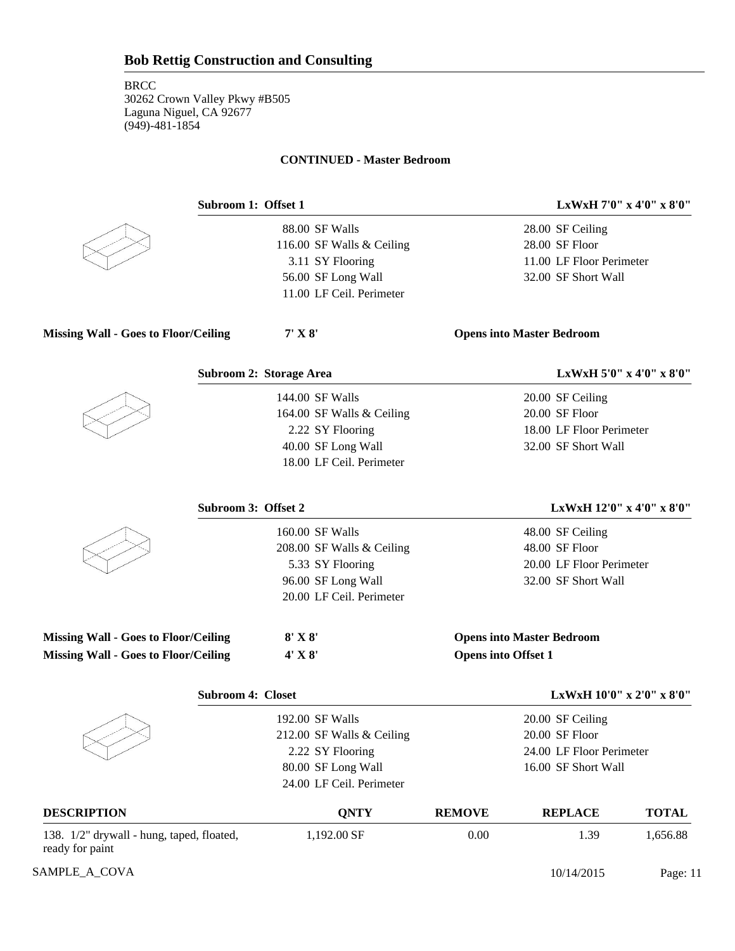#### **CONTINUED - Master Bedroom**



88.00 SF Walls 116.00 SF Walls & Ceiling 3.11 SY Flooring 56.00 SF Long Wall 11.00 LF Ceil. Perimeter

**Subroom 1: Offset 1 LxWxH 7'0" x 4'0" x 8'0"**

28.00 SF Ceiling 28.00 SF Floor 11.00 LF Floor Perimeter 32.00 SF Short Wall

| <b>Missing Wall - Goes to Floor/Ceiling</b> | $7'$ X $8'$ | <b>Opens into Master Bedroom</b> |
|---------------------------------------------|-------------|----------------------------------|
|                                             |             |                                  |

|                                             | Subroom 2: Storage Area   |                            |                                  | LxWxH 5'0" x 4'0" x 8'0"           |
|---------------------------------------------|---------------------------|----------------------------|----------------------------------|------------------------------------|
|                                             | 144.00 SF Walls           |                            | 20.00 SF Ceiling                 |                                    |
|                                             | 164.00 SF Walls & Ceiling |                            | 20.00 SF Floor                   |                                    |
|                                             | 2.22 SY Flooring          |                            | 18.00 LF Floor Perimeter         |                                    |
|                                             | 40.00 SF Long Wall        |                            | 32.00 SF Short Wall              |                                    |
|                                             | 18.00 LF Ceil. Perimeter  |                            |                                  |                                    |
|                                             | Subroom 3: Offset 2       |                            |                                  | LxWxH $12'0''$ x $4'0''$ x $8'0''$ |
|                                             | 160.00 SF Walls           |                            | 48.00 SF Ceiling                 |                                    |
|                                             | 208.00 SF Walls & Ceiling |                            | 48.00 SF Floor                   |                                    |
|                                             | 5.33 SY Flooring          |                            | 20.00 LF Floor Perimeter         |                                    |
|                                             | 96.00 SF Long Wall        |                            | 32.00 SF Short Wall              |                                    |
|                                             | 20.00 LF Ceil. Perimeter  |                            |                                  |                                    |
| <b>Missing Wall - Goes to Floor/Ceiling</b> | $8'$ X $8'$               |                            | <b>Opens into Master Bedroom</b> |                                    |
| <b>Missing Wall - Goes to Floor/Ceiling</b> | $4'$ X $8'$               | <b>Opens into Offset 1</b> |                                  |                                    |
|                                             | <b>Subroom 4: Closet</b>  |                            |                                  | LxWxH 10'0" x 2'0" x 8'0"          |
|                                             | 192.00 SF Walls           |                            | 20.00 SF Ceiling                 |                                    |
|                                             | 212.00 SF Walls & Ceiling |                            | 20.00 SF Floor                   |                                    |
|                                             | 2.22 SY Flooring          |                            | 24.00 LF Floor Perimeter         |                                    |
|                                             | 80.00 SF Long Wall        |                            | 16.00 SF Short Wall              |                                    |
|                                             | 24.00 LF Ceil. Perimeter  |                            |                                  |                                    |
| NESCDIDTIAN                                 | <b>ONTV</b>               | DEMAVE                     | DEDI $\Lambda$ $\Gamma$ E        | TOTAI                              |

| <b>DESCRIPTION</b>                                           | ONTY        | <b>REMOVE</b> | <b>REPLACE</b> | <b>TOTAL</b> |
|--------------------------------------------------------------|-------------|---------------|----------------|--------------|
| 138. 1/2" drywall - hung, taped, floated,<br>ready for paint | 1,192.00 SF | $0.00\,$      | .39            | 1.656.88     |

SAMPLE\_A\_COVA 2015 Page: 11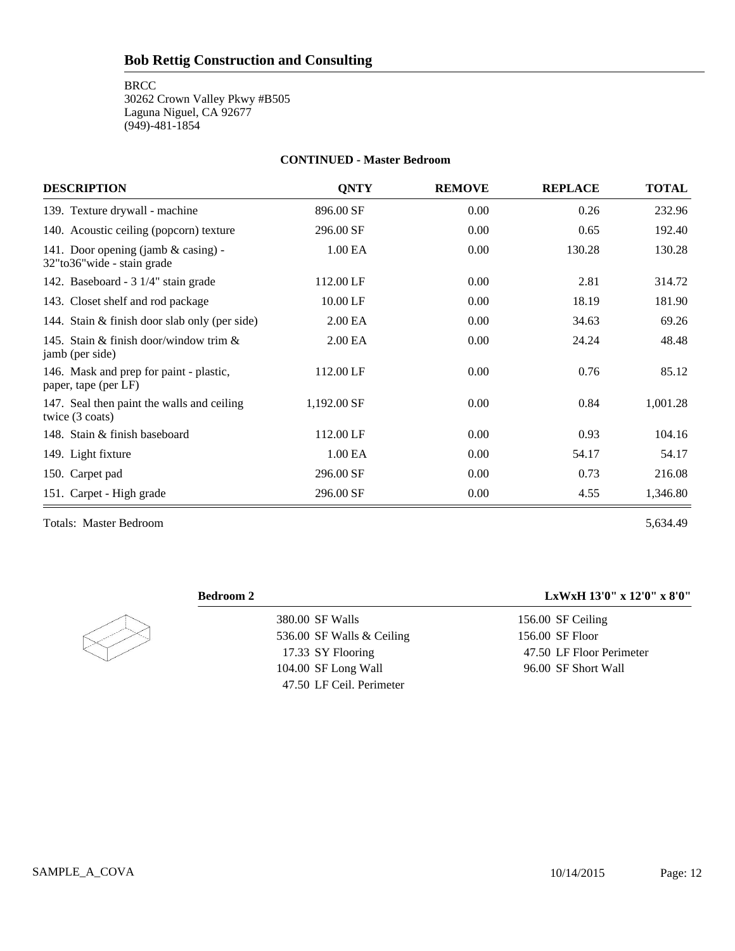**BRCC** 

30262 Crown Valley Pkwy #B505 Laguna Niguel, CA 92677 (949)-481-1854

### **CONTINUED - Master Bedroom**

| <b>DESCRIPTION</b>                                                  | <b>ONTY</b>         | <b>REMOVE</b> | <b>REPLACE</b> | <b>TOTAL</b> |
|---------------------------------------------------------------------|---------------------|---------------|----------------|--------------|
| 139. Texture drywall - machine                                      | 896.00 SF           | 0.00          | 0.26           | 232.96       |
| 140. Acoustic ceiling (popcorn) texture                             | 296.00 SF           | 0.00          | 0.65           | 192.40       |
| 141. Door opening (jamb $&$ casing) -<br>32"to36"wide - stain grade | 1.00 EA             | 0.00          | 130.28         | 130.28       |
| 142. Baseboard - 3 1/4" stain grade                                 | 112.00 LF           | 0.00          | 2.81           | 314.72       |
| 143. Closet shelf and rod package                                   | 10.00 LF            | 0.00          | 18.19          | 181.90       |
| 144. Stain & finish door slab only (per side)                       | 2.00 EA             | 0.00          | 34.63          | 69.26        |
| 145. Stain & finish door/window trim $\&$<br>jamb (per side)        | 2.00 <sub>E</sub> A | 0.00          | 24.24          | 48.48        |
| 146. Mask and prep for paint - plastic,<br>paper, tape (per LF)     | 112.00 LF           | 0.00          | 0.76           | 85.12        |
| 147. Seal then paint the walls and ceiling<br>twice (3 coats)       | 1,192.00 SF         | 0.00          | 0.84           | 1,001.28     |
| 148. Stain & finish baseboard                                       | 112.00 LF           | 0.00          | 0.93           | 104.16       |
| 149. Light fixture                                                  | 1.00 <sub>E</sub> A | 0.00          | 54.17          | 54.17        |
| 150. Carpet pad                                                     | 296.00 SF           | 0.00          | 0.73           | 216.08       |
| 151. Carpet - High grade                                            | 296.00 SF           | 0.00          | 4.55           | 1,346.80     |

Totals: Master Bedroom 5,634.49



380.00 SF Walls 536.00 SF Walls & Ceiling 17.33 SY Flooring 104.00 SF Long Wall 47.50 LF Ceil. Perimeter

## **Bedroom 2 LxWxH 13'0" x 12'0" x 8'0"**

156.00 SF Ceiling 156.00 SF Floor 47.50 LF Floor Perimeter 96.00 SF Short Wall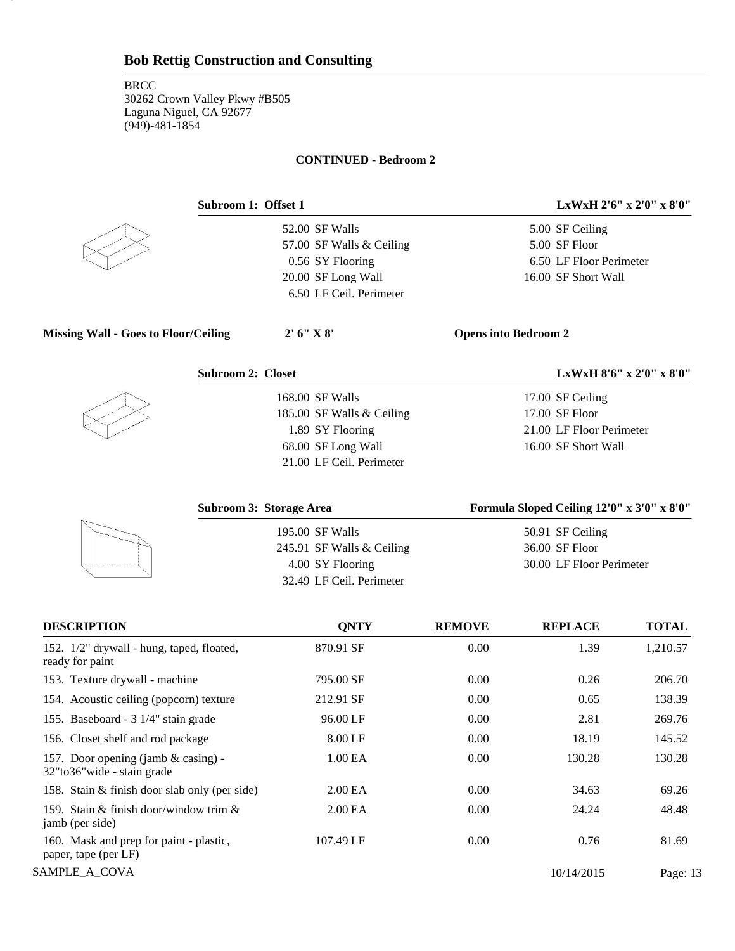## **CONTINUED - Bedroom 2**



13

52.00 SF Walls 57.00 SF Walls & Ceiling 0.56 SY Flooring 20.00 SF Long Wall 6.50 LF Ceil. Perimeter

**Subroom 1: Offset 1 LxWxH 2'6" x 2'0" x 8'0"**

5.00 SF Ceiling 5.00 SF Floor 6.50 LF Floor Perimeter 16.00 SF Short Wall

**Missing Wall - Goes to Floor/Ceiling 2' 6" X 8' Opens into Bedroom 2**



168.00 SF Walls 185.00 SF Walls & Ceiling 1.89 SY Flooring 68.00 SF Long Wall 21.00 LF Ceil. Perimeter

**Subroom 2: Closet LxWxH 8'6" x 2'0" x 8'0"**

17.00 SF Ceiling 17.00 SF Floor 21.00 LF Floor Perimeter 16.00 SF Short Wall

| Subroom 3: Storage Area   | Formula Sloped Ceiling 12'0" x 3'0" x 8'0" |
|---------------------------|--------------------------------------------|
| 195.00 SF Walls           | 50.91 SF Ceiling                           |
| 245.91 SF Walls & Ceiling | 36.00 SF Floor                             |
| 4.00 SY Flooring          | 30.00 LF Floor Perimeter                   |
| 32.49 LF Ceil. Perimeter  |                                            |

| <b>DESCRIPTION</b>                                                   | <b>ONTY</b>         | <b>REMOVE</b> | <b>REPLACE</b> | <b>TOTAL</b> |
|----------------------------------------------------------------------|---------------------|---------------|----------------|--------------|
| 152. 1/2" drywall - hung, taped, floated,<br>ready for paint         | 870.91 SF           | 0.00          | 1.39           | 1,210.57     |
| 153. Texture drywall - machine                                       | 795.00 SF           | 0.00          | 0.26           | 206.70       |
| 154. Acoustic ceiling (popcorn) texture                              | 212.91 SF           | 0.00          | 0.65           | 138.39       |
| 155. Baseboard - 3 1/4" stain grade                                  | 96.00 LF            | 0.00          | 2.81           | 269.76       |
| 156. Closet shelf and rod package                                    | 8.00 LF             | 0.00          | 18.19          | 145.52       |
| 157. Door opening (jamb & casing) -<br>32" to 36" wide - stain grade | 1.00 <sub>E</sub> A | 0.00          | 130.28         | 130.28       |
| 158. Stain & finish door slab only (per side)                        | 2.00 <sub>E</sub> A | 0.00          | 34.63          | 69.26        |
| 159. Stain & finish door/window trim &<br>jamb (per side)            | 2.00 <sub>E</sub> A | 0.00          | 24.24          | 48.48        |
| 160. Mask and prep for paint - plastic,<br>paper, tape (per LF)      | 107.49 LF           | 0.00          | 0.76           | 81.69        |
| SAMPLE A COVA                                                        |                     |               | 10/14/2015     | Page: 13     |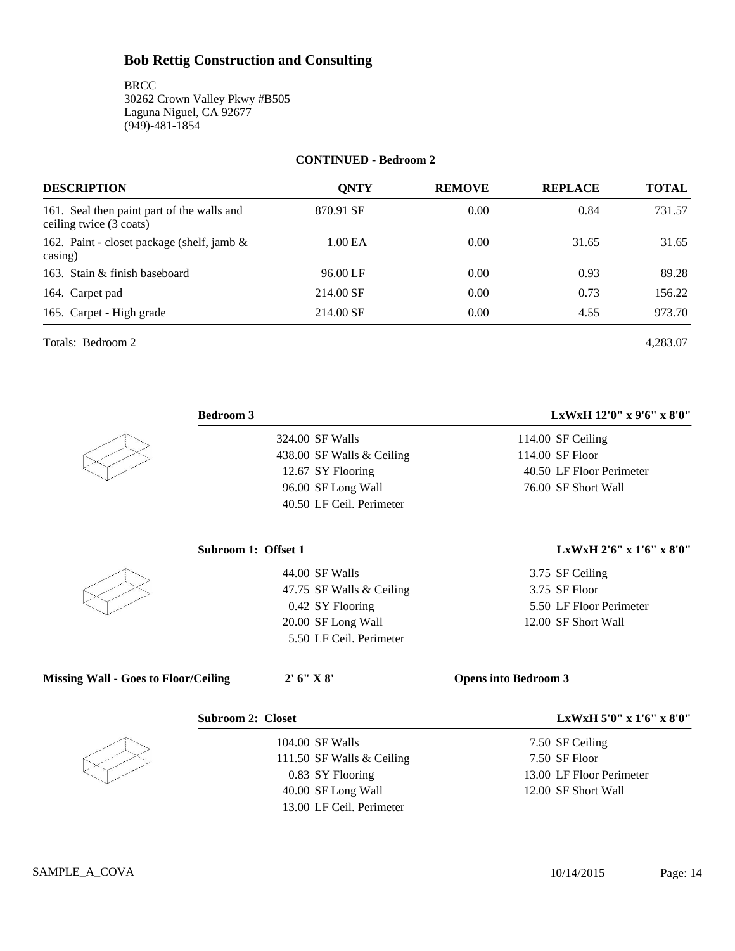**BRCC** 30262 Crown Valley Pkwy #B505 Laguna Niguel, CA 92677 (949)-481-1854

### **CONTINUED - Bedroom 2**

| <b>DESCRIPTION</b>                                                    | <b>ONTY</b> | <b>REMOVE</b> | <b>REPLACE</b> | <b>TOTAL</b> |
|-----------------------------------------------------------------------|-------------|---------------|----------------|--------------|
| 161. Seal then paint part of the walls and<br>ceiling twice (3 coats) | 870.91 SF   | 0.00          | 0.84           | 731.57       |
| 162. Paint - closet package (shelf, jamb &<br>casing)                 | 1.00 EA     | 0.00          | 31.65          | 31.65        |
| 163. Stain & finish baseboard                                         | 96.00 LF    | 0.00          | 0.93           | 89.28        |
| 164. Carpet pad                                                       | 214.00 SF   | 0.00          | 0.73           | 156.22       |
| 165. Carpet - High grade                                              | 214.00 SF   | 0.00          | 4.55           | 973.70       |

Totals: Bedroom 2 4,283.07

|                                             | <b>Bedroom 3</b>          | LxWxH 12'0" x 9'6" x 8'0"   |
|---------------------------------------------|---------------------------|-----------------------------|
|                                             | 324.00 SF Walls           | 114.00 SF Ceiling           |
|                                             | 438.00 SF Walls & Ceiling | 114.00 SF Floor             |
|                                             | 12.67 SY Flooring         | 40.50 LF Floor Perimeter    |
|                                             | 96.00 SF Long Wall        | 76.00 SF Short Wall         |
|                                             | 40.50 LF Ceil. Perimeter  |                             |
|                                             | Subroom 1: Offset 1       | LxWxH 2'6" x 1'6" x 8'0"    |
|                                             | 44.00 SF Walls            | 3.75 SF Ceiling             |
|                                             | 47.75 SF Walls & Ceiling  | 3.75 SF Floor               |
|                                             | 0.42 SY Flooring          | 5.50 LF Floor Perimeter     |
|                                             | 20.00 SF Long Wall        | 12.00 SF Short Wall         |
|                                             | 5.50 LF Ceil. Perimeter   |                             |
| <b>Missing Wall - Goes to Floor/Ceiling</b> | 2' 6'' X 8'               | <b>Opens into Bedroom 3</b> |
|                                             | <b>Subroom 2: Closet</b>  | LxWxH 5'0" x 1'6" x 8'0"    |
|                                             | 104.00 SF Walls           | 7.50 SF Ceiling             |
|                                             | 111.50 SF Walls & Ceiling | 7.50 SF Floor               |
|                                             | 0.83 SY Flooring          | 13.00 LF Floor Perimeter    |
|                                             | 40.00 SF Long Wall        | 12.00 SF Short Wall         |

40.00 SF Long Wall 13.00 LF Ceil. Perimeter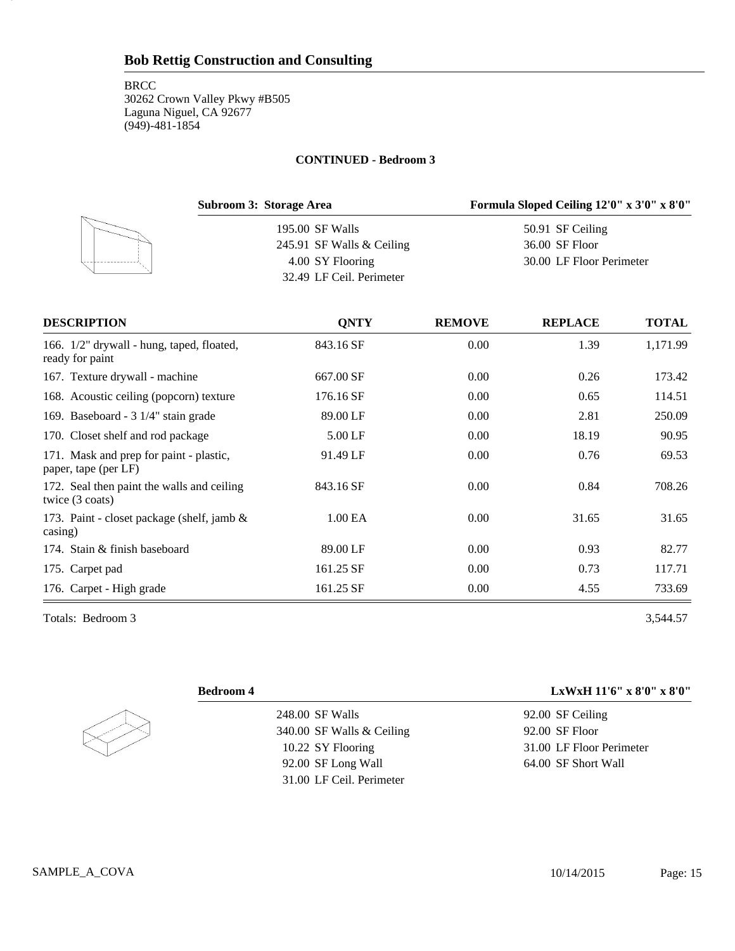#### **CONTINUED - Bedroom 3**

| Subroom 3: Storage Area   | Formula Sloped Ceiling 12'0" x 3'0" x 8'0" |
|---------------------------|--------------------------------------------|
| 195.00 SF Walls           | 50.91 SF Ceiling                           |
| 245.91 SF Walls & Ceiling | 36.00 SF Floor                             |
| 4.00 SY Flooring          | 30.00 LF Floor Perimeter                   |
| 32.49 LF Ceil. Perimeter  |                                            |
|                           |                                            |

| <b>DESCRIPTION</b>                                                      | <b>ONTY</b> | <b>REMOVE</b> | <b>REPLACE</b> | <b>TOTAL</b> |
|-------------------------------------------------------------------------|-------------|---------------|----------------|--------------|
| 166. 1/2" drywall - hung, taped, floated,<br>ready for paint            | 843.16 SF   | 0.00          | 1.39           | 1,171.99     |
| 167. Texture drywall - machine                                          | 667.00 SF   | 0.00          | 0.26           | 173.42       |
| 168. Acoustic ceiling (popcorn) texture                                 | 176.16 SF   | 0.00          | 0.65           | 114.51       |
| 169. Baseboard - 3 1/4" stain grade                                     | 89.00 LF    | 0.00          | 2.81           | 250.09       |
| 170. Closet shelf and rod package                                       | 5.00 LF     | 0.00          | 18.19          | 90.95        |
| 171. Mask and prep for paint - plastic,<br>paper, tape (per LF)         | 91.49 LF    | 0.00          | 0.76           | 69.53        |
| 172. Seal then paint the walls and ceiling<br>twice $(3 \text{ coats})$ | 843.16 SF   | 0.00          | 0.84           | 708.26       |
| 173. Paint - closet package (shelf, jamb $\&$<br>$\cos$ ing)            | 1.00 EA     | 0.00          | 31.65          | 31.65        |
| 174. Stain & finish baseboard                                           | 89.00 LF    | 0.00          | 0.93           | 82.77        |
| 175. Carpet pad                                                         | 161.25 SF   | 0.00          | 0.73           | 117.71       |
| 176. Carpet - High grade                                                | 161.25 SF   | 0.00          | 4.55           | 733.69       |

Totals: Bedroom 3 3,544.57

15

# 248.00 SF Walls 340.00 SF Walls & Ceiling 10.22 SY Flooring 92.00 SF Long Wall 31.00 LF Ceil. Perimeter

**Bedroom 4 LxWxH 11'6" x 8'0" x 8'0"**

92.00 SF Ceiling 92.00 SF Floor 31.00 LF Floor Perimeter 64.00 SF Short Wall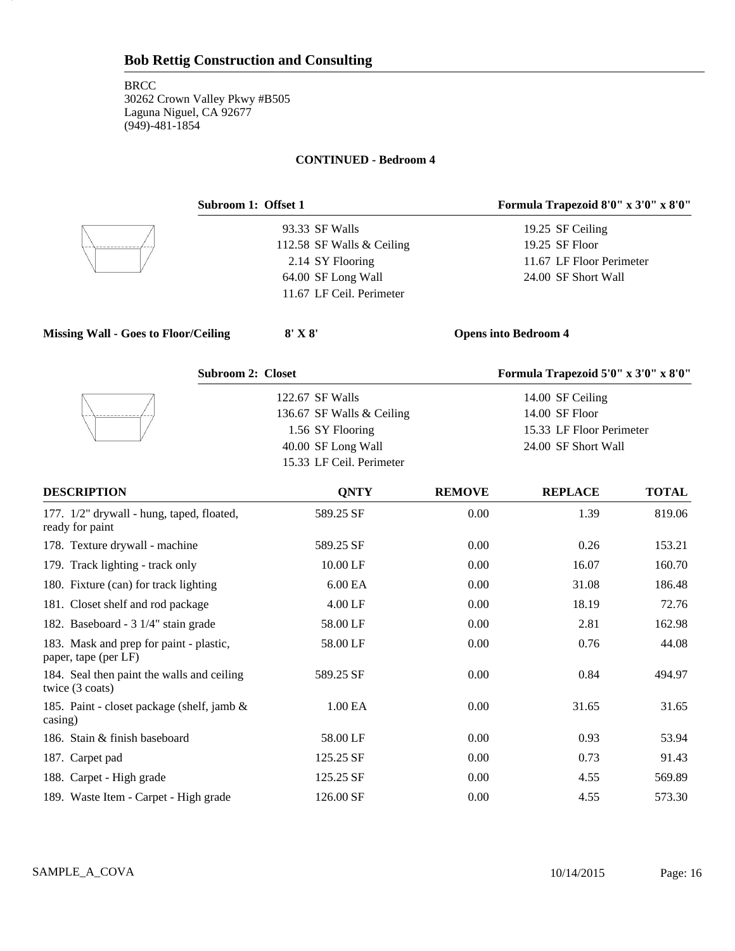16

### **CONTINUED - Bedroom 4**

| Subroom 1: Offset 1                                             |                           |                             | Formula Trapezoid 8'0" x 3'0" x 8'0" |              |
|-----------------------------------------------------------------|---------------------------|-----------------------------|--------------------------------------|--------------|
|                                                                 | 93.33 SF Walls            |                             | 19.25 SF Ceiling                     |              |
|                                                                 | 112.58 SF Walls & Ceiling |                             | 19.25 SF Floor                       |              |
|                                                                 | 2.14 SY Flooring          |                             | 11.67 LF Floor Perimeter             |              |
|                                                                 | 64.00 SF Long Wall        |                             | 24.00 SF Short Wall                  |              |
|                                                                 | 11.67 LF Ceil. Perimeter  |                             |                                      |              |
| <b>Missing Wall - Goes to Floor/Ceiling</b>                     | $8'$ X $8'$               | <b>Opens into Bedroom 4</b> |                                      |              |
| <b>Subroom 2: Closet</b>                                        |                           |                             | Formula Trapezoid 5'0" x 3'0" x 8'0" |              |
|                                                                 | 122.67 SF Walls           |                             | 14.00 SF Ceiling                     |              |
|                                                                 | 136.67 SF Walls & Ceiling |                             | 14.00 SF Floor                       |              |
|                                                                 | 1.56 SY Flooring          | 15.33 LF Floor Perimeter    |                                      |              |
|                                                                 | 40.00 SF Long Wall        |                             | 24.00 SF Short Wall                  |              |
|                                                                 | 15.33 LF Ceil. Perimeter  |                             |                                      |              |
| <b>DESCRIPTION</b>                                              | <b>QNTY</b>               | <b>REMOVE</b>               | <b>REPLACE</b>                       | <b>TOTAL</b> |
| 177. 1/2" drywall - hung, taped, floated,<br>ready for paint    | 589.25 SF                 | 0.00                        | 1.39                                 | 819.06       |
| 178. Texture drywall - machine                                  | 589.25 SF                 | 0.00                        | 0.26                                 | 153.21       |
| 179. Track lighting - track only                                | 10.00 LF                  | 0.00                        | 16.07                                | 160.70       |
| 180. Fixture (can) for track lighting                           | 6.00 EA                   | 0.00                        | 31.08                                | 186.48       |
| 181. Closet shelf and rod package                               | 4.00 LF                   | 0.00                        | 18.19                                | 72.76        |
| 182. Baseboard - 3 1/4" stain grade                             | 58.00 LF                  | 0.00                        | 2.81                                 | 162.98       |
| 183. Mask and prep for paint - plastic,<br>paper, tape (per LF) | 58.00 LF                  | 0.00                        | 0.76                                 | 44.08        |
| 184. Seal then paint the walls and ceiling<br>twice (3 coats)   | 589.25 SF                 | 0.00                        | 0.84                                 | 494.97       |
| 185. Paint - closet package (shelf, jamb &<br>casing)           | 1.00 EA                   | 0.00                        | 31.65                                | 31.65        |
| 186. Stain & finish baseboard                                   | 58.00 LF                  | 0.00                        | 0.93                                 | 53.94        |
| 187. Carpet pad                                                 | 125.25 SF                 | 0.00                        | 0.73                                 | 91.43        |
| 188. Carpet - High grade                                        | 125.25 SF                 | 0.00                        | 4.55                                 | 569.89       |

189. Waste Item - Carpet - High grade 126.00 SF 0.00 4.55 573.30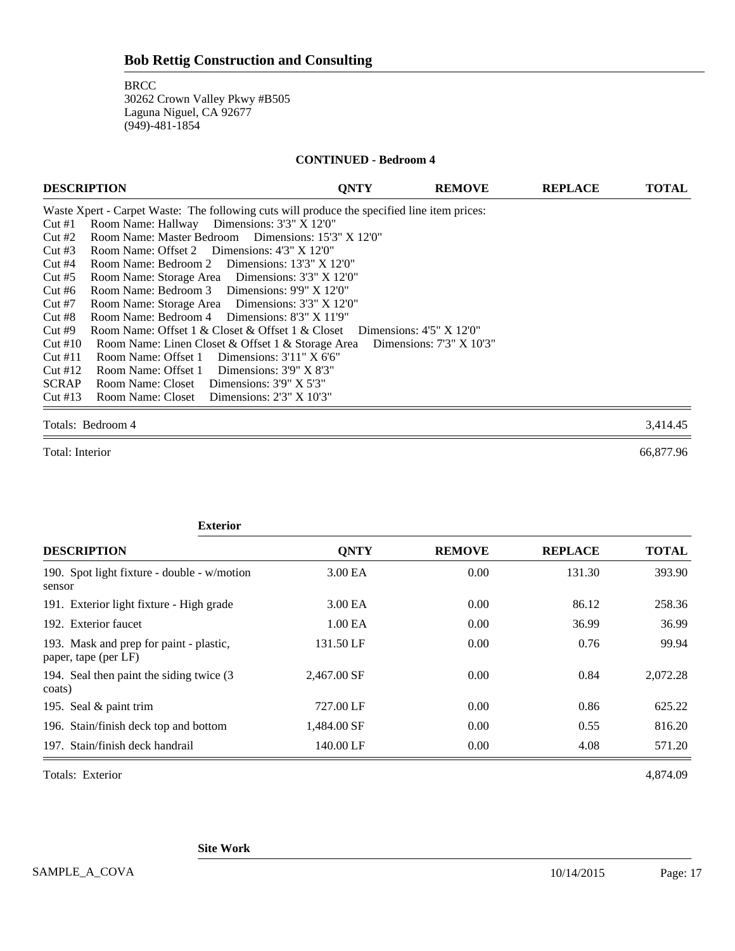#### **CONTINUED - Bedroom 4**

| <b>DESCRIPTION</b> |                                                                                             | <b>ONTY</b>                       | <b>REMOVE</b>                     | <b>REPLACE</b> | <b>TOTAL</b> |
|--------------------|---------------------------------------------------------------------------------------------|-----------------------------------|-----------------------------------|----------------|--------------|
|                    | Waste Xpert - Carpet Waste: The following cuts will produce the specified line item prices: |                                   |                                   |                |              |
| Cut#1              | Room Name: Hallway Dimensions: 3'3" X 12'0"                                                 |                                   |                                   |                |              |
| Cut#2              | Room Name: Master Bedroom Dimensions: 15'3" X 12'0"                                         |                                   |                                   |                |              |
| Cut#3              | Room Name: Offset 2 Dimensions: 4'3" X 12'0"                                                |                                   |                                   |                |              |
| Cut#4              | Room Name: Bedroom 2 Dimensions: 13'3" X 12'0"                                              |                                   |                                   |                |              |
| Cut#5              | Room Name: Storage Area Dimensions: 3'3" X 12'0"                                            |                                   |                                   |                |              |
| Cut#6              | Room Name: Bedroom 3 Dimensions: 9'9" X 12'0"                                               |                                   |                                   |                |              |
| Cut#7              | Room Name: Storage Area Dimensions: 3'3" X 12'0"                                            |                                   |                                   |                |              |
| Cut#8              | Room Name: Bedroom 4 Dimensions: 8'3" X 11'9"                                               |                                   |                                   |                |              |
| Cut#9              | Room Name: Offset 1 & Closet & Offset 1 & Closet                                            | Dimensions: $4'5'' \times 12'0''$ |                                   |                |              |
| Cut#10             | Room Name: Linen Closet & Offset 1 & Storage Area                                           |                                   | Dimensions: $7'3'' \times 10'3''$ |                |              |
| Cut#11             | Room Name: Offset 1 Dimensions: 3'11" X 6'6"                                                |                                   |                                   |                |              |
| Cut #12            | Room Name: Offset 1 Dimensions: 3'9" X 8'3"                                                 |                                   |                                   |                |              |
| <b>SCRAP</b>       | Room Name: Closet Dimensions: 3'9" X 5'3"                                                   |                                   |                                   |                |              |
| Cut#13             | Room Name: Closet Dimensions: 2'3" X 10'3"                                                  |                                   |                                   |                |              |

#### Totals: Bedroom 4 3,414.45

Total: Interior 66,877.96

| <b>Exterior</b>                                                 |             |               |                |              |
|-----------------------------------------------------------------|-------------|---------------|----------------|--------------|
| <b>DESCRIPTION</b>                                              | <b>ONTY</b> | <b>REMOVE</b> | <b>REPLACE</b> | <b>TOTAL</b> |
| 190. Spot light fixture - double - w/motion<br>sensor           | 3.00 EA     | 0.00          | 131.30         | 393.90       |
| 191. Exterior light fixture - High grade                        | 3.00 EA     | 0.00          | 86.12          | 258.36       |
| 192. Exterior faucet                                            | 1.00 EA     | 0.00          | 36.99          | 36.99        |
| 193. Mask and prep for paint - plastic,<br>paper, tape (per LF) | 131.50 LF   | 0.00          | 0.76           | 99.94        |
| 194. Seal then paint the siding twice (3)<br>coats)             | 2.467.00 SF | 0.00          | 0.84           | 2,072.28     |
| 195. Seal & paint trim                                          | 727.00 LF   | 0.00          | 0.86           | 625.22       |
| 196. Stain/finish deck top and bottom                           | 1,484.00 SF | 0.00          | 0.55           | 816.20       |
| 197. Stain/finish deck handrail                                 | 140.00 LF   | 0.00          | 4.08           | 571.20       |

Totals: Exterior 4,874.09

**Site Work**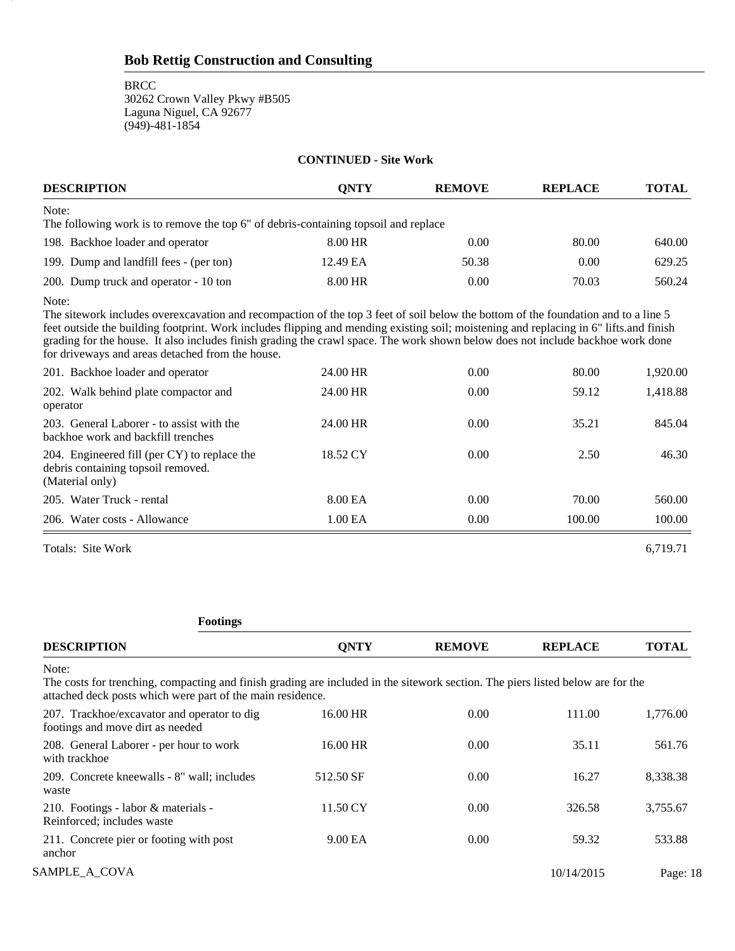**BRCC** 

18

30262 Crown Valley Pkwy #B505 Laguna Niguel, CA 92677 (949)-481-1854

### **CONTINUED - Site Work**

| <b>DESCRIPTION</b>                                                                                                                                                                                                                                                                                                                                                                                                                                                           | ONTY     | <b>REMOVE</b> | <b>REPLACE</b> | <b>TOTAL</b> |
|------------------------------------------------------------------------------------------------------------------------------------------------------------------------------------------------------------------------------------------------------------------------------------------------------------------------------------------------------------------------------------------------------------------------------------------------------------------------------|----------|---------------|----------------|--------------|
| Note:<br>The following work is to remove the top 6" of debris-containing topsoil and replace                                                                                                                                                                                                                                                                                                                                                                                 |          |               |                |              |
| 198. Backhoe loader and operator                                                                                                                                                                                                                                                                                                                                                                                                                                             | 8.00 HR  | 0.00          | 80.00          | 640.00       |
| 199. Dump and landfill fees - (per ton)                                                                                                                                                                                                                                                                                                                                                                                                                                      | 12.49 EA | 50.38         | 0.00           | 629.25       |
| 200. Dump truck and operator - 10 ton                                                                                                                                                                                                                                                                                                                                                                                                                                        | 8.00 HR  | 0.00          | 70.03          | 560.24       |
| Note:<br>The sitework includes overexcavation and recompaction of the top 3 feet of soil below the bottom of the foundation and to a line 5<br>feet outside the building footprint. Work includes flipping and mending existing soil; moistening and replacing in 6" lifts and finish<br>grading for the house. It also includes finish grading the crawl space. The work shown below does not include backhoe work done<br>for driveways and areas detached from the house. |          |               |                |              |
| 201. Backhoe loader and operator                                                                                                                                                                                                                                                                                                                                                                                                                                             | 24.00 HR | 0.00          | 80.00          | 1,920.00     |
| 202. Walk behind plate compactor and<br>operator                                                                                                                                                                                                                                                                                                                                                                                                                             | 24.00 HR | 0.00          | 59.12          | 1,418.88     |
| 203. General Laborer - to assist with the<br>backhoe work and backfill trenches                                                                                                                                                                                                                                                                                                                                                                                              | 24.00 HR | 0.00          | 35.21          | 845.04       |
| 204. Engineered fill (per CY) to replace the<br>debris containing topsoil removed.<br>(Material only)                                                                                                                                                                                                                                                                                                                                                                        | 18.52 CY | 0.00          | 2.50           | 46.30        |
| 205. Water Truck - rental                                                                                                                                                                                                                                                                                                                                                                                                                                                    | 8.00 EA  | 0.00          | 70.00          | 560.00       |
| 206. Water costs - Allowance                                                                                                                                                                                                                                                                                                                                                                                                                                                 | 1.00 EA  | 0.00          | 100.00         | 100.00       |

Totals: Site Work 6,719.71

**Footings**

| <b>DESCRIPTION</b>                                                                                                                                                                                     | <b>ONTY</b> | <b>REMOVE</b> | <b>REPLACE</b> | <b>TOTAL</b> |
|--------------------------------------------------------------------------------------------------------------------------------------------------------------------------------------------------------|-------------|---------------|----------------|--------------|
| Note:<br>The costs for trenching, compacting and finish grading are included in the sitework section. The piers listed below are for the<br>attached deck posts which were part of the main residence. |             |               |                |              |
| 207. Trackhoe/excavator and operator to dig<br>footings and move dirt as needed                                                                                                                        | 16.00 HR    | 0.00          | 111.00         | 1,776.00     |
| 208. General Laborer - per hour to work<br>with trackhoe                                                                                                                                               | 16.00 HR    | 0.00          | 35.11          | 561.76       |
| 209. Concrete kneewalls - 8" wall; includes<br>waste                                                                                                                                                   | 512.50 SF   | 0.00          | 16.27          | 8,338.38     |
| 210. Footings - labor & materials -<br>Reinforced; includes waste                                                                                                                                      | 11.50 CY    | 0.00          | 326.58         | 3,755.67     |
| 211. Concrete pier or footing with post<br>anchor                                                                                                                                                      | 9.00 EA     | 0.00          | 59.32          | 533.88       |
| SAMPLE A COVA                                                                                                                                                                                          |             |               | 10/14/2015     | Page: 18     |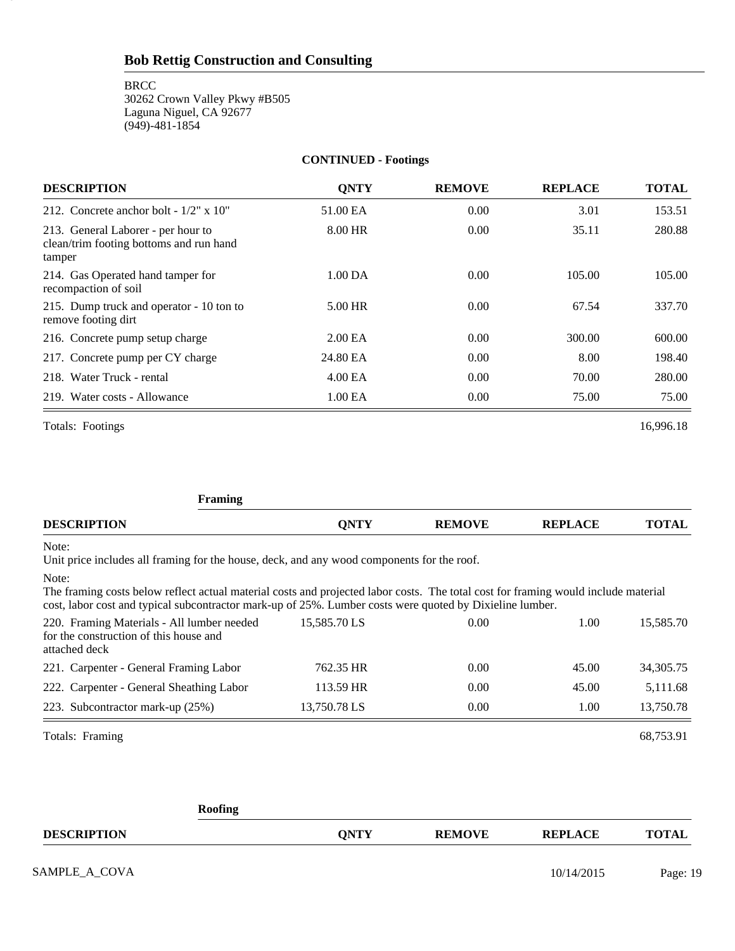**BRCC** 30262 Crown Valley Pkwy #B505 Laguna Niguel, CA 92677 (949)-481-1854

## **CONTINUED - Footings**

| <b>DESCRIPTION</b>                                                                      | <b>ONTY</b>         | <b>REMOVE</b> | <b>REPLACE</b> | <b>TOTAL</b> |
|-----------------------------------------------------------------------------------------|---------------------|---------------|----------------|--------------|
| 212. Concrete anchor bolt - $1/2$ " x $10$ "                                            | 51.00 EA            | 0.00          | 3.01           | 153.51       |
| 213. General Laborer - per hour to<br>clean/trim footing bottoms and run hand<br>tamper | 8.00 HR             | 0.00          | 35.11          | 280.88       |
| 214. Gas Operated hand tamper for<br>recompaction of soil                               | $1.00\,\mathrm{DA}$ | 0.00          | 105.00         | 105.00       |
| 215. Dump truck and operator - 10 ton to<br>remove footing dirt                         | 5.00 HR             | 0.00          | 67.54          | 337.70       |
| 216. Concrete pump setup charge                                                         | 2.00 <sub>E</sub> A | 0.00          | 300.00         | 600.00       |
| 217. Concrete pump per CY charge                                                        | 24.80 EA            | 0.00          | 8.00           | 198.40       |
| 218. Water Truck - rental                                                               | 4.00 EA             | 0.00          | 70.00          | 280.00       |
| 219. Water costs - Allowance                                                            | 1.00 EA             | 0.00          | 75.00          | 75.00        |
| Totals: Footings                                                                        |                     |               |                | 16.996.18    |

19

| <b>Framing</b>                                                                                                                                                                                                                                          |              |               |                |              |
|---------------------------------------------------------------------------------------------------------------------------------------------------------------------------------------------------------------------------------------------------------|--------------|---------------|----------------|--------------|
| <b>DESCRIPTION</b>                                                                                                                                                                                                                                      | <b>QNTY</b>  | <b>REMOVE</b> | <b>REPLACE</b> | <b>TOTAL</b> |
| Note:<br>Unit price includes all framing for the house, deck, and any wood components for the roof.                                                                                                                                                     |              |               |                |              |
| Note:<br>The framing costs below reflect actual material costs and projected labor costs. The total cost for framing would include material<br>cost, labor cost and typical subcontractor mark-up of 25%. Lumber costs were quoted by Dixieline lumber. |              |               |                |              |
| 220. Framing Materials - All lumber needed<br>for the construction of this house and<br>attached deck                                                                                                                                                   | 15,585.70 LS | 0.00          | 1.00           | 15,585.70    |
| 221. Carpenter - General Framing Labor                                                                                                                                                                                                                  | 762.35 HR    | 0.00          | 45.00          | 34,305.75    |
| 222. Carpenter - General Sheathing Labor                                                                                                                                                                                                                | 113.59 HR    | 0.00          | 45.00          | 5,111.68     |
| 223. Subcontractor mark-up (25%)                                                                                                                                                                                                                        | 13,750.78 LS | 0.00          | 1.00           | 13,750.78    |
| Totals: Framing                                                                                                                                                                                                                                         |              |               |                | 68,753.91    |
| <b>Roofing</b>                                                                                                                                                                                                                                          |              |               |                |              |
| <b>DESCRIPTION</b>                                                                                                                                                                                                                                      | <b>QNTY</b>  | <b>REMOVE</b> | <b>REPLACE</b> | <b>TOTAL</b> |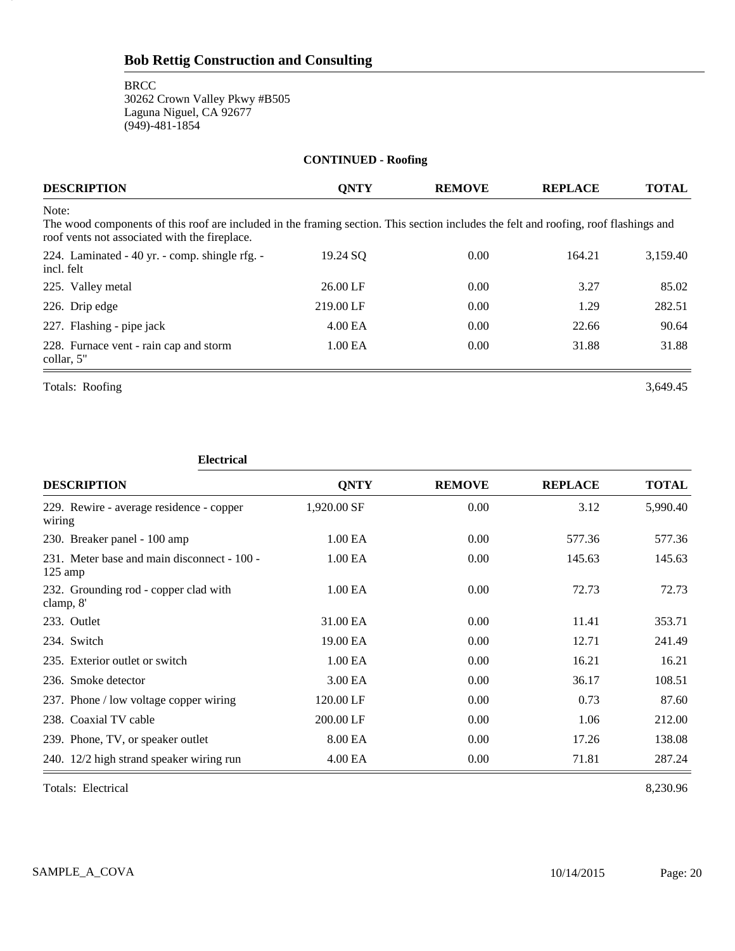| <b>CONTINUED - Roofing</b>                                                                                                                                                                     |             |                |                |              |  |
|------------------------------------------------------------------------------------------------------------------------------------------------------------------------------------------------|-------------|----------------|----------------|--------------|--|
| <b>DESCRIPTION</b>                                                                                                                                                                             | <b>ONTY</b> | <b>REMOVE</b>  | <b>REPLACE</b> | <b>TOTAL</b> |  |
| Note:<br>The wood components of this roof are included in the framing section. This section includes the felt and roofing, roof flashings and<br>roof vents not associated with the fireplace. |             |                |                |              |  |
| 224. Laminated - 40 yr. - comp. shingle rfg. -<br>incl. felt                                                                                                                                   | 19.24 SO    | $0.00^{\circ}$ | 164.21         | 3,159.40     |  |
| 225. Valley metal                                                                                                                                                                              | 26.00 LF    | 0.00           | 3.27           | 85.02        |  |
| 226. Drip edge                                                                                                                                                                                 | 219.00 LF   | 0.00           | 1.29           | 282.51       |  |
| 227. Flashing - pipe jack                                                                                                                                                                      | 4.00 EA     | 0.00           | 22.66          | 90.64        |  |
| 228. Furnace vent - rain cap and storm<br>collar, 5"                                                                                                                                           | 1.00 EA     | 0.00           | 31.88          | 31.88        |  |

Totals: Roofing 3,649.45

20

#### **Electrical**

| <b>DESCRIPTION</b>                                               | <b>QNTY</b>         | <b>REMOVE</b> | <b>REPLACE</b> | <b>TOTAL</b> |
|------------------------------------------------------------------|---------------------|---------------|----------------|--------------|
| 229. Rewire - average residence - copper<br>wiring               | 1,920.00 SF         | 0.00          | 3.12           | 5,990.40     |
| 230. Breaker panel - 100 amp                                     | 1.00 <sub>E</sub> A | 0.00          | 577.36         | 577.36       |
| 231. Meter base and main disconnect - 100 -<br>$125 \text{ amp}$ | 1.00 EA             | 0.00          | 145.63         | 145.63       |
| 232. Grounding rod - copper clad with<br>clamp, 8'               | 1.00 EA             | 0.00          | 72.73          | 72.73        |
| 233. Outlet                                                      | 31.00 EA            | 0.00          | 11.41          | 353.71       |
| 234. Switch                                                      | 19.00 EA            | 0.00          | 12.71          | 241.49       |
| 235. Exterior outlet or switch                                   | 1.00 EA             | 0.00          | 16.21          | 16.21        |
| 236. Smoke detector                                              | 3.00 EA             | 0.00          | 36.17          | 108.51       |
| 237. Phone / low voltage copper wiring                           | 120.00 LF           | 0.00          | 0.73           | 87.60        |
| 238. Coaxial TV cable                                            | 200.00 LF           | 0.00          | 1.06           | 212.00       |
| 239. Phone, TV, or speaker outlet                                | 8.00 EA             | 0.00          | 17.26          | 138.08       |
| 240. 12/2 high strand speaker wiring run                         | 4.00 EA             | 0.00          | 71.81          | 287.24       |

Totals: Electrical 8,230.96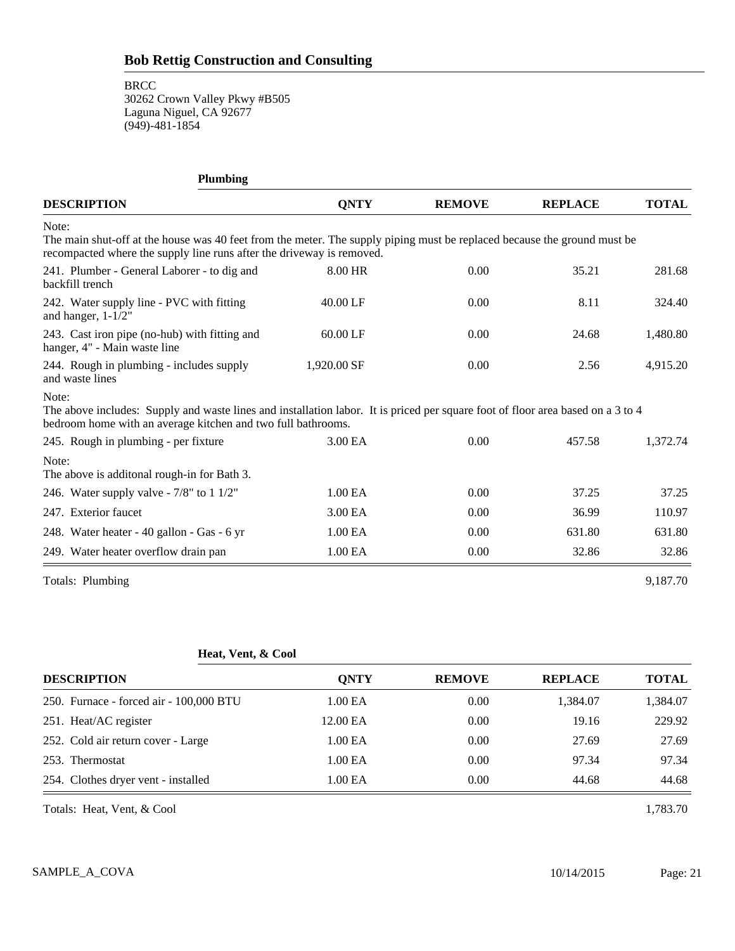**BRCC** 

30262 Crown Valley Pkwy #B505 Laguna Niguel, CA 92677 (949)-481-1854

| <b>Plumbing</b>                                                                                                                                                                                            |             |               |                |              |
|------------------------------------------------------------------------------------------------------------------------------------------------------------------------------------------------------------|-------------|---------------|----------------|--------------|
| <b>DESCRIPTION</b>                                                                                                                                                                                         | <b>ONTY</b> | <b>REMOVE</b> | <b>REPLACE</b> | <b>TOTAL</b> |
| Note:<br>The main shut-off at the house was 40 feet from the meter. The supply piping must be replaced because the ground must be<br>recompacted where the supply line runs after the driveway is removed. |             |               |                |              |
| 241. Plumber - General Laborer - to dig and<br>backfill trench                                                                                                                                             | 8.00 HR     | 0.00          | 35.21          | 281.68       |
| 242. Water supply line - PVC with fitting<br>and hanger, $1-1/2"$                                                                                                                                          | 40.00 LF    | 0.00          | 8.11           | 324.40       |
| 243. Cast iron pipe (no-hub) with fitting and<br>hanger, 4" - Main waste line                                                                                                                              | 60.00 LF    | 0.00          | 24.68          | 1,480.80     |
| 244. Rough in plumbing - includes supply<br>and waste lines                                                                                                                                                | 1,920.00 SF | 0.00          | 2.56           | 4,915.20     |
| Note:<br>The above includes: Supply and waste lines and installation labor. It is priced per square foot of floor area based on a 3 to 4<br>bedroom home with an average kitchen and two full bathrooms.   |             |               |                |              |
| 245. Rough in plumbing - per fixture                                                                                                                                                                       | 3.00 EA     | 0.00          | 457.58         | 1,372.74     |
| Note:<br>The above is additonal rough-in for Bath 3.                                                                                                                                                       |             |               |                |              |
| 246. Water supply valve - 7/8" to 1 1/2"                                                                                                                                                                   | 1.00 EA     | 0.00          | 37.25          | 37.25        |
| 247. Exterior faucet                                                                                                                                                                                       | 3.00 EA     | 0.00          | 36.99          | 110.97       |
| 248. Water heater - 40 gallon - Gas - 6 yr                                                                                                                                                                 | 1.00 EA     | 0.00          | 631.80         | 631.80       |
| 249. Water heater overflow drain pan                                                                                                                                                                       | 1.00 EA     | 0.00          | 32.86          | 32.86        |
| Totals: Plumbing                                                                                                                                                                                           |             |               |                | 9,187.70     |

## **Heat, Vent, & Cool**

| <b>DESCRIPTION</b>                      | <b>ONTY</b>         | <b>REMOVE</b> | <b>REPLACE</b> | <b>TOTAL</b> |
|-----------------------------------------|---------------------|---------------|----------------|--------------|
| 250. Furnace - forced air - 100,000 BTU | 1.00 <sub>E</sub> A | 0.00          | 1,384.07       | 1,384.07     |
| 251. Heat/AC register                   | 12.00 EA            | 0.00          | 19.16          | 229.92       |
| 252. Cold air return cover - Large      | 1.00 <sub>E</sub> A | 0.00          | 27.69          | 27.69        |
| 253. Thermostat                         | 1.00 EA             | 0.00          | 97.34          | 97.34        |
| 254. Clothes dryer vent - installed     | 1.00 EA             | 0.00          | 44.68          | 44.68        |

Totals: Heat, Vent, & Cool 1,783.70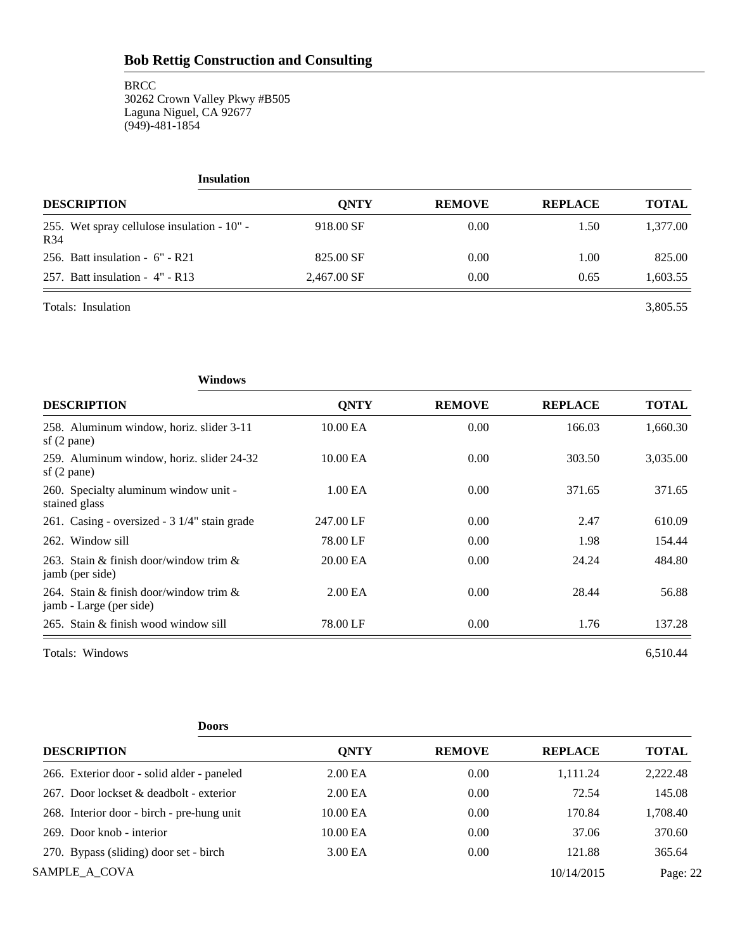**BRCC** 30262 Crown Valley Pkwy #B505 Laguna Niguel, CA 92677 (949)-481-1854

| <b>Insulation</b>                                              |             |               |                |              |
|----------------------------------------------------------------|-------------|---------------|----------------|--------------|
| <b>DESCRIPTION</b>                                             | <b>ONTY</b> | <b>REMOVE</b> | <b>REPLACE</b> | <b>TOTAL</b> |
| 255. Wet spray cellulose insulation - 10" -<br>R <sub>34</sub> | 918.00 SF   | 0.00          | 1.50           | 1,377.00     |
| 256. Batt insulation - $6''$ - R21                             | 825.00 SF   | 0.00          | 1.00           | 825.00       |
| 257. Batt insulation - $4"$ - R13                              | 2,467.00 SF | 0.00          | 0.65           | 1,603.55     |
| Totals: Insulation                                             |             |               |                | 3,805.55     |

**Windows DESCRIPTION QNTY REMOVE REPLACE TOTAL** 258. Aluminum window, horiz. slider 3-11 10.00 EA 0.00 166.03 1,660.30 sf (2 pane) 259. Aluminum window, horiz. slider 24-32 10.00 EA 0.00 303.50 3,035.00 sf (2 pane) 260. Specialty aluminum window unit - 1.00 EA 0.00 371.65 371.65 stained glass 261. Casing - oversized - 3 1/4" stain grade 247.00 LF 0.00 2.47 610.09 262. Window sill **262.** Window sill **28.00 LF** 0.00 1.98 154.44 263. Stain & finish door/window trim & 20.00 EA 0.00 24.24 484.80 jamb (per side) 264. Stain & finish door/window trim & 2.00 EA 0.00 28.44 56.88 jamb - Large (per side) 265. Stain & finish wood window sill 78.00 LF 0.00 1.76 137.28

Totals: Windows 6,510.44 and the contract of the contract of the contract of the contract of the contract of the contract of the contract of the contract of the contract of the contract of the contract of the contract of t

| <b>Doors</b>                               |                     |               |                |              |
|--------------------------------------------|---------------------|---------------|----------------|--------------|
| <b>DESCRIPTION</b>                         | <b>ONTY</b>         | <b>REMOVE</b> | <b>REPLACE</b> | <b>TOTAL</b> |
| 266. Exterior door - solid alder - paneled | 2.00 EA             | 0.00          | 1.111.24       | 2,222.48     |
| 267. Door lockset & deadbolt - exterior    | 2.00 <sub>E</sub> A | 0.00          | 72.54          | 145.08       |
| 268. Interior door - birch - pre-hung unit | 10.00 EA            | 0.00          | 170.84         | 1,708.40     |
| 269. Door knob - interior                  | 10.00 EA            | 0.00          | 37.06          | 370.60       |
| 270. Bypass (sliding) door set - birch     | 3.00 EA             | 0.00          | 121.88         | 365.64       |
| SAMPLE A COVA                              |                     |               | 10/14/2015     | Page: 22     |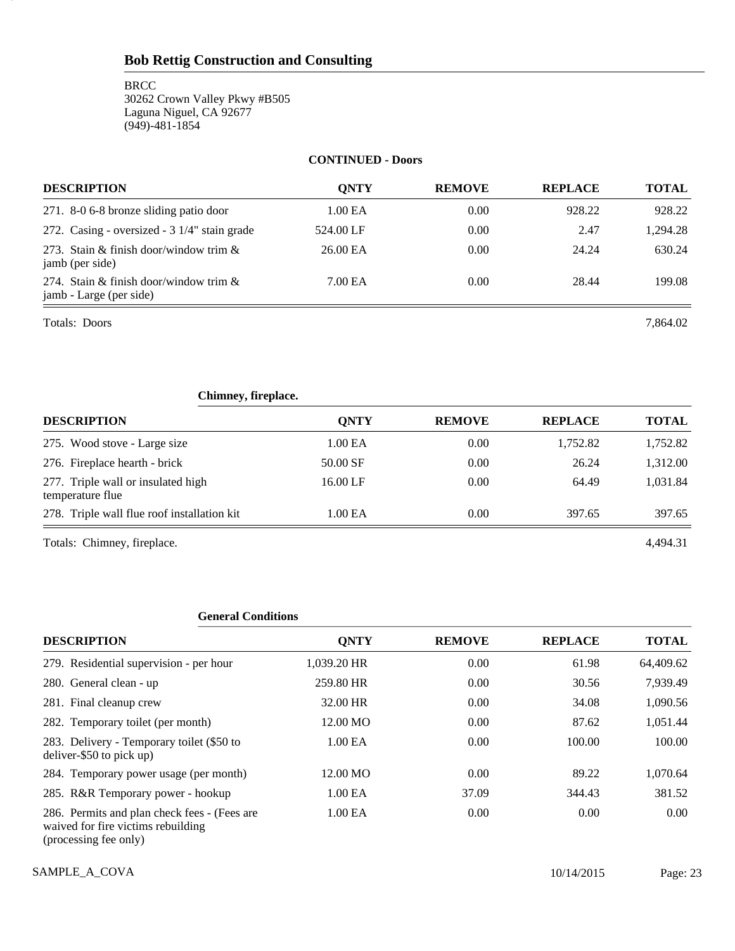**BRCC** 30262 Crown Valley Pkwy #B505 Laguna Niguel, CA 92677 (949)-481-1854

### **CONTINUED - Doors**

| <b>DESCRIPTION</b>                                                   | ONTY      | <b>REMOVE</b> | <b>REPLACE</b> | <b>TOTAL</b> |
|----------------------------------------------------------------------|-----------|---------------|----------------|--------------|
| 271. 8-0 6-8 bronze sliding patio door                               | 1.00 EA   | 0.00          | 928.22         | 928.22       |
| 272. Casing - oversized - 3 1/4" stain grade                         | 524.00 LF | 0.00          | 2.47           | 1.294.28     |
| 273. Stain & finish door/window trim $\&$<br>jamb (per side)         | 26.00 EA  | 0.00          | 24.24          | 630.24       |
| 274. Stain & finish door/window trim $\&$<br>jamb - Large (per side) | 7.00 EA   | 0.00          | 28.44          | 199.08       |

Totals: Doors 7,864.02

23

| Chimney, fireplace.                                    |             |               |                |              |
|--------------------------------------------------------|-------------|---------------|----------------|--------------|
| <b>DESCRIPTION</b>                                     | <b>ONTY</b> | <b>REMOVE</b> | <b>REPLACE</b> | <b>TOTAL</b> |
| 275. Wood stove - Large size                           | 1.00 EA     | 0.00          | 1,752.82       | 1,752.82     |
| 276. Fireplace hearth - brick                          | 50.00 SF    | 0.00          | 26.24          | 1,312.00     |
| 277. Triple wall or insulated high<br>temperature flue | 16.00 LF    | 0.00          | 64.49          | 1,031.84     |
| 278. Triple wall flue roof installation kit            | 1.00 EA     | 0.00          | 397.65         | 397.65       |
| Totals: Chimney, fireplace.                            |             |               |                | 4.494.31     |

## **General Conditions**

| <b>DESCRIPTION</b>                                                                                          | <b>QNTY</b>         | <b>REMOVE</b> | <b>REPLACE</b> | <b>TOTAL</b> |
|-------------------------------------------------------------------------------------------------------------|---------------------|---------------|----------------|--------------|
| 279. Residential supervision - per hour                                                                     | 1,039.20 HR         | 0.00          | 61.98          | 64,409.62    |
| 280. General clean - up                                                                                     | 259.80 HR           | 0.00          | 30.56          | 7,939.49     |
| 281. Final cleanup crew                                                                                     | 32.00 HR            | 0.00          | 34.08          | 1,090.56     |
| 282. Temporary toilet (per month)                                                                           | 12.00 MO            | 0.00          | 87.62          | 1,051.44     |
| 283. Delivery - Temporary toilet (\$50 to<br>deliver-\$50 to pick up)                                       | 1.00 EA             | 0.00          | 100.00         | 100.00       |
| 284. Temporary power usage (per month)                                                                      | 12.00 MO            | 0.00          | 89.22          | 1,070.64     |
| 285. R&R Temporary power - hookup                                                                           | 1.00 <sub>E</sub> A | 37.09         | 344.43         | 381.52       |
| 286. Permits and plan check fees - (Fees are<br>waived for fire victims rebuilding<br>(processing fee only) | 1.00 EA             | 0.00          | 0.00           | 0.00         |

SAMPLE\_A\_COVA 2015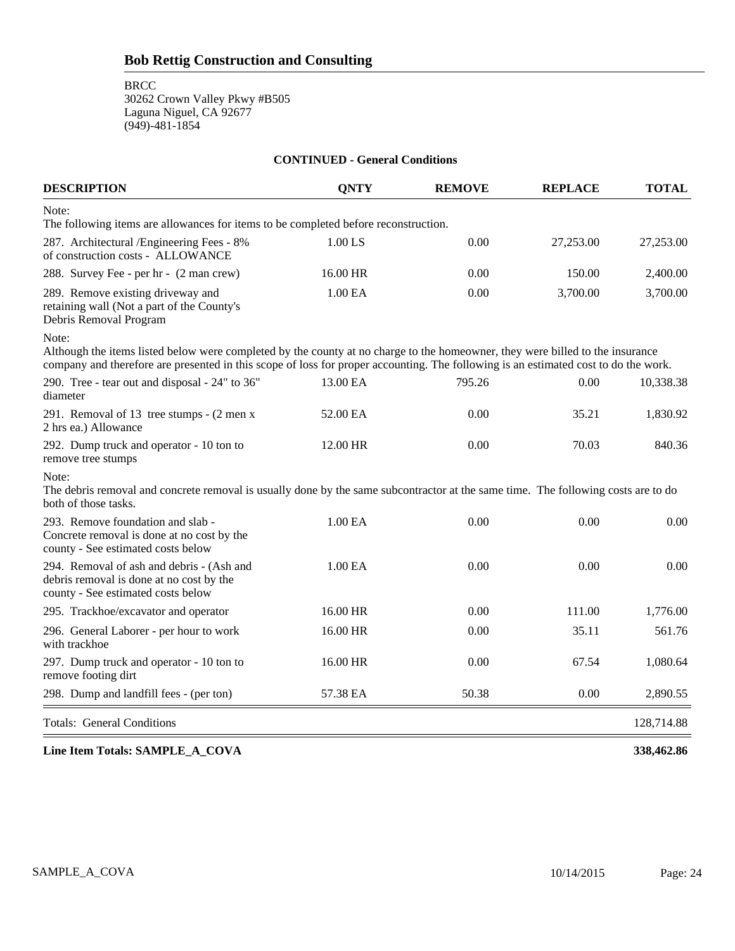**BRCC** 

30262 Crown Valley Pkwy #B505 Laguna Niguel, CA 92677 (949)-481-1854

| <b>DESCRIPTION</b>                                                                                                                                                                                                                                                            | <b>ONTY</b>         | <b>REMOVE</b> | <b>REPLACE</b> | <b>TOTAL</b> |
|-------------------------------------------------------------------------------------------------------------------------------------------------------------------------------------------------------------------------------------------------------------------------------|---------------------|---------------|----------------|--------------|
| Note:<br>The following items are allowances for items to be completed before reconstruction.                                                                                                                                                                                  |                     |               |                |              |
| 287. Architectural /Engineering Fees - 8%<br>of construction costs - ALLOWANCE                                                                                                                                                                                                | 1.00 LS             | 0.00          | 27,253.00      | 27,253.00    |
| 288. Survey Fee - per hr - (2 man crew)                                                                                                                                                                                                                                       | 16.00 HR            | 0.00          | 150.00         | 2,400.00     |
| 289. Remove existing driveway and<br>retaining wall (Not a part of the County's<br>Debris Removal Program                                                                                                                                                                     | 1.00 EA             | 0.00          | 3,700.00       | 3,700.00     |
| Note:<br>Although the items listed below were completed by the county at no charge to the homeowner, they were billed to the insurance<br>company and therefore are presented in this scope of loss for proper accounting. The following is an estimated cost to do the work. |                     |               |                |              |
| 290. Tree - tear out and disposal - 24" to 36"<br>diameter                                                                                                                                                                                                                    | 13.00 EA            | 795.26        | 0.00           | 10,338.38    |
| 291. Removal of 13 tree stumps - (2 men x<br>2 hrs ea.) Allowance                                                                                                                                                                                                             | 52.00 EA            | 0.00          | 35.21          | 1,830.92     |
| 292. Dump truck and operator - 10 ton to<br>remove tree stumps                                                                                                                                                                                                                | 12.00 HR            | 0.00          | 70.03          | 840.36       |
| Note:<br>The debris removal and concrete removal is usually done by the same subcontractor at the same time. The following costs are to do<br>both of those tasks.                                                                                                            |                     |               |                |              |
| 293. Remove foundation and slab -<br>Concrete removal is done at no cost by the<br>county - See estimated costs below                                                                                                                                                         | 1.00 EA             | 0.00          | 0.00           | 0.00         |
| 294. Removal of ash and debris - (Ash and<br>debris removal is done at no cost by the<br>county - See estimated costs below                                                                                                                                                   | 1.00 <sub>E</sub> A | 0.00          | 0.00           | 0.00         |
| 295. Trackhoe/excavator and operator                                                                                                                                                                                                                                          | 16.00 HR            | 0.00          | 111.00         | 1,776.00     |
| 296. General Laborer - per hour to work<br>with trackhoe                                                                                                                                                                                                                      | 16.00 HR            | 0.00          | 35.11          | 561.76       |
| 297. Dump truck and operator - 10 ton to<br>remove footing dirt                                                                                                                                                                                                               | 16.00 HR            | 0.00          | 67.54          | 1,080.64     |
| 298. Dump and landfill fees - (per ton)                                                                                                                                                                                                                                       | 57.38 EA            | 50.38         | 0.00           | 2,890.55     |
| <b>Totals: General Conditions</b>                                                                                                                                                                                                                                             |                     |               |                | 128,714.88   |

**CONTINUED - General Conditions**

**Line Item Totals: SAMPLE\_A\_COVA 338,462.86**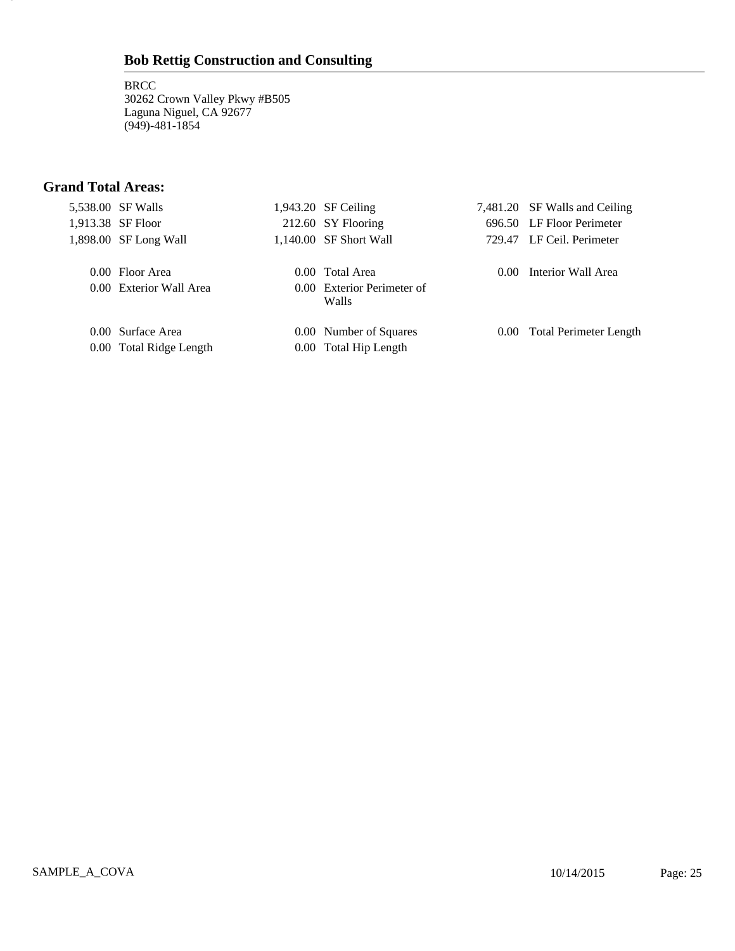**BRCC** 30262 Crown Valley Pkwy #B505 Laguna Niguel, CA 92677 (949)-481-1854

# **Grand Total Areas:**

25

| 5,538.00 SF Walls       | $1,943.20$ SF Ceiling               |          | 7,481.20 SF Walls and Ceiling |
|-------------------------|-------------------------------------|----------|-------------------------------|
| 1,913.38 SF Floor       | 212.60 SY Flooring                  |          | 696.50 LF Floor Perimeter     |
| 1,898.00 SF Long Wall   | 1,140.00 SF Short Wall              |          | 729.47 LF Ceil. Perimeter     |
| 0.00 Floor Area         | 0.00 Total Area                     | $0.00 -$ | Interior Wall Area            |
| 0.00 Exterior Wall Area | 0.00 Exterior Perimeter of<br>Walls |          |                               |
| 0.00 Surface Area       | 0.00 Number of Squares              |          | 0.00 Total Perimeter Length   |
| 0.00 Total Ridge Length | 0.00 Total Hip Length               |          |                               |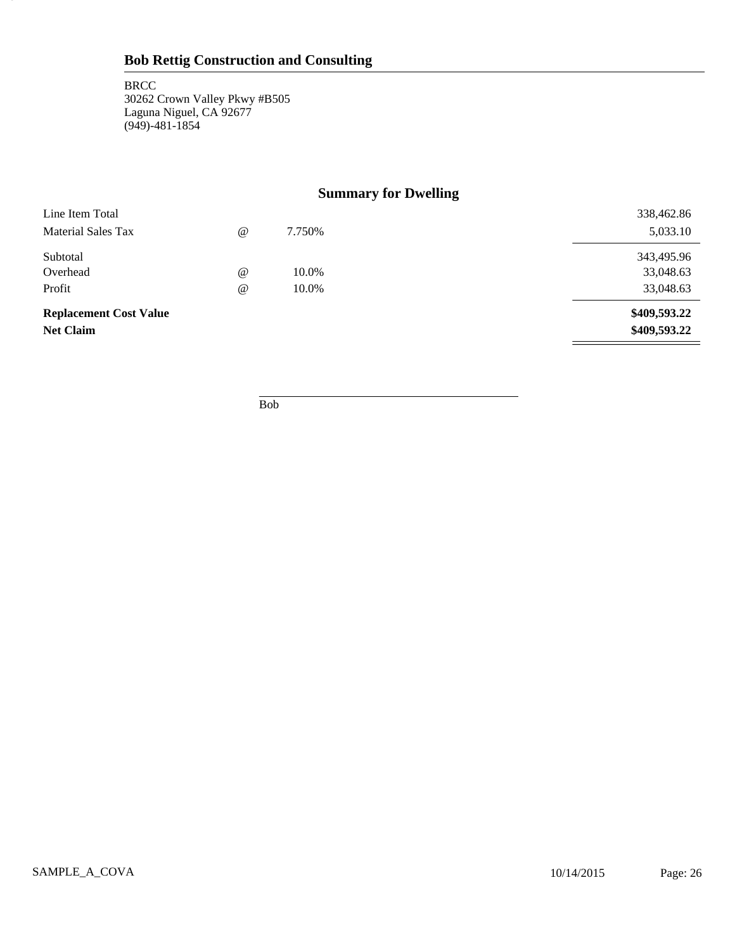26

# **Summary for Dwelling**

| Line Item Total               |                                 |        | 338,462.86   |
|-------------------------------|---------------------------------|--------|--------------|
| Material Sales Tax            | $^{\scriptsize\textregistered}$ | 7.750% | 5,033.10     |
| Subtotal                      |                                 |        | 343,495.96   |
| Overhead                      | $^{\scriptsize\textregistered}$ | 10.0%  | 33,048.63    |
| Profit                        | $^{\omega}$                     | 10.0%  | 33,048.63    |
| <b>Replacement Cost Value</b> |                                 |        | \$409,593.22 |
| <b>Net Claim</b>              |                                 |        | \$409,593.22 |

Bob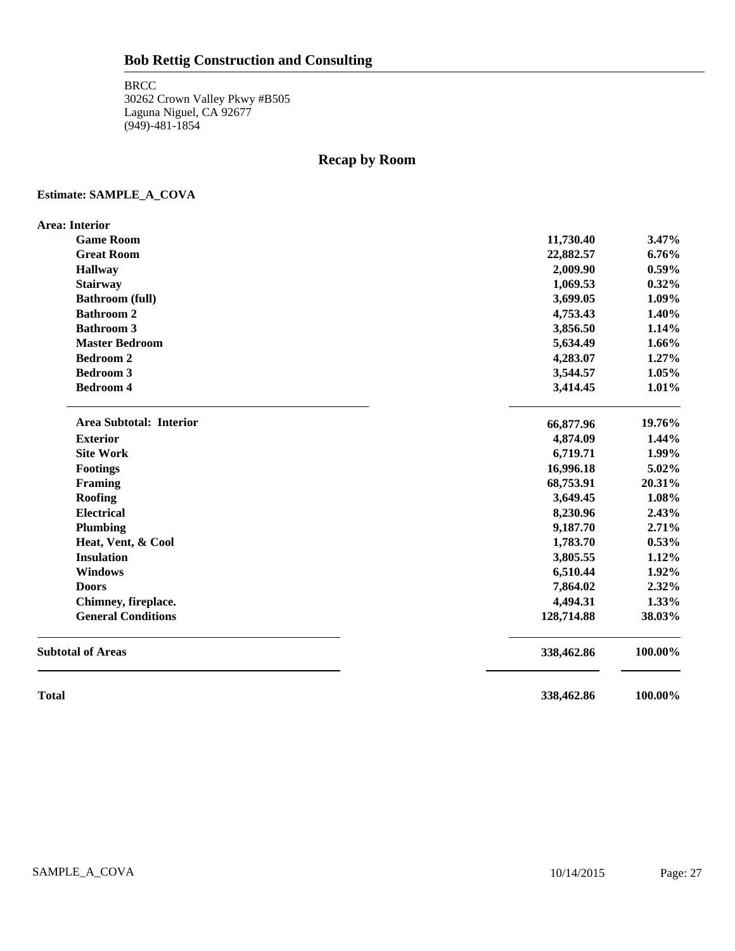# **Recap by Room**

## **Estimate: SAMPLE\_A\_COVA**

| <b>Area: Interior</b>     |            |          |
|---------------------------|------------|----------|
| <b>Game Room</b>          | 11,730.40  | 3.47%    |
| <b>Great Room</b>         | 22,882.57  | $6.76\%$ |
| <b>Hallway</b>            | 2,009.90   | $0.59\%$ |
| <b>Stairway</b>           | 1,069.53   | $0.32\%$ |
| <b>Bathroom (full)</b>    | 3,699.05   | 1.09%    |
| <b>Bathroom 2</b>         | 4,753.43   | 1.40%    |
| <b>Bathroom 3</b>         | 3,856.50   | 1.14%    |
| <b>Master Bedroom</b>     | 5,634.49   | 1.66%    |
| <b>Bedroom 2</b>          | 4,283.07   | 1.27%    |
| <b>Bedroom 3</b>          | 3,544.57   | 1.05%    |
| <b>Bedroom 4</b>          | 3,414.45   | 1.01%    |
| Area Subtotal: Interior   | 66,877.96  | 19.76%   |
| <b>Exterior</b>           | 4,874.09   | 1.44%    |
| <b>Site Work</b>          | 6,719.71   | 1.99%    |
| <b>Footings</b>           | 16,996.18  | 5.02%    |
| Framing                   | 68,753.91  | 20.31%   |
| Roofing                   | 3,649.45   | 1.08%    |
| <b>Electrical</b>         | 8,230.96   | 2.43%    |
| Plumbing                  | 9,187.70   | 2.71%    |
| Heat, Vent, & Cool        | 1,783.70   | 0.53%    |
| <b>Insulation</b>         | 3,805.55   | 1.12%    |
| <b>Windows</b>            | 6,510.44   | 1.92%    |
| <b>Doors</b>              | 7,864.02   | 2.32%    |
| Chimney, fireplace.       | 4,494.31   | $1.33\%$ |
| <b>General Conditions</b> | 128,714.88 | 38.03%   |
| <b>Subtotal of Areas</b>  | 338,462.86 | 100.00%  |
| <b>Total</b>              | 338,462.86 | 100.00%  |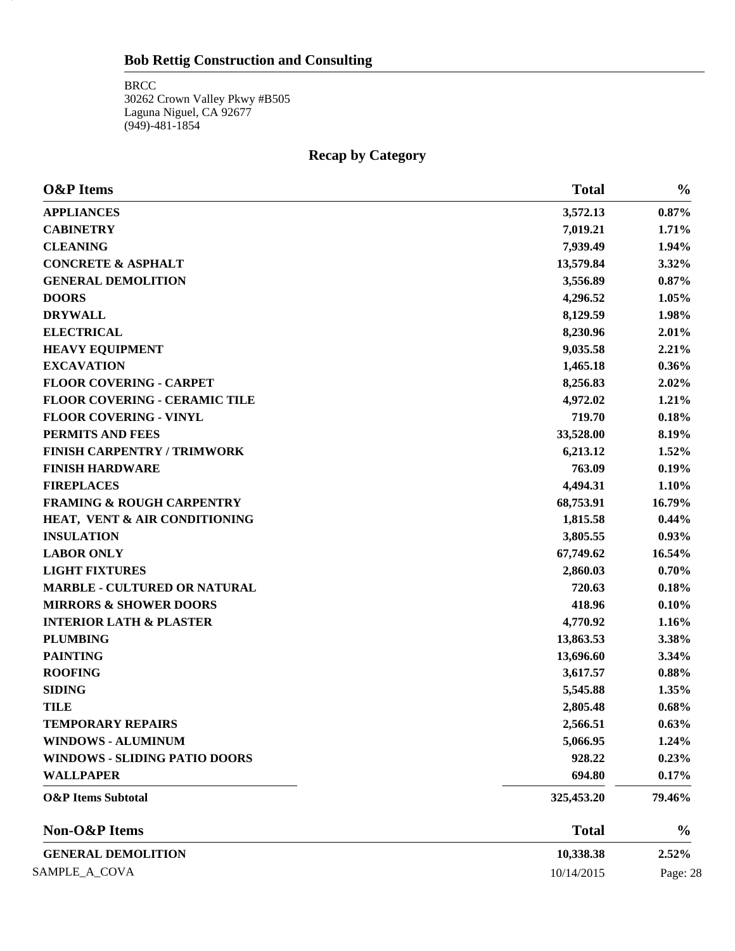28

# **Recap by Category**

| <b>O&amp;P</b> Items                 | <b>Total</b> | $\frac{0}{0}$ |
|--------------------------------------|--------------|---------------|
| <b>APPLIANCES</b>                    | 3,572.13     | 0.87%         |
| <b>CABINETRY</b>                     | 7,019.21     | 1.71%         |
| <b>CLEANING</b>                      | 7,939.49     | 1.94%         |
| <b>CONCRETE &amp; ASPHALT</b>        | 13,579.84    | 3.32%         |
| <b>GENERAL DEMOLITION</b>            | 3,556.89     | $0.87\%$      |
| <b>DOORS</b>                         | 4,296.52     | 1.05%         |
| <b>DRYWALL</b>                       | 8,129.59     | 1.98%         |
| <b>ELECTRICAL</b>                    | 8,230.96     | 2.01%         |
| <b>HEAVY EQUIPMENT</b>               | 9,035.58     | 2.21%         |
| <b>EXCAVATION</b>                    | 1,465.18     | 0.36%         |
| <b>FLOOR COVERING - CARPET</b>       | 8,256.83     | 2.02%         |
| FLOOR COVERING - CERAMIC TILE        | 4,972.02     | 1.21%         |
| <b>FLOOR COVERING - VINYL</b>        | 719.70       | 0.18%         |
| PERMITS AND FEES                     | 33,528.00    | 8.19%         |
| <b>FINISH CARPENTRY / TRIMWORK</b>   | 6,213.12     | 1.52%         |
| <b>FINISH HARDWARE</b>               | 763.09       | 0.19%         |
| <b>FIREPLACES</b>                    | 4,494.31     | 1.10%         |
| <b>FRAMING &amp; ROUGH CARPENTRY</b> | 68,753.91    | 16.79%        |
| HEAT, VENT & AIR CONDITIONING        | 1,815.58     | 0.44%         |
| <b>INSULATION</b>                    | 3,805.55     | 0.93%         |
| <b>LABOR ONLY</b>                    | 67,749.62    | 16.54%        |
| <b>LIGHT FIXTURES</b>                | 2,860.03     | 0.70%         |
| <b>MARBLE - CULTURED OR NATURAL</b>  | 720.63       | 0.18%         |
| <b>MIRRORS &amp; SHOWER DOORS</b>    | 418.96       | 0.10%         |
| <b>INTERIOR LATH &amp; PLASTER</b>   | 4,770.92     | 1.16%         |
| <b>PLUMBING</b>                      | 13,863.53    | 3.38%         |
| <b>PAINTING</b>                      | 13,696.60    | 3.34%         |
| <b>ROOFING</b>                       | 3,617.57     | 0.88%         |
| <b>SIDING</b>                        | 5,545.88     | 1.35%         |
| <b>TILE</b>                          | 2,805.48     | 0.68%         |
| <b>TEMPORARY REPAIRS</b>             | 2,566.51     | 0.63%         |
| <b>WINDOWS - ALUMINUM</b>            | 5,066.95     | 1.24%         |
| <b>WINDOWS - SLIDING PATIO DOORS</b> | 928.22       | 0.23%         |
| <b>WALLPAPER</b>                     | 694.80       | 0.17%         |
| <b>O&amp;P</b> Items Subtotal        | 325,453.20   | 79.46%        |
| Non-O&P Items                        | <b>Total</b> | $\frac{0}{0}$ |
| <b>GENERAL DEMOLITION</b>            | 10,338.38    | 2.52%         |
| SAMPLE_A_COVA                        | 10/14/2015   | Page: 28      |
|                                      |              |               |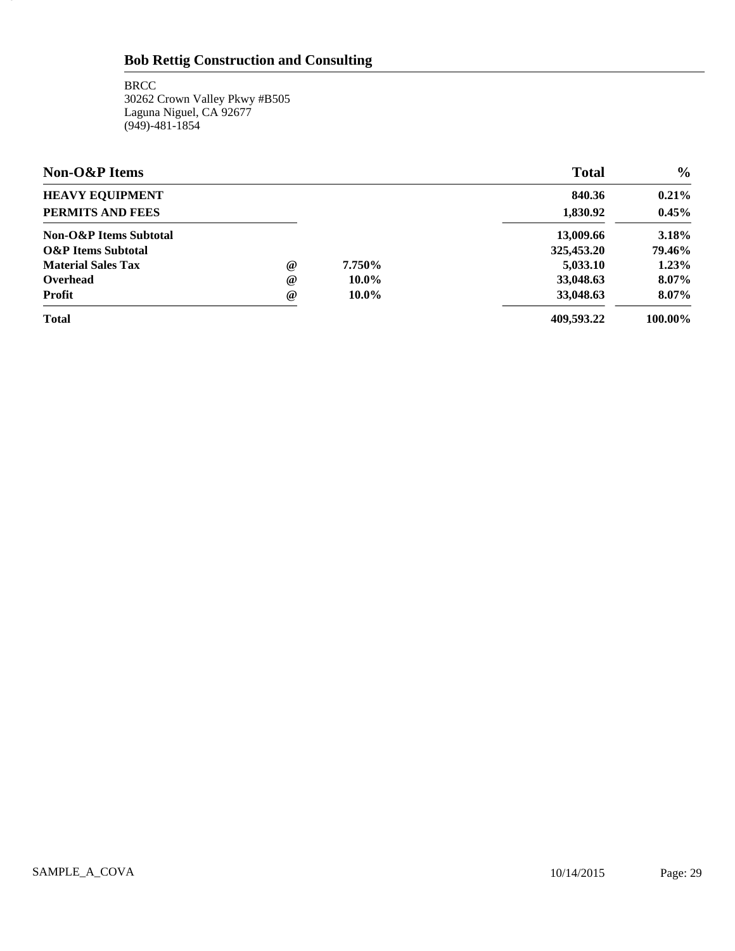**BRCC** 30262 Crown Valley Pkwy #B505 Laguna Niguel, CA 92677 (949)-481-1854

29

| <b>Non-O&amp;P</b> Items      |                 |          | <b>Total</b> | $\frac{0}{0}$ |
|-------------------------------|-----------------|----------|--------------|---------------|
| <b>HEAVY EQUIPMENT</b>        |                 |          | 840.36       | $0.21\%$      |
| PERMITS AND FEES              |                 |          | 1,830.92     | 0.45%         |
| Non-O&P Items Subtotal        |                 |          | 13,009.66    | 3.18%         |
| <b>O&amp;P</b> Items Subtotal |                 |          | 325,453.20   | 79.46%        |
| <b>Material Sales Tax</b>     | $^{\copyright}$ | 7.750%   | 5,033.10     | 1.23%         |
| Overhead                      | $^{\circ}$      | $10.0\%$ | 33,048.63    | 8.07%         |
| <b>Profit</b>                 | $^{\circ}$      | $10.0\%$ | 33,048.63    | 8.07%         |
| <b>Total</b>                  |                 |          | 409.593.22   | 100.00%       |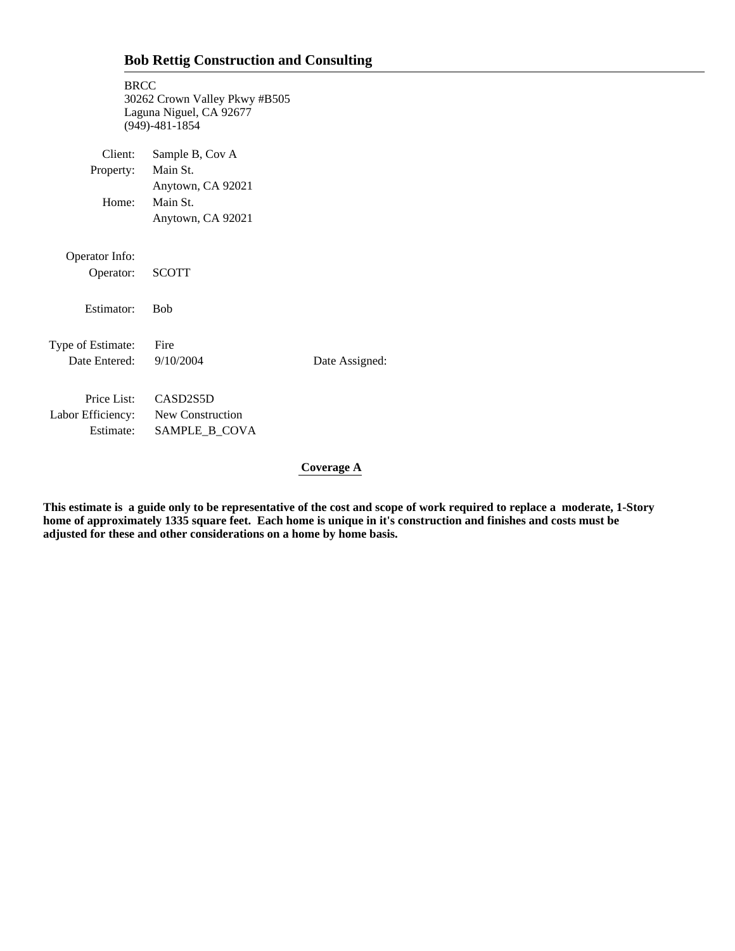| <b>BRCC</b>                        | 30262 Crown Valley Pkwy #B505<br>Laguna Niguel, CA 92677<br>$(949) - 481 - 1854$ |                |
|------------------------------------|----------------------------------------------------------------------------------|----------------|
| Client:                            | Sample B, Cov A                                                                  |                |
| Property:                          | Main St.                                                                         |                |
|                                    | Anytown, CA 92021                                                                |                |
| Home:                              | Main St.                                                                         |                |
|                                    | Anytown, CA 92021                                                                |                |
| Operator Info:<br>Operator:        | <b>SCOTT</b>                                                                     |                |
| Estimator:                         | <b>Bob</b>                                                                       |                |
| Type of Estimate:<br>Date Entered: | Fire<br>9/10/2004                                                                | Date Assigned: |
| Price List:                        | CASD <sub>2S5</sub> D                                                            |                |
| Labor Efficiency: New Construction |                                                                                  |                |
| Estimate:                          | SAMPLE_B_COVA                                                                    |                |
|                                    |                                                                                  |                |

## **Coverage A**

**This estimate is a guide only to be representative of the cost and scope of work required to replace a moderate, 1-Story home of approximately 1335 square feet. Each home is unique in it's construction and finishes and costs must be adjusted for these and other considerations on a home by home basis.**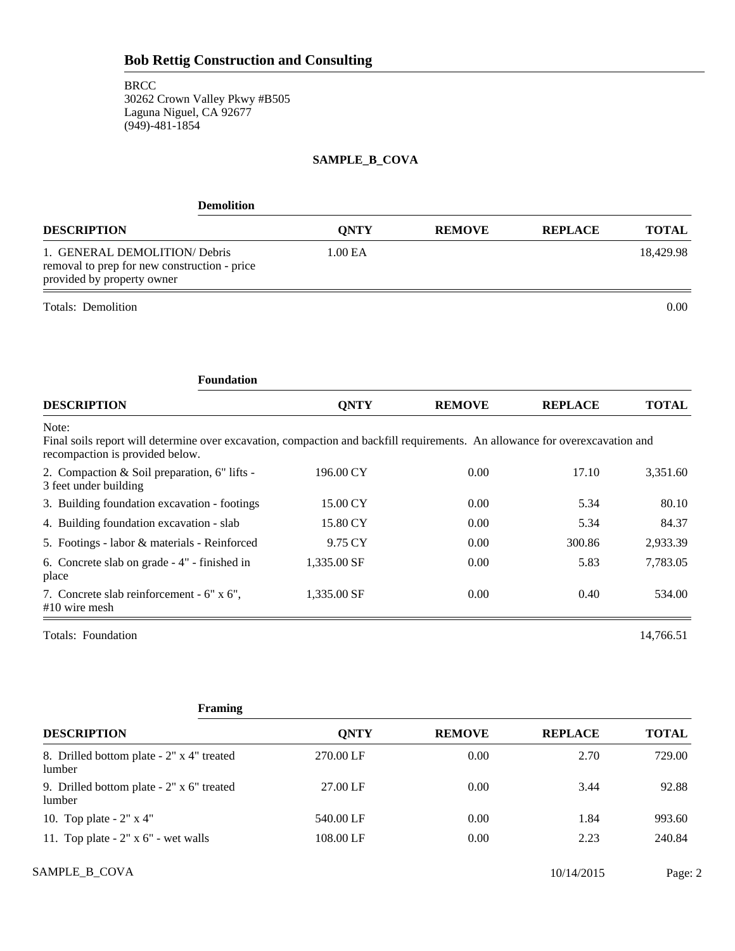## **SAMPLE\_B\_COVA**

| <b>Demolition</b>                                                                                                                                                        |             |               |                |              |
|--------------------------------------------------------------------------------------------------------------------------------------------------------------------------|-------------|---------------|----------------|--------------|
| <b>DESCRIPTION</b>                                                                                                                                                       | <b>QNTY</b> | <b>REMOVE</b> | <b>REPLACE</b> | <b>TOTAL</b> |
| 1. GENERAL DEMOLITION/Debris<br>removal to prep for new construction - price<br>provided by property owner                                                               | 1.00 EA     |               |                | 18,429.98    |
| Totals: Demolition                                                                                                                                                       |             |               |                | 0.00         |
| <b>Foundation</b>                                                                                                                                                        |             |               |                |              |
| <b>DESCRIPTION</b>                                                                                                                                                       | <b>QNTY</b> | <b>REMOVE</b> | <b>REPLACE</b> | <b>TOTAL</b> |
| Note:<br>Final soils report will determine over excavation, compaction and backfill requirements. An allowance for overexcavation and<br>recompaction is provided below. |             |               |                |              |
| 2. Compaction & Soil preparation, 6" lifts -<br>3 feet under building                                                                                                    | 196.00 CY   | 0.00          | 17.10          | 3,351.60     |
| 3. Building foundation excavation - footings                                                                                                                             | 15.00 CY    | 0.00          | 5.34           | 80.10        |
| 4. Building foundation excavation - slab                                                                                                                                 | 15.80 CY    | 0.00          | 5.34           | 84.37        |
| 5. Footings - labor & materials - Reinforced                                                                                                                             | 9.75 CY     | 0.00          | 300.86         | 2,933.39     |
| 6. Concrete slab on grade - 4" - finished in<br>place                                                                                                                    | 1,335.00 SF | 0.00          | 5.83           | 7,783.05     |
| 7. Concrete slab reinforcement - 6" x 6",<br>$#10$ wire mesh                                                                                                             | 1,335.00 SF | 0.00          | 0.40           | 534.00       |
| Totals: Foundation                                                                                                                                                       |             |               |                | 14,766.51    |

| Framing                                             |             |               |                |              |
|-----------------------------------------------------|-------------|---------------|----------------|--------------|
| <b>DESCRIPTION</b>                                  | <b>ONTY</b> | <b>REMOVE</b> | <b>REPLACE</b> | <b>TOTAL</b> |
| 8. Drilled bottom plate - 2" x 4" treated<br>lumber | 270.00 LF   | 0.00          | 2.70           | 729.00       |
| 9. Drilled bottom plate - 2" x 6" treated<br>lumber | 27.00 LF    | 0.00          | 3.44           | 92.88        |
| 10. Top plate - $2" \times 4"$                      | 540.00 LF   | 0.00          | 1.84           | 993.60       |
| 11. Top plate $-2$ " x 6" - wet walls               | 108.00 LF   | 0.00          | 2.23           | 240.84       |

SAMPLE\_B\_COVA Page: 2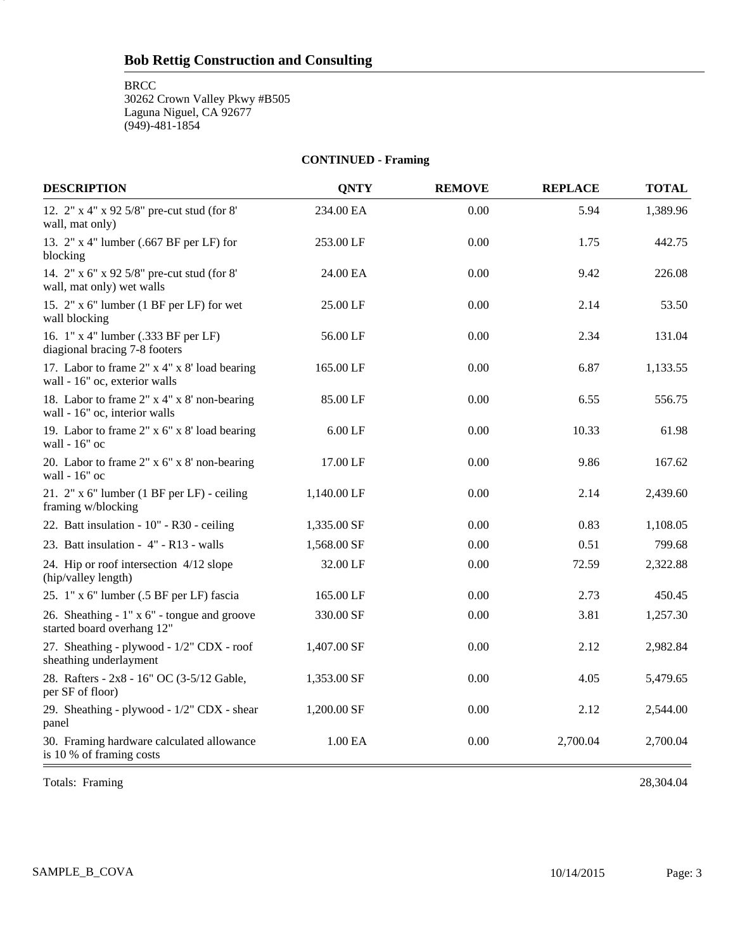**BRCC** 

3

30262 Crown Valley Pkwy #B505 Laguna Niguel, CA 92677 (949)-481-1854

**CONTINUED - Framing**

| <b>DESCRIPTION</b>                                                            | <b>QNTY</b> | <b>REMOVE</b> | <b>REPLACE</b> | <b>TOTAL</b> |
|-------------------------------------------------------------------------------|-------------|---------------|----------------|--------------|
| 12. 2" x 4" x 92 5/8" pre-cut stud (for 8"<br>wall, mat only)                 | 234.00 EA   | 0.00          | 5.94           | 1,389.96     |
| 13. 2" x 4" lumber (.667 BF per LF) for<br>blocking                           | 253.00 LF   | 0.00          | 1.75           | 442.75       |
| 14. 2" x 6" x 92 5/8" pre-cut stud (for 8"<br>wall, mat only) wet walls       | 24.00 EA    | 0.00          | 9.42           | 226.08       |
| 15. 2" x 6" lumber (1 BF per LF) for wet<br>wall blocking                     | 25.00 LF    | 0.00          | 2.14           | 53.50        |
| 16. 1" x 4" lumber (.333 BF per LF)<br>diagional bracing 7-8 footers          | 56.00 LF    | 0.00          | 2.34           | 131.04       |
| 17. Labor to frame 2" x 4" x 8' load bearing<br>wall - 16" oc, exterior walls | 165.00 LF   | 0.00          | 6.87           | 1,133.55     |
| 18. Labor to frame 2" x 4" x 8' non-bearing<br>wall - 16" oc, interior walls  | 85.00 LF    | 0.00          | 6.55           | 556.75       |
| 19. Labor to frame 2" x 6" x 8' load bearing<br>wall - 16" oc                 | $6.00$ LF   | 0.00          | 10.33          | 61.98        |
| 20. Labor to frame 2" x 6" x 8' non-bearing<br>wall - 16" oc                  | 17.00 LF    | 0.00          | 9.86           | 167.62       |
| 21. 2" x 6" lumber (1 BF per LF) - ceiling<br>framing w/blocking              | 1,140.00 LF | 0.00          | 2.14           | 2,439.60     |
| 22. Batt insulation - 10" - R30 - ceiling                                     | 1,335.00 SF | 0.00          | 0.83           | 1,108.05     |
| 23. Batt insulation - 4" - R13 - walls                                        | 1,568.00 SF | 0.00          | 0.51           | 799.68       |
| 24. Hip or roof intersection 4/12 slope<br>(hip/valley length)                | 32.00 LF    | 0.00          | 72.59          | 2,322.88     |
| 25. 1" x 6" lumber (.5 BF per LF) fascia                                      | 165.00 LF   | 0.00          | 2.73           | 450.45       |
| 26. Sheathing - 1" x 6" - tongue and groove<br>started board overhang 12"     | 330.00 SF   | 0.00          | 3.81           | 1,257.30     |
| 27. Sheathing - plywood - 1/2" CDX - roof<br>sheathing underlayment           | 1,407.00 SF | 0.00          | 2.12           | 2,982.84     |
| 28. Rafters - 2x8 - 16" OC (3-5/12 Gable,<br>per SF of floor)                 | 1,353.00 SF | 0.00          | 4.05           | 5,479.65     |
| 29. Sheathing - plywood - 1/2" CDX - shear<br>panel                           | 1,200.00 SF | 0.00          | 2.12           | 2,544.00     |
| 30. Framing hardware calculated allowance<br>is 10 % of framing costs         | 1.00 EA     | 0.00          | 2,700.04       | 2,700.04     |

Totals: Framing 28,304.04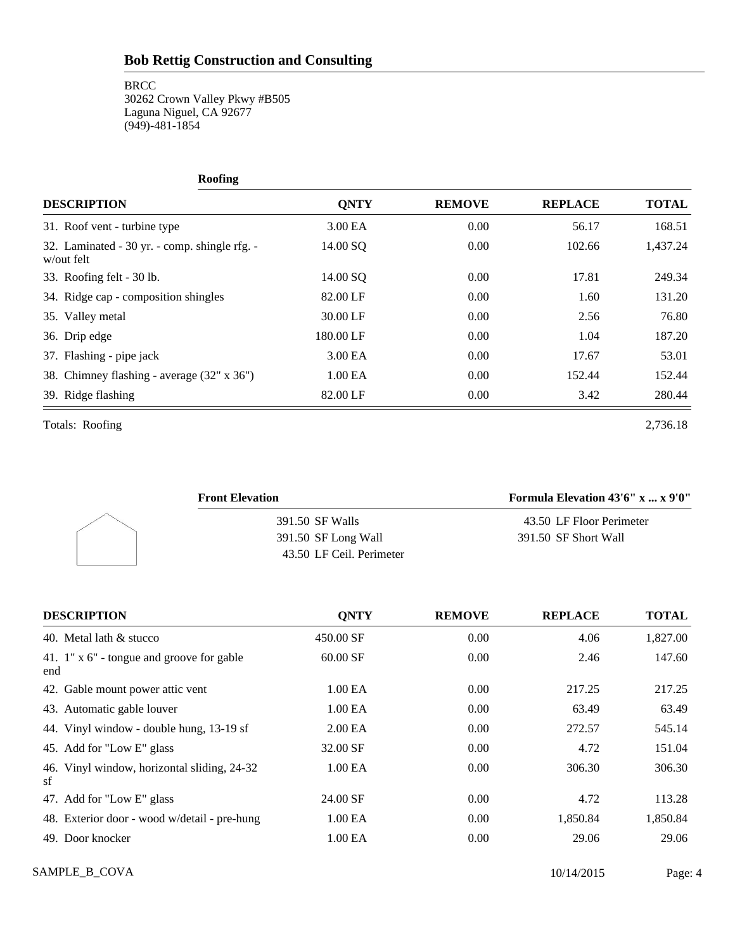**BRCC** 

30262 Crown Valley Pkwy #B505 Laguna Niguel, CA 92677  $(949) - 481 - 1854$ 

| <b>Roofing</b>                                              |             |               |                |              |
|-------------------------------------------------------------|-------------|---------------|----------------|--------------|
| <b>DESCRIPTION</b>                                          | <b>QNTY</b> | <b>REMOVE</b> | <b>REPLACE</b> | <b>TOTAL</b> |
| 31. Roof vent - turbine type                                | 3.00 EA     | 0.00          | 56.17          | 168.51       |
| 32. Laminated - 30 yr. - comp. shingle rfg. -<br>w/out felt | 14.00 SQ    | 0.00          | 102.66         | 1,437.24     |
| 33. Roofing felt - 30 lb.                                   | 14.00 SO    | 0.00          | 17.81          | 249.34       |
| 34. Ridge cap - composition shingles                        | 82.00 LF    | 0.00          | 1.60           | 131.20       |
| 35. Valley metal                                            | 30.00 LF    | 0.00          | 2.56           | 76.80        |
| 36. Drip edge                                               | 180.00 LF   | 0.00          | 1.04           | 187.20       |
| 37. Flashing - pipe jack                                    | 3.00 EA     | 0.00          | 17.67          | 53.01        |
| 38. Chimney flashing - average (32" x 36")                  | 1.00 EA     | 0.00          | 152.44         | 152.44       |
| 39. Ridge flashing                                          | 82.00 LF    | 0.00          | 3.42           | 280.44       |

Totals: Roofing 2,736.18

| <b>Front Elevation</b>   | Formula Elevation $43'6''$ x  x $9'0''$ |
|--------------------------|-----------------------------------------|
| 391.50 SF Walls          | 43.50 LF Floor Perimeter                |
| 391.50 SF Long Wall      | 391.50 SF Short Wall                    |
| 43.50 LF Ceil. Perimeter |                                         |

| <b>DESCRIPTION</b>                                      | <b>ONTY</b>         | <b>REMOVE</b> | <b>REPLACE</b> | <b>TOTAL</b> |
|---------------------------------------------------------|---------------------|---------------|----------------|--------------|
| 40. Metal lath & stucco                                 | 450.00 SF           | 0.00          | 4.06           | 1,827.00     |
| 41. $1" \times 6"$ - tongue and groove for gable<br>end | 60.00 SF            | 0.00          | 2.46           | 147.60       |
| 42. Gable mount power attic vent                        | 1.00 EA             | 0.00          | 217.25         | 217.25       |
| 43. Automatic gable louver                              | 1.00 EA             | 0.00          | 63.49          | 63.49        |
| 44. Vinyl window - double hung, 13-19 sf                | 2.00 <sub>E</sub> A | 0.00          | 272.57         | 545.14       |
| 45. Add for "Low E" glass                               | 32.00 SF            | 0.00          | 4.72           | 151.04       |
| 46. Vinyl window, horizontal sliding, 24-32<br>sf       | 1.00 EA             | 0.00          | 306.30         | 306.30       |
| 47. Add for "Low E" glass                               | 24.00 SF            | 0.00          | 4.72           | 113.28       |
| 48. Exterior door - wood w/detail - pre-hung            | 1.00 EA             | 0.00          | 1,850.84       | 1,850.84     |
| 49. Door knocker                                        | 1.00 EA             | 0.00          | 29.06          | 29.06        |

SAMPLE\_B\_COVA Page: 4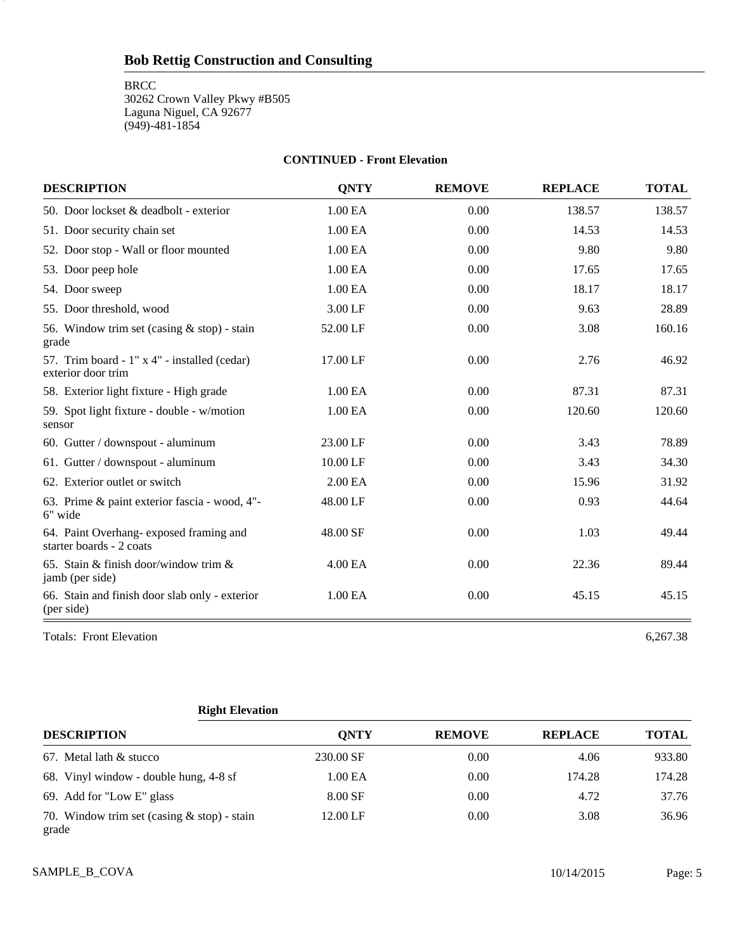**BRCC** 

5

30262 Crown Valley Pkwy #B505 Laguna Niguel, CA 92677 (949)-481-1854

#### **CONTINUED - Front Elevation**

| <b>DESCRIPTION</b>                                                 | <b>QNTY</b> | <b>REMOVE</b> | <b>REPLACE</b> | <b>TOTAL</b> |
|--------------------------------------------------------------------|-------------|---------------|----------------|--------------|
| 50. Door lockset & deadbolt - exterior                             | 1.00 EA     | 0.00          | 138.57         | 138.57       |
| 51. Door security chain set                                        | 1.00 EA     | 0.00          | 14.53          | 14.53        |
| 52. Door stop - Wall or floor mounted                              | 1.00 EA     | 0.00          | 9.80           | 9.80         |
| 53. Door peep hole                                                 | 1.00 EA     | 0.00          | 17.65          | 17.65        |
| 54. Door sweep                                                     | 1.00 EA     | 0.00          | 18.17          | 18.17        |
| 55. Door threshold, wood                                           | 3.00 LF     | 0.00          | 9.63           | 28.89        |
| 56. Window trim set (casing $&$ stop) - stain<br>grade             | 52.00 LF    | 0.00          | 3.08           | 160.16       |
| 57. Trim board - 1" x 4" - installed (cedar)<br>exterior door trim | 17.00 LF    | 0.00          | 2.76           | 46.92        |
| 58. Exterior light fixture - High grade                            | 1.00 EA     | 0.00          | 87.31          | 87.31        |
| 59. Spot light fixture - double - w/motion<br>sensor               | 1.00 EA     | 0.00          | 120.60         | 120.60       |
| 60. Gutter / downspout - aluminum                                  | 23.00 LF    | 0.00          | 3.43           | 78.89        |
| 61. Gutter / downspout - aluminum                                  | 10.00 LF    | 0.00          | 3.43           | 34.30        |
| 62. Exterior outlet or switch                                      | 2.00 EA     | 0.00          | 15.96          | 31.92        |
| 63. Prime & paint exterior fascia - wood, 4"-<br>6" wide           | 48.00 LF    | 0.00          | 0.93           | 44.64        |
| 64. Paint Overhang-exposed framing and<br>starter boards - 2 coats | 48.00 SF    | 0.00          | 1.03           | 49.44        |
| 65. Stain & finish door/window trim &<br>jamb (per side)           | 4.00 EA     | 0.00          | 22.36          | 89.44        |
| 66. Stain and finish door slab only - exterior<br>(per side)       | 1.00 EA     | 0.00          | 45.15          | 45.15        |

Totals: Front Elevation 6,267.38

### **Right Elevation**

| <b>DESCRIPTION</b>                                     | <b>ONTY</b> | <b>REMOVE</b> | <b>REPLACE</b> | <b>TOTAL</b> |
|--------------------------------------------------------|-------------|---------------|----------------|--------------|
| 67. Metal lath & stucco                                | 230.00 SF   | 0.00          | 4.06           | 933.80       |
| 68. Vinyl window - double hung, 4-8 sf                 | 1.00 EA     | 0.00          | 174.28         | 174.28       |
| 69. Add for "Low E" glass                              | 8.00 SF     | 0.00          | 4.72           | 37.76        |
| 70. Window trim set (casing $&$ stop) - stain<br>grade | 12.00 LF    | 0.00          | 3.08           | 36.96        |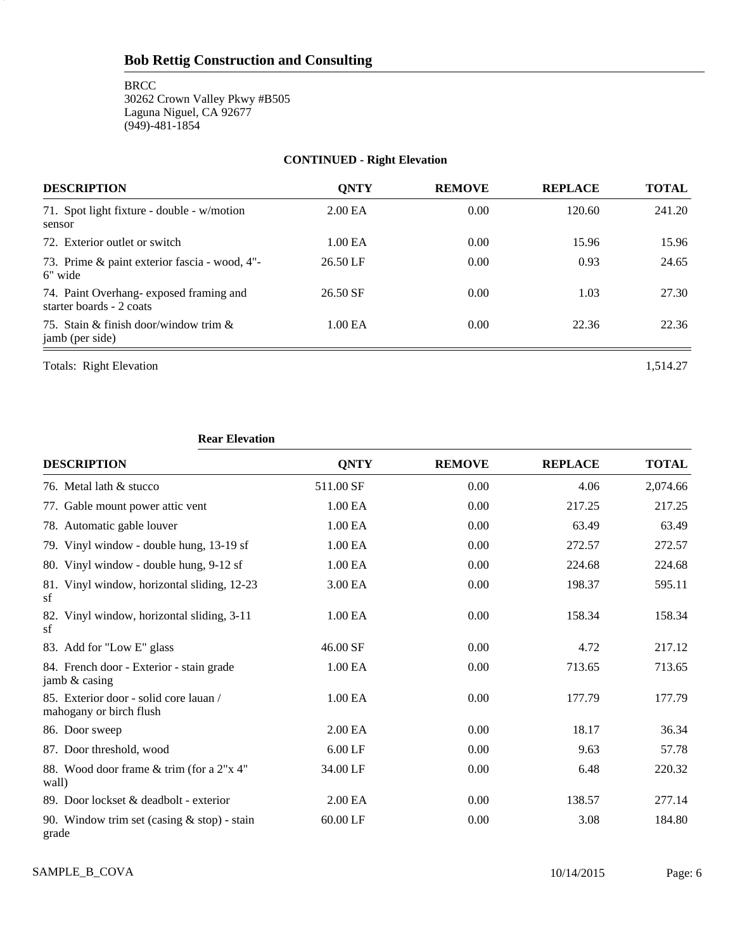**BRCC** 30262 Crown Valley Pkwy #B505 Laguna Niguel, CA 92677 (949)-481-1854

## **CONTINUED - Right Elevation**

| <b>DESCRIPTION</b>                                                 | <b>ONTY</b>         | <b>REMOVE</b> | <b>REPLACE</b> | TOTAL  |
|--------------------------------------------------------------------|---------------------|---------------|----------------|--------|
| 71. Spot light fixture - double - w/motion<br>sensor               | 2.00 <sub>E</sub> A | 0.00          | 120.60         | 241.20 |
| 72. Exterior outlet or switch                                      | 1.00 EA             | 0.00          | 15.96          | 15.96  |
| 73. Prime & paint exterior fascia - wood, 4"-<br>6" wide           | 26.50 LF            | 0.00          | 0.93           | 24.65  |
| 74. Paint Overhang-exposed framing and<br>starter boards - 2 coats | 26.50 SF            | 0.00          | 1.03           | 27.30  |
| 75. Stain & finish door/window trim $\&$<br>jamb (per side)        | 1.00 EA             | 0.00          | 22.36          | 22.36  |

Totals: Right Elevation 1,514.27

6

## **Rear Elevation**

| <b>DESCRIPTION</b>                                                | <b>QNTY</b> | <b>REMOVE</b> | <b>REPLACE</b> | <b>TOTAL</b> |
|-------------------------------------------------------------------|-------------|---------------|----------------|--------------|
| 76. Metal lath & stucco                                           | 511.00 SF   | 0.00          | 4.06           | 2,074.66     |
| 77. Gable mount power attic vent                                  | 1.00 EA     | 0.00          | 217.25         | 217.25       |
| 78. Automatic gable louver                                        | 1.00 EA     | 0.00          | 63.49          | 63.49        |
| 79. Vinyl window - double hung, 13-19 sf                          | 1.00 EA     | 0.00          | 272.57         | 272.57       |
| 80. Vinyl window - double hung, 9-12 sf                           | 1.00 EA     | 0.00          | 224.68         | 224.68       |
| 81. Vinyl window, horizontal sliding, 12-23<br>sf                 | 3.00 EA     | 0.00          | 198.37         | 595.11       |
| 82. Vinyl window, horizontal sliding, 3-11<br>sf                  | 1.00 EA     | 0.00          | 158.34         | 158.34       |
| 83. Add for "Low E" glass                                         | 46.00 SF    | 0.00          | 4.72           | 217.12       |
| 84. French door - Exterior - stain grade<br>jamb & casing         | 1.00 EA     | 0.00          | 713.65         | 713.65       |
| 85. Exterior door - solid core lauan /<br>mahogany or birch flush | 1.00 EA     | 0.00          | 177.79         | 177.79       |
| 86. Door sweep                                                    | 2.00 EA     | 0.00          | 18.17          | 36.34        |
| 87. Door threshold, wood                                          | $6.00$ LF   | 0.00          | 9.63           | 57.78        |
| 88. Wood door frame & trim (for a 2"x 4"<br>wall)                 | 34.00 LF    | 0.00          | 6.48           | 220.32       |
| 89. Door lockset & deadbolt - exterior                            | 2.00 EA     | 0.00          | 138.57         | 277.14       |
| 90. Window trim set (casing $&$ stop) - stain<br>grade            | 60.00 LF    | 0.00          | 3.08           | 184.80       |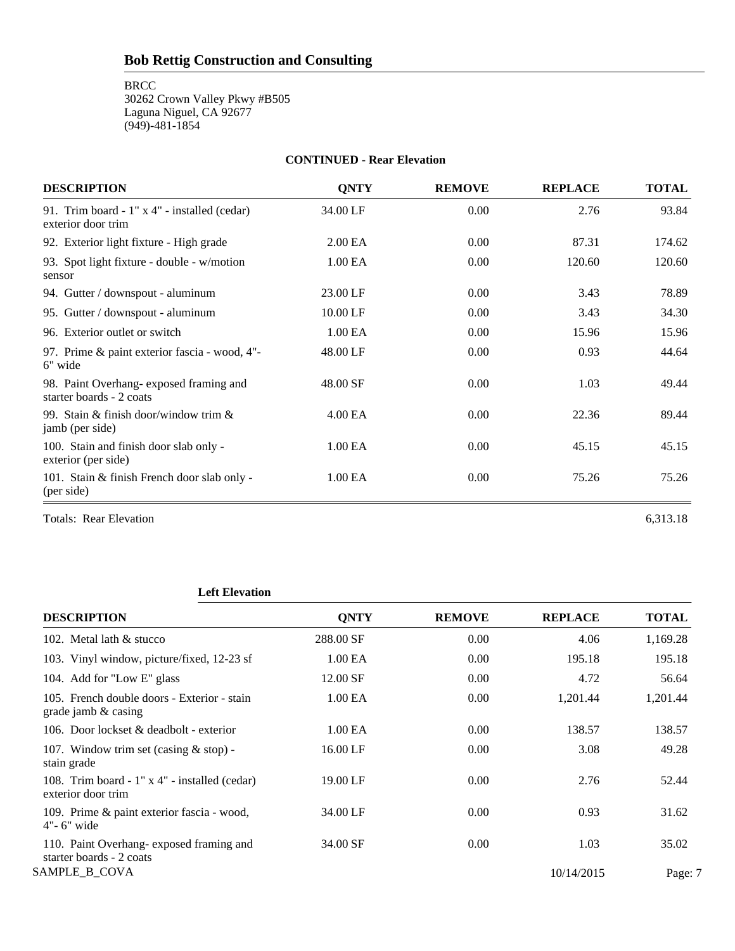**BRCC** 

30262 Crown Valley Pkwy #B505 Laguna Niguel, CA 92677 (949)-481-1854

# **CONTINUED - Rear Elevation DESCRIPTION QNTY REMOVE REPLACE TOTAL** 91. Trim board - 1" x 4" - installed (cedar) 34.00 LF 0.00 2.76 93.84 exterior door trim 92. Exterior light fixture - High grade 2.00 EA 0.00 87.31 174.62 93. Spot light fixture - double - w/motion 1.00 EA 0.00 120.60 120.60 120.60 sensor 94. Gutter / downspout - aluminum 23.00 LF 0.00 3.43 78.89 95. Gutter / downspout - aluminum 10.00 LF 0.00 3.43 34.30 96. Exterior outlet or switch 1.00 EA 0.00 15.96 15.96 15.96 97. Prime & paint exterior fascia - wood, 4"-<br>
48.00 LF 0.00 0.93 44.64 6" wide 98. Paint Overhang- exposed framing and  $48.00 \text{ SF}$  0.00 1.03 49.44 starter boards - 2 coats 99. Stain & finish door/window trim & 4.00 EA 0.00 22.36 89.44 jamb (per side) 100. Stain and finish door slab only - 1.00 EA 0.00 45.15 45.15 45.15 exterior (per side) 101. Stain & finish French door slab only - 1.00 EA 0.00 75.26 75.26 75.26 (per side)

Totals: Rear Elevation 6,313.18

### **Left Elevation**

| <b>DESCRIPTION</b>                                                  | <b>ONTY</b>         | <b>REMOVE</b> | <b>REPLACE</b> | <b>TOTAL</b> |
|---------------------------------------------------------------------|---------------------|---------------|----------------|--------------|
| 102. Metal lath & stucco                                            | 288.00 SF           | 0.00          | 4.06           | 1,169.28     |
| 103. Vinyl window, picture/fixed, 12-23 sf                          | 1.00 EA             | 0.00          | 195.18         | 195.18       |
| 104. Add for "Low E" glass                                          | 12.00 SF            | 0.00          | 4.72           | 56.64        |
| 105. French double doors - Exterior - stain<br>grade jamb & casing  | 1.00 EA             | 0.00          | 1,201.44       | 1,201.44     |
| 106. Door lockset & deadbolt - exterior                             | 1.00 <sub>E</sub> A | 0.00          | 138.57         | 138.57       |
| 107. Window trim set (casing $&$ stop) -<br>stain grade             | 16.00 LF            | 0.00          | 3.08           | 49.28        |
| 108. Trim board - 1" x 4" - installed (cedar)<br>exterior door trim | 19.00 LF            | 0.00          | 2.76           | 52.44        |
| 109. Prime & paint exterior fascia - wood,<br>$4"$ - 6" wide        | 34.00 LF            | 0.00          | 0.93           | 31.62        |
| 110. Paint Overhang-exposed framing and<br>starter boards - 2 coats | 34.00 SF            | 0.00          | 1.03           | 35.02        |
| SAMPLE_B_COVA                                                       |                     |               | 10/14/2015     | Page: 7      |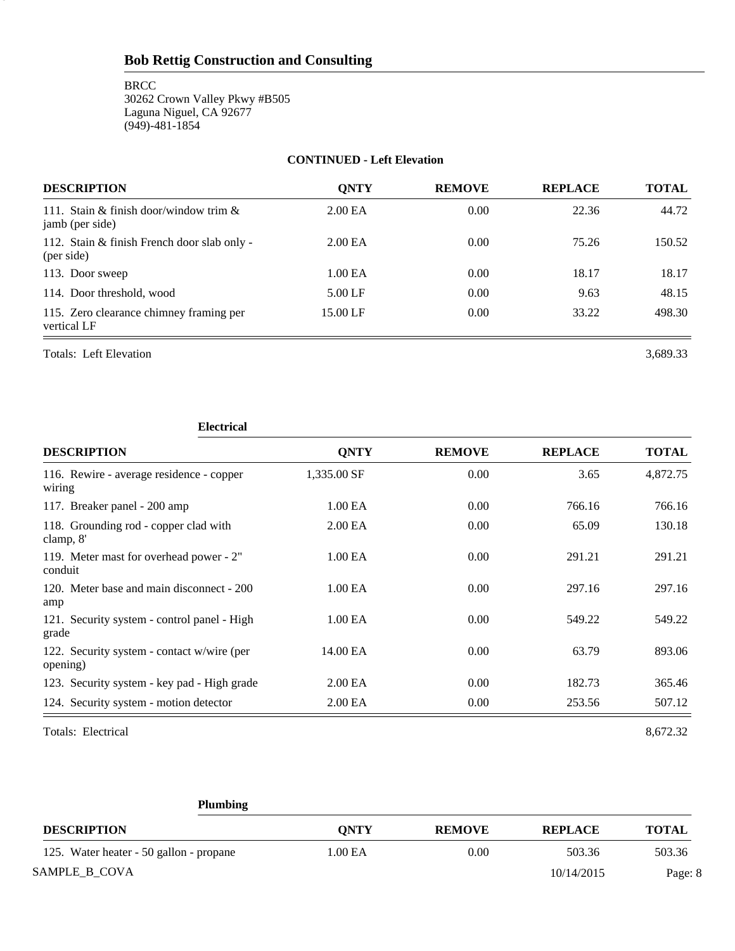**BRCC** 30262 Crown Valley Pkwy #B505 Laguna Niguel, CA 92677 (949)-481-1854

#### **CONTINUED - Left Elevation**

| <b>DESCRIPTION</b>                                           | <b>ONTY</b>         | <b>REMOVE</b> | <b>REPLACE</b> | <b>TOTAL</b> |
|--------------------------------------------------------------|---------------------|---------------|----------------|--------------|
| 111. Stain & finish door/window trim $\&$<br>jamb (per side) | 2.00 <sub>E</sub> A | 0.00          | 22.36          | 44.72        |
| 112. Stain & finish French door slab only -<br>(per side)    | 2.00 <sub>E</sub> A | 0.00          | 75.26          | 150.52       |
| 113. Door sweep                                              | 1.00 EA             | 0.00          | 18.17          | 18.17        |
| 114. Door threshold, wood                                    | $5.00$ LF           | 0.00          | 9.63           | 48.15        |
| 115. Zero clearance chimney framing per<br>vertical LF       | 15.00 LF            | 0.00          | 33.22          | 498.30       |

Totals: Left Elevation 3,689.33

8

#### **Electrical**

| <b>DESCRIPTION</b>                                     | <b>ONTY</b>         | <b>REMOVE</b> | <b>REPLACE</b> | <b>TOTAL</b> |
|--------------------------------------------------------|---------------------|---------------|----------------|--------------|
| 116. Rewire - average residence - copper<br>wiring     | 1,335.00 SF         | 0.00          | 3.65           | 4,872.75     |
| 117. Breaker panel - 200 amp                           | 1.00 EA             | 0.00          | 766.16         | 766.16       |
| 118. Grounding rod - copper clad with<br>clamp, 8'     | 2.00 <sub>E</sub> A | 0.00          | 65.09          | 130.18       |
| 119. Meter mast for overhead power - 2"<br>conduit     | 1.00 EA             | 0.00          | 291.21         | 291.21       |
| 120. Meter base and main disconnect - 200<br>amp       | 1.00 EA             | 0.00          | 297.16         | 297.16       |
| 121. Security system - control panel - High<br>grade   | 1.00 EA             | 0.00          | 549.22         | 549.22       |
| 122. Security system - contact w/wire (per<br>opening) | 14.00 EA            | 0.00          | 63.79          | 893.06       |
| 123. Security system - key pad - High grade            | 2.00 EA             | 0.00          | 182.73         | 365.46       |
| 124. Security system - motion detector                 | 2.00 EA             | 0.00          | 253.56         | 507.12       |

Totals: Electrical 8,672.32

| <b>Plumbing</b>                         |             |               |                |              |
|-----------------------------------------|-------------|---------------|----------------|--------------|
| <b>DESCRIPTION</b>                      | <b>ONTY</b> | <b>REMOVE</b> | <b>REPLACE</b> | <b>TOTAL</b> |
| 125. Water heater - 50 gallon - propane | 1.00 EA     | 0.00          | 503.36         | 503.36       |
| SAMPLE B COVA                           |             |               | 10/14/2015     | Page: 8      |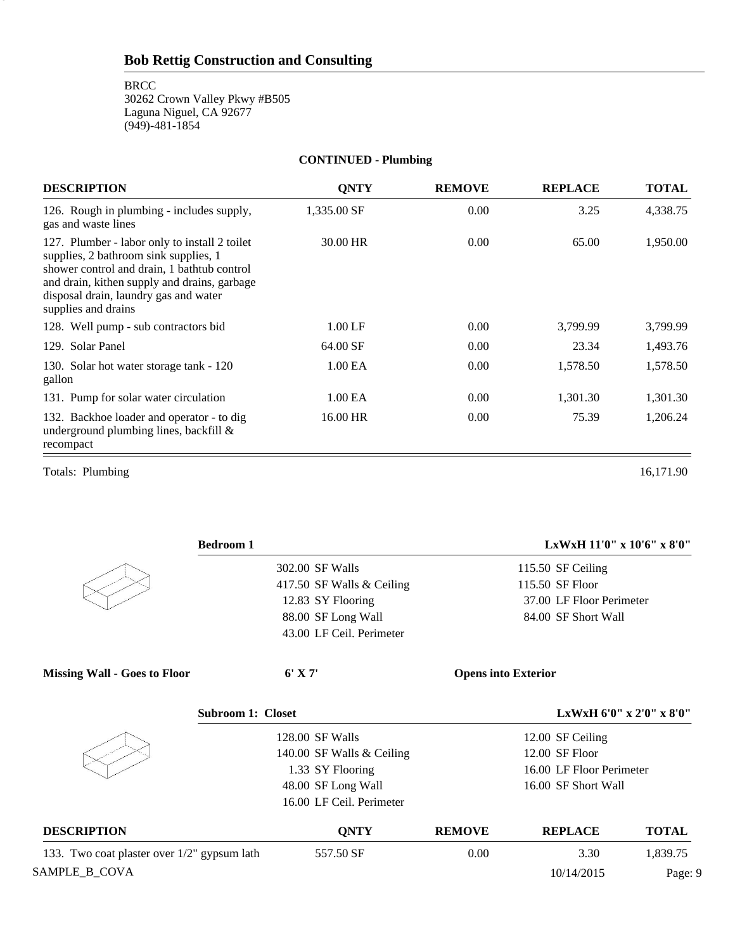#### **CONTINUED - Plumbing**

| <b>DESCRIPTION</b>                                                                                                                                                                                                                                    | <b>QNTY</b>         | <b>REMOVE</b> | <b>REPLACE</b> | <b>TOTAL</b> |
|-------------------------------------------------------------------------------------------------------------------------------------------------------------------------------------------------------------------------------------------------------|---------------------|---------------|----------------|--------------|
| 126. Rough in plumbing - includes supply,<br>gas and waste lines                                                                                                                                                                                      | 1,335.00 SF         | 0.00          | 3.25           | 4,338.75     |
| 127. Plumber - labor only to install 2 toilet<br>supplies, 2 bathroom sink supplies, 1<br>shower control and drain, 1 bathtub control<br>and drain, kithen supply and drains, garbage<br>disposal drain, laundry gas and water<br>supplies and drains | 30.00 HR            | 0.00          | 65.00          | 1,950.00     |
| 128. Well pump - sub contractors bid                                                                                                                                                                                                                  | $1.00$ LF           | 0.00          | 3,799.99       | 3,799.99     |
| 129. Solar Panel                                                                                                                                                                                                                                      | 64.00 SF            | 0.00          | 23.34          | 1,493.76     |
| 130. Solar hot water storage tank - 120<br>gallon                                                                                                                                                                                                     | 1.00 <sub>E</sub> A | 0.00          | 1,578.50       | 1,578.50     |
| 131. Pump for solar water circulation                                                                                                                                                                                                                 | 1.00 EA             | 0.00          | 1,301.30       | 1,301.30     |
| 132. Backhoe loader and operator - to dig<br>underground plumbing lines, backfill $\&$<br>recompact                                                                                                                                                   | 16.00 HR            | 0.00          | 75.39          | 1,206.24     |
| Totals: Plumbing                                                                                                                                                                                                                                      |                     |               |                | 16,171.90    |

9

| <b>Bedroom 1</b>                            |                           |                            | LxWxH 11'0" x 10'6" x 8'0" |              |
|---------------------------------------------|---------------------------|----------------------------|----------------------------|--------------|
|                                             | 302.00 SF Walls           |                            | 115.50 SF Ceiling          |              |
|                                             | 417.50 SF Walls & Ceiling |                            | 115.50 SF Floor            |              |
|                                             | 12.83 SY Flooring         |                            | 37.00 LF Floor Perimeter   |              |
|                                             | 88.00 SF Long Wall        |                            | 84.00 SF Short Wall        |              |
|                                             | 43.00 LF Ceil. Perimeter  |                            |                            |              |
| <b>Missing Wall - Goes to Floor</b>         | $6'$ X 7'                 | <b>Opens into Exterior</b> |                            |              |
| <b>Subroom 1: Closet</b>                    |                           |                            | LxWxH 6'0" x 2'0" x 8'0"   |              |
|                                             | 128.00 SF Walls           |                            | 12.00 SF Ceiling           |              |
|                                             | 140.00 SF Walls & Ceiling |                            | 12.00 SF Floor             |              |
|                                             | 1.33 SY Flooring          |                            | 16.00 LF Floor Perimeter   |              |
|                                             | 48.00 SF Long Wall        |                            | 16.00 SF Short Wall        |              |
|                                             | 16.00 LF Ceil. Perimeter  |                            |                            |              |
| <b>DESCRIPTION</b>                          | <b>QNTY</b>               | <b>REMOVE</b>              | <b>REPLACE</b>             | <b>TOTAL</b> |
| 133. Two coat plaster over 1/2" gypsum lath | 557.50 SF                 | 0.00                       | 3.30                       | 1,839.75     |
| SAMPLE_B_COVA                               |                           |                            | 10/14/2015                 | Page: 9      |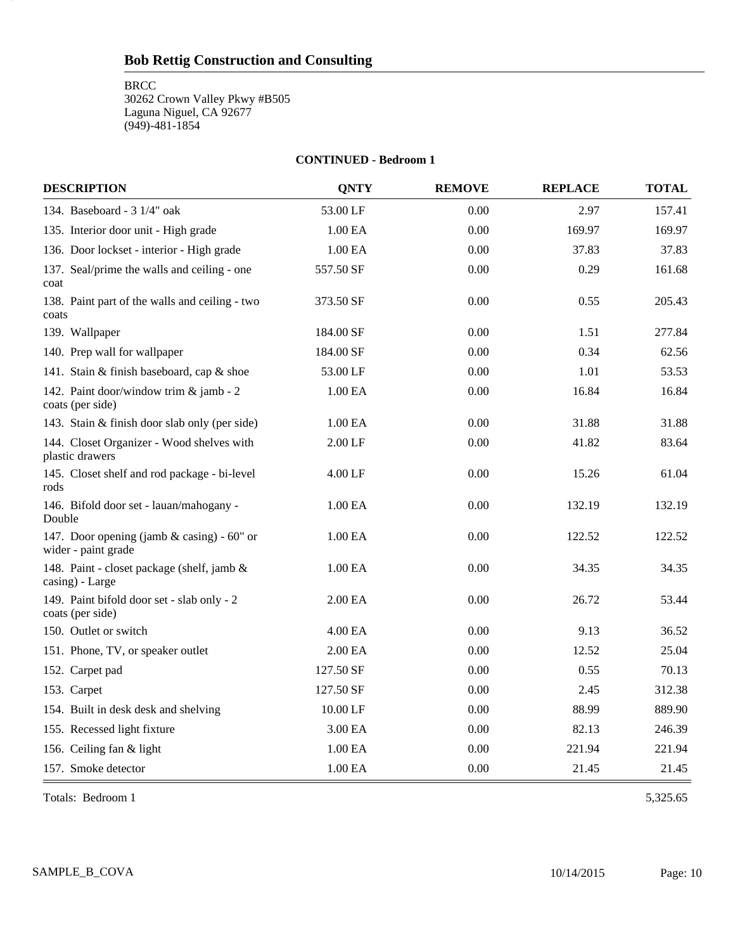**BRCC** 

10

30262 Crown Valley Pkwy #B505 Laguna Niguel, CA 92677 (949)-481-1854

#### **CONTINUED - Bedroom 1**

| <b>DESCRIPTION</b>                                                | <b>QNTY</b> | <b>REMOVE</b> | <b>REPLACE</b> | <b>TOTAL</b> |
|-------------------------------------------------------------------|-------------|---------------|----------------|--------------|
| 134. Baseboard - $3 \frac{1}{4}$ " oak                            | 53.00 LF    | 0.00          | 2.97           | 157.41       |
| 135. Interior door unit - High grade                              | 1.00 EA     | 0.00          | 169.97         | 169.97       |
| 136. Door lockset - interior - High grade                         | 1.00 EA     | 0.00          | 37.83          | 37.83        |
| 137. Seal/prime the walls and ceiling - one<br>coat               | 557.50 SF   | 0.00          | 0.29           | 161.68       |
| 138. Paint part of the walls and ceiling - two<br>coats           | 373.50 SF   | 0.00          | 0.55           | 205.43       |
| 139. Wallpaper                                                    | 184.00 SF   | 0.00          | 1.51           | 277.84       |
| 140. Prep wall for wallpaper                                      | 184.00 SF   | 0.00          | 0.34           | 62.56        |
| 141. Stain & finish baseboard, cap & shoe                         | 53.00 LF    | 0.00          | 1.01           | 53.53        |
| 142. Paint door/window trim & jamb - 2<br>coats (per side)        | 1.00 EA     | 0.00          | 16.84          | 16.84        |
| 143. Stain & finish door slab only (per side)                     | 1.00 EA     | 0.00          | 31.88          | 31.88        |
| 144. Closet Organizer - Wood shelves with<br>plastic drawers      | 2.00 LF     | 0.00          | 41.82          | 83.64        |
| 145. Closet shelf and rod package - bi-level<br>rods              | 4.00 LF     | 0.00          | 15.26          | 61.04        |
| 146. Bifold door set - lauan/mahogany -<br>Double                 | 1.00 EA     | 0.00          | 132.19         | 132.19       |
| 147. Door opening (jamb & casing) - 60" or<br>wider - paint grade | 1.00 EA     | 0.00          | 122.52         | 122.52       |
| 148. Paint - closet package (shelf, jamb &<br>casing) - Large     | 1.00 EA     | 0.00          | 34.35          | 34.35        |
| 149. Paint bifold door set - slab only - 2<br>coats (per side)    | 2.00 EA     | 0.00          | 26.72          | 53.44        |
| 150. Outlet or switch                                             | 4.00 EA     | 0.00          | 9.13           | 36.52        |
| 151. Phone, TV, or speaker outlet                                 | 2.00 EA     | 0.00          | 12.52          | 25.04        |
| 152. Carpet pad                                                   | 127.50 SF   | 0.00          | 0.55           | 70.13        |
| 153. Carpet                                                       | 127.50 SF   | 0.00          | 2.45           | 312.38       |
| 154. Built in desk desk and shelving                              | 10.00 LF    | 0.00          | 88.99          | 889.90       |
| 155. Recessed light fixture                                       | 3.00 EA     | 0.00          | 82.13          | 246.39       |
| 156. Ceiling fan & light                                          | 1.00 EA     | 0.00          | 221.94         | 221.94       |
| 157. Smoke detector                                               | 1.00 EA     | 0.00          | 21.45          | 21.45        |

Totals: Bedroom 1 5,325.65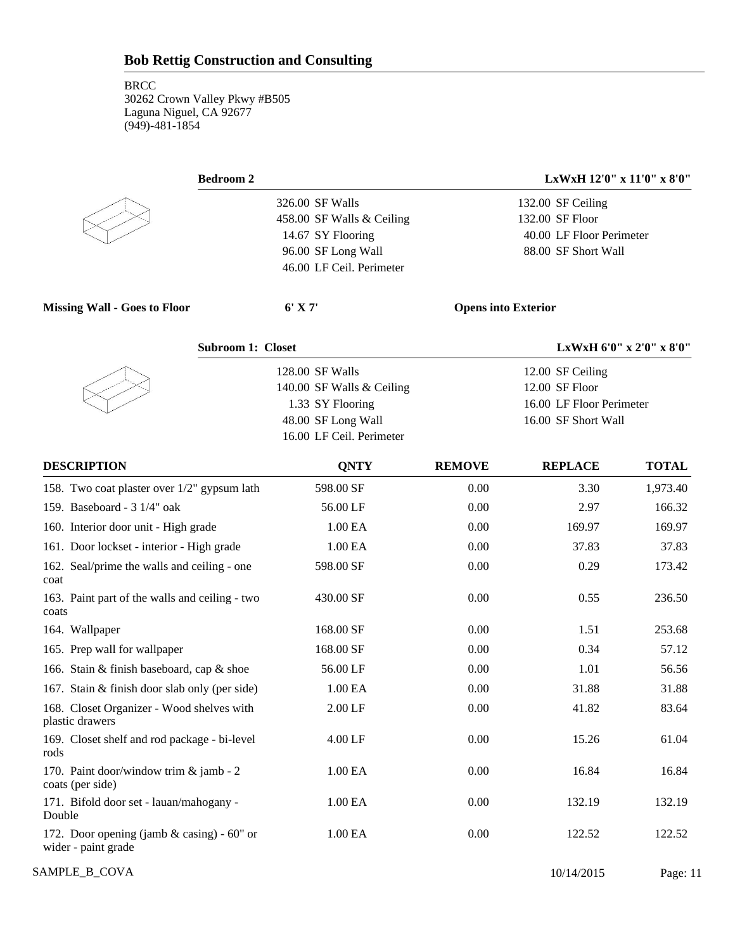| <b>Bedroom 2</b>                                                    |                           |               | LxWxH 12'0" x 11'0" x 8'0" |                          |
|---------------------------------------------------------------------|---------------------------|---------------|----------------------------|--------------------------|
|                                                                     | 326.00 SF Walls           |               | 132.00 SF Ceiling          |                          |
|                                                                     | 458.00 SF Walls & Ceiling |               | 132.00 SF Floor            |                          |
|                                                                     | 14.67 SY Flooring         |               | 40.00 LF Floor Perimeter   |                          |
|                                                                     | 96.00 SF Long Wall        |               | 88.00 SF Short Wall        |                          |
|                                                                     | 46.00 LF Ceil. Perimeter  |               |                            |                          |
| <b>Missing Wall - Goes to Floor</b>                                 | $6'$ X 7'                 |               | <b>Opens into Exterior</b> |                          |
| <b>Subroom 1: Closet</b>                                            |                           |               |                            | LxWxH 6'0" x 2'0" x 8'0" |
|                                                                     | 128.00 SF Walls           |               | 12.00 SF Ceiling           |                          |
|                                                                     | 140.00 SF Walls & Ceiling |               | 12.00 SF Floor             |                          |
|                                                                     | 1.33 SY Flooring          |               | 16.00 LF Floor Perimeter   |                          |
|                                                                     | 48.00 SF Long Wall        |               | 16.00 SF Short Wall        |                          |
|                                                                     | 16.00 LF Ceil. Perimeter  |               |                            |                          |
| <b>DESCRIPTION</b>                                                  | <b>QNTY</b>               | <b>REMOVE</b> | <b>REPLACE</b>             | <b>TOTAL</b>             |
| 158. Two coat plaster over 1/2" gypsum lath                         | 598.00 SF                 | 0.00          | 3.30                       | 1,973.40                 |
| 159. Baseboard - 3 1/4" oak                                         | 56.00 LF                  | 0.00          | 2.97                       | 166.32                   |
| 160. Interior door unit - High grade                                | 1.00 EA                   | 0.00          | 169.97                     | 169.97                   |
| 161. Door lockset - interior - High grade                           | 1.00 EA                   | 0.00          | 37.83                      | 37.83                    |
| 162. Seal/prime the walls and ceiling - one<br>coat                 | 598.00 SF                 | 0.00          | 0.29                       | 173.42                   |
| 163. Paint part of the walls and ceiling - two<br>coats             | 430.00 SF                 | 0.00          | 0.55                       | 236.50                   |
| 164. Wallpaper                                                      | 168.00 SF                 | 0.00          | 1.51                       | 253.68                   |
| 165. Prep wall for wallpaper                                        | 168.00 SF                 | 0.00          | 0.34                       | 57.12                    |
| 166. Stain & finish baseboard, cap & shoe                           | 56.00 LF                  | 0.00          | 1.01                       | 56.56                    |
| 167. Stain & finish door slab only (per side)                       | 1.00 EA                   | 0.00          | 31.88                      | 31.88                    |
| 168. Closet Organizer - Wood shelves with<br>plastic drawers        | $2.00\,\mathrm{LF}$       | $0.00\,$      | 41.82                      | 83.64                    |
| 169. Closet shelf and rod package - bi-level<br>rods                | 4.00 LF                   | 0.00          | 15.26                      | 61.04                    |
| 170. Paint door/window trim & jamb - 2<br>coats (per side)          | 1.00 EA                   | 0.00          | 16.84                      | 16.84                    |
| 171. Bifold door set - lauan/mahogany -<br>Double                   | 1.00 EA                   | 0.00          | 132.19                     | 132.19                   |
| 172. Door opening (jamb $&$ casing) - 60" or<br>wider - paint grade | 1.00 EA                   | 0.00          | 122.52                     | 122.52                   |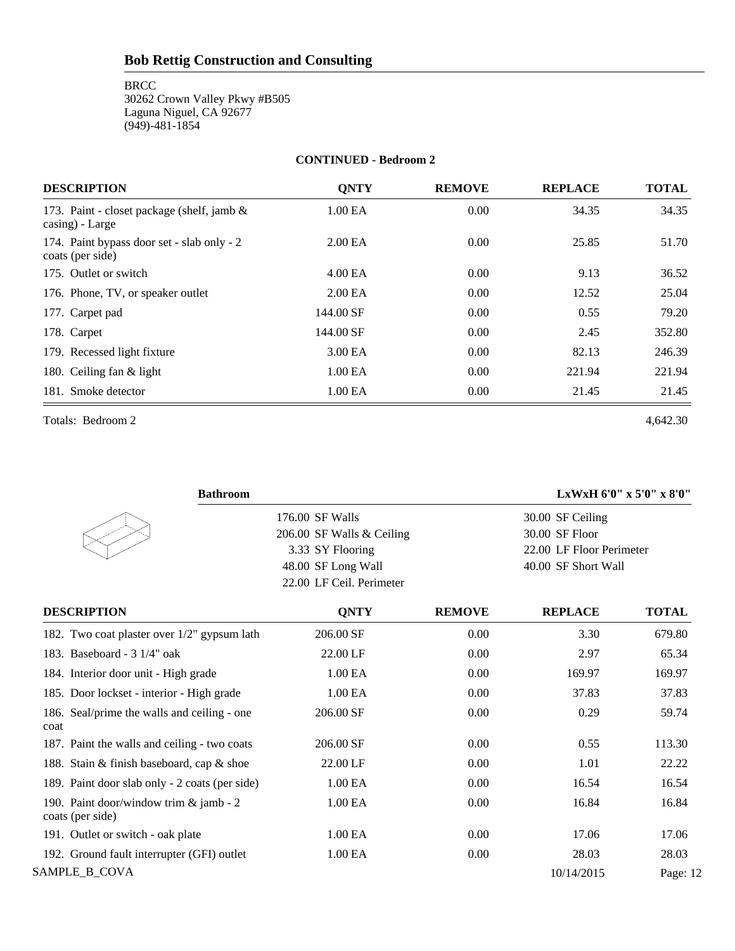**BRCC** 30262 Crown Valley Pkwy #B505 Laguna Niguel, CA 92677 (949)-481-1854

#### **CONTINUED - Bedroom 2**

| <b>DESCRIPTION</b>                                             | <b>ONTY</b>         | <b>REMOVE</b> | <b>REPLACE</b> | <b>TOTAL</b> |
|----------------------------------------------------------------|---------------------|---------------|----------------|--------------|
| 173. Paint - closet package (shelf, jamb &<br>casing) - Large  | 1.00 EA             | 0.00          | 34.35          | 34.35        |
| 174. Paint bypass door set - slab only - 2<br>coats (per side) | 2.00 <sub>E</sub> A | 0.00          | 25.85          | 51.70        |
| 175. Outlet or switch                                          | 4.00 EA             | 0.00          | 9.13           | 36.52        |
| 176. Phone, TV, or speaker outlet                              | 2.00 <sub>E</sub> A | 0.00          | 12.52          | 25.04        |
| 177. Carpet pad                                                | 144.00 SF           | 0.00          | 0.55           | 79.20        |
| 178. Carpet                                                    | 144.00 SF           | 0.00          | 2.45           | 352.80       |
| 179. Recessed light fixture                                    | 3.00 EA             | 0.00          | 82.13          | 246.39       |
| 180. Ceiling fan & light                                       | 1.00 <sub>E</sub> A | 0.00          | 221.94         | 221.94       |
| 181. Smoke detector                                            | 1.00 EA             | 0.00          | 21.45          | 21.45        |

Totals: Bedroom 2 4,642.30

| <b>Bathroom</b>                                            |                           |               | LxWxH 6'0" x 5'0" x 8'0" |              |
|------------------------------------------------------------|---------------------------|---------------|--------------------------|--------------|
|                                                            | 176.00 SF Walls           |               | 30.00 SF Ceiling         |              |
|                                                            | 206.00 SF Walls & Ceiling |               | 30.00 SF Floor           |              |
|                                                            | 3.33 SY Flooring          |               | 22.00 LF Floor Perimeter |              |
|                                                            | 48.00 SF Long Wall        |               | 40.00 SF Short Wall      |              |
|                                                            | 22.00 LF Ceil. Perimeter  |               |                          |              |
| <b>DESCRIPTION</b>                                         | <b>QNTY</b>               | <b>REMOVE</b> | <b>REPLACE</b>           | <b>TOTAL</b> |
| 182. Two coat plaster over 1/2" gypsum lath                | 206.00 SF                 | 0.00          | 3.30                     | 679.80       |
| 183. Baseboard - 3 1/4" oak                                | 22.00 LF                  | 0.00          | 2.97                     | 65.34        |
| 184. Interior door unit - High grade                       | 1.00 EA                   | 0.00          | 169.97                   | 169.97       |
| 185. Door lockset - interior - High grade                  | 1.00 EA                   | 0.00          | 37.83                    | 37.83        |
| 186. Seal/prime the walls and ceiling - one<br>coat        | 206.00 SF                 | 0.00          | 0.29                     | 59.74        |
| 187. Paint the walls and ceiling - two coats               | 206.00 SF                 | 0.00          | 0.55                     | 113.30       |
| 188. Stain & finish baseboard, cap & shoe                  | 22.00 LF                  | 0.00          | 1.01                     | 22.22        |
| 189. Paint door slab only - 2 coats (per side)             | 1.00 EA                   | 0.00          | 16.54                    | 16.54        |
| 190. Paint door/window trim & jamb - 2<br>coats (per side) | 1.00 EA                   | 0.00          | 16.84                    | 16.84        |
| 191. Outlet or switch - oak plate                          | 1.00 EA                   | 0.00          | 17.06                    | 17.06        |
| 192. Ground fault interrupter (GFI) outlet                 | 1.00 EA                   | 0.00          | 28.03                    | 28.03        |
| SAMPLE_B_COVA                                              |                           |               | 10/14/2015               | Page: 12     |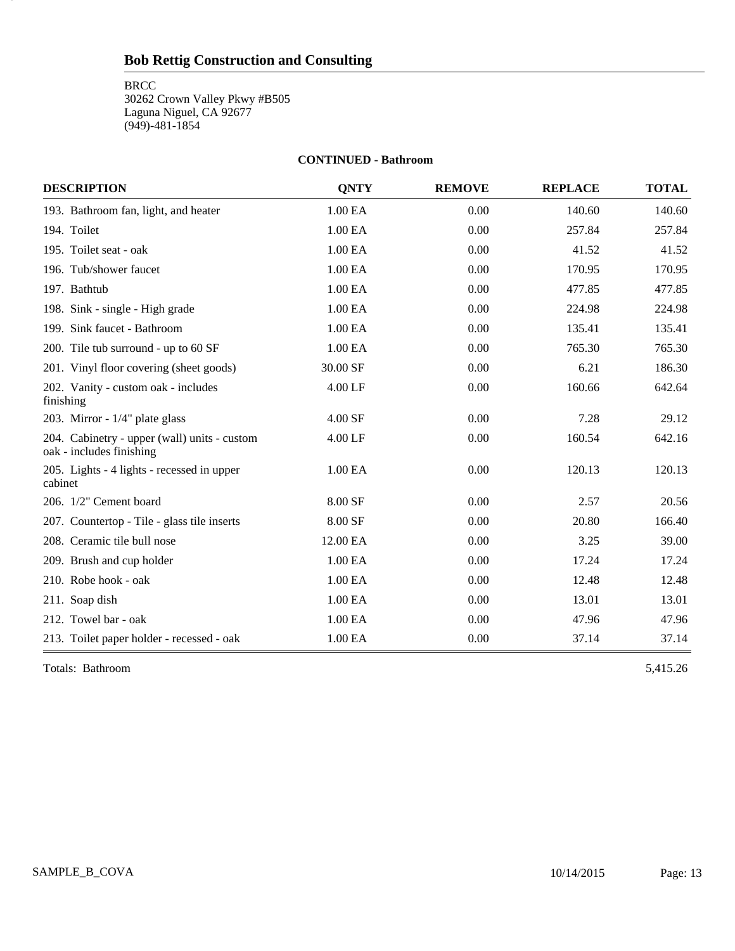**BRCC** 

13

30262 Crown Valley Pkwy #B505 Laguna Niguel, CA 92677 (949)-481-1854

#### **CONTINUED - Bathroom**

| <b>DESCRIPTION</b>                                                       | <b>ONTY</b> | <b>REMOVE</b> | <b>REPLACE</b> | <b>TOTAL</b> |
|--------------------------------------------------------------------------|-------------|---------------|----------------|--------------|
| 193. Bathroom fan, light, and heater                                     | 1.00 EA     | 0.00          | 140.60         | 140.60       |
| 194. Toilet                                                              | 1.00 EA     | 0.00          | 257.84         | 257.84       |
| 195. Toilet seat - oak                                                   | 1.00 EA     | 0.00          | 41.52          | 41.52        |
| 196. Tub/shower faucet                                                   | 1.00 EA     | 0.00          | 170.95         | 170.95       |
| 197. Bathtub                                                             | 1.00 EA     | 0.00          | 477.85         | 477.85       |
| 198. Sink - single - High grade                                          | 1.00 EA     | 0.00          | 224.98         | 224.98       |
| 199. Sink faucet - Bathroom                                              | 1.00 EA     | 0.00          | 135.41         | 135.41       |
| 200. Tile tub surround - up to 60 SF                                     | 1.00 EA     | 0.00          | 765.30         | 765.30       |
| 201. Vinyl floor covering (sheet goods)                                  | 30.00 SF    | 0.00          | 6.21           | 186.30       |
| 202. Vanity - custom oak - includes<br>finishing                         | 4.00 LF     | 0.00          | 160.66         | 642.64       |
| 203. Mirror - $1/4$ " plate glass                                        | 4.00 SF     | 0.00          | 7.28           | 29.12        |
| 204. Cabinetry - upper (wall) units - custom<br>oak - includes finishing | 4.00 LF     | 0.00          | 160.54         | 642.16       |
| 205. Lights - 4 lights - recessed in upper<br>cabinet                    | 1.00 EA     | 0.00          | 120.13         | 120.13       |
| 206. 1/2" Cement board                                                   | 8.00 SF     | 0.00          | 2.57           | 20.56        |
| 207. Countertop - Tile - glass tile inserts                              | 8.00 SF     | 0.00          | 20.80          | 166.40       |
| 208. Ceramic tile bull nose                                              | 12.00 EA    | 0.00          | 3.25           | 39.00        |
| 209. Brush and cup holder                                                | 1.00 EA     | 0.00          | 17.24          | 17.24        |
| 210. Robe hook - oak                                                     | 1.00 EA     | 0.00          | 12.48          | 12.48        |
| 211. Soap dish                                                           | 1.00 EA     | 0.00          | 13.01          | 13.01        |
| 212. Towel bar - oak                                                     | 1.00 EA     | 0.00          | 47.96          | 47.96        |
| 213. Toilet paper holder - recessed - oak                                | 1.00 EA     | 0.00          | 37.14          | 37.14        |

Totals: Bathroom 5,415.26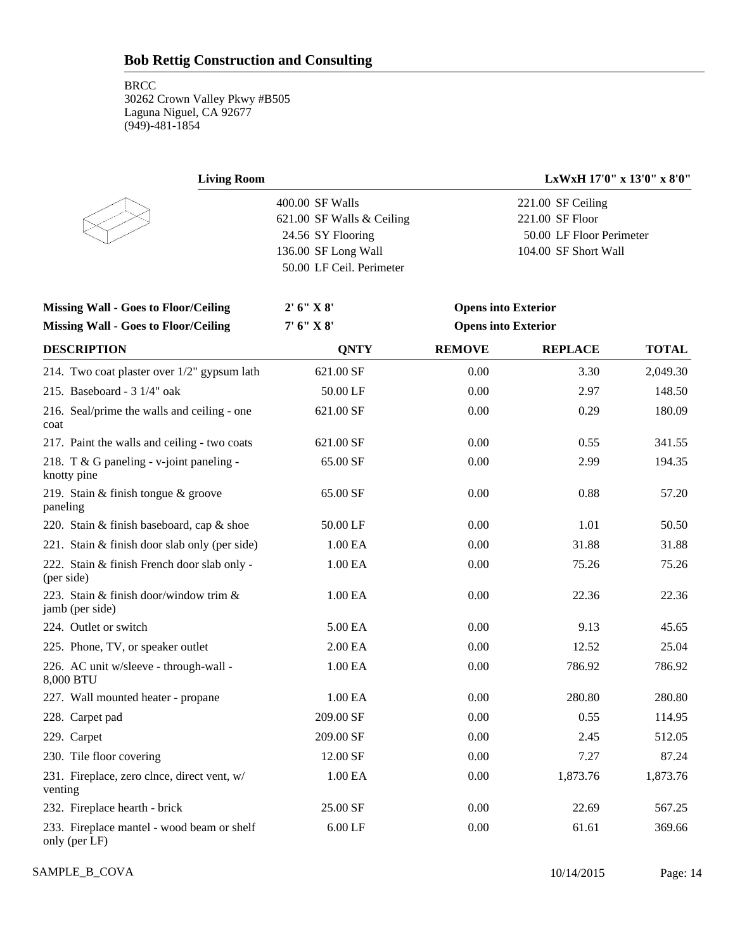| <b>Living Room</b>                                          |                                                                                                                      | LxWxH 17'0" x 13'0" x 8'0" |                                                                                          |              |  |
|-------------------------------------------------------------|----------------------------------------------------------------------------------------------------------------------|----------------------------|------------------------------------------------------------------------------------------|--------------|--|
|                                                             | 400.00 SF Walls<br>621.00 SF Walls & Ceiling<br>24.56 SY Flooring<br>136.00 SF Long Wall<br>50.00 LF Ceil. Perimeter |                            | 221.00 SF Ceiling<br>221.00 SF Floor<br>50.00 LF Floor Perimeter<br>104.00 SF Short Wall |              |  |
| <b>Missing Wall - Goes to Floor/Ceiling</b>                 | 2' 6''  X 8'                                                                                                         | <b>Opens into Exterior</b> |                                                                                          |              |  |
| <b>Missing Wall - Goes to Floor/Ceiling</b>                 | 7' 6" X 8'                                                                                                           | <b>Opens into Exterior</b> |                                                                                          |              |  |
| <b>DESCRIPTION</b>                                          | <b>QNTY</b>                                                                                                          | <b>REMOVE</b>              | <b>REPLACE</b>                                                                           | <b>TOTAL</b> |  |
| 214. Two coat plaster over 1/2" gypsum lath                 | 621.00 SF                                                                                                            | 0.00                       | 3.30                                                                                     | 2,049.30     |  |
| 215. Baseboard - 3 1/4" oak                                 | 50.00 LF                                                                                                             | 0.00                       | 2.97                                                                                     | 148.50       |  |
| 216. Seal/prime the walls and ceiling - one<br>coat         | 621.00 SF                                                                                                            | 0.00                       | 0.29                                                                                     | 180.09       |  |
| 217. Paint the walls and ceiling - two coats                | 621.00 SF                                                                                                            | 0.00                       | 0.55                                                                                     | 341.55       |  |
| 218. T & G paneling - v-joint paneling -<br>knotty pine     | 65.00 SF                                                                                                             | 0.00                       | 2.99                                                                                     | 194.35       |  |
| 219. Stain & finish tongue & groove<br>paneling             | 65.00 SF                                                                                                             | 0.00                       | 0.88                                                                                     | 57.20        |  |
| 220. Stain & finish baseboard, cap & shoe                   | 50.00 LF                                                                                                             | 0.00                       | 1.01                                                                                     | 50.50        |  |
| 221. Stain & finish door slab only (per side)               | 1.00 EA                                                                                                              | 0.00                       | 31.88                                                                                    | 31.88        |  |
| 222. Stain & finish French door slab only -<br>(per side)   | 1.00 EA                                                                                                              | 0.00                       | 75.26                                                                                    | 75.26        |  |
| 223. Stain & finish door/window trim &<br>jamb (per side)   | 1.00 EA                                                                                                              | 0.00                       | 22.36                                                                                    | 22.36        |  |
| 224. Outlet or switch                                       | 5.00 EA                                                                                                              | 0.00                       | 9.13                                                                                     | 45.65        |  |
| 225. Phone, TV, or speaker outlet                           | 2.00 EA                                                                                                              | 0.00                       | 12.52                                                                                    | 25.04        |  |
| 226. AC unit w/sleeve - through-wall -<br>8,000 BTU         | 1.00 EA                                                                                                              | 0.00                       | 786.92                                                                                   | 786.92       |  |
| 227. Wall mounted heater - propane                          | 1.00 EA                                                                                                              | 0.00                       | 280.80                                                                                   | 280.80       |  |
| 228. Carpet pad                                             | 209.00 SF                                                                                                            | 0.00                       | 0.55                                                                                     | 114.95       |  |
| 229. Carpet                                                 | 209.00 SF                                                                                                            | 0.00                       | 2.45                                                                                     | 512.05       |  |
| 230. Tile floor covering                                    | 12.00 SF                                                                                                             | 0.00                       | 7.27                                                                                     | 87.24        |  |
| 231. Fireplace, zero clnce, direct vent, w/<br>venting      | 1.00 EA                                                                                                              | 0.00                       | 1,873.76                                                                                 | 1,873.76     |  |
| 232. Fireplace hearth - brick                               | 25.00 SF                                                                                                             | 0.00                       | 22.69                                                                                    | 567.25       |  |
| 233. Fireplace mantel - wood beam or shelf<br>only (per LF) | $6.00$ LF                                                                                                            | 0.00                       | 61.61                                                                                    | 369.66       |  |

SAMPLE\_B\_COVA Page: 14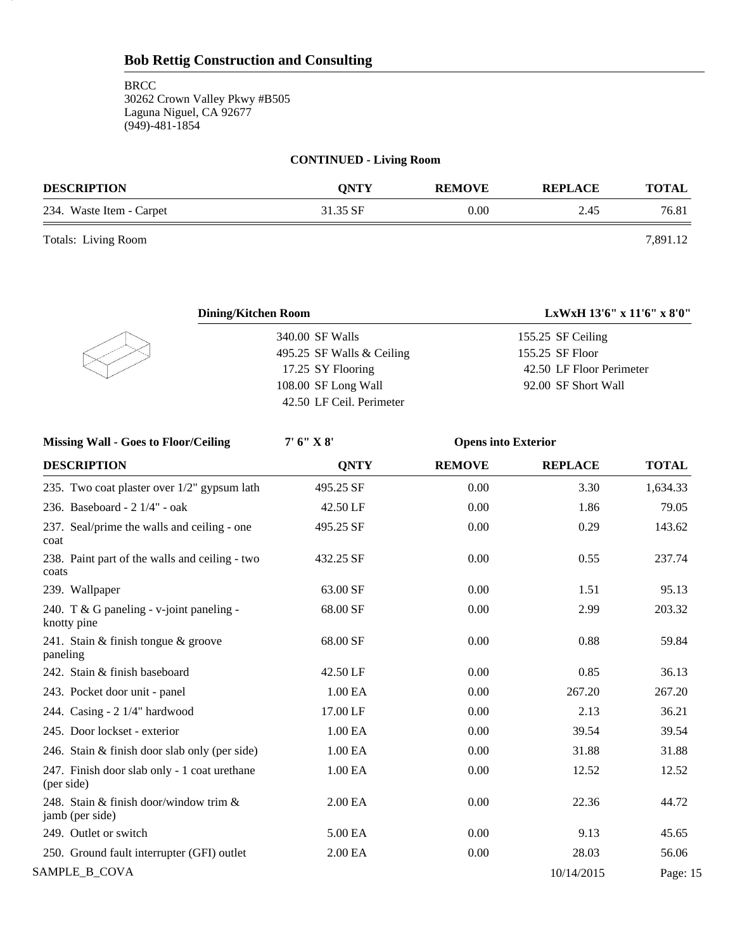#### **CONTINUED - Living Room**

| <b>DESCRIPTION</b>       | <b>ONTY</b> | <b>REMOVE</b> | <b>REPLACE</b> | TOTAL    |
|--------------------------|-------------|---------------|----------------|----------|
| 234. Waste Item - Carpet | 31.35 SF    | 0.00          | 2.45           | 76.81    |
| Totals: Living Room      |             |               |                | 7,891.12 |

15

| <b>Dining/Kitchen Room</b> | LxWxH 13'6" x 11'6" x 8'0" |
|----------------------------|----------------------------|
| 340.00 SF Walls            | 155.25 SF Ceiling          |
| 495.25 SF Walls & Ceiling  | 155.25 SF Floor            |
| 17.25 SY Flooring          | 42.50 LF Floor Perimeter   |
| 108.00 SF Long Wall        | 92.00 SF Short Wall        |
| 42.50 LF Ceil. Perimeter   |                            |
|                            |                            |

| <b>Missing Wall - Goes to Floor/Ceiling</b>                | 7' 6'' X 8' | <b>Opens into Exterior</b> |                |              |
|------------------------------------------------------------|-------------|----------------------------|----------------|--------------|
| <b>DESCRIPTION</b>                                         | <b>QNTY</b> | <b>REMOVE</b>              | <b>REPLACE</b> | <b>TOTAL</b> |
| 235. Two coat plaster over 1/2" gypsum lath                | 495.25 SF   | 0.00                       | 3.30           | 1,634.33     |
| 236. Baseboard - 2 1/4" - oak                              | 42.50 LF    | 0.00                       | 1.86           | 79.05        |
| 237. Seal/prime the walls and ceiling - one<br>coat        | 495.25 SF   | 0.00                       | 0.29           | 143.62       |
| 238. Paint part of the walls and ceiling - two<br>coats    | 432.25 SF   | 0.00                       | 0.55           | 237.74       |
| 239. Wallpaper                                             | 63.00 SF    | 0.00                       | 1.51           | 95.13        |
| 240. T & G paneling - $v$ -joint paneling -<br>knotty pine | 68.00 SF    | 0.00                       | 2.99           | 203.32       |
| 241. Stain & finish tongue & groove<br>paneling            | 68.00 SF    | 0.00                       | 0.88           | 59.84        |
| 242. Stain & finish baseboard                              | 42.50 LF    | 0.00                       | 0.85           | 36.13        |
| 243. Pocket door unit - panel                              | 1.00 EA     | 0.00                       | 267.20         | 267.20       |
| 244. Casing - 2 1/4" hardwood                              | 17.00 LF    | 0.00                       | 2.13           | 36.21        |
| 245. Door lockset - exterior                               | 1.00 EA     | 0.00                       | 39.54          | 39.54        |
| 246. Stain & finish door slab only (per side)              | 1.00 EA     | 0.00                       | 31.88          | 31.88        |
| 247. Finish door slab only - 1 coat urethane<br>(per side) | 1.00 EA     | 0.00                       | 12.52          | 12.52        |
| 248. Stain & finish door/window trim &<br>jamb (per side)  | 2.00 EA     | 0.00                       | 22.36          | 44.72        |
| 249. Outlet or switch                                      | 5.00 EA     | 0.00                       | 9.13           | 45.65        |
| 250. Ground fault interrupter (GFI) outlet                 | 2.00 EA     | 0.00                       | 28.03          | 56.06        |
| SAMPLE_B_COVA                                              |             |                            | 10/14/2015     | Page: 15     |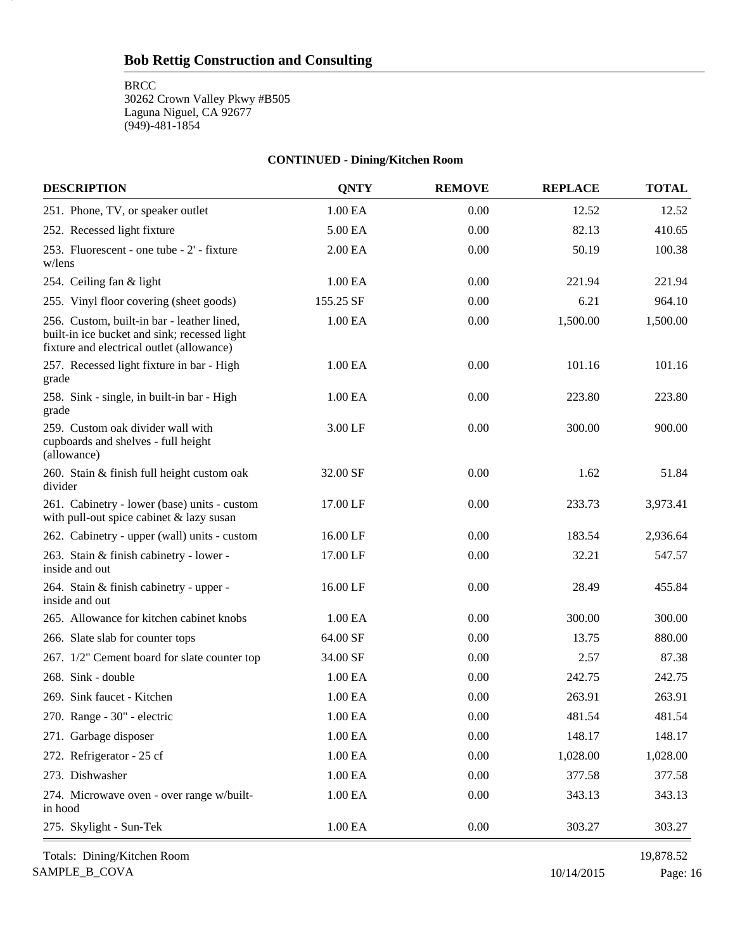**BRCC** 

16

30262 Crown Valley Pkwy #B505 Laguna Niguel, CA 92677 (949)-481-1854

#### **CONTINUED - Dining/Kitchen Room**

| <b>DESCRIPTION</b>                                                                                                                      | <b>QNTY</b>         | <b>REMOVE</b> | <b>REPLACE</b> | <b>TOTAL</b> |
|-----------------------------------------------------------------------------------------------------------------------------------------|---------------------|---------------|----------------|--------------|
| 251. Phone, TV, or speaker outlet                                                                                                       | 1.00 EA             | 0.00          | 12.52          | 12.52        |
| 252. Recessed light fixture                                                                                                             | 5.00 EA             | 0.00          | 82.13          | 410.65       |
| 253. Fluorescent - one tube - 2' - fixture<br>w/lens                                                                                    | 2.00 EA             | 0.00          | 50.19          | 100.38       |
| 254. Ceiling fan & light                                                                                                                | 1.00 EA             | 0.00          | 221.94         | 221.94       |
| 255. Vinyl floor covering (sheet goods)                                                                                                 | 155.25 SF           | 0.00          | 6.21           | 964.10       |
| 256. Custom, built-in bar - leather lined,<br>built-in ice bucket and sink; recessed light<br>fixture and electrical outlet (allowance) | 1.00 EA             | 0.00          | 1,500.00       | 1,500.00     |
| 257. Recessed light fixture in bar - High<br>grade                                                                                      | 1.00 EA             | 0.00          | 101.16         | 101.16       |
| 258. Sink - single, in built-in bar - High<br>grade                                                                                     | 1.00 EA             | 0.00          | 223.80         | 223.80       |
| 259. Custom oak divider wall with<br>cupboards and shelves - full height<br>(allowance)                                                 | 3.00 LF             | 0.00          | 300.00         | 900.00       |
| 260. Stain & finish full height custom oak<br>divider                                                                                   | 32.00 SF            | 0.00          | 1.62           | 51.84        |
| 261. Cabinetry - lower (base) units - custom<br>with pull-out spice cabinet & lazy susan                                                | 17.00 LF            | 0.00          | 233.73         | 3,973.41     |
| 262. Cabinetry - upper (wall) units - custom                                                                                            | 16.00 LF            | 0.00          | 183.54         | 2,936.64     |
| 263. Stain & finish cabinetry - lower -<br>inside and out                                                                               | 17.00 LF            | 0.00          | 32.21          | 547.57       |
| 264. Stain & finish cabinetry - upper -<br>inside and out                                                                               | 16.00 LF            | 0.00          | 28.49          | 455.84       |
| 265. Allowance for kitchen cabinet knobs                                                                                                | 1.00 EA             | 0.00          | 300.00         | 300.00       |
| 266. Slate slab for counter tops                                                                                                        | 64.00 SF            | 0.00          | 13.75          | 880.00       |
| 267. 1/2" Cement board for slate counter top                                                                                            | 34.00 SF            | 0.00          | 2.57           | 87.38        |
| 268. Sink - double                                                                                                                      | 1.00 EA             | 0.00          | 242.75         | 242.75       |
| 269. Sink faucet - Kitchen                                                                                                              | 1.00 EA             | 0.00          | 263.91         | 263.91       |
| 270. Range - 30" - electric                                                                                                             | 1.00 EA             | 0.00          | 481.54         | 481.54       |
| 271. Garbage disposer                                                                                                                   | 1.00 <sub>EA</sub>  | 0.00          | 148.17         | 148.17       |
| 272. Refrigerator - 25 cf                                                                                                               | 1.00 EA             | 0.00          | 1,028.00       | 1,028.00     |
| 273. Dishwasher                                                                                                                         | 1.00 <sub>E</sub> A | 0.00          | 377.58         | 377.58       |
| 274. Microwave oven - over range w/built-<br>in hood                                                                                    | 1.00 <sub>E</sub> A | 0.00          | 343.13         | 343.13       |
| 275. Skylight - Sun-Tek                                                                                                                 | $1.00\text{ EA}$    | 0.00          | 303.27         | 303.27       |

SAMPLE\_B\_COVA 10/14/2015 Page: 16 Totals: Dining/Kitchen Room 19,878.52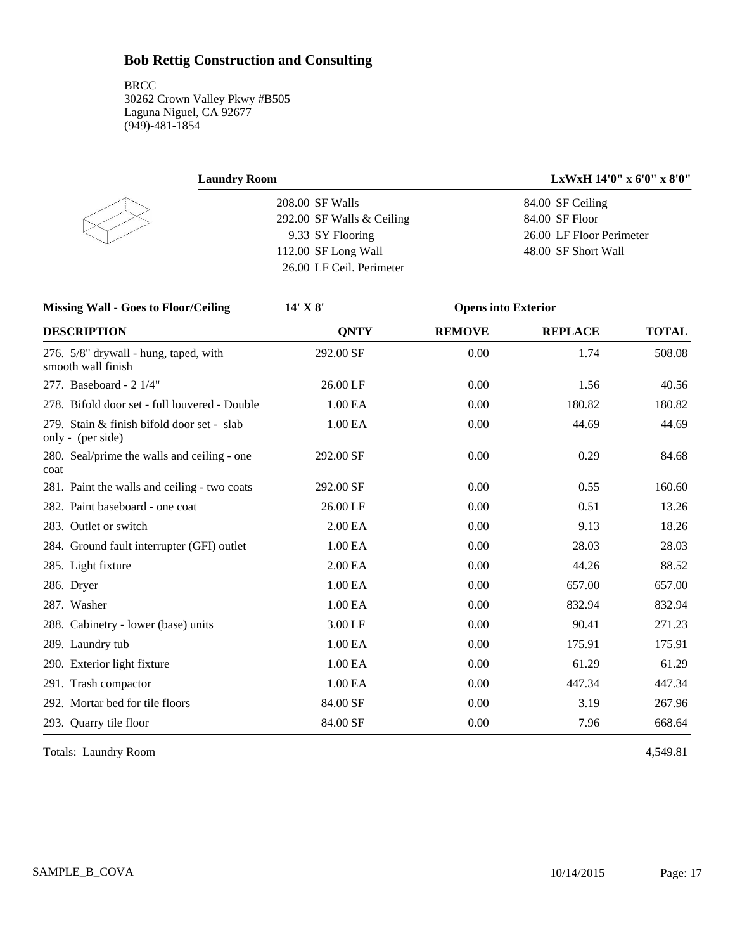| <b>Laundry Room</b>                                             |                           |                            | LxWxH 14'0" x 6'0" x 8'0" |              |
|-----------------------------------------------------------------|---------------------------|----------------------------|---------------------------|--------------|
| 208.00 SF Walls                                                 |                           |                            | 84.00 SF Ceiling          |              |
|                                                                 | 292.00 SF Walls & Ceiling |                            | 84.00 SF Floor            |              |
|                                                                 | 9.33 SY Flooring          |                            | 26.00 LF Floor Perimeter  |              |
|                                                                 | 112.00 SF Long Wall       |                            | 48.00 SF Short Wall       |              |
|                                                                 | 26.00 LF Ceil. Perimeter  |                            |                           |              |
| <b>Missing Wall - Goes to Floor/Ceiling</b>                     | 14' X 8'                  | <b>Opens into Exterior</b> |                           |              |
| <b>DESCRIPTION</b>                                              | <b>QNTY</b>               | <b>REMOVE</b>              | <b>REPLACE</b>            | <b>TOTAL</b> |
| 276. 5/8" drywall - hung, taped, with<br>smooth wall finish     | 292.00 SF                 | 0.00                       | 1.74                      | 508.08       |
| 277. Baseboard - 2 1/4"                                         | 26.00 LF                  | 0.00                       | 1.56                      | 40.56        |
| 278. Bifold door set - full louvered - Double                   | 1.00 EA                   | 0.00                       | 180.82                    | 180.82       |
| 279. Stain & finish bifold door set - slab<br>only - (per side) | 1.00 EA                   | 0.00                       | 44.69                     | 44.69        |
| 280. Seal/prime the walls and ceiling - one<br>coat             | 292.00 SF                 | 0.00                       | 0.29                      | 84.68        |
| 281. Paint the walls and ceiling - two coats                    | 292.00 SF                 | 0.00                       | 0.55                      | 160.60       |
| 282. Paint baseboard - one coat                                 | 26.00 LF                  | 0.00                       | 0.51                      | 13.26        |
| 283. Outlet or switch                                           | 2.00 EA                   | 0.00                       | 9.13                      | 18.26        |
| 284. Ground fault interrupter (GFI) outlet                      | 1.00 EA                   | 0.00                       | 28.03                     | 28.03        |
| 285. Light fixture                                              | 2.00 EA                   | 0.00                       | 44.26                     | 88.52        |
| 286. Dryer                                                      | 1.00 EA                   | 0.00                       | 657.00                    | 657.00       |
| 287. Washer                                                     | 1.00 EA                   | 0.00                       | 832.94                    | 832.94       |
| 288. Cabinetry - lower (base) units                             | 3.00 LF                   | 0.00                       | 90.41                     | 271.23       |
| 289. Laundry tub                                                | 1.00 EA                   | 0.00                       | 175.91                    | 175.91       |
| 290. Exterior light fixture                                     | 1.00 EA                   | 0.00                       | 61.29                     | 61.29        |
| 291. Trash compactor                                            | 1.00 EA                   | 0.00                       | 447.34                    | 447.34       |
| 292. Mortar bed for tile floors                                 | 84.00 SF                  | 0.00                       | 3.19                      | 267.96       |
| 293. Quarry tile floor                                          | 84.00 SF                  | 0.00                       | 7.96                      | 668.64       |

Totals: Laundry Room 4,549.81

SAMPLE\_B\_COVA 10/14/2015 Page: 17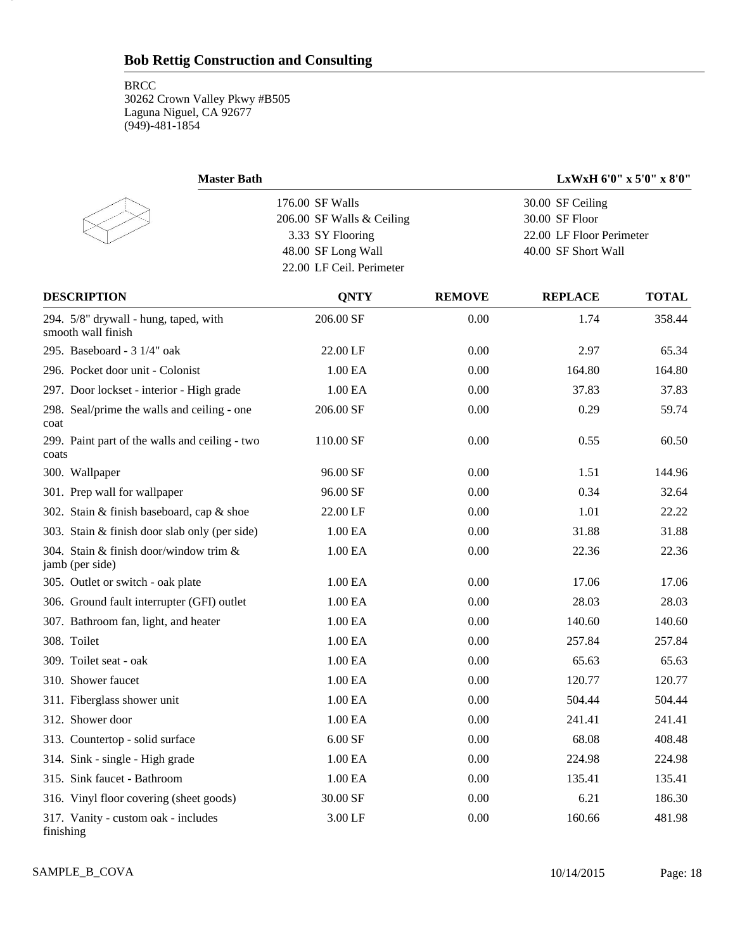18

| <b>Master Bath</b>                                          |                                              |               |                                    | LxWxH 6'0" x 5'0" x 8'0" |
|-------------------------------------------------------------|----------------------------------------------|---------------|------------------------------------|--------------------------|
|                                                             | 176.00 SF Walls<br>206.00 SF Walls & Ceiling |               | 30.00 SF Ceiling<br>30.00 SF Floor |                          |
|                                                             | 3.33 SY Flooring                             |               | 22.00 LF Floor Perimeter           |                          |
|                                                             | 48.00 SF Long Wall                           |               | 40.00 SF Short Wall                |                          |
|                                                             | 22.00 LF Ceil. Perimeter                     |               |                                    |                          |
| <b>DESCRIPTION</b>                                          | <b>QNTY</b>                                  | <b>REMOVE</b> | <b>REPLACE</b>                     | <b>TOTAL</b>             |
| 294. 5/8" drywall - hung, taped, with<br>smooth wall finish | 206.00 SF                                    | 0.00          | 1.74                               | 358.44                   |
| 295. Baseboard - 3 1/4" oak                                 | 22.00 LF                                     | 0.00          | 2.97                               | 65.34                    |
| 296. Pocket door unit - Colonist                            | 1.00 EA                                      | 0.00          | 164.80                             | 164.80                   |
| 297. Door lockset - interior - High grade                   | 1.00 EA                                      | 0.00          | 37.83                              | 37.83                    |
| 298. Seal/prime the walls and ceiling - one<br>coat         | 206.00 SF                                    | 0.00          | 0.29                               | 59.74                    |
| 299. Paint part of the walls and ceiling - two<br>coats     | 110.00 SF                                    | 0.00          | 0.55                               | 60.50                    |
| 300. Wallpaper                                              | 96.00 SF                                     | 0.00          | 1.51                               | 144.96                   |
| 301. Prep wall for wallpaper                                | 96.00 SF                                     | 0.00          | 0.34                               | 32.64                    |
| 302. Stain & finish baseboard, cap & shoe                   | 22.00 LF                                     | 0.00          | 1.01                               | 22.22                    |
| 303. Stain & finish door slab only (per side)               | 1.00 EA                                      | 0.00          | 31.88                              | 31.88                    |
| 304. Stain & finish door/window trim &<br>jamb (per side)   | 1.00 EA                                      | 0.00          | 22.36                              | 22.36                    |
| 305. Outlet or switch - oak plate                           | 1.00 EA                                      | 0.00          | 17.06                              | 17.06                    |
| 306. Ground fault interrupter (GFI) outlet                  | 1.00 EA                                      | 0.00          | 28.03                              | 28.03                    |
| 307. Bathroom fan, light, and heater                        | 1.00 EA                                      | 0.00          | 140.60                             | 140.60                   |
| 308. Toilet                                                 | 1.00 EA                                      | 0.00          | 257.84                             | 257.84                   |
| 309. Toilet seat - oak                                      | 1.00 EA                                      | 0.00          | 65.63                              | 65.63                    |
| 310. Shower faucet                                          | 1.00 EA                                      | 0.00          | 120.77                             | 120.77                   |
| 311. Fiberglass shower unit                                 | 1.00 EA                                      | 0.00          | 504.44                             | 504.44                   |
| 312. Shower door                                            | 1.00 EA                                      | 0.00          | 241.41                             | 241.41                   |
| 313. Countertop - solid surface                             | $6.00$ SF                                    | 0.00          | 68.08                              | 408.48                   |
| 314. Sink - single - High grade                             | 1.00 EA                                      | 0.00          | 224.98                             | 224.98                   |
| 315. Sink faucet - Bathroom                                 | 1.00 EA                                      | 0.00          | 135.41                             | 135.41                   |
| 316. Vinyl floor covering (sheet goods)                     | 30.00 SF                                     | 0.00          | 6.21                               | 186.30                   |
| 317. Vanity - custom oak - includes<br>finishing            | 3.00 LF                                      | 0.00          | 160.66                             | 481.98                   |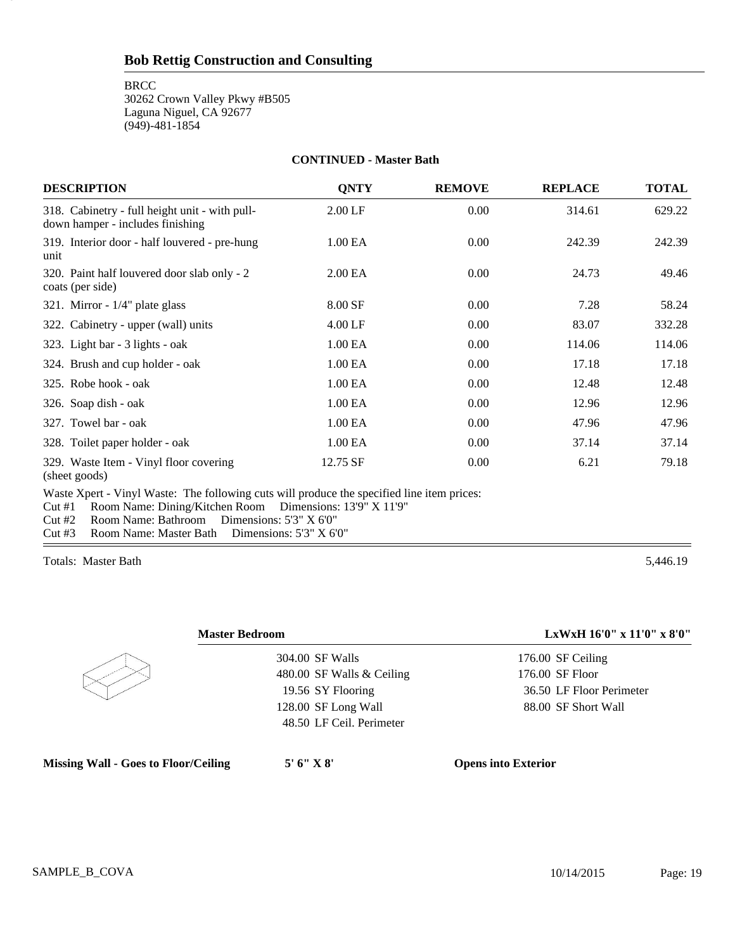**BRCC** 

19

30262 Crown Valley Pkwy #B505 Laguna Niguel, CA 92677 (949)-481-1854

#### **CONTINUED - Master Bath**

| <b>DESCRIPTION</b>                                                                 | <b>QNTY</b> | <b>REMOVE</b> | <b>REPLACE</b> | <b>TOTAL</b> |
|------------------------------------------------------------------------------------|-------------|---------------|----------------|--------------|
| 318. Cabinetry - full height unit - with pull-<br>down hamper - includes finishing | $2.00$ LF   | 0.00          | 314.61         | 629.22       |
| 319. Interior door - half louvered - pre-hung<br>unit                              | 1.00 EA     | 0.00          | 242.39         | 242.39       |
| 320. Paint half louvered door slab only - 2<br>coats (per side)                    | 2.00 EA     | 0.00          | 24.73          | 49.46        |
| 321. Mirror - $1/4$ " plate glass                                                  | 8.00 SF     | 0.00          | 7.28           | 58.24        |
| 322. Cabinetry - upper (wall) units                                                | $4.00$ LF   | 0.00          | 83.07          | 332.28       |
| 323. Light bar - 3 lights - oak                                                    | 1.00 EA     | 0.00          | 114.06         | 114.06       |
| 324. Brush and cup holder - oak                                                    | 1.00 EA     | 0.00          | 17.18          | 17.18        |
| 325. Robe hook - oak                                                               | 1.00 EA     | 0.00          | 12.48          | 12.48        |
| 326. Soap dish - oak                                                               | 1.00 EA     | 0.00          | 12.96          | 12.96        |
| 327. Towel bar - oak                                                               | 1.00 EA     | 0.00          | 47.96          | 47.96        |
| 328. Toilet paper holder - oak                                                     | 1.00 EA     | 0.00          | 37.14          | 37.14        |
| 329. Waste Item - Vinyl floor covering<br>(sheet goods)                            | 12.75 SF    | 0.00          | 6.21           | 79.18        |
|                                                                                    |             |               |                |              |

Waste Xpert - Vinyl Waste: The following cuts will produce the specified line item prices:

Cut #1 Room Name: Dining/Kitchen Room Dimensions: 13'9" X 11'9"

Cut #2 Room Name: Bathroom Dimensions: 5'3" X 6'0"

Cut #3 Room Name: Master Bath Dimensions: 5'3" X 6'0"

Totals: Master Bath 5,446.19



| 304.00 SF Walls           |
|---------------------------|
| 480.00 SF Walls & Ceiling |
| 19.56 SY Flooring         |
| 128.00 SF Long Wall       |
| 48.50 LF Ceil. Perimeter  |

**Missing Wall - Goes to Floor/Ceiling 5' 6" X 8' Opens into Exterior**

**Master Bedroom LxWxH 16'0" x 11'0" x 8'0"**

176.00 SF Ceiling 176.00 SF Floor 36.50 LF Floor Perimeter 88.00 SF Short Wall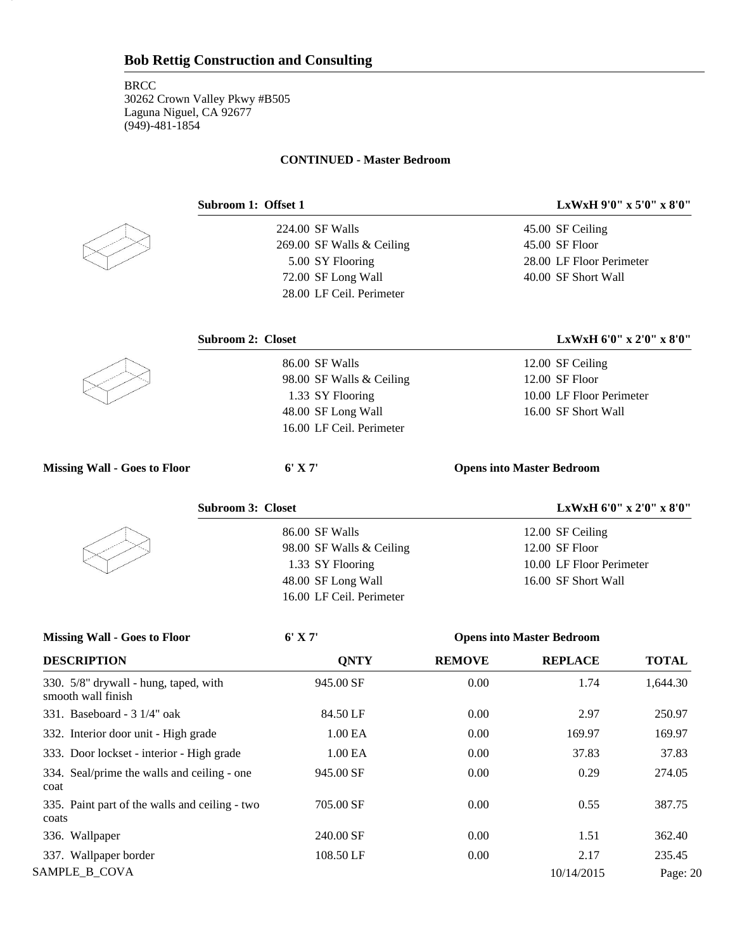#### **CONTINUED - Master Bedroom**



20

224.00 SF Walls 269.00 SF Walls & Ceiling 5.00 SY Flooring 72.00 SF Long Wall 28.00 LF Ceil. Perimeter

86.00 SF Walls

98.00 SF Walls & Ceiling 1.33 SY Flooring 48.00 SF Long Wall 16.00 LF Ceil. Perimeter

**Subroom 1: Offset 1 LxWxH 9'0" x 5'0" x 8'0"**

45.00 SF Ceiling 45.00 SF Floor 28.00 LF Floor Perimeter 40.00 SF Short Wall

12.00 SF Ceiling 12.00 SF Floor

10.00 LF Floor Perimeter 16.00 SF Short Wall

### **Subroom 2: Closet LxWxH 6'0" x 2'0" x 8'0"**



**Missing Wall - Goes to Floor 6' X 7' Opens into Master Bedroom**

86.00 SF Walls

98.00 SF Walls & Ceiling 1.33 SY Flooring 48.00 SF Long Wall 16.00 LF Ceil. Perimeter

#### **Subroom 3: Closet LxWxH 6'0" x 2'0" x 8'0"**

12.00 SF Ceiling 12.00 SF Floor 10.00 LF Floor Perimeter 16.00 SF Short Wall

| <b>Missing Wall - Goes to Floor</b>                         | $6'$ X 7'           |               | <b>Opens into Master Bedroom</b> |              |
|-------------------------------------------------------------|---------------------|---------------|----------------------------------|--------------|
| <b>DESCRIPTION</b>                                          | <b>ONTY</b>         | <b>REMOVE</b> | <b>REPLACE</b>                   | <b>TOTAL</b> |
| 330. 5/8" drywall - hung, taped, with<br>smooth wall finish | 945.00 SF           | 0.00          | 1.74                             | 1,644.30     |
| 331. Baseboard - $31/4$ " oak                               | 84.50 LF            | 0.00          | 2.97                             | 250.97       |
| 332. Interior door unit - High grade                        | 1.00 <sub>E</sub> A | 0.00          | 169.97                           | 169.97       |
| 333. Door lockset - interior - High grade                   | 1.00 <sub>E</sub> A | 0.00          | 37.83                            | 37.83        |
| 334. Seal/prime the walls and ceiling - one<br>coat         | 945.00 SF           | 0.00          | 0.29                             | 274.05       |
| 335. Paint part of the walls and ceiling - two<br>coats     | 705.00 SF           | 0.00          | 0.55                             | 387.75       |
| 336. Wallpaper                                              | 240.00 SF           | 0.00          | 1.51                             | 362.40       |
| 337. Wallpaper border                                       | 108.50 LF           | 0.00          | 2.17                             | 235.45       |
| SAMPLE_B_COVA                                               |                     |               | 10/14/2015                       | Page: 20     |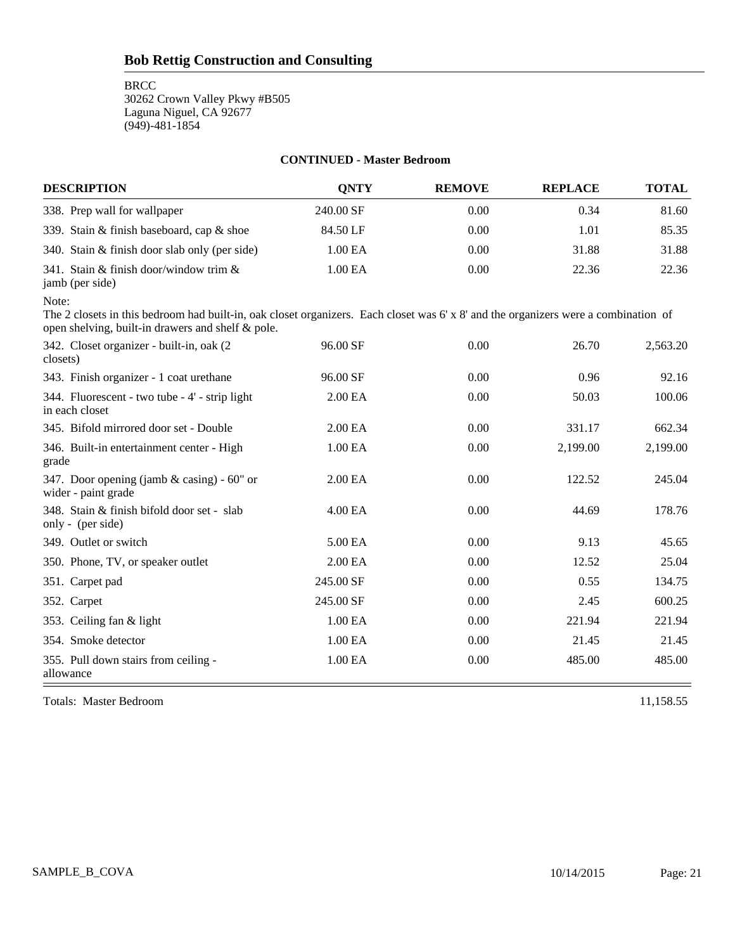**BRCC** 

30262 Crown Valley Pkwy #B505 Laguna Niguel, CA 92677 (949)-481-1854

#### **CONTINUED - Master Bedroom**

| <b>DESCRIPTION</b>                                           | <b>ONTY</b> | <b>REMOVE</b> | <b>REPLACE</b> | <b>TOTAL</b> |
|--------------------------------------------------------------|-------------|---------------|----------------|--------------|
| 338. Prep wall for wallpaper                                 | 240.00 SF   | 0.00          | 0.34           | 81.60        |
| 339. Stain & finish baseboard, cap & shoe                    | 84.50 LF    | 0.00          | 1.01           | 85.35        |
| 340. Stain & finish door slab only (per side)                | 1.00 EA     | 0.00          | 31.88          | 31.88        |
| 341. Stain & finish door/window trim $\&$<br>jamb (per side) | 1.00 EA     | 0.00          | 22.36          | 22.36        |

Note:

The 2 closets in this bedroom had built-in, oak closet organizers. Each closet was 6' x 8' and the organizers were a combination of open shelving, built-in drawers and shelf & pole.

| 342. Closet organizer - built-in, oak (2)<br>closets)               | 96.00 SF            | 0.00     | 26.70    | 2,563.20 |
|---------------------------------------------------------------------|---------------------|----------|----------|----------|
| 343. Finish organizer - 1 coat urethane                             | 96.00 SF            | $0.00\,$ | 0.96     | 92.16    |
| 344. Fluorescent - two tube - 4' - strip light<br>in each closet    | 2.00 EA             | 0.00     | 50.03    | 100.06   |
| 345. Bifold mirrored door set - Double                              | 2.00 <sub>E</sub> A | 0.00     | 331.17   | 662.34   |
| 346. Built-in entertainment center - High<br>grade                  | 1.00 EA             | 0.00     | 2,199.00 | 2,199.00 |
| 347. Door opening (jamb $&$ casing) - 60" or<br>wider - paint grade | 2.00 <sub>E</sub> A | 0.00     | 122.52   | 245.04   |
| 348. Stain & finish bifold door set - slab<br>only - (per side)     | 4.00 EA             | 0.00     | 44.69    | 178.76   |
| 349. Outlet or switch                                               | 5.00 EA             | 0.00     | 9.13     | 45.65    |
| 350. Phone, TV, or speaker outlet                                   | 2.00 EA             | 0.00     | 12.52    | 25.04    |
| 351. Carpet pad                                                     | 245.00 SF           | 0.00     | 0.55     | 134.75   |
| 352. Carpet                                                         | 245.00 SF           | 0.00     | 2.45     | 600.25   |
| 353. Ceiling fan & light                                            | 1.00 EA             | 0.00     | 221.94   | 221.94   |
| 354. Smoke detector                                                 | 1.00 EA             | 0.00     | 21.45    | 21.45    |
| 355. Pull down stairs from ceiling -<br>allowance                   | 1.00 EA             | 0.00     | 485.00   | 485.00   |

Totals: Master Bedroom 11,158.55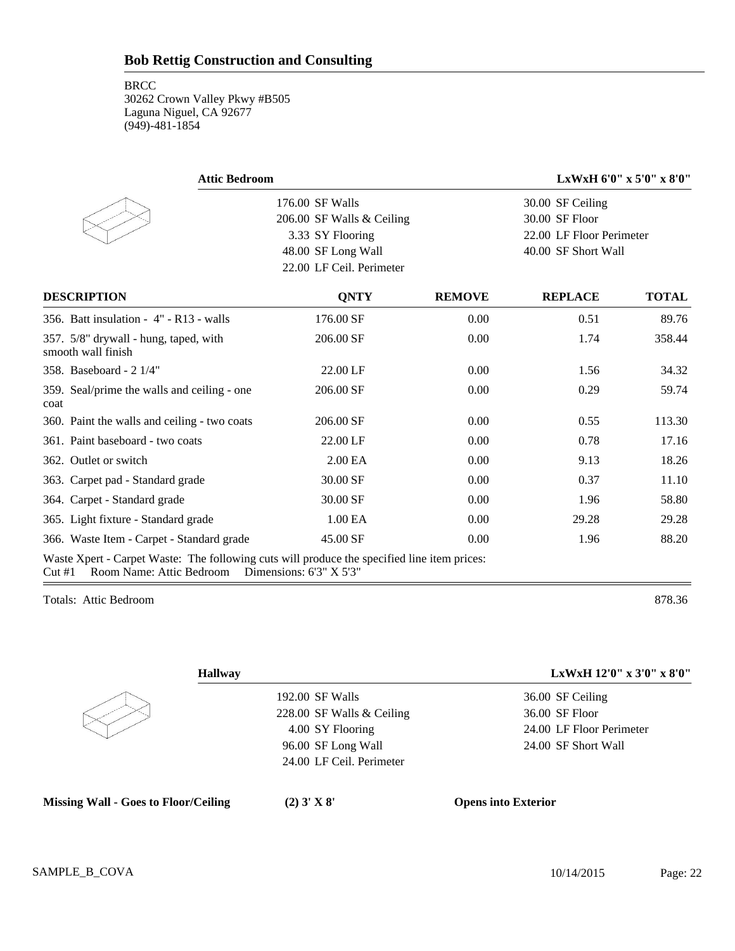| <b>Attic Bedroom</b>                                                                                                                                     |                           |               |                          | LxWxH 6'0" x 5'0" x 8'0" |  |
|----------------------------------------------------------------------------------------------------------------------------------------------------------|---------------------------|---------------|--------------------------|--------------------------|--|
|                                                                                                                                                          | 176.00 SF Walls           |               | 30.00 SF Ceiling         |                          |  |
|                                                                                                                                                          | 206.00 SF Walls & Ceiling |               | 30.00 SF Floor           |                          |  |
|                                                                                                                                                          | 3.33 SY Flooring          |               | 22.00 LF Floor Perimeter |                          |  |
|                                                                                                                                                          | 48.00 SF Long Wall        |               |                          | 40.00 SF Short Wall      |  |
|                                                                                                                                                          | 22.00 LF Ceil. Perimeter  |               |                          |                          |  |
| <b>DESCRIPTION</b>                                                                                                                                       | <b>QNTY</b>               | <b>REMOVE</b> | <b>REPLACE</b>           | <b>TOTAL</b>             |  |
| 356. Batt insulation - $4"$ - R13 - walls                                                                                                                | 176.00 SF                 | 0.00          | 0.51                     | 89.76                    |  |
| 357. 5/8" drywall - hung, taped, with<br>smooth wall finish                                                                                              | 206.00 SF                 | 0.00          | 1.74                     | 358.44                   |  |
| 358. Baseboard - 2 1/4"                                                                                                                                  | 22.00 LF                  | 0.00          | 1.56                     | 34.32                    |  |
| 359. Seal/prime the walls and ceiling - one<br>coat                                                                                                      | 206.00 SF                 | 0.00          | 0.29                     | 59.74                    |  |
| 360. Paint the walls and ceiling - two coats                                                                                                             | 206.00 SF                 | 0.00          | 0.55                     | 113.30                   |  |
| 361. Paint baseboard - two coats                                                                                                                         | 22.00 LF                  | 0.00          | 0.78                     | 17.16                    |  |
| 362. Outlet or switch                                                                                                                                    | 2.00 EA                   | 0.00          | 9.13                     | 18.26                    |  |
| 363. Carpet pad - Standard grade                                                                                                                         | 30.00 SF                  | 0.00          | 0.37                     | 11.10                    |  |
| 364. Carpet - Standard grade                                                                                                                             | 30.00 SF                  | 0.00          | 1.96                     | 58.80                    |  |
| 365. Light fixture - Standard grade                                                                                                                      | 1.00 EA                   | 0.00          | 29.28                    | 29.28                    |  |
| 366. Waste Item - Carpet - Standard grade                                                                                                                | 45.00 SF                  | 0.00          | 1.96                     | 88.20                    |  |
| Waste Xpert - Carpet Waste: The following cuts will produce the specified line item prices:<br>Cut#1<br>Room Name: Attic Bedroom Dimensions: 6'3" X 5'3" |                           |               |                          |                          |  |

Totals: Attic Bedroom 878.36

| <b>Hallway</b>            | LxWxH 12'0" x 3'0" x 8'0" |
|---------------------------|---------------------------|
| 192.00 SF Walls           | 36.00 SF Ceiling          |
| 228.00 SF Walls & Ceiling | 36.00 SF Floor            |
| 4.00 SY Flooring          | 24.00 LF Floor Perimeter  |
| 96.00 SF Long Wall        | 24.00 SF Short Wall       |
| 24.00 LF Ceil. Perimeter  |                           |
|                           |                           |
|                           |                           |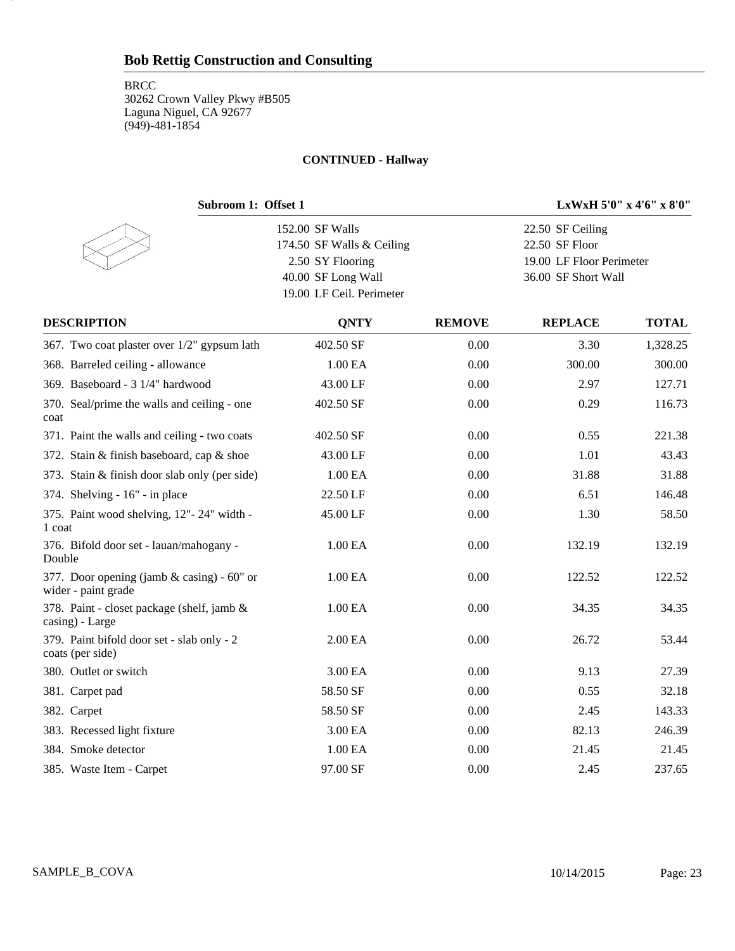**BRCC** 30262 Crown Valley Pkwy #B505 Laguna Niguel, CA 92677 (949)-481-1854

23

#### **CONTINUED - Hallway**

| Subroom 1: Offset 1                                               | LxWxH 5'0" x 4'6" x 8'0"                       |               |                          |              |
|-------------------------------------------------------------------|------------------------------------------------|---------------|--------------------------|--------------|
|                                                                   | 152.00 SF Walls                                |               | 22.50 SF Ceiling         |              |
|                                                                   | 174.50 SF Walls & Ceiling                      |               | 22.50 SF Floor           |              |
|                                                                   | 2.50 SY Flooring                               |               | 19.00 LF Floor Perimeter |              |
|                                                                   | 40.00 SF Long Wall<br>19.00 LF Ceil. Perimeter |               | 36.00 SF Short Wall      |              |
| <b>DESCRIPTION</b>                                                | <b>QNTY</b>                                    | <b>REMOVE</b> | <b>REPLACE</b>           | <b>TOTAL</b> |
| 367. Two coat plaster over 1/2" gypsum lath                       | 402.50 SF                                      | 0.00          | 3.30                     | 1,328.25     |
| 368. Barreled ceiling - allowance                                 | 1.00 EA                                        | 0.00          | 300.00                   | 300.00       |
| 369. Baseboard - 3 1/4" hardwood                                  | 43.00 LF                                       | 0.00          | 2.97                     | 127.71       |
| 370. Seal/prime the walls and ceiling - one<br>coat               | 402.50 SF                                      | 0.00          | 0.29                     | 116.73       |
| 371. Paint the walls and ceiling - two coats                      | 402.50 SF                                      | 0.00          | 0.55                     | 221.38       |
| 372. Stain & finish baseboard, cap & shoe                         | 43.00 LF                                       | 0.00          | 1.01                     | 43.43        |
| 373. Stain & finish door slab only (per side)                     | 1.00 EA                                        | 0.00          | 31.88                    | 31.88        |
| 374. Shelving - 16" - in place                                    | 22.50 LF                                       | 0.00          | 6.51                     | 146.48       |
| 375. Paint wood shelving, 12"-24" width -<br>1 coat               | 45.00 LF                                       | 0.00          | 1.30                     | 58.50        |
| 376. Bifold door set - lauan/mahogany -<br>Double                 | 1.00 EA                                        | 0.00          | 132.19                   | 132.19       |
| 377. Door opening (jamb & casing) - 60" or<br>wider - paint grade | 1.00 EA                                        | 0.00          | 122.52                   | 122.52       |
| 378. Paint - closet package (shelf, jamb &<br>casing) - Large     | 1.00 EA                                        | 0.00          | 34.35                    | 34.35        |
| 379. Paint bifold door set - slab only - 2<br>coats (per side)    | 2.00 EA                                        | 0.00          | 26.72                    | 53.44        |
| 380. Outlet or switch                                             | 3.00 EA                                        | 0.00          | 9.13                     | 27.39        |
| 381. Carpet pad                                                   | 58.50 SF                                       | 0.00          | 0.55                     | 32.18        |
| 382. Carpet                                                       | 58.50 SF                                       | 0.00          | 2.45                     | 143.33       |
| 383. Recessed light fixture                                       | 3.00 EA                                        | 0.00          | 82.13                    | 246.39       |
| 384. Smoke detector                                               | 1.00 EA                                        | 0.00          | 21.45                    | 21.45        |
| 385. Waste Item - Carpet                                          | 97.00 SF                                       | 0.00          | 2.45                     | 237.65       |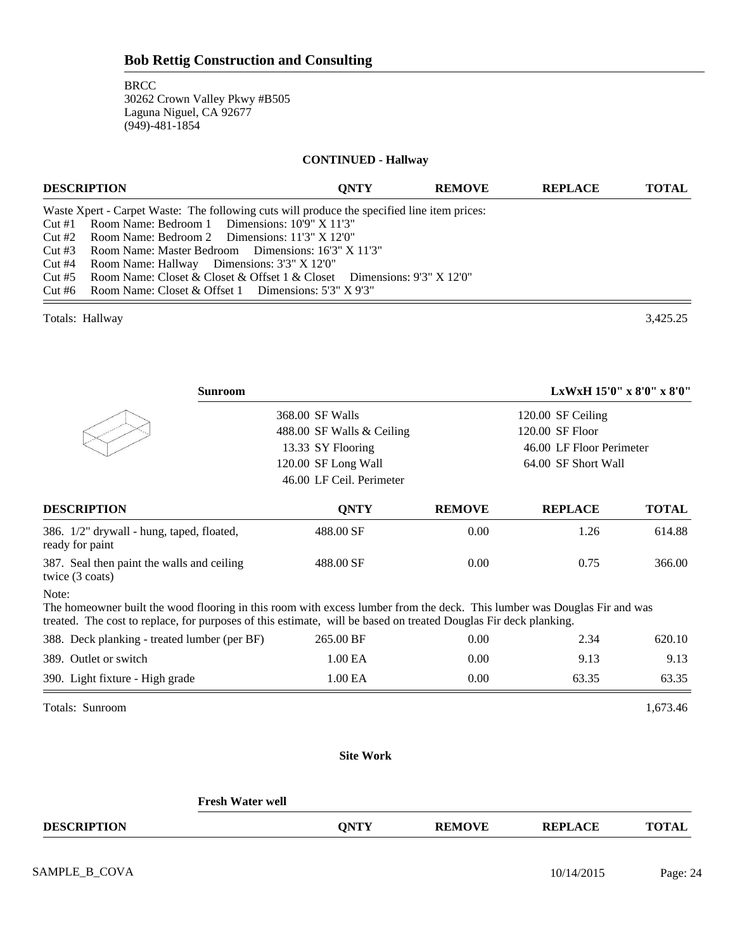#### **CONTINUED - Hallway**

| <b>DESCRIPTION</b>                                                                                                                                                                                                                                                                                                                                                                                                                                                                                    | <b>ONTY</b> | <b>REMOVE</b> | <b>REPLACE</b> | <b>TOTAL</b> |
|-------------------------------------------------------------------------------------------------------------------------------------------------------------------------------------------------------------------------------------------------------------------------------------------------------------------------------------------------------------------------------------------------------------------------------------------------------------------------------------------------------|-------------|---------------|----------------|--------------|
| Waste Xpert - Carpet Waste: The following cuts will produce the specified line item prices:<br>Cut #1 Room Name: Bedroom 1 Dimensions: 10'9" X 11'3"<br>Cut #2 Room Name: Bedroom 2 Dimensions: $11'3'' \times 12'0''$<br>Cut #3 Room Name: Master Bedroom Dimensions: 16'3" X 11'3"<br>Cut #4<br>Room Name: Hallway Dimensions: 3'3" X 12'0"<br>Cut #5 Room Name: Closet & Closet & Offset 1 & Closet Dimensions: $9'3'' X 12'0''$<br>Cut #6 Room Name: Closet & Offset 1 Dimensions: $5'3''$ X 9'3" |             |               |                |              |
| Totals: Hallway                                                                                                                                                                                                                                                                                                                                                                                                                                                                                       |             |               |                | 3.425.25     |

| <b>Sunroom</b>                                                | LxWxH 15'0" x 8'0" x 8'0"                     |               |                   |              |
|---------------------------------------------------------------|-----------------------------------------------|---------------|-------------------|--------------|
|                                                               | 368.00 SF Walls                               |               | 120.00 SF Ceiling |              |
|                                                               | 488.00 SF Walls & Ceiling                     |               | 120.00 SF Floor   |              |
|                                                               | 13.33 SY Flooring<br>46.00 LF Floor Perimeter |               |                   |              |
|                                                               | 120.00 SF Long Wall<br>64.00 SF Short Wall    |               |                   |              |
|                                                               | 46.00 LF Ceil. Perimeter                      |               |                   |              |
| <b>DESCRIPTION</b>                                            | <b>ONTY</b>                                   | <b>REMOVE</b> | <b>REPLACE</b>    | <b>TOTAL</b> |
| 386. 1/2" drywall - hung, taped, floated,<br>ready for paint  | 488.00 SF                                     | 0.00          | 1.26              | 614.88       |
| 387. Seal then paint the walls and ceiling<br>twice (3 coats) | 488.00 SF                                     | 0.00          | 0.75              | 366.00       |
|                                                               |                                               |               |                   |              |

#### Note:

The homeowner built the wood flooring in this room with excess lumber from the deck. This lumber was Douglas Fir and was treated. The cost to replace, for purposes of this estimate, will be based on treated Douglas Fir deck planking.

| 390. Light fixture - High grade              | 1.00 EA   | 0.00 | 63.35 | 63.35  |
|----------------------------------------------|-----------|------|-------|--------|
| 389. Outlet or switch                        | 1.00 EA   | 0.00 | 9.13  | 9.13   |
| 388. Deck planking - treated lumber (per BF) | 265.00 BF | 0.00 | 2.34  | 620.10 |

Totals: Sunroom 1,673.46

#### **Site Work**

|                    | Fresh Water well |             |               |                |              |
|--------------------|------------------|-------------|---------------|----------------|--------------|
| <b>DESCRIPTION</b> |                  | <b>ONTY</b> | <b>REMOVE</b> | <b>REPLACE</b> | <b>TOTAL</b> |
|                    |                  |             |               |                |              |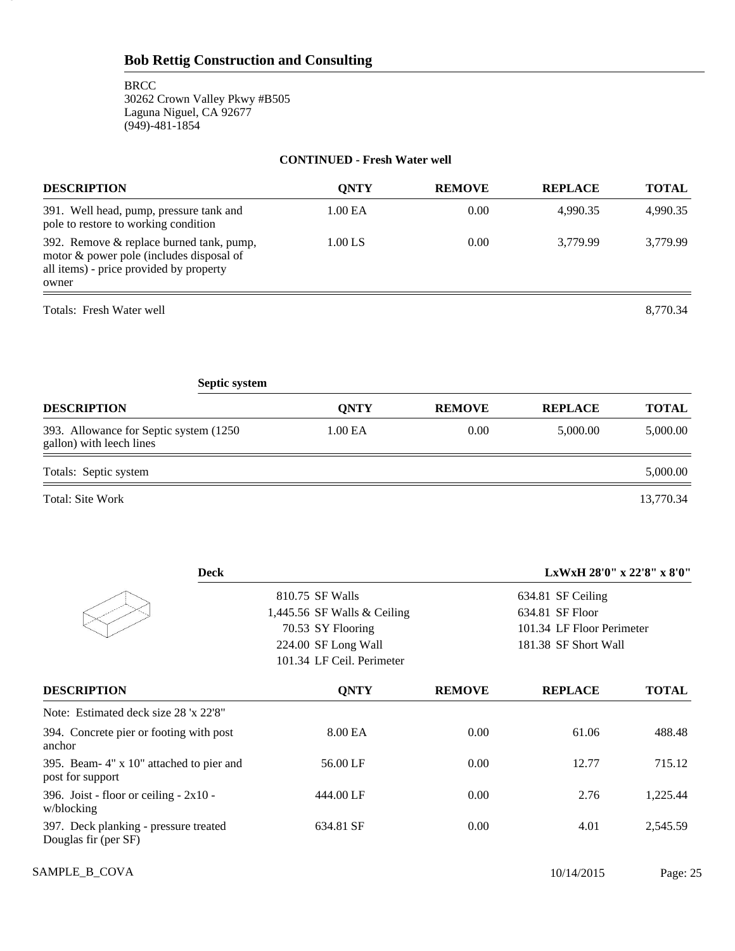25

#### **CONTINUED - Fresh Water well**

| <b>DESCRIPTION</b>                                                                                                                       | ONTY    | <b>REMOVE</b> | <b>REPLACE</b> | <b>TOTAL</b> |
|------------------------------------------------------------------------------------------------------------------------------------------|---------|---------------|----------------|--------------|
| 391. Well head, pump, pressure tank and<br>pole to restore to working condition                                                          | 1.00 EA | 0.00          | 4,990.35       | 4,990.35     |
| 392. Remove & replace burned tank, pump,<br>motor & power pole (includes disposal of<br>all items) - price provided by property<br>owner | 1.00 LS | 0.00          | 3.779.99       | 3.779.99     |
| Totals: Fresh Water well                                                                                                                 |         |               |                | 8.770.34     |

| <b>Septic system</b>                                                |             |               |                |              |  |  |
|---------------------------------------------------------------------|-------------|---------------|----------------|--------------|--|--|
| <b>DESCRIPTION</b>                                                  | <b>ONTY</b> | <b>REMOVE</b> | <b>REPLACE</b> | <b>TOTAL</b> |  |  |
| 393. Allowance for Septic system (1250)<br>gallon) with leech lines | 1.00 EA     | 0.00          | 5,000.00       | 5,000.00     |  |  |
| Totals: Septic system                                               |             |               |                | 5,000.00     |  |  |
| Total: Site Work                                                    |             |               |                | 13,770.34    |  |  |

| <b>Deck</b>                                                   |                           | LxWxH 28'0" x 22'8" x 8'0" |                           |              |  |
|---------------------------------------------------------------|---------------------------|----------------------------|---------------------------|--------------|--|
|                                                               | 810.75 SF Walls           | 634.81 SF Ceiling          |                           |              |  |
| 1,445.56 SF Walls $&$ Ceiling                                 |                           |                            | 634.81 SF Floor           |              |  |
|                                                               | 70.53 SY Flooring         |                            | 101.34 LF Floor Perimeter |              |  |
|                                                               | 224.00 SF Long Wall       |                            | 181.38 SF Short Wall      |              |  |
|                                                               | 101.34 LF Ceil. Perimeter |                            |                           |              |  |
| <b>DESCRIPTION</b>                                            | <b>QNTY</b>               | <b>REMOVE</b>              | <b>REPLACE</b>            | <b>TOTAL</b> |  |
| Note: Estimated deck size 28 'x 22'8"                         |                           |                            |                           |              |  |
| 394. Concrete pier or footing with post<br>anchor             | 8.00 EA                   | 0.00                       | 61.06                     | 488.48       |  |
| 395. Beam-4" x 10" attached to pier and<br>post for support   | 56.00 LF                  | 0.00                       | 12.77                     | 715.12       |  |
| 396. Joist - floor or ceiling - $2x10$ -<br>w/blocking        | 444.00 LF                 | 0.00                       | 2.76                      | 1,225.44     |  |
| 397. Deck planking - pressure treated<br>Douglas fir (per SF) | 634.81 SF                 | 0.00                       | 4.01                      | 2,545.59     |  |

SAMPLE\_B\_COVA 2015 Page: 25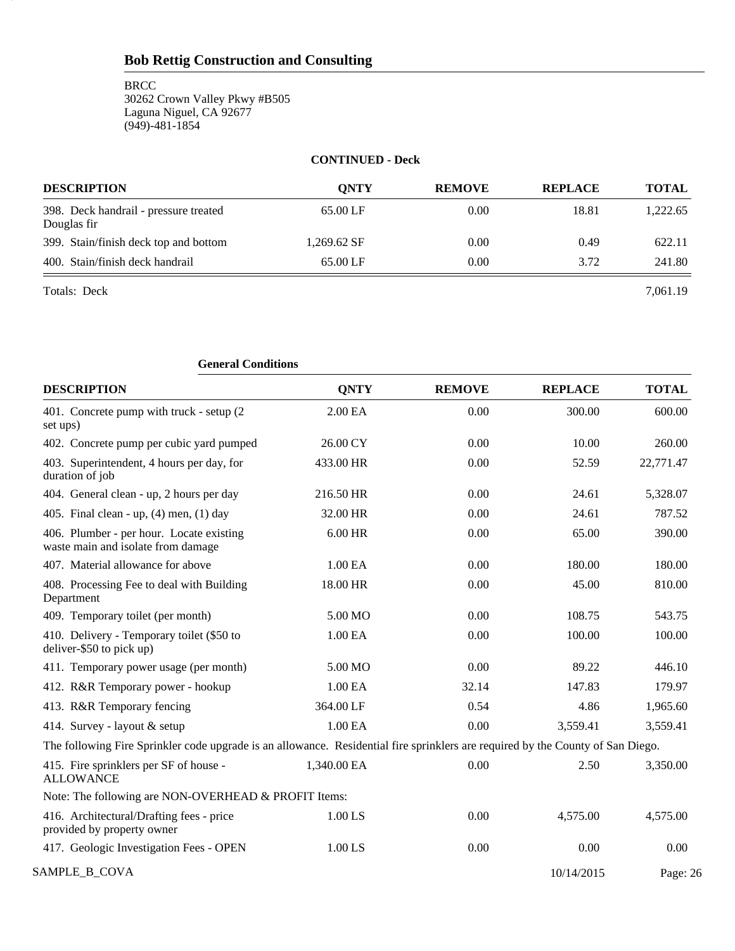#### **CONTINUED - Deck**

| <b>DESCRIPTION</b>                                   | <b>ONTY</b> | <b>REMOVE</b> | <b>REPLACE</b> | <b>TOTAL</b> |
|------------------------------------------------------|-------------|---------------|----------------|--------------|
| 398. Deck handrail - pressure treated<br>Douglas fir | 65.00 LF    | 0.00          | 18.81          | 1,222.65     |
| 399. Stain/finish deck top and bottom                | 1,269.62 SF | 0.00          | 0.49           | 622.11       |
| 400. Stain/finish deck handrail                      | 65.00 LF    | 0.00          | 3.72           | 241.80       |
| Totals: Deck                                         |             |               |                | 7.061.19     |

26

| <b>General Conditions</b>                                                                                                       |                     |               |                |              |
|---------------------------------------------------------------------------------------------------------------------------------|---------------------|---------------|----------------|--------------|
| <b>DESCRIPTION</b>                                                                                                              | <b>QNTY</b>         | <b>REMOVE</b> | <b>REPLACE</b> | <b>TOTAL</b> |
| 401. Concrete pump with truck - setup (2)<br>set ups)                                                                           | 2.00 EA             | 0.00          | 300.00         | 600.00       |
| 402. Concrete pump per cubic yard pumped                                                                                        | 26.00 CY            | 0.00          | 10.00          | 260.00       |
| 403. Superintendent, 4 hours per day, for<br>duration of job                                                                    | 433.00 HR           | 0.00          | 52.59          | 22,771.47    |
| 404. General clean - up, 2 hours per day                                                                                        | 216.50 HR           | 0.00          | 24.61          | 5,328.07     |
| 405. Final clean - up, $(4)$ men, $(1)$ day                                                                                     | 32.00 HR            | 0.00          | 24.61          | 787.52       |
| 406. Plumber - per hour. Locate existing<br>waste main and isolate from damage                                                  | 6.00 HR             | 0.00          | 65.00          | 390.00       |
| 407. Material allowance for above                                                                                               | 1.00 EA             | 0.00          | 180.00         | 180.00       |
| 408. Processing Fee to deal with Building<br>Department                                                                         | 18.00 HR            | 0.00          | 45.00          | 810.00       |
| 409. Temporary toilet (per month)                                                                                               | 5.00 MO             | 0.00          | 108.75         | 543.75       |
| 410. Delivery - Temporary toilet (\$50 to<br>deliver-\$50 to pick up)                                                           | 1.00 EA             | 0.00          | 100.00         | 100.00       |
| 411. Temporary power usage (per month)                                                                                          | 5.00 MO             | 0.00          | 89.22          | 446.10       |
| 412. R&R Temporary power - hookup                                                                                               | 1.00 <sub>E</sub> A | 32.14         | 147.83         | 179.97       |
| 413. R&R Temporary fencing                                                                                                      | 364.00 LF           | 0.54          | 4.86           | 1,965.60     |
| 414. Survey - layout & setup                                                                                                    | 1.00 EA             | 0.00          | 3,559.41       | 3,559.41     |
| The following Fire Sprinkler code upgrade is an allowance. Residential fire sprinklers are required by the County of San Diego. |                     |               |                |              |
| 415. Fire sprinklers per SF of house -<br><b>ALLOWANCE</b>                                                                      | 1,340.00 EA         | 0.00          | 2.50           | 3,350.00     |
| Note: The following are NON-OVERHEAD & PROFIT Items:                                                                            |                     |               |                |              |
| 416. Architectural/Drafting fees - price<br>provided by property owner                                                          | 1.00 LS             | 0.00          | 4,575.00       | 4,575.00     |
| 417. Geologic Investigation Fees - OPEN                                                                                         | 1.00 LS             | 0.00          | 0.00           | 0.00         |
| SAMPLE_B_COVA                                                                                                                   |                     |               | 10/14/2015     | Page: 26     |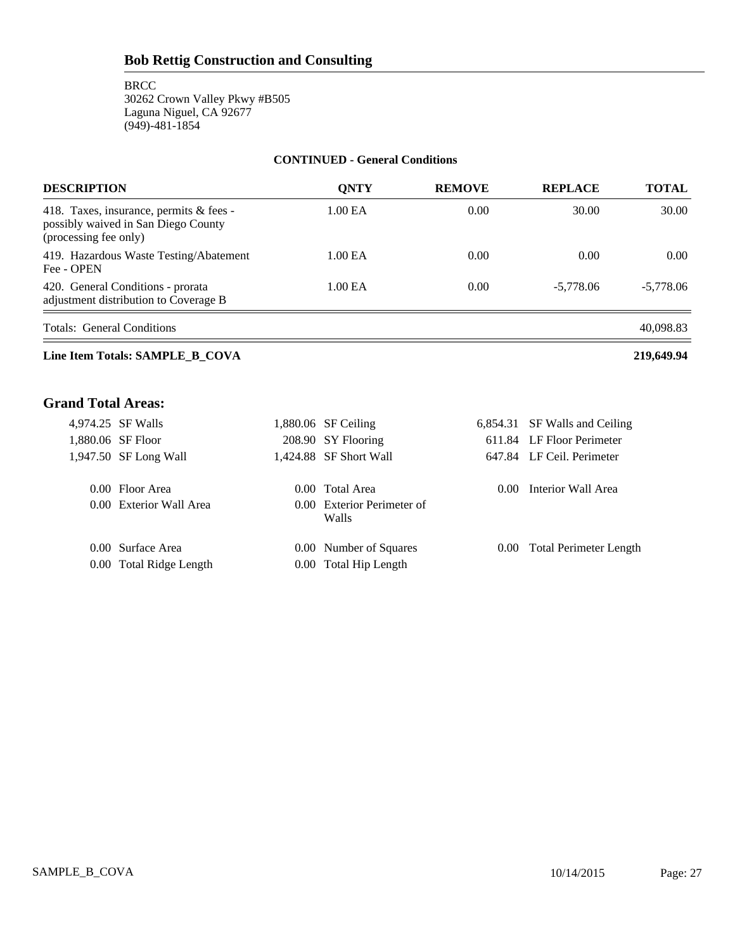#### **CONTINUED - General Conditions**

| ONTY    | <b>REMOVE</b> | <b>REPLACE</b> | <b>TOTAL</b>   |
|---------|---------------|----------------|----------------|
| 1.00 EA | 0.00          | 30.00          | 30.00          |
| 1.00 EA | 0.00          | 0.00           | $0.00^{\circ}$ |
| 1.00 EA | 0.00          | $-5.778.06$    | -5.778.06      |
|         |               |                |                |

Totals: General Conditions 40,098.83

### **Line Item Totals: SAMPLE\_B\_COVA 219,649.94**

## **Grand Total Areas:**

| 4,974.25 SF Walls       | $1,880.06$ SF Ceiling               |      | 6,854.31 SF Walls and Ceiling |
|-------------------------|-------------------------------------|------|-------------------------------|
| 1,880.06 SF Floor       | 208.90 SY Flooring                  |      | 611.84 LF Floor Perimeter     |
| 1,947.50 SF Long Wall   | 1,424.88 SF Short Wall              |      | 647.84 LF Ceil. Perimeter     |
| 0.00 Floor Area         | 0.00 Total Area                     | 0.00 | Interior Wall Area            |
| 0.00 Exterior Wall Area | 0.00 Exterior Perimeter of<br>Walls |      |                               |
| 0.00 Surface Area       | 0.00 Number of Squares              |      | 0.00 Total Perimeter Length   |
| 0.00 Total Ridge Length | 0.00 Total Hip Length               |      |                               |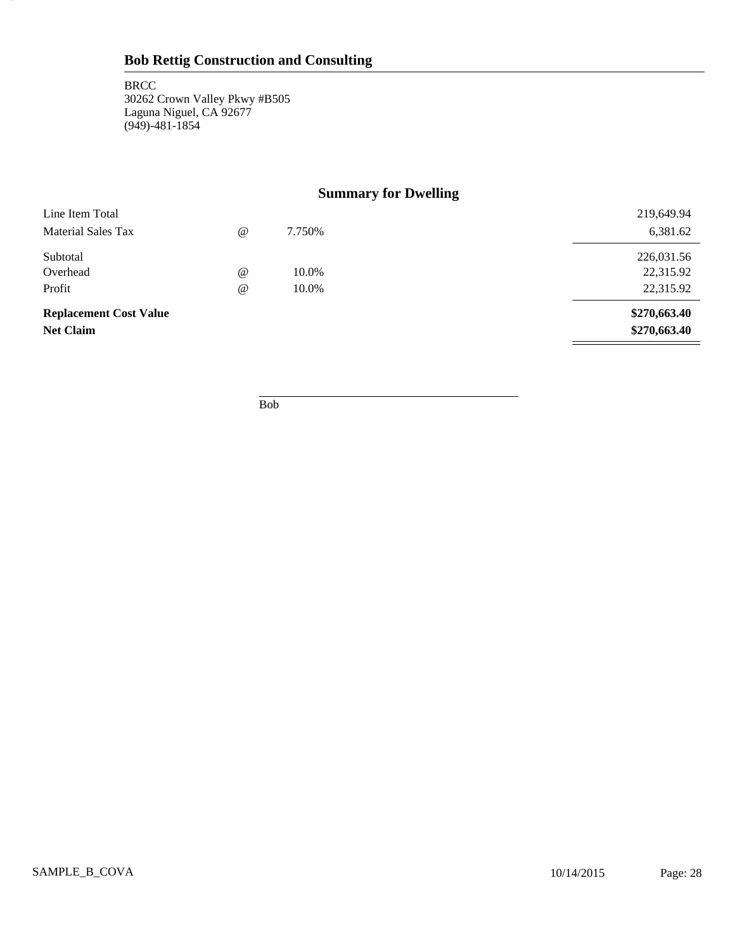28

# **Summary for Dwelling**

| Line Item Total               |                                 |        | 219,649.94   |
|-------------------------------|---------------------------------|--------|--------------|
| Material Sales Tax            | $^{\scriptsize\textregistered}$ | 7.750% | 6,381.62     |
| Subtotal                      |                                 |        | 226,031.56   |
| Overhead                      | $^{\circ}$                      | 10.0%  | 22,315.92    |
| Profit                        | $^{\scriptsize\textregistered}$ | 10.0%  | 22,315.92    |
| <b>Replacement Cost Value</b> |                                 |        | \$270,663.40 |
| <b>Net Claim</b>              |                                 |        | \$270,663.40 |

Bob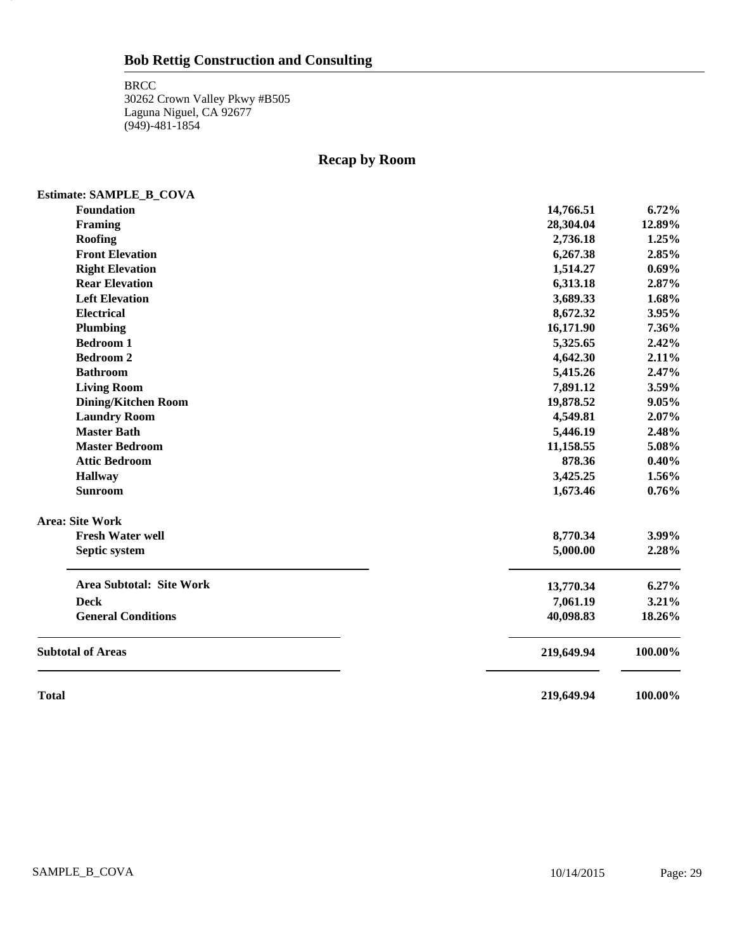29

# **Recap by Room**

| Estimate: SAMPLE_B_COVA         |            |         |
|---------------------------------|------------|---------|
| Foundation                      | 14,766.51  | 6.72%   |
| Framing                         | 28,304.04  | 12.89%  |
| Roofing                         | 2,736.18   | 1.25%   |
| <b>Front Elevation</b>          | 6,267.38   | 2.85%   |
| <b>Right Elevation</b>          | 1,514.27   | 0.69%   |
| <b>Rear Elevation</b>           | 6,313.18   | 2.87%   |
| <b>Left Elevation</b>           | 3,689.33   | 1.68%   |
| <b>Electrical</b>               | 8,672.32   | 3.95%   |
| Plumbing                        | 16,171.90  | 7.36%   |
| <b>Bedroom 1</b>                | 5,325.65   | 2.42%   |
| <b>Bedroom 2</b>                | 4,642.30   | 2.11%   |
| <b>Bathroom</b>                 | 5,415.26   | 2.47%   |
| <b>Living Room</b>              | 7,891.12   | 3.59%   |
| <b>Dining/Kitchen Room</b>      | 19,878.52  | 9.05%   |
| <b>Laundry Room</b>             | 4,549.81   | 2.07%   |
| <b>Master Bath</b>              | 5,446.19   | 2.48%   |
| <b>Master Bedroom</b>           | 11,158.55  | 5.08%   |
| <b>Attic Bedroom</b>            | 878.36     | 0.40%   |
| <b>Hallway</b>                  | 3,425.25   | 1.56%   |
| <b>Sunroom</b>                  | 1,673.46   | 0.76%   |
| <b>Area: Site Work</b>          |            |         |
| <b>Fresh Water well</b>         | 8,770.34   | 3.99%   |
| Septic system                   | 5,000.00   | 2.28%   |
| <b>Area Subtotal: Site Work</b> | 13,770.34  | 6.27%   |
| <b>Deck</b>                     | 7,061.19   | 3.21%   |
| <b>General Conditions</b>       | 40,098.83  | 18.26%  |
| <b>Subtotal of Areas</b>        | 219,649.94 | 100.00% |
| <b>Total</b>                    | 219,649.94 | 100.00% |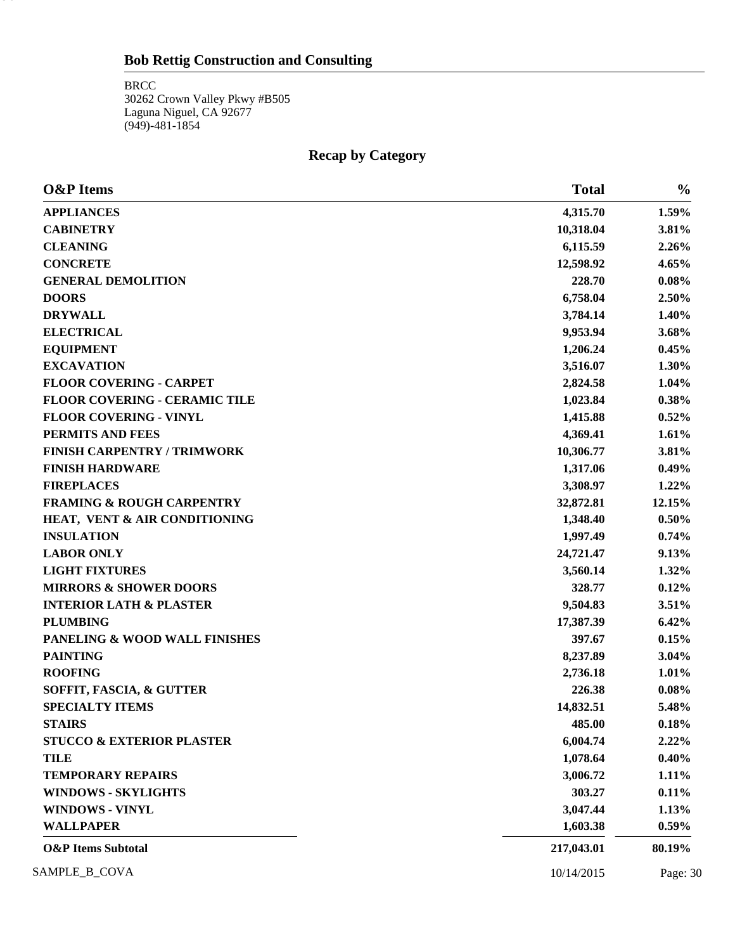BRCC 30262 Crown Valley Pkwy #B505 Laguna Niguel, CA 92677 (949)-481-1854

30

# **Recap by Category**

| <b>O&amp;P</b> Items                 | <b>Total</b> | $\frac{0}{0}$ |
|--------------------------------------|--------------|---------------|
| <b>APPLIANCES</b>                    | 4,315.70     | 1.59%         |
| <b>CABINETRY</b>                     | 10,318.04    | 3.81%         |
| <b>CLEANING</b>                      | 6,115.59     | 2.26%         |
| <b>CONCRETE</b>                      | 12,598.92    | 4.65%         |
| <b>GENERAL DEMOLITION</b>            | 228.70       | 0.08%         |
| <b>DOORS</b>                         | 6,758.04     | 2.50%         |
| <b>DRYWALL</b>                       | 3,784.14     | 1.40%         |
| <b>ELECTRICAL</b>                    | 9,953.94     | 3.68%         |
| <b>EQUIPMENT</b>                     | 1,206.24     | 0.45%         |
| <b>EXCAVATION</b>                    | 3,516.07     | 1.30%         |
| <b>FLOOR COVERING - CARPET</b>       | 2,824.58     | 1.04%         |
| <b>FLOOR COVERING - CERAMIC TILE</b> | 1,023.84     | 0.38%         |
| <b>FLOOR COVERING - VINYL</b>        | 1,415.88     | 0.52%         |
| PERMITS AND FEES                     | 4,369.41     | 1.61%         |
| <b>FINISH CARPENTRY / TRIMWORK</b>   | 10,306.77    | 3.81%         |
| <b>FINISH HARDWARE</b>               | 1,317.06     | 0.49%         |
| <b>FIREPLACES</b>                    | 3,308.97     | 1.22%         |
| <b>FRAMING &amp; ROUGH CARPENTRY</b> | 32,872.81    | 12.15%        |
| HEAT, VENT & AIR CONDITIONING        | 1,348.40     | 0.50%         |
| <b>INSULATION</b>                    | 1,997.49     | 0.74%         |
| <b>LABOR ONLY</b>                    | 24,721.47    | 9.13%         |
| <b>LIGHT FIXTURES</b>                | 3,560.14     | 1.32%         |
| <b>MIRRORS &amp; SHOWER DOORS</b>    | 328.77       | 0.12%         |
| <b>INTERIOR LATH &amp; PLASTER</b>   | 9,504.83     | 3.51%         |
| <b>PLUMBING</b>                      | 17,387.39    | 6.42%         |
| PANELING & WOOD WALL FINISHES        | 397.67       | 0.15%         |
| <b>PAINTING</b>                      | 8,237.89     | 3.04%         |
| <b>ROOFING</b>                       | 2,736.18     | 1.01%         |
| SOFFIT, FASCIA, & GUTTER             | 226.38       | 0.08%         |
| <b>SPECIALTY ITEMS</b>               | 14,832.51    | 5.48%         |
| <b>STAIRS</b>                        | 485.00       | 0.18%         |
| <b>STUCCO &amp; EXTERIOR PLASTER</b> | 6,004.74     | 2.22%         |
| <b>TILE</b>                          | 1,078.64     | 0.40%         |
| <b>TEMPORARY REPAIRS</b>             | 3,006.72     | 1.11%         |
| <b>WINDOWS - SKYLIGHTS</b>           | 303.27       | 0.11%         |
| <b>WINDOWS - VINYL</b>               | 3,047.44     | 1.13%         |
| <b>WALLPAPER</b>                     | 1,603.38     | $0.59\%$      |
| <b>O&amp;P</b> Items Subtotal        | 217,043.01   | 80.19%        |
| SAMPLE_B_COVA                        | 10/14/2015   | Page: 30      |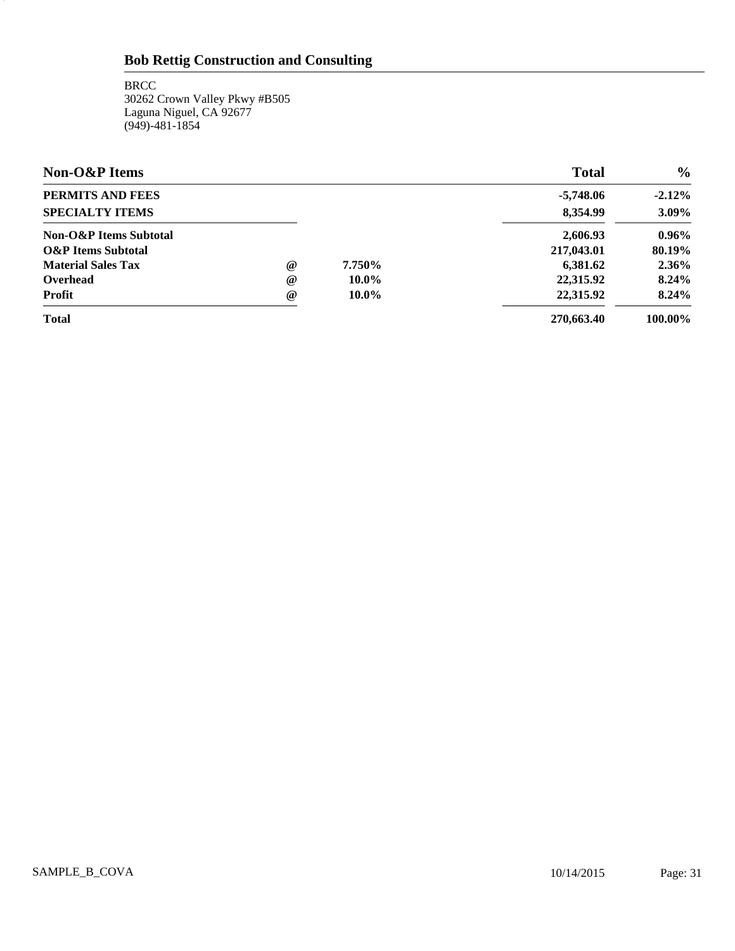**BRCC** 30262 Crown Valley Pkwy #B505 Laguna Niguel, CA 92677 (949)-481-1854

31.

| <b>Non-O&amp;P</b> Items      |                                 |          | <b>Total</b> | $\frac{0}{0}$ |
|-------------------------------|---------------------------------|----------|--------------|---------------|
| PERMITS AND FEES              |                                 |          | $-5,748.06$  | $-2.12%$      |
| <b>SPECIALTY ITEMS</b>        |                                 |          | 8,354.99     | 3.09%         |
| Non-O&P Items Subtotal        |                                 |          | 2,606.93     | $0.96\%$      |
| <b>O&amp;P</b> Items Subtotal |                                 |          | 217,043.01   | 80.19%        |
| <b>Material Sales Tax</b>     | $^{\scriptsize\textregistered}$ | 7.750%   | 6,381.62     | 2.36%         |
| Overhead                      | $^{\circ}$                      | $10.0\%$ | 22,315.92    | 8.24%         |
| <b>Profit</b>                 | $^{\circ}$                      | $10.0\%$ | 22,315.92    | 8.24%         |
| <b>Total</b>                  |                                 |          | 270,663.40   | 100.00%       |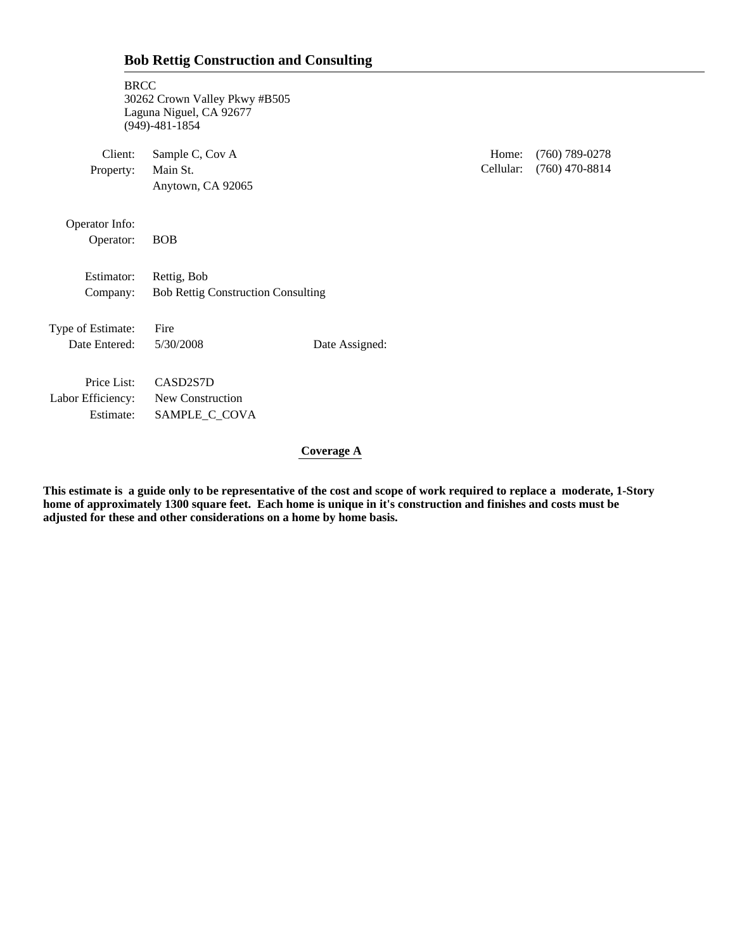| <b>Bob Rettig Construction and Consulting</b> |  |
|-----------------------------------------------|--|
|-----------------------------------------------|--|

| <b>BRCC</b>                                   | 30262 Crown Valley Pkwy #B505<br>Laguna Niguel, CA 92677<br>$(949) - 481 - 1854$ |                |                    |                                      |
|-----------------------------------------------|----------------------------------------------------------------------------------|----------------|--------------------|--------------------------------------|
| Client:<br>Property:                          | Sample C, Cov A<br>Main St.<br>Anytown, CA 92065                                 |                | Home:<br>Cellular: | $(760)$ 789-0278<br>$(760)$ 470-8814 |
| Operator Info:<br>Operator:                   | <b>BOB</b>                                                                       |                |                    |                                      |
| Estimator:<br>Company:                        | Rettig, Bob<br><b>Bob Rettig Construction Consulting</b>                         |                |                    |                                      |
| Type of Estimate:<br>Date Entered:            | Fire<br>5/30/2008                                                                | Date Assigned: |                    |                                      |
| Price List:<br>Labor Efficiency:<br>Estimate: | CASD2S7D<br>New Construction<br>SAMPLE_C_COVA                                    |                |                    |                                      |

 **Coverage A**

**This estimate is a guide only to be representative of the cost and scope of work required to replace a moderate, 1-Story home of approximately 1300 square feet. Each home is unique in it's construction and finishes and costs must be adjusted for these and other considerations on a home by home basis.**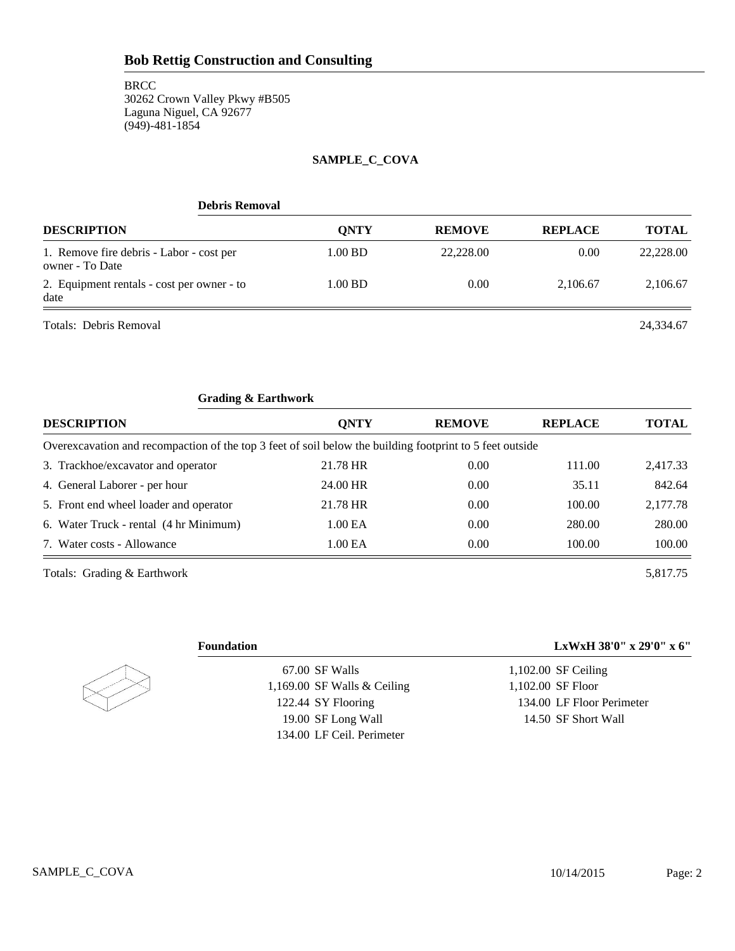#### **SAMPLE\_C\_COVA**

| <b>Debris Removal</b>                                       |             |               |                |              |
|-------------------------------------------------------------|-------------|---------------|----------------|--------------|
| <b>DESCRIPTION</b>                                          | <b>ONTY</b> | <b>REMOVE</b> | <b>REPLACE</b> | <b>TOTAL</b> |
| 1. Remove fire debris - Labor - cost per<br>owner - To Date | 1.00 BD     | 22,228.00     | 0.00           | 22,228.00    |
| 2. Equipment rentals - cost per owner - to<br>date          | 1.00 BD     | 0.00          | 2.106.67       | 2,106.67     |
| Totals: Debris Removal                                      |             |               |                | 24.334.67    |

| <b>Grading &amp; Earthwork</b>                                                                           |             |               |                |              |
|----------------------------------------------------------------------------------------------------------|-------------|---------------|----------------|--------------|
| <b>DESCRIPTION</b>                                                                                       | <b>ONTY</b> | <b>REMOVE</b> | <b>REPLACE</b> | <b>TOTAL</b> |
| Overexcavation and recompaction of the top 3 feet of soil below the building footprint to 5 feet outside |             |               |                |              |
| 3. Trackhoe/excavator and operator                                                                       | 21.78 HR    | 0.00          | 111.00         | 2,417.33     |
| 4. General Laborer - per hour                                                                            | 24.00 HR    | 0.00          | 35.11          | 842.64       |
| 5. Front end wheel loader and operator                                                                   | 21.78 HR    | 0.00          | 100.00         | 2.177.78     |
| 6. Water Truck - rental (4 hr Minimum)                                                                   | 1.00 EA     | 0.00          | 280.00         | 280.00       |
| 7. Water costs - Allowance                                                                               | 1.00 EA     | 0.00          | 100.00         | 100.00       |
|                                                                                                          |             |               |                |              |

Totals: Grading & Earthwork 5,817.75



67.00 SF Walls 1,169.00 SF Walls & Ceiling 122.44 SY Flooring 19.00 SF Long Wall 134.00 LF Ceil. Perimeter

### **Foundation LxWxH 38'0" x 29'0" x 6"**

1,102.00 SF Ceiling 1,102.00 SF Floor 134.00 LF Floor Perimeter 14.50 SF Short Wall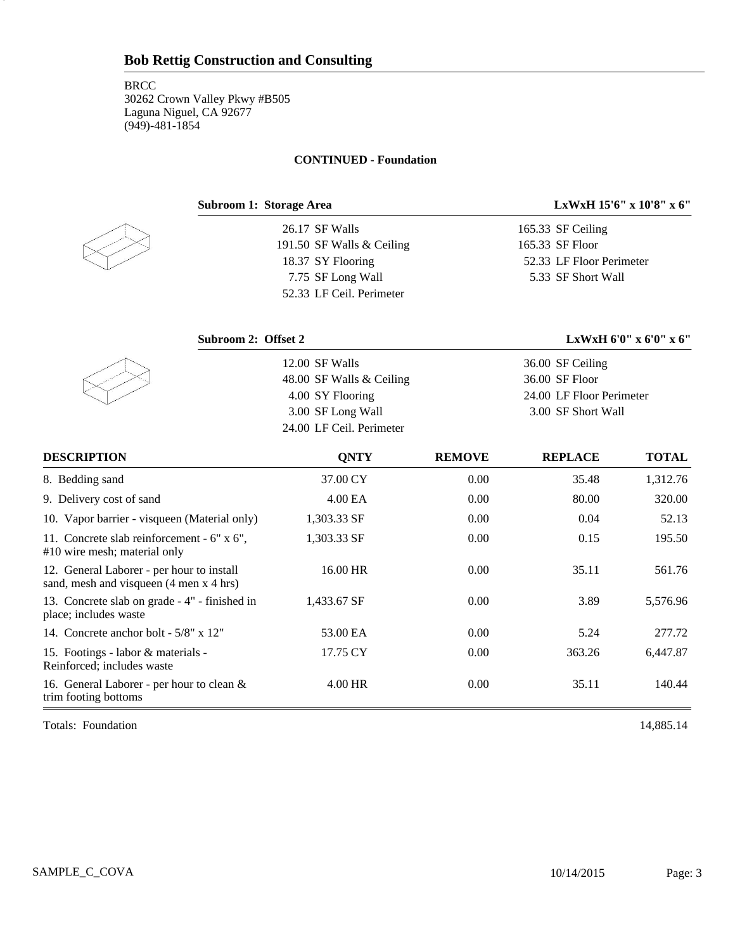#### **CONTINUED - Foundation**



3

26.17 SF Walls 191.50 SF Walls & Ceiling 18.37 SY Flooring 7.75 SF Long Wall 52.33 LF Ceil. Perimeter

#### **Subroom 1: Storage Area LxWxH 15'6" x 10'8" x 6"**

165.33 SF Ceiling 165.33 SF Floor 52.33 LF Floor Perimeter 5.33 SF Short Wall

**Subroom 2: Offset 2 LxWxH 6'0" x 6'0" x 6"** 12.00 SF Walls 48.00 SF Walls & Ceiling 4.00 SY Flooring 3.00 SF Long Wall 24.00 LF Ceil. Perimeter 36.00 SF Ceiling 36.00 SF Floor 24.00 LF Floor Perimeter 3.00 SF Short Wall

| <b>DESCRIPTION</b>                                                                   | <b>ONTY</b> | <b>REMOVE</b> | <b>REPLACE</b> | <b>TOTAL</b> |
|--------------------------------------------------------------------------------------|-------------|---------------|----------------|--------------|
| 8. Bedding sand                                                                      | 37.00 CY    | 0.00          | 35.48          | 1,312.76     |
| 9. Delivery cost of sand                                                             | 4.00 EA     | 0.00          | 80.00          | 320.00       |
| 10. Vapor barrier - visqueen (Material only)                                         | 1,303.33 SF | 0.00          | 0.04           | 52.13        |
| 11. Concrete slab reinforcement - 6" x 6".<br>#10 wire mesh; material only           | 1,303.33 SF | 0.00          | 0.15           | 195.50       |
| 12. General Laborer - per hour to install<br>sand, mesh and visqueen (4 men x 4 hrs) | 16.00 HR    | 0.00          | 35.11          | 561.76       |
| 13. Concrete slab on grade - 4" - finished in<br>place; includes waste               | 1,433.67 SF | 0.00          | 3.89           | 5,576.96     |
| 14. Concrete anchor bolt - 5/8" x 12"                                                | 53.00 EA    | 0.00          | 5.24           | 277.72       |
| 15. Footings - labor & materials -<br>Reinforced; includes waste                     | 17.75 CY    | 0.00          | 363.26         | 6,447.87     |
| 16. General Laborer - per hour to clean &<br>trim footing bottoms                    | 4.00 HR     | 0.00          | 35.11          | 140.44       |

Totals: Foundation 14,885.14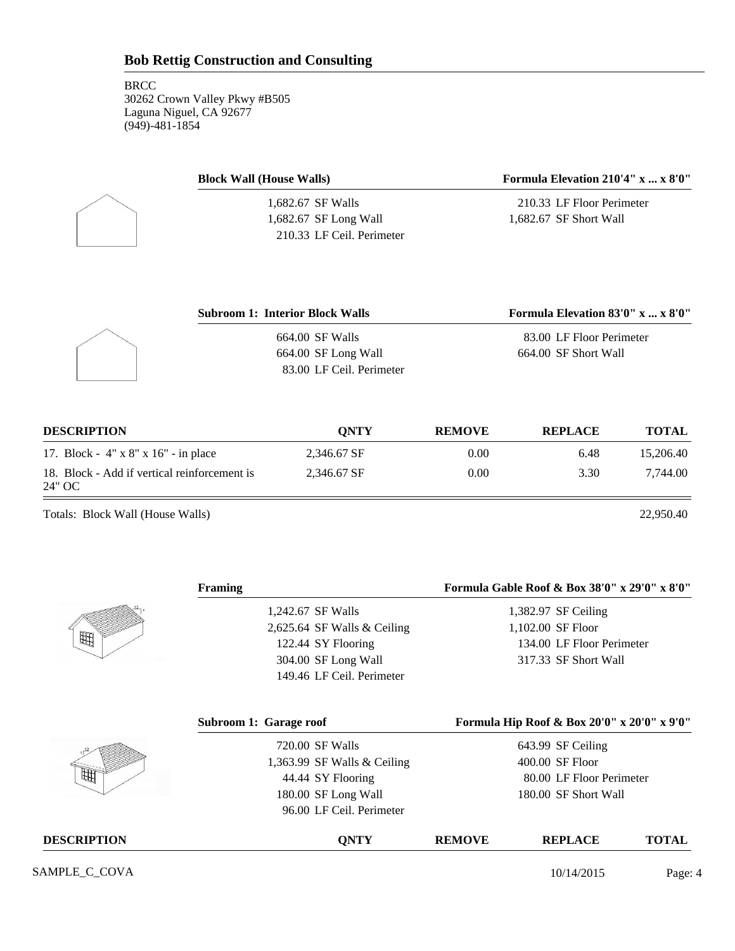| <b>Block Wall (House Walls)</b> | Formula Elevation $210'4'' \times  \times 8'0''$ |  |  |
|---------------------------------|--------------------------------------------------|--|--|
| 1,682.67 SF Walls               | 210.33 LF Floor Perimeter                        |  |  |
| $1,682.67$ SF Long Wall         | 1.682.67 SF Short Wall                           |  |  |
| 210.33 LF Ceil. Perimeter       |                                                  |  |  |

| <b>Subroom 1: Interior Block Walls</b> | Formula Elevation 83'0" x  x 8'0" |
|----------------------------------------|-----------------------------------|
| 664.00 SF Walls                        | 83.00 LF Floor Perimeter          |
| 664.00 SF Long Wall                    | 664.00 SF Short Wall              |
| 83.00 LF Ceil. Perimeter               |                                   |

| <b>DESCRIPTION</b>                                     | <b>ONTY</b> | <b>REMOVE</b> | <b>REPLACE</b> | TOTAL     |
|--------------------------------------------------------|-------------|---------------|----------------|-----------|
| 17. Block - 4" x 8" x 16" - in place                   | 2.346.67 SF | 0.00          | 6.48           | 15,206.40 |
| 18. Block - Add if vertical reinforcement is<br>24" OC | 2.346.67 SF | 0.00          | 3.30           | 7.744.00  |

Totals: Block Wall (House Walls) 22,950.40

|                    | <b>Framing</b>              |               | Formula Gable Roof & Box 38'0" x 29'0" x 8'0" |              |
|--------------------|-----------------------------|---------------|-----------------------------------------------|--------------|
|                    | 1,242.67 SF Walls           |               | 1,382.97 SF Ceiling                           |              |
|                    | 2,625.64 SF Walls & Ceiling |               | 1,102.00 SF Floor                             |              |
| 曲                  | 122.44 SY Flooring          |               | 134.00 LF Floor Perimeter                     |              |
|                    | 304.00 SF Long Wall         |               | 317.33 SF Short Wall                          |              |
|                    | 149.46 LF Ceil. Perimeter   |               |                                               |              |
|                    | Subroom 1: Garage roof      |               | Formula Hip Roof & Box 20'0" x 20'0" x 9'0"   |              |
|                    | 720.00 SF Walls             |               | 643.99 SF Ceiling                             |              |
|                    | 1,363.99 SF Walls & Ceiling |               | 400.00 SF Floor                               |              |
|                    | 44.44 SY Flooring           |               | 80.00 LF Floor Perimeter                      |              |
|                    | 180.00 SF Long Wall         |               | 180.00 SF Short Wall                          |              |
|                    | 96.00 LF Ceil. Perimeter    |               |                                               |              |
| <b>DESCRIPTION</b> | <b>QNTY</b>                 | <b>REMOVE</b> | <b>REPLACE</b>                                | <b>TOTAL</b> |
| SAMPLE_C_COVA      |                             |               | 10/14/2015                                    | Page: 4      |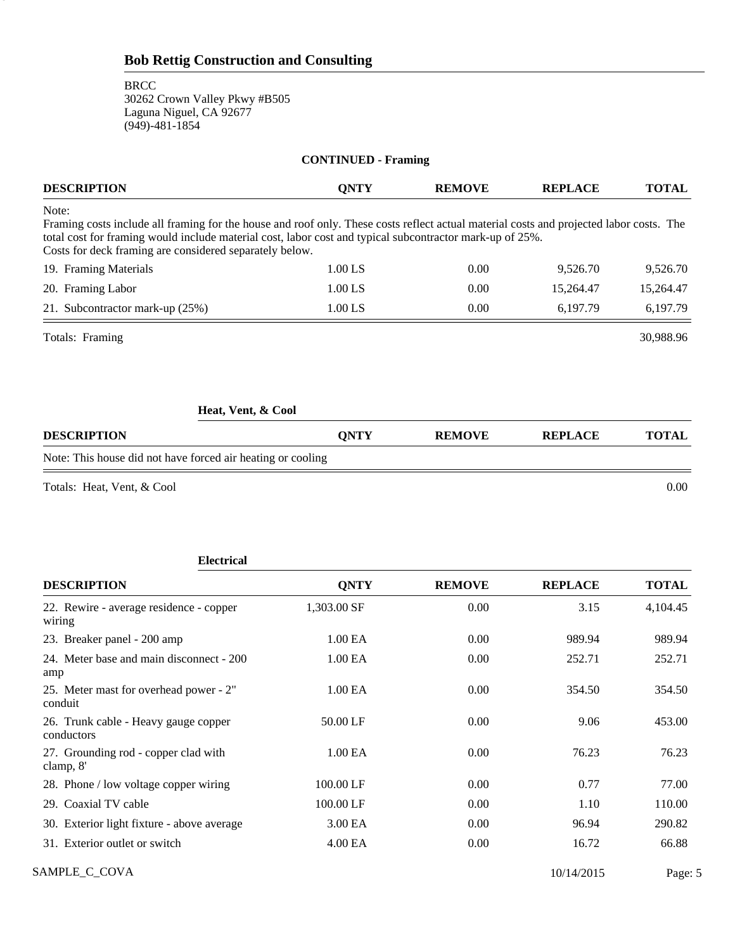**BRCC** 30262 Crown Valley Pkwy #B505 Laguna Niguel, CA 92677 (949)-481-1854

5

clamp, 8'

| <b>CONTINUED - Framing</b>                                                                                                                                                                                                                                                                                              |                     |               |                |              |  |  |
|-------------------------------------------------------------------------------------------------------------------------------------------------------------------------------------------------------------------------------------------------------------------------------------------------------------------------|---------------------|---------------|----------------|--------------|--|--|
| <b>DESCRIPTION</b>                                                                                                                                                                                                                                                                                                      | <b>QNTY</b>         | <b>REMOVE</b> | <b>REPLACE</b> | <b>TOTAL</b> |  |  |
| Note:<br>Framing costs include all framing for the house and roof only. These costs reflect actual material costs and projected labor costs. The<br>total cost for framing would include material cost, labor cost and typical subcontractor mark-up of 25%.<br>Costs for deck framing are considered separately below. |                     |               |                |              |  |  |
| 19. Framing Materials                                                                                                                                                                                                                                                                                                   | 1.00 LS             | 0.00          | 9,526.70       | 9,526.70     |  |  |
| 20. Framing Labor                                                                                                                                                                                                                                                                                                       | 1.00 LS             | 0.00          | 15,264.47      | 15,264.47    |  |  |
| 21. Subcontractor mark-up (25%)                                                                                                                                                                                                                                                                                         | 1.00 LS             | 0.00          | 6,197.79       | 6,197.79     |  |  |
| Totals: Framing                                                                                                                                                                                                                                                                                                         |                     |               |                | 30,988.96    |  |  |
| Heat, Vent, & Cool                                                                                                                                                                                                                                                                                                      |                     |               |                |              |  |  |
| <b>DESCRIPTION</b>                                                                                                                                                                                                                                                                                                      | <b>QNTY</b>         | <b>REMOVE</b> | <b>REPLACE</b> | <b>TOTAL</b> |  |  |
| Note: This house did not have forced air heating or cooling                                                                                                                                                                                                                                                             |                     |               |                |              |  |  |
| Totals: Heat, Vent, & Cool                                                                                                                                                                                                                                                                                              |                     |               |                | 0.00         |  |  |
| <b>Electrical</b>                                                                                                                                                                                                                                                                                                       |                     |               |                |              |  |  |
| <b>DESCRIPTION</b>                                                                                                                                                                                                                                                                                                      | <b>QNTY</b>         | <b>REMOVE</b> | <b>REPLACE</b> | <b>TOTAL</b> |  |  |
| 22. Rewire - average residence - copper<br>wiring                                                                                                                                                                                                                                                                       | 1,303.00 SF         | 0.00          | 3.15           | 4,104.45     |  |  |
| 23. Breaker panel - 200 amp                                                                                                                                                                                                                                                                                             | 1.00 EA             | 0.00          | 989.94         | 989.94       |  |  |
| 24. Meter base and main disconnect - 200<br>amp                                                                                                                                                                                                                                                                         | 1.00 EA             | 0.00          | 252.71         | 252.71       |  |  |
| 25. Meter mast for overhead power - 2"<br>conduit                                                                                                                                                                                                                                                                       | 1.00 EA             | 0.00          | 354.50         | 354.50       |  |  |
| 26. Trunk cable - Heavy gauge copper<br>conductors                                                                                                                                                                                                                                                                      | 50.00 LF            | 0.00          | 9.06           | 453.00       |  |  |
| 27. Grounding rod - copper clad with                                                                                                                                                                                                                                                                                    | 1.00 <sub>E</sub> A | 0.00          | 76.23          | 76.23        |  |  |

SAMPLE\_C\_COVA Page: 5 29. Coaxial TV cable 100.00 LF 0.00 1.10 110.00 30. Exterior light fixture - above average 3.00 EA 0.00 96.94 290.82 31. Exterior outlet or switch 4.00 EA 0.00 16.72 66.88

28. Phone / low voltage copper wiring 100.00 LF 0.00 0.77 77.00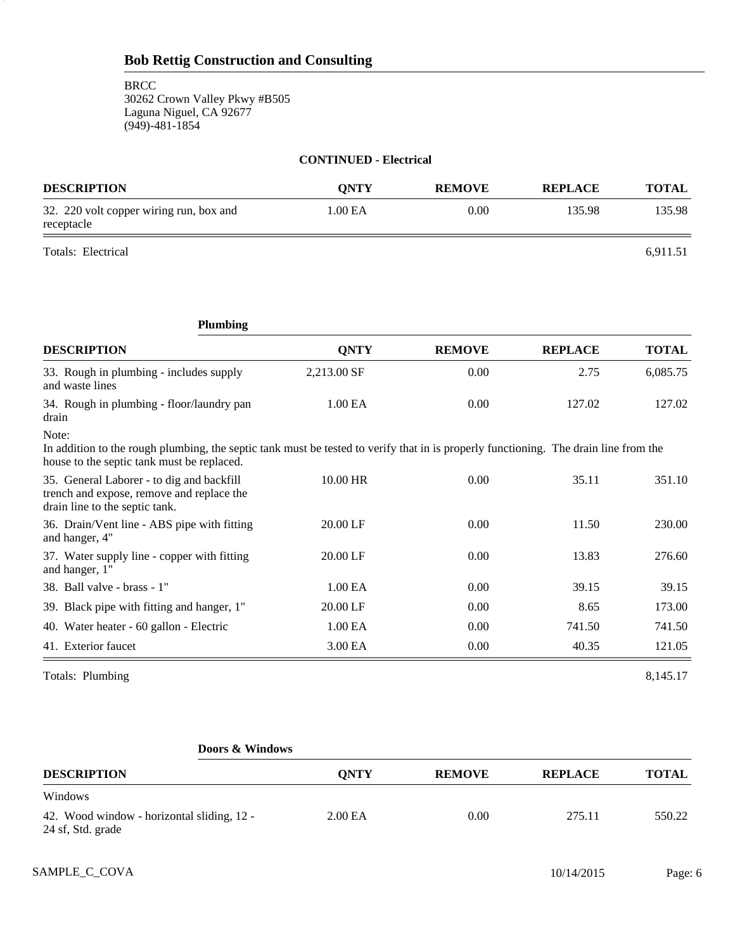| <b>CONTINUED - Electrical</b>                         |             |               |                |              |
|-------------------------------------------------------|-------------|---------------|----------------|--------------|
| <b>DESCRIPTION</b>                                    | <b>ONTY</b> | <b>REMOVE</b> | <b>REPLACE</b> | <b>TOTAL</b> |
| 32. 220 volt copper wiring run, box and<br>receptacle | 1.00 EA     | 0.00          | 135.98         | 135.98       |

Totals: Electrical 6,911.51

6

|                                                                                                                                                                                             | <b>Plumbing</b> |             |               |                |              |
|---------------------------------------------------------------------------------------------------------------------------------------------------------------------------------------------|-----------------|-------------|---------------|----------------|--------------|
| <b>DESCRIPTION</b>                                                                                                                                                                          |                 | <b>QNTY</b> | <b>REMOVE</b> | <b>REPLACE</b> | <b>TOTAL</b> |
| 33. Rough in plumbing - includes supply<br>and waste lines                                                                                                                                  |                 | 2,213.00 SF | 0.00          | 2.75           | 6,085.75     |
| 34. Rough in plumbing - floor/laundry pan<br>drain                                                                                                                                          |                 | 1.00 EA     | 0.00          | 127.02         | 127.02       |
| Note:<br>In addition to the rough plumbing, the septic tank must be tested to verify that in is properly functioning. The drain line from the<br>house to the septic tank must be replaced. |                 |             |               |                |              |
| 35. General Laborer - to dig and backfill<br>trench and expose, remove and replace the<br>drain line to the septic tank.                                                                    |                 | 10.00 HR    | 0.00          | 35.11          | 351.10       |
| 36. Drain/Vent line - ABS pipe with fitting<br>and hanger, 4"                                                                                                                               |                 | 20.00 LF    | 0.00          | 11.50          | 230.00       |
| 37. Water supply line - copper with fitting<br>and hanger, 1"                                                                                                                               |                 | 20.00 LF    | 0.00          | 13.83          | 276.60       |
| 38. Ball valve - brass - 1"                                                                                                                                                                 |                 | 1.00 EA     | 0.00          | 39.15          | 39.15        |
| 39. Black pipe with fitting and hanger, 1"                                                                                                                                                  |                 | 20.00 LF    | 0.00          | 8.65           | 173.00       |
| 40. Water heater - 60 gallon - Electric                                                                                                                                                     |                 | 1.00 EA     | 0.00          | 741.50         | 741.50       |
| 41. Exterior faucet                                                                                                                                                                         |                 | 3.00 EA     | 0.00          | 40.35          | 121.05       |

Totals: Plumbing 8,145.17

|                                                                 | Doors & Windows   |               |                |              |  |
|-----------------------------------------------------------------|-------------------|---------------|----------------|--------------|--|
| <b>DESCRIPTION</b>                                              | <b>ONTY</b>       | <b>REMOVE</b> | <b>REPLACE</b> | <b>TOTAL</b> |  |
| Windows                                                         |                   |               |                |              |  |
| 42. Wood window - horizontal sliding, 12 -<br>24 sf, Std. grade | 2.00 <sub>E</sub> | 0.00          | 275.11         | 550.22       |  |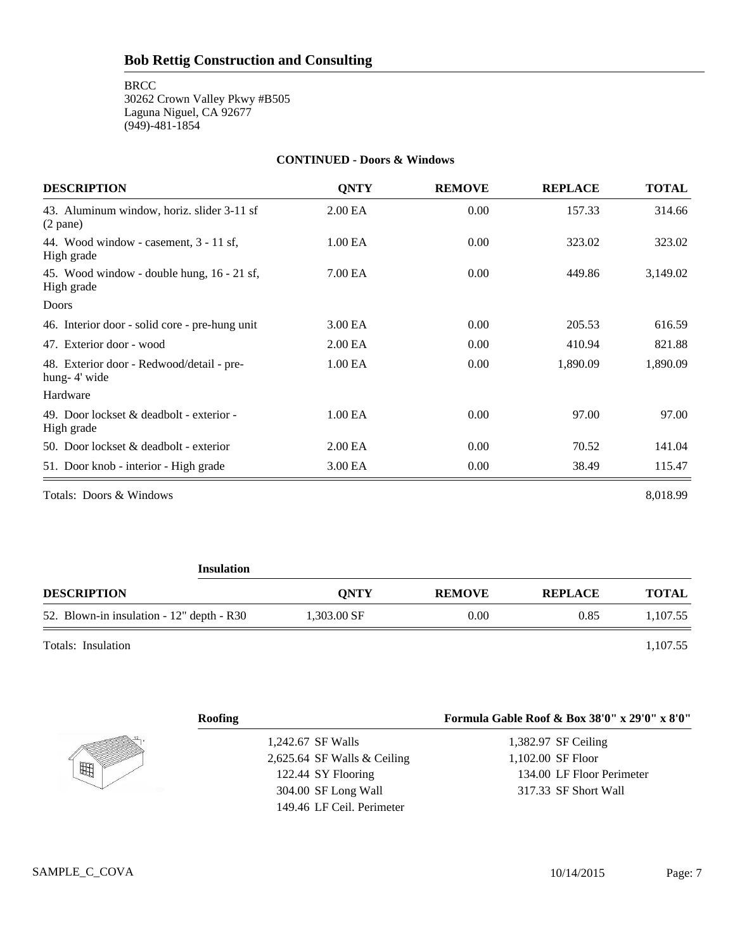**BRCC** 

30262 Crown Valley Pkwy #B505 Laguna Niguel, CA 92677 (949)-481-1854

#### **CONTINUED - Doors & Windows**

| <b>DESCRIPTION</b>                                        | <b>ONTY</b>         | <b>REMOVE</b> | <b>REPLACE</b> | <b>TOTAL</b> |
|-----------------------------------------------------------|---------------------|---------------|----------------|--------------|
| 43. Aluminum window, horiz. slider 3-11 sf<br>$(2$ pane)  | 2.00 <sub>E</sub> A | 0.00          | 157.33         | 314.66       |
| 44. Wood window - casement, 3 - 11 sf,<br>High grade      | 1.00 EA             | 0.00          | 323.02         | 323.02       |
| 45. Wood window - double hung, 16 - 21 sf,<br>High grade  | 7.00 EA             | 0.00          | 449.86         | 3,149.02     |
| <b>Doors</b>                                              |                     |               |                |              |
| 46. Interior door - solid core - pre-hung unit            | 3.00 EA             | 0.00          | 205.53         | 616.59       |
| 47. Exterior door - wood                                  | 2.00 <sub>E</sub> A | 0.00          | 410.94         | 821.88       |
| 48. Exterior door - Redwood/detail - pre-<br>hung-4' wide | 1.00 EA             | 0.00          | 1,890.09       | 1,890.09     |
| Hardware                                                  |                     |               |                |              |
| 49. Door lockset & deadbolt - exterior -<br>High grade    | 1.00 EA             | 0.00          | 97.00          | 97.00        |
| 50. Door lockset & deadbolt - exterior                    | 2.00 <sub>E</sub> A | 0.00          | 70.52          | 141.04       |
| 51. Door knob - interior - High grade                     | 3.00 EA             | 0.00          | 38.49          | 115.47       |

Totals: Doors & Windows 8,018.99

| <b>Insulation</b>                         |             |               |                |              |  |
|-------------------------------------------|-------------|---------------|----------------|--------------|--|
| <b>DESCRIPTION</b>                        | <b>ONTY</b> | <b>REMOVE</b> | <b>REPLACE</b> | <b>TOTAL</b> |  |
| 52. Blown-in insulation - 12" depth - R30 | 1,303.00 SF | 0.00          | 0.85           | 1,107.55     |  |
| Totals: Insulation                        |             |               |                | 1,107.55     |  |

|   | <b>Roofing</b>                | Formula Gable Roof & Box 38'0" x 29'0" x 8'0" |
|---|-------------------------------|-----------------------------------------------|
|   | 1,242.67 SF Walls             | 1,382.97 SF Ceiling                           |
|   | 2,625.64 SF Walls $&$ Ceiling | 1,102.00 SF Floor                             |
| 曲 | 122.44 SY Flooring            | 134.00 LF Floor Perimeter                     |
|   | 304.00 SF Long Wall           | 317.33 SF Short Wall                          |
|   | 149.46 LF Ceil. Perimeter     |                                               |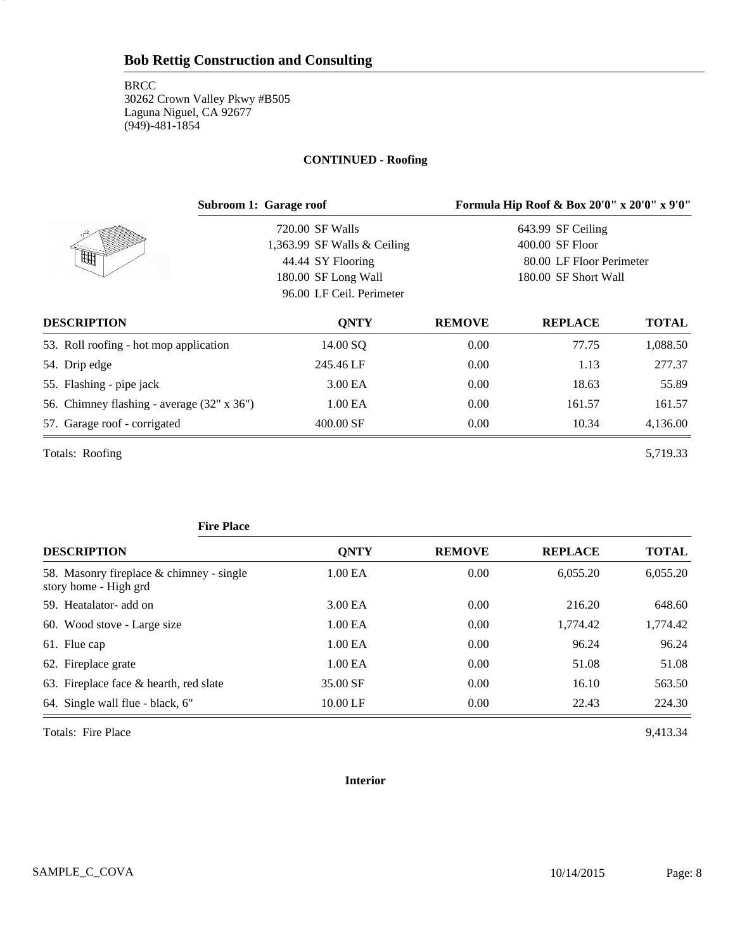8

#### **CONTINUED - Roofing**

|                                            | Subroom 1: Garage roof        |               | Formula Hip Roof & Box 20'0" x 20'0" x 9'0" |              |
|--------------------------------------------|-------------------------------|---------------|---------------------------------------------|--------------|
|                                            | 720.00 SF Walls               |               | 643.99 SF Ceiling                           |              |
|                                            | 1,363.99 SF Walls $&$ Ceiling |               | 400.00 SF Floor                             |              |
| 阱                                          | 44.44 SY Flooring             |               | 80.00 LF Floor Perimeter                    |              |
|                                            | 180.00 SF Long Wall           |               | 180.00 SF Short Wall                        |              |
|                                            | 96.00 LF Ceil. Perimeter      |               |                                             |              |
| <b>DESCRIPTION</b>                         | <b>ONTY</b>                   | <b>REMOVE</b> | <b>REPLACE</b>                              | <b>TOTAL</b> |
| 53. Roll roofing - hot mop application     | 14.00 SQ                      | 0.00          | 77.75                                       | 1,088.50     |
| 54. Drip edge                              | 245.46 LF                     | 0.00          | 1.13                                        | 277.37       |
| 55. Flashing - pipe jack                   | 3.00 EA                       | 0.00          | 18.63                                       | 55.89        |
| 56. Chimney flashing - average (32" x 36") | 1.00 EA                       | 0.00          | 161.57                                      | 161.57       |
| 57. Garage roof - corrigated               | 400.00 SF                     | $0.00\,$      | 10.34                                       | 4,136.00     |
| Totals: Roofing                            |                               |               |                                             | 5,719.33     |

#### **Fire Place**

| <b>DESCRIPTION</b>                                                | <b>QNTY</b>         | <b>REMOVE</b> | <b>REPLACE</b> | <b>TOTAL</b> |
|-------------------------------------------------------------------|---------------------|---------------|----------------|--------------|
| 58. Masonry fireplace & chimney - single<br>story home - High grd | 1.00 <sub>E</sub> A | 0.00          | 6.055.20       | 6,055.20     |
| 59. Heatalator- add on                                            | 3.00 EA             | 0.00          | 216.20         | 648.60       |
| 60. Wood stove - Large size                                       | 1.00 <sub>E</sub> A | 0.00          | 1,774.42       | 1,774.42     |
| 61. Flue cap                                                      | 1.00 <sub>E</sub> A | 0.00          | 96.24          | 96.24        |
| 62. Fireplace grate                                               | 1.00 <sub>E</sub> A | 0.00          | 51.08          | 51.08        |
| 63. Fireplace face $\&$ hearth, red slate                         | 35.00 SF            | 0.00          | 16.10          | 563.50       |
| 64. Single wall flue - black, 6"                                  | 10.00 LF            | 0.00          | 22.43          | 224.30       |

Totals: Fire Place 9,413.34

#### **Interior**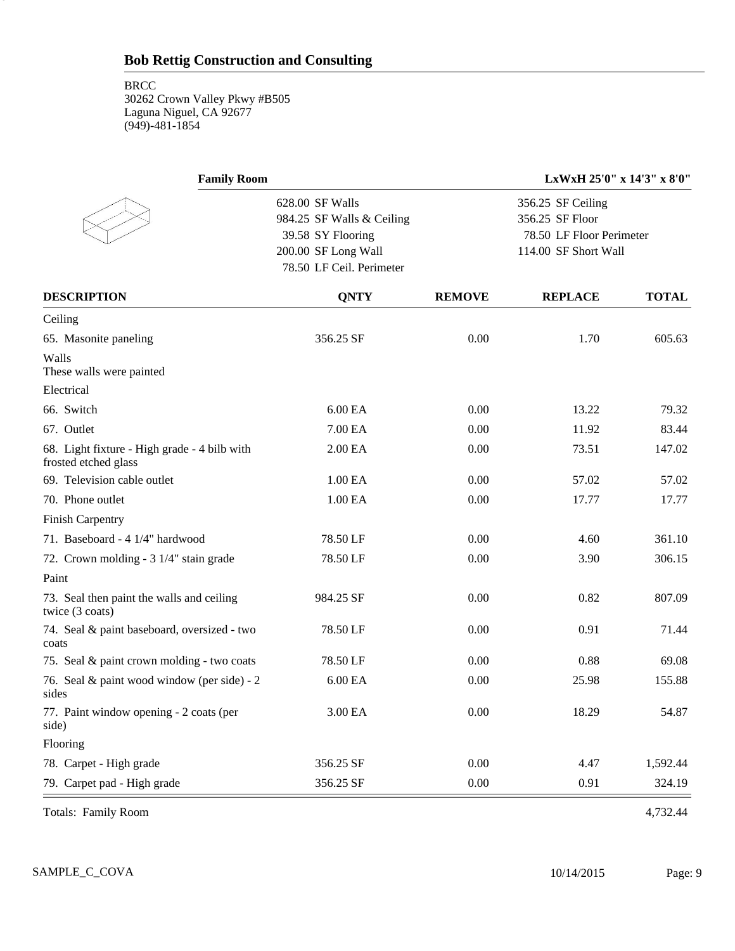9

| <b>Family Room</b>                                                   |                           |               | LxWxH 25'0" x 14'3" x 8'0" |              |
|----------------------------------------------------------------------|---------------------------|---------------|----------------------------|--------------|
|                                                                      | 628.00 SF Walls           |               | 356.25 SF Ceiling          |              |
|                                                                      | 984.25 SF Walls & Ceiling |               | 356.25 SF Floor            |              |
|                                                                      | 39.58 SY Flooring         |               | 78.50 LF Floor Perimeter   |              |
|                                                                      | 200.00 SF Long Wall       |               | 114.00 SF Short Wall       |              |
|                                                                      | 78.50 LF Ceil. Perimeter  |               |                            |              |
| <b>DESCRIPTION</b>                                                   | <b>QNTY</b>               | <b>REMOVE</b> | <b>REPLACE</b>             | <b>TOTAL</b> |
| Ceiling                                                              |                           |               |                            |              |
| 65. Masonite paneling                                                | 356.25 SF                 | 0.00          | 1.70                       | 605.63       |
| Walls<br>These walls were painted                                    |                           |               |                            |              |
| Electrical                                                           |                           |               |                            |              |
| 66. Switch                                                           | 6.00 EA                   | 0.00          | 13.22                      | 79.32        |
| 67. Outlet                                                           | 7.00 EA                   | 0.00          | 11.92                      | 83.44        |
| 68. Light fixture - High grade - 4 bilb with<br>frosted etched glass | 2.00 <sub>E</sub> A       | 0.00          | 73.51                      | 147.02       |
| 69. Television cable outlet                                          | 1.00 EA                   | 0.00          | 57.02                      | 57.02        |
| 70. Phone outlet                                                     | 1.00 EA                   | 0.00          | 17.77                      | 17.77        |
| <b>Finish Carpentry</b>                                              |                           |               |                            |              |
| 71. Baseboard - 4 1/4" hardwood                                      | 78.50 LF                  | 0.00          | 4.60                       | 361.10       |
| 72. Crown molding - 3 1/4" stain grade                               | 78.50 LF                  | 0.00          | 3.90                       | 306.15       |
| Paint                                                                |                           |               |                            |              |
| 73. Seal then paint the walls and ceiling<br>twice (3 coats)         | 984.25 SF                 | 0.00          | 0.82                       | 807.09       |
| 74. Seal & paint baseboard, oversized - two<br>coats                 | 78.50 LF                  | 0.00          | 0.91                       | 71.44        |
| 75. Seal & paint crown molding - two coats                           | 78.50 LF                  | 0.00          | 0.88                       | 69.08        |
| 76. Seal & paint wood window (per side) - 2<br>sides                 | 6.00 EA                   | 0.00          | 25.98                      | 155.88       |
| 77. Paint window opening - 2 coats (per<br>side)                     | 3.00 EA                   | 0.00          | 18.29                      | 54.87        |
| Flooring                                                             |                           |               |                            |              |
| 78. Carpet - High grade                                              | 356.25 SF                 | 0.00          | 4.47                       | 1,592.44     |
| 79. Carpet pad - High grade                                          | 356.25 SF                 | 0.00          | 0.91                       | 324.19       |

Totals: Family Room 4,732.44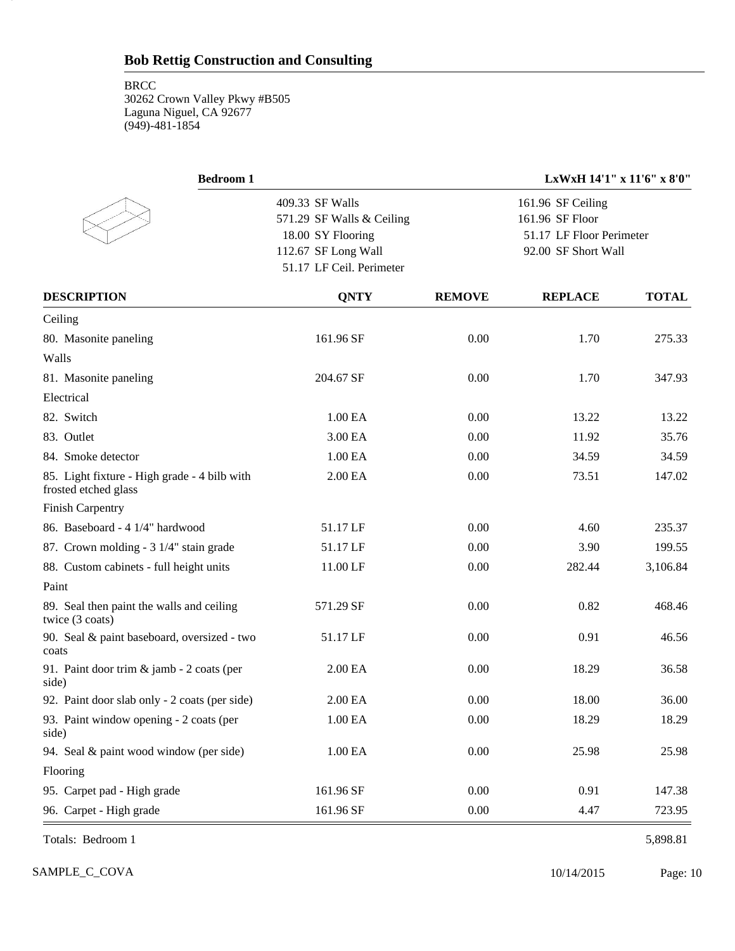10

|                           |               | LxWxH 14'1" x 11'6" x 8'0" |                                                 |
|---------------------------|---------------|----------------------------|-------------------------------------------------|
| 409.33 SF Walls           |               | 161.96 SF Ceiling          |                                                 |
| 571.29 SF Walls & Ceiling |               | 161.96 SF Floor            |                                                 |
| 18.00 SY Flooring         |               |                            |                                                 |
| 112.67 SF Long Wall       |               |                            |                                                 |
| 51.17 LF Ceil. Perimeter  |               |                            |                                                 |
| <b>QNTY</b>               | <b>REMOVE</b> | <b>REPLACE</b>             | <b>TOTAL</b>                                    |
|                           |               |                            |                                                 |
| 161.96 SF                 | 0.00          | 1.70                       | 275.33                                          |
|                           |               |                            |                                                 |
| 204.67 SF                 | 0.00          | 1.70                       | 347.93                                          |
|                           |               |                            |                                                 |
| 1.00 EA                   | 0.00          | 13.22                      | 13.22                                           |
| 3.00 EA                   | 0.00          | 11.92                      | 35.76                                           |
| 1.00 EA                   | 0.00          | 34.59                      | 34.59                                           |
| 2.00 EA                   | 0.00          | 73.51                      | 147.02                                          |
|                           |               |                            |                                                 |
| 51.17 LF                  | 0.00          | 4.60                       | 235.37                                          |
| 51.17 LF                  | 0.00          | 3.90                       | 199.55                                          |
| 11.00 LF                  | 0.00          | 282.44                     | 3,106.84                                        |
|                           |               |                            |                                                 |
| 571.29 SF                 | 0.00          | 0.82                       | 468.46                                          |
| 51.17 LF                  | 0.00          | 0.91                       | 46.56                                           |
| 2.00 EA                   | 0.00          | 18.29                      | 36.58                                           |
| 2.00 EA                   | 0.00          | 18.00                      | 36.00                                           |
| 1.00 EA                   | 0.00          | 18.29                      | 18.29                                           |
| 1.00 <sub>E</sub> A       | 0.00          | 25.98                      | 25.98                                           |
|                           |               |                            |                                                 |
| 161.96 SF                 | 0.00          | 0.91                       | 147.38                                          |
| 161.96 SF                 | $0.00\,$      | 4.47                       | 723.95                                          |
|                           |               |                            | 51.17 LF Floor Perimeter<br>92.00 SF Short Wall |

Totals: Bedroom 1 5,898.81

SAMPLE\_C\_COVA 2015 Page: 10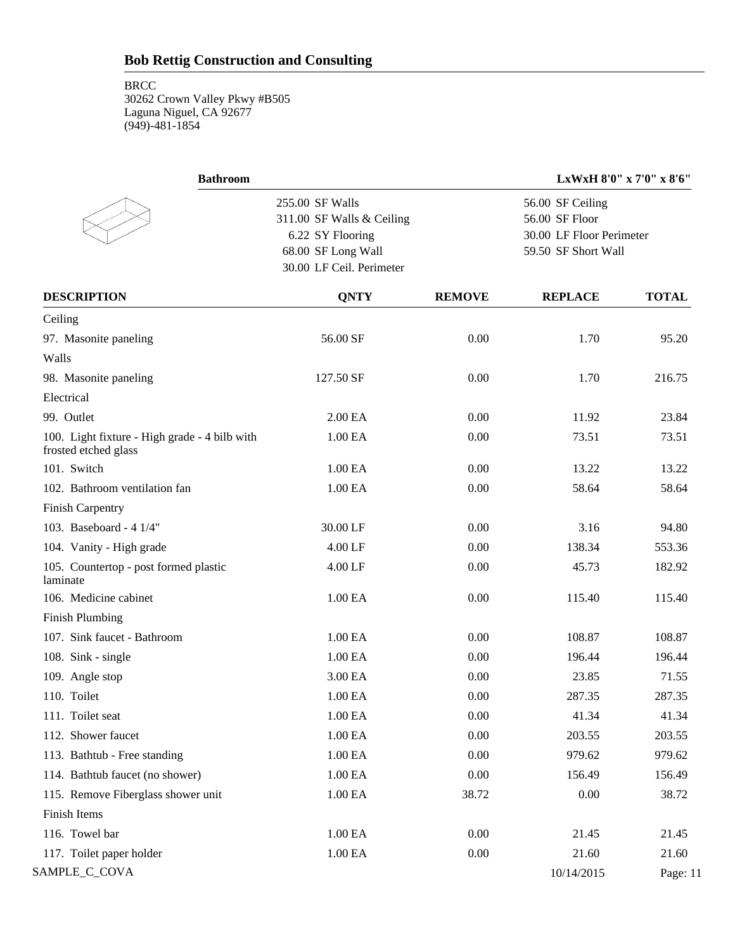| <b>Bathroom</b>                                                       |                                                                                        |               | LxWxH 8'0" x 7'0" x 8'6"                                                              |              |  |  |
|-----------------------------------------------------------------------|----------------------------------------------------------------------------------------|---------------|---------------------------------------------------------------------------------------|--------------|--|--|
|                                                                       | 255.00 SF Walls<br>311.00 SF Walls & Ceiling<br>6.22 SY Flooring<br>68.00 SF Long Wall |               | 56.00 SF Ceiling<br>56.00 SF Floor<br>30.00 LF Floor Perimeter<br>59.50 SF Short Wall |              |  |  |
|                                                                       | 30.00 LF Ceil. Perimeter                                                               |               |                                                                                       |              |  |  |
| <b>DESCRIPTION</b>                                                    | <b>QNTY</b>                                                                            | <b>REMOVE</b> | <b>REPLACE</b>                                                                        | <b>TOTAL</b> |  |  |
| Ceiling                                                               |                                                                                        |               |                                                                                       |              |  |  |
| 97. Masonite paneling                                                 | 56.00 SF                                                                               | 0.00          | 1.70                                                                                  | 95.20        |  |  |
| Walls                                                                 |                                                                                        |               |                                                                                       |              |  |  |
| 98. Masonite paneling                                                 | 127.50 SF                                                                              | 0.00          | 1.70                                                                                  | 216.75       |  |  |
| Electrical                                                            |                                                                                        |               |                                                                                       |              |  |  |
| 99. Outlet                                                            | 2.00 EA                                                                                | 0.00          | 11.92                                                                                 | 23.84        |  |  |
| 100. Light fixture - High grade - 4 bilb with<br>frosted etched glass | 1.00 EA                                                                                | 0.00          | 73.51                                                                                 | 73.51        |  |  |
| 101. Switch                                                           | 1.00 EA                                                                                | 0.00          | 13.22                                                                                 | 13.22        |  |  |
| 102. Bathroom ventilation fan                                         | 1.00 EA                                                                                | 0.00          | 58.64                                                                                 | 58.64        |  |  |
| Finish Carpentry                                                      |                                                                                        |               |                                                                                       |              |  |  |
| 103. Baseboard - 4 1/4"                                               | 30.00 LF                                                                               | 0.00          | 3.16                                                                                  | 94.80        |  |  |
| 104. Vanity - High grade                                              | 4.00 LF                                                                                | 0.00          | 138.34                                                                                | 553.36       |  |  |
| 105. Countertop - post formed plastic<br>laminate                     | 4.00 LF                                                                                | 0.00          | 45.73                                                                                 | 182.92       |  |  |
| 106. Medicine cabinet                                                 | 1.00 EA                                                                                | 0.00          | 115.40                                                                                | 115.40       |  |  |
| <b>Finish Plumbing</b>                                                |                                                                                        |               |                                                                                       |              |  |  |
| 107. Sink faucet - Bathroom                                           | 1.00 EA                                                                                | 0.00          | 108.87                                                                                | 108.87       |  |  |
| 108. Sink - single                                                    | 1.00 EA                                                                                | 0.00          | 196.44                                                                                | 196.44       |  |  |
| 109. Angle stop                                                       | 3.00 EA                                                                                | 0.00          | 23.85                                                                                 | 71.55        |  |  |
| 110. Toilet                                                           | 1.00 EA                                                                                | 0.00          | 287.35                                                                                | 287.35       |  |  |
| 111. Toilet seat                                                      | 1.00 EA                                                                                | 0.00          | 41.34                                                                                 | 41.34        |  |  |
| 112. Shower faucet                                                    | $1.00\ \mathrm{EA}$                                                                    | 0.00          | 203.55                                                                                | 203.55       |  |  |
| 113. Bathtub - Free standing                                          | 1.00 <sub>E</sub> A                                                                    | 0.00          | 979.62                                                                                | 979.62       |  |  |
| 114. Bathtub faucet (no shower)                                       | 1.00 <sub>E</sub> A                                                                    | 0.00          | 156.49                                                                                | 156.49       |  |  |
| 115. Remove Fiberglass shower unit                                    | $1.00\text{ EA}$                                                                       | 38.72         | 0.00                                                                                  | 38.72        |  |  |
| Finish Items                                                          |                                                                                        |               |                                                                                       |              |  |  |
| 116. Towel bar                                                        | 1.00 EA                                                                                | 0.00          | 21.45                                                                                 | 21.45        |  |  |
| 117. Toilet paper holder                                              | $1.00\,\mathrm{EA}$                                                                    | 0.00          | 21.60                                                                                 | 21.60        |  |  |
| SAMPLE_C_COVA                                                         |                                                                                        |               | 10/14/2015                                                                            | Page: 11     |  |  |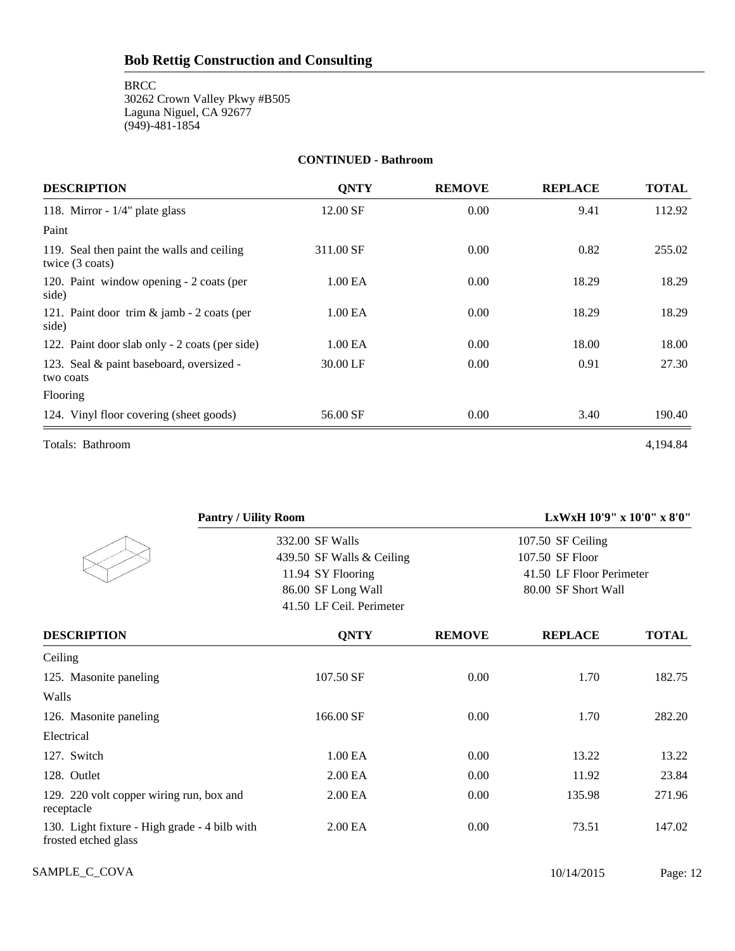#### **CONTINUED - Bathroom**

| <b>DESCRIPTION</b>                                                      | <b>ONTY</b>         | <b>REMOVE</b> | <b>REPLACE</b> | <b>TOTAL</b> |
|-------------------------------------------------------------------------|---------------------|---------------|----------------|--------------|
| 118. Mirror - $1/4$ " plate glass                                       | 12.00 SF            | 0.00          | 9.41           | 112.92       |
| Paint                                                                   |                     |               |                |              |
| 119. Seal then paint the walls and ceiling<br>twice $(3 \text{ coats})$ | 311.00 SF           | 0.00          | 0.82           | 255.02       |
| 120. Paint window opening - 2 coats (per<br>side)                       | 1.00 EA             | 0.00          | 18.29          | 18.29        |
| 121. Paint door trim $&$ jamb - 2 coats (per<br>side)                   | 1.00 EA             | 0.00          | 18.29          | 18.29        |
| 122. Paint door slab only - 2 coats (per side)                          | 1.00 <sub>E</sub> A | 0.00          | 18.00          | 18.00        |
| 123. Seal & paint baseboard, oversized -<br>two coats                   | 30.00 LF            | 0.00          | 0.91           | 27.30        |
| Flooring                                                                |                     |               |                |              |
| 124. Vinyl floor covering (sheet goods)                                 | 56.00 SF            | 0.00          | 3.40           | 190.40       |
| Totals: Bathroom                                                        |                     |               |                | 4,194.84     |

| <b>Pantry / Uility Room</b>                                           |                                                                      |               | LxWxH 10'9" x 10'0" x 8'0"                                         |              |
|-----------------------------------------------------------------------|----------------------------------------------------------------------|---------------|--------------------------------------------------------------------|--------------|
|                                                                       | 332.00 SF Walls                                                      |               | 107.50 SF Ceiling                                                  |              |
|                                                                       | 439.50 SF Walls & Ceiling<br>11.94 SY Flooring<br>86.00 SF Long Wall |               | 107.50 SF Floor<br>41.50 LF Floor Perimeter<br>80.00 SF Short Wall |              |
|                                                                       |                                                                      |               |                                                                    |              |
|                                                                       |                                                                      |               |                                                                    |              |
|                                                                       | 41.50 LF Ceil. Perimeter                                             |               |                                                                    |              |
| <b>DESCRIPTION</b>                                                    | <b>QNTY</b>                                                          | <b>REMOVE</b> | <b>REPLACE</b>                                                     | <b>TOTAL</b> |
| Ceiling                                                               |                                                                      |               |                                                                    |              |
| 125. Masonite paneling                                                | 107.50 SF                                                            | 0.00          | 1.70                                                               | 182.75       |
| Walls                                                                 |                                                                      |               |                                                                    |              |
| 126. Masonite paneling                                                | 166.00 SF                                                            | 0.00          | 1.70                                                               | 282.20       |
| Electrical                                                            |                                                                      |               |                                                                    |              |
| 127. Switch                                                           | 1.00 EA                                                              | 0.00          | 13.22                                                              | 13.22        |
| 128. Outlet                                                           | 2.00 EA                                                              | 0.00          | 11.92                                                              | 23.84        |
| 129. 220 volt copper wiring run, box and<br>receptacle                | 2.00 EA                                                              | 0.00          | 135.98                                                             | 271.96       |
| 130. Light fixture - High grade - 4 bilb with<br>frosted etched glass | 2.00 EA                                                              | 0.00          | 73.51                                                              | 147.02       |

SAMPLE\_C\_COVA 2015 Page: 12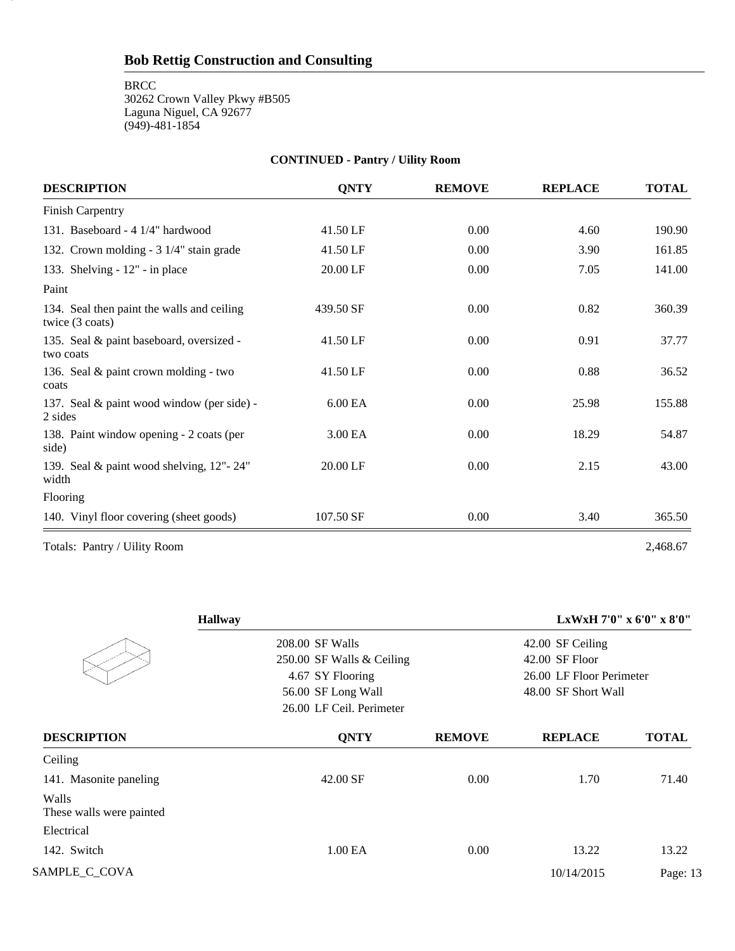**BRCC** 

13

30262 Crown Valley Pkwy #B505 Laguna Niguel, CA 92677 (949)-481-1854

| <b>DESCRIPTION</b>                                                      | <b>QNTY</b> | <b>REMOVE</b> | <b>REPLACE</b> | <b>TOTAL</b> |
|-------------------------------------------------------------------------|-------------|---------------|----------------|--------------|
| <b>Finish Carpentry</b>                                                 |             |               |                |              |
| 131. Baseboard - 4 1/4" hardwood                                        | 41.50 LF    | 0.00          | 4.60           | 190.90       |
| 132. Crown molding - 3 1/4" stain grade                                 | 41.50 LF    | 0.00          | 3.90           | 161.85       |
| 133. Shelving - 12" - in place                                          | 20.00 LF    | 0.00          | 7.05           | 141.00       |
| Paint                                                                   |             |               |                |              |
| 134. Seal then paint the walls and ceiling<br>twice $(3 \text{ coats})$ | 439.50 SF   | 0.00          | 0.82           | 360.39       |
| 135. Seal & paint baseboard, oversized -<br>two coats                   | 41.50 LF    | 0.00          | 0.91           | 37.77        |
| 136. Seal & paint crown molding - two<br>coats                          | 41.50 LF    | 0.00          | 0.88           | 36.52        |
| 137. Seal & paint wood window (per side) -<br>2 sides                   | 6.00 EA     | 0.00          | 25.98          | 155.88       |
| 138. Paint window opening - 2 coats (per<br>side)                       | 3.00 EA     | 0.00          | 18.29          | 54.87        |
| 139. Seal & paint wood shelving, 12"-24"<br>width                       | 20.00 LF    | 0.00          | 2.15           | 43.00        |
| Flooring                                                                |             |               |                |              |
| 140. Vinyl floor covering (sheet goods)                                 | 107.50 SF   | 0.00          | 3.40           | 365.50       |

**CONTINUED - Pantry / Uility Room**

Totals: Pantry / Uility Room 2,468.67

|                                    | <b>Hallway</b>            |               |                          | LxWxH 7'0" x 6'0" x 8'0" |
|------------------------------------|---------------------------|---------------|--------------------------|--------------------------|
|                                    | 208.00 SF Walls           |               | 42.00 SF Ceiling         |                          |
|                                    | 250.00 SF Walls & Ceiling |               | $42.00$ SF Floor         |                          |
|                                    | 4.67 SY Flooring          |               | 26.00 LF Floor Perimeter |                          |
|                                    | 56.00 SF Long Wall        |               | 48.00 SF Short Wall      |                          |
|                                    | 26.00 LF Ceil. Perimeter  |               |                          |                          |
| <b>DESCRIPTION</b>                 | <b>QNTY</b>               | <b>REMOVE</b> | <b>REPLACE</b>           | <b>TOTAL</b>             |
| Ceiling                            |                           |               |                          |                          |
| 141. Masonite paneling             | 42.00 SF                  | 0.00          | 1.70                     | 71.40                    |
| Walls<br>These walls were painted. |                           |               |                          |                          |
| Electrical                         |                           |               |                          |                          |
| 142. Switch                        | 1.00 EA                   | 0.00          | 13.22                    | 13.22                    |
| SAMPLE_C_COVA                      |                           |               | 10/14/2015               | Page: 13                 |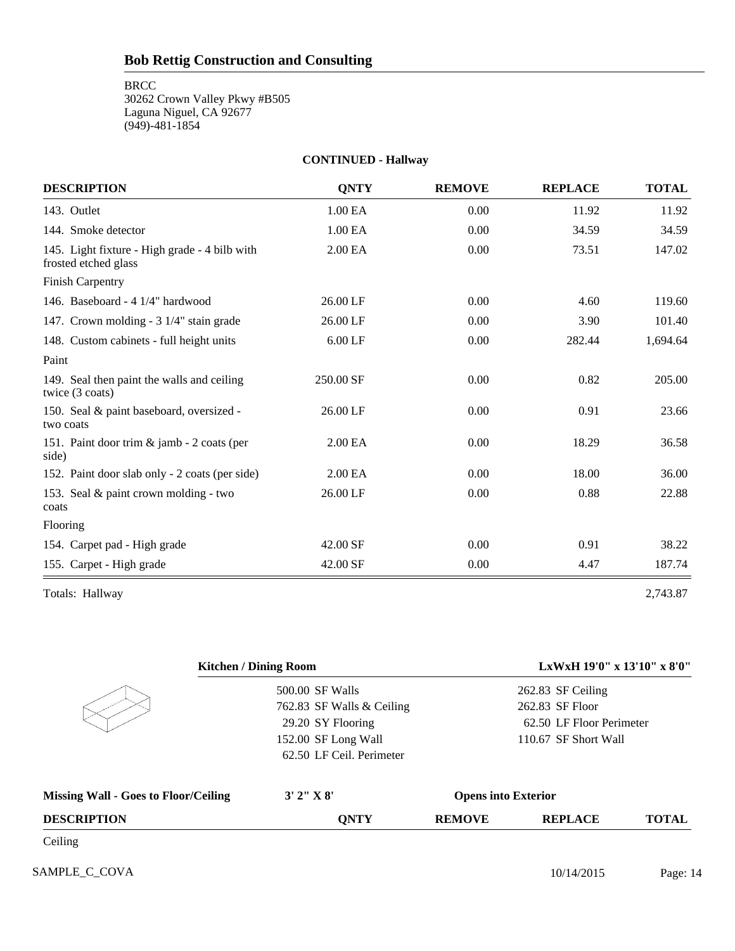# **CONTINUED - Hallway**

| <b>DESCRIPTION</b>                                                    | <b>ONTY</b> | <b>REMOVE</b> | <b>REPLACE</b> | <b>TOTAL</b> |
|-----------------------------------------------------------------------|-------------|---------------|----------------|--------------|
| 143. Outlet                                                           | 1.00 EA     | 0.00          | 11.92          | 11.92        |
| 144. Smoke detector                                                   | 1.00 EA     | 0.00          | 34.59          | 34.59        |
| 145. Light fixture - High grade - 4 bilb with<br>frosted etched glass | 2.00 EA     | 0.00          | 73.51          | 147.02       |
| <b>Finish Carpentry</b>                                               |             |               |                |              |
| 146. Baseboard - 4 1/4" hardwood                                      | 26.00 LF    | 0.00          | 4.60           | 119.60       |
| 147. Crown molding - 3 1/4" stain grade                               | 26.00 LF    | 0.00          | 3.90           | 101.40       |
| 148. Custom cabinets - full height units                              | $6.00$ LF   | 0.00          | 282.44         | 1,694.64     |
| Paint                                                                 |             |               |                |              |
| 149. Seal then paint the walls and ceiling<br>twice (3 coats)         | 250.00 SF   | 0.00          | 0.82           | 205.00       |
| 150. Seal & paint baseboard, oversized -<br>two coats                 | 26.00 LF    | 0.00          | 0.91           | 23.66        |
| 151. Paint door trim & jamb - 2 coats (per<br>side)                   | 2.00 EA     | 0.00          | 18.29          | 36.58        |
| 152. Paint door slab only - 2 coats (per side)                        | 2.00 EA     | 0.00          | 18.00          | 36.00        |
| 153. Seal & paint crown molding - two<br>coats                        | 26.00 LF    | 0.00          | 0.88           | 22.88        |
| Flooring                                                              |             |               |                |              |
| 154. Carpet pad - High grade                                          | 42.00 SF    | 0.00          | 0.91           | 38.22        |
| 155. Carpet - High grade                                              | 42.00 SF    | 0.00          | 4.47           | 187.74       |
| Totals: Hallway                                                       |             |               |                | 2,743.87     |

|                                             | <b>Kitchen / Dining Room</b> |                            | LxWxH 19'0" x 13'10" x 8'0" |              |
|---------------------------------------------|------------------------------|----------------------------|-----------------------------|--------------|
|                                             | 500.00 SF Walls              |                            | 262.83 SF Ceiling           |              |
|                                             | 762.83 SF Walls & Ceiling    |                            | 262.83 SF Floor             |              |
|                                             | 29.20 SY Flooring            |                            | 62.50 LF Floor Perimeter    |              |
|                                             | 152.00 SF Long Wall          |                            | 110.67 SF Short Wall        |              |
|                                             | 62.50 LF Ceil. Perimeter     |                            |                             |              |
| <b>Missing Wall - Goes to Floor/Ceiling</b> | 3' 2'' X 8'                  | <b>Opens into Exterior</b> |                             |              |
| <b>DESCRIPTION</b>                          | <b>QNTY</b>                  | <b>REMOVE</b>              | <b>REPLACE</b>              | <b>TOTAL</b> |
| Ceiling                                     |                              |                            |                             |              |
| SAMPLE C COVA                               |                              |                            | 10/14/2015                  | Page: 14     |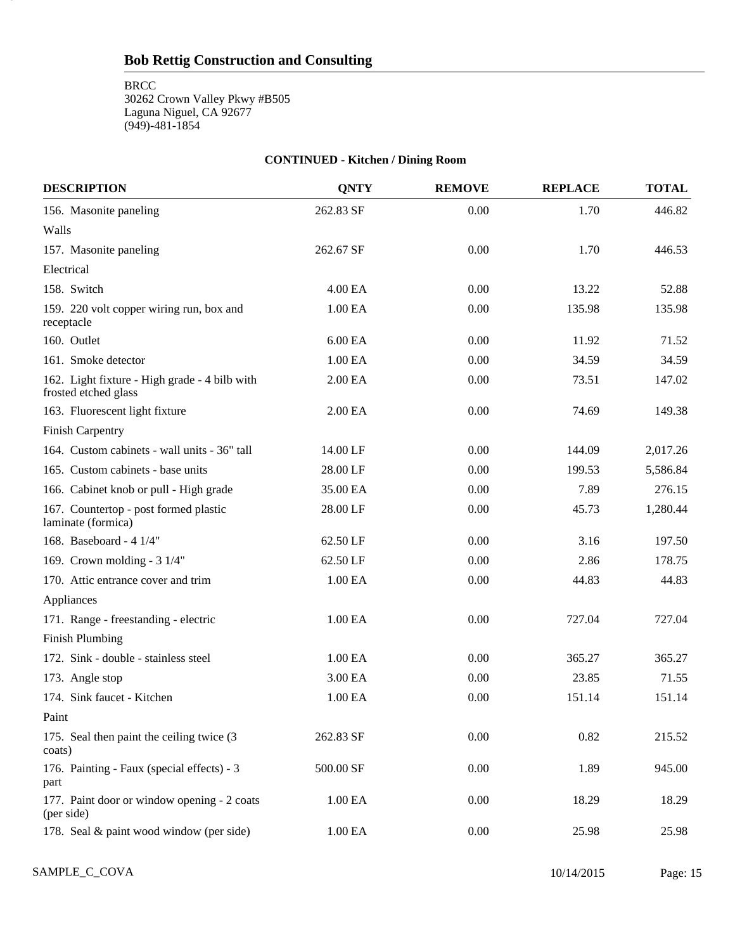**BRCC** 

15

30262 Crown Valley Pkwy #B505 Laguna Niguel, CA 92677 (949)-481-1854

# **CONTINUED - Kitchen / Dining Room**

| <b>DESCRIPTION</b>                                                    | <b>QNTY</b> | <b>REMOVE</b> | <b>REPLACE</b> | <b>TOTAL</b> |
|-----------------------------------------------------------------------|-------------|---------------|----------------|--------------|
| 156. Masonite paneling                                                | 262.83 SF   | 0.00          | 1.70           | 446.82       |
| Walls                                                                 |             |               |                |              |
| 157. Masonite paneling                                                | 262.67 SF   | 0.00          | 1.70           | 446.53       |
| Electrical                                                            |             |               |                |              |
| 158. Switch                                                           | 4.00 EA     | 0.00          | 13.22          | 52.88        |
| 159. 220 volt copper wiring run, box and<br>receptacle                | 1.00 EA     | 0.00          | 135.98         | 135.98       |
| 160. Outlet                                                           | 6.00 EA     | 0.00          | 11.92          | 71.52        |
| 161. Smoke detector                                                   | 1.00 EA     | 0.00          | 34.59          | 34.59        |
| 162. Light fixture - High grade - 4 bilb with<br>frosted etched glass | 2.00 EA     | 0.00          | 73.51          | 147.02       |
| 163. Fluorescent light fixture                                        | 2.00 EA     | 0.00          | 74.69          | 149.38       |
| <b>Finish Carpentry</b>                                               |             |               |                |              |
| 164. Custom cabinets - wall units - 36" tall                          | 14.00 LF    | 0.00          | 144.09         | 2,017.26     |
| 165. Custom cabinets - base units                                     | 28.00 LF    | 0.00          | 199.53         | 5,586.84     |
| 166. Cabinet knob or pull - High grade                                | 35.00 EA    | 0.00          | 7.89           | 276.15       |
| 167. Countertop - post formed plastic<br>laminate (formica)           | 28.00 LF    | 0.00          | 45.73          | 1,280.44     |
| 168. Baseboard - 4 1/4"                                               | 62.50 LF    | 0.00          | 3.16           | 197.50       |
| 169. Crown molding - 3 1/4"                                           | 62.50 LF    | 0.00          | 2.86           | 178.75       |
| 170. Attic entrance cover and trim                                    | 1.00 EA     | 0.00          | 44.83          | 44.83        |
| Appliances                                                            |             |               |                |              |
| 171. Range - freestanding - electric                                  | 1.00 EA     | 0.00          | 727.04         | 727.04       |
| <b>Finish Plumbing</b>                                                |             |               |                |              |
| 172. Sink - double - stainless steel                                  | 1.00 EA     | 0.00          | 365.27         | 365.27       |
| 173. Angle stop                                                       | 3.00 EA     | 0.00          | 23.85          | 71.55        |
| 174. Sink faucet - Kitchen                                            | 1.00 EA     | 0.00          | 151.14         | 151.14       |
| Paint                                                                 |             |               |                |              |
| 175. Seal then paint the ceiling twice (3)<br>coats)                  | 262.83 SF   | 0.00          | 0.82           | 215.52       |
| 176. Painting - Faux (special effects) - 3<br>part                    | 500.00 SF   | 0.00          | 1.89           | 945.00       |
| 177. Paint door or window opening - 2 coats<br>(per side)             | 1.00 EA     | 0.00          | 18.29          | 18.29        |
| 178. Seal & paint wood window (per side)                              | 1.00 EA     | 0.00          | 25.98          | 25.98        |

SAMPLE\_C\_COVA 2015 Page: 15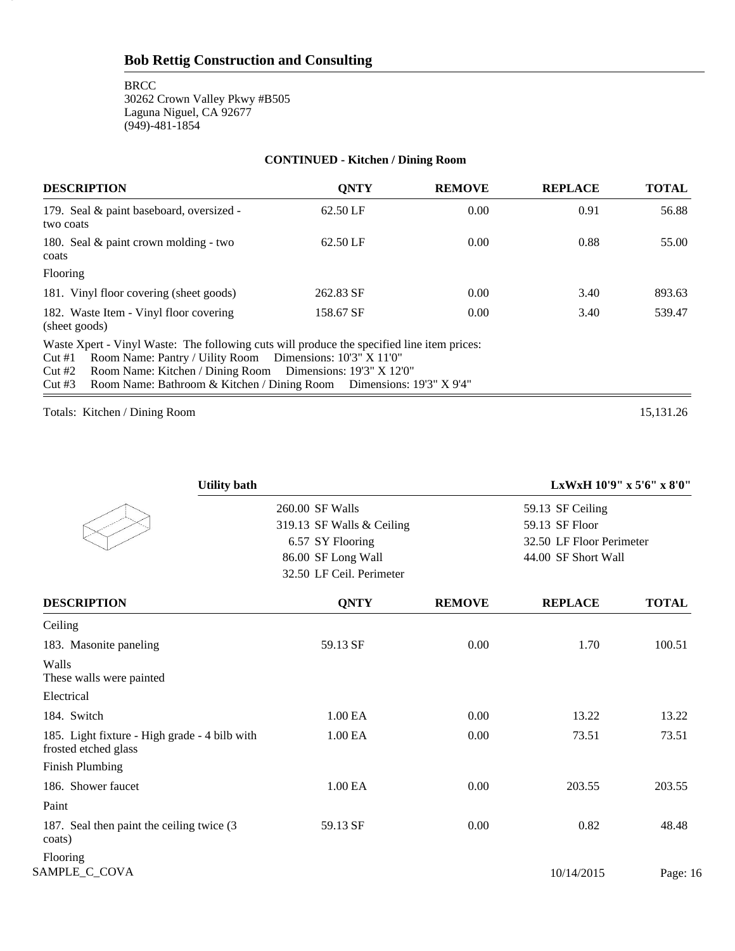# **CONTINUED - Kitchen / Dining Room**

| <b>DESCRIPTION</b>                                                                                                                                                                                                                                                                                                       | <b>ONTY</b> | <b>REMOVE</b> | <b>REPLACE</b> | <b>TOTAL</b> |
|--------------------------------------------------------------------------------------------------------------------------------------------------------------------------------------------------------------------------------------------------------------------------------------------------------------------------|-------------|---------------|----------------|--------------|
| 179. Seal & paint baseboard, oversized -<br>two coats                                                                                                                                                                                                                                                                    | 62.50 LF    | 0.00          | 0.91           | 56.88        |
| 180. Seal $\&$ paint crown molding - two<br>coats                                                                                                                                                                                                                                                                        | 62.50 LF    | 0.00          | 0.88           | 55.00        |
| Flooring                                                                                                                                                                                                                                                                                                                 |             |               |                |              |
| 181. Vinyl floor covering (sheet goods)                                                                                                                                                                                                                                                                                  | 262.83 SF   | 0.00          | 3.40           | 893.63       |
| 182. Waste Item - Vinyl floor covering<br>(sheet goods)                                                                                                                                                                                                                                                                  | 158.67 SF   | 0.00          | 3.40           | 539.47       |
| Waste Xpert - Vinyl Waste: The following cuts will produce the specified line item prices:<br>Room Name: Pantry / Uility Room Dimensions: 10'3" X 11'0"<br>Cut#1<br>Room Name: Kitchen / Dining Room Dimensions: 19'3" X 12'0"<br>Cut#2<br>Room Name: Bathroom & Kitchen / Dining Room Dimensions: 19'3" X 9'4"<br>Cut#3 |             |               |                |              |

Totals: Kitchen / Dining Room 15,131.26

16

| <b>Utility bath</b>                                                   |                           |               | LxWxH 10'9" x 5'6" x 8'0" |              |  |
|-----------------------------------------------------------------------|---------------------------|---------------|---------------------------|--------------|--|
|                                                                       | 260.00 SF Walls           |               | 59.13 SF Ceiling          |              |  |
|                                                                       | 319.13 SF Walls & Ceiling |               | 59.13 SF Floor            |              |  |
|                                                                       | 6.57 SY Flooring          |               | 32.50 LF Floor Perimeter  |              |  |
|                                                                       | 86.00 SF Long Wall        |               | 44.00 SF Short Wall       |              |  |
|                                                                       | 32.50 LF Ceil. Perimeter  |               |                           |              |  |
| <b>DESCRIPTION</b>                                                    | <b>QNTY</b>               | <b>REMOVE</b> | <b>REPLACE</b>            | <b>TOTAL</b> |  |
| Ceiling                                                               |                           |               |                           |              |  |
| 183. Masonite paneling                                                | 59.13 SF                  | 0.00          | 1.70                      | 100.51       |  |
| Walls<br>These walls were painted                                     |                           |               |                           |              |  |
| Electrical                                                            |                           |               |                           |              |  |
| 184. Switch                                                           | 1.00 EA                   | 0.00          | 13.22                     | 13.22        |  |
| 185. Light fixture - High grade - 4 bilb with<br>frosted etched glass | 1.00 EA                   | 0.00          | 73.51                     | 73.51        |  |
| <b>Finish Plumbing</b>                                                |                           |               |                           |              |  |
| 186. Shower faucet                                                    | 1.00 EA                   | 0.00          | 203.55                    | 203.55       |  |
| Paint                                                                 |                           |               |                           |              |  |
| 187. Seal then paint the ceiling twice (3)<br>coats)                  | 59.13 SF                  | 0.00          | 0.82                      | 48.48        |  |
| Flooring<br>SAMPLE_C_COVA                                             |                           |               | 10/14/2015                | Page: 16     |  |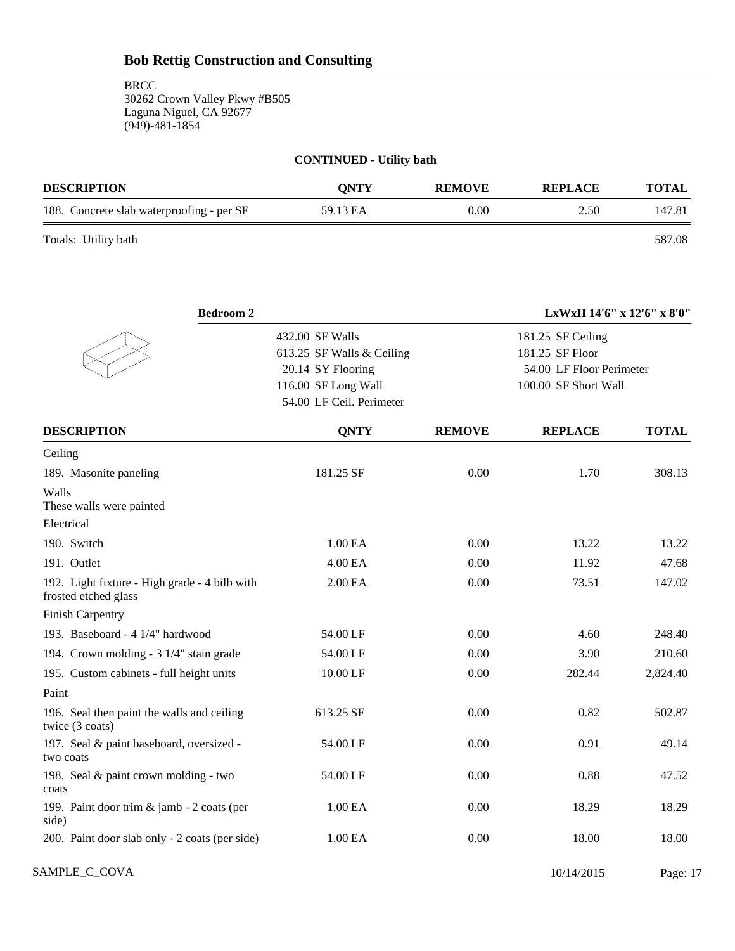**BRCC** 30262 Crown Valley Pkwy #B505 Laguna Niguel, CA 92677 (949)-481-1854

# **CONTINUED - Utility bath**

| <b>DESCRIPTION</b>                        | <b>ONTY</b> | <b>REMOVE</b> | <b>REPLACE</b> | <b>TOTAL</b> |
|-------------------------------------------|-------------|---------------|----------------|--------------|
| 188. Concrete slab waterproofing - per SF | 59.13 EA    | 0.00          | 2.50           | 147.81       |
| Totals: Utility bath                      |             |               |                | 587.08       |

| <b>Bedroom 2</b>                                                      |                                                                                                                      |               | LxWxH 14'6" x 12'6" x 8'0"                                                               |              |  |
|-----------------------------------------------------------------------|----------------------------------------------------------------------------------------------------------------------|---------------|------------------------------------------------------------------------------------------|--------------|--|
|                                                                       | 432.00 SF Walls<br>613.25 SF Walls & Ceiling<br>20.14 SY Flooring<br>116.00 SF Long Wall<br>54.00 LF Ceil. Perimeter |               | 181.25 SF Ceiling<br>181.25 SF Floor<br>54.00 LF Floor Perimeter<br>100.00 SF Short Wall |              |  |
| <b>DESCRIPTION</b>                                                    | <b>QNTY</b>                                                                                                          | <b>REMOVE</b> | <b>REPLACE</b>                                                                           | <b>TOTAL</b> |  |
| Ceiling                                                               |                                                                                                                      |               |                                                                                          |              |  |
| 189. Masonite paneling                                                | 181.25 SF                                                                                                            | 0.00          | 1.70                                                                                     | 308.13       |  |
| Walls<br>These walls were painted                                     |                                                                                                                      |               |                                                                                          |              |  |
| Electrical                                                            |                                                                                                                      |               |                                                                                          |              |  |
| 190. Switch                                                           | 1.00 EA                                                                                                              | 0.00          | 13.22                                                                                    | 13.22        |  |
| 191. Outlet                                                           | 4.00 EA                                                                                                              | 0.00          | 11.92                                                                                    | 47.68        |  |
| 192. Light fixture - High grade - 4 bilb with<br>frosted etched glass | 2.00 EA                                                                                                              | 0.00          | 73.51                                                                                    | 147.02       |  |
| <b>Finish Carpentry</b>                                               |                                                                                                                      |               |                                                                                          |              |  |
| 193. Baseboard - 4 1/4" hardwood                                      | 54.00 LF                                                                                                             | 0.00          | 4.60                                                                                     | 248.40       |  |
| 194. Crown molding - 3 1/4" stain grade                               | 54.00 LF                                                                                                             | 0.00          | 3.90                                                                                     | 210.60       |  |
| 195. Custom cabinets - full height units                              | 10.00 LF                                                                                                             | 0.00          | 282.44                                                                                   | 2,824.40     |  |
| Paint                                                                 |                                                                                                                      |               |                                                                                          |              |  |
| 196. Seal then paint the walls and ceiling<br>twice (3 coats)         | 613.25 SF                                                                                                            | 0.00          | 0.82                                                                                     | 502.87       |  |
| 197. Seal & paint baseboard, oversized -<br>two coats                 | 54.00 LF                                                                                                             | 0.00          | 0.91                                                                                     | 49.14        |  |
| 198. Seal & paint crown molding - two<br>coats                        | 54.00 LF                                                                                                             | 0.00          | 0.88                                                                                     | 47.52        |  |
| 199. Paint door trim & jamb - 2 coats (per<br>side)                   | 1.00 EA                                                                                                              | 0.00          | 18.29                                                                                    | 18.29        |  |
| 200. Paint door slab only - 2 coats (per side)                        | 1.00 EA                                                                                                              | 0.00          | 18.00                                                                                    | 18.00        |  |

SAMPLE\_C\_COVA 2015 Page: 17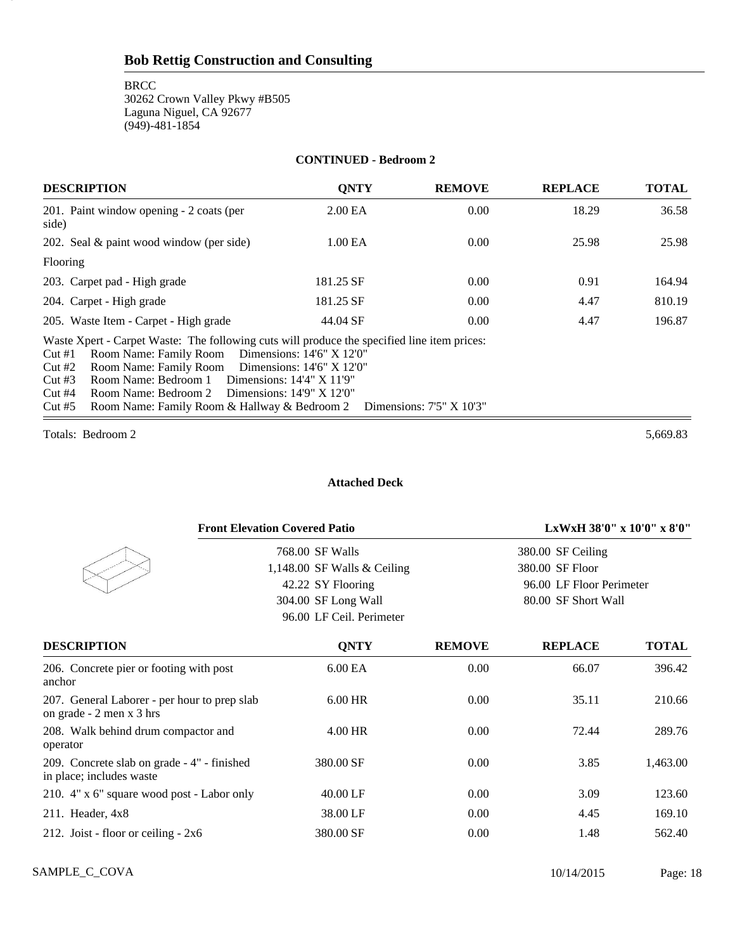#### **CONTINUED - Bedroom 2**

| <b>DESCRIPTION</b>                                                                                                                                                                                                                                                                                                                                                                                                                        | <b>ONTY</b> | <b>REMOVE</b> | <b>REPLACE</b> | <b>TOTAL</b> |
|-------------------------------------------------------------------------------------------------------------------------------------------------------------------------------------------------------------------------------------------------------------------------------------------------------------------------------------------------------------------------------------------------------------------------------------------|-------------|---------------|----------------|--------------|
| 201. Paint window opening - 2 coats (per<br>side)                                                                                                                                                                                                                                                                                                                                                                                         | 2.00 EA     | 0.00          | 18.29          | 36.58        |
| 202. Seal & paint wood window (per side)                                                                                                                                                                                                                                                                                                                                                                                                  | 1.00 EA     | 0.00          | 25.98          | 25.98        |
| Flooring                                                                                                                                                                                                                                                                                                                                                                                                                                  |             |               |                |              |
| 203. Carpet pad - High grade                                                                                                                                                                                                                                                                                                                                                                                                              | 181.25 SF   | 0.00          | 0.91           | 164.94       |
| 204. Carpet - High grade                                                                                                                                                                                                                                                                                                                                                                                                                  | 181.25 SF   | 0.00          | 4.47           | 810.19       |
| 205. Waste Item - Carpet - High grade                                                                                                                                                                                                                                                                                                                                                                                                     | 44.04 SF    | 0.00          | 4.47           | 196.87       |
| Waste Xpert - Carpet Waste: The following cuts will produce the specified line item prices:<br>Room Name: Family Room Dimensions: 14'6" X 12'0"<br>Cut#1<br>Room Name: Family Room<br>Dimensions: $14'6'' \times 12'0''$<br>Cut#2<br>Room Name: Bedroom 1 Dimensions: 14'4" X 11'9"<br>Cut#3<br>Cut#4<br>Room Name: Bedroom 2 Dimensions: 14'9" X 12'0"<br>Room Name: Family Room & Hallway & Bedroom 2 Dimensions: 7'5" X 10'3"<br>Cut#5 |             |               |                |              |

Totals: Bedroom 2 5,669.83

18

#### **Attached Deck**

| <b>Front Elevation Covered Patio</b>                                     |                               |               | LxWxH 38'0" x 10'0" x 8'0" |              |  |
|--------------------------------------------------------------------------|-------------------------------|---------------|----------------------------|--------------|--|
|                                                                          | 768.00 SF Walls               |               | 380.00 SF Ceiling          |              |  |
|                                                                          | 1,148.00 SF Walls $&$ Ceiling |               | 380.00 SF Floor            |              |  |
|                                                                          | 42.22 SY Flooring             |               | 96.00 LF Floor Perimeter   |              |  |
|                                                                          | 304.00 SF Long Wall           |               | 80.00 SF Short Wall        |              |  |
|                                                                          | 96.00 LF Ceil. Perimeter      |               |                            |              |  |
| <b>DESCRIPTION</b>                                                       | <b>QNTY</b>                   | <b>REMOVE</b> | <b>REPLACE</b>             | <b>TOTAL</b> |  |
| 206. Concrete pier or footing with post<br>anchor                        | 6.00 <sub>E</sub> A           | 0.00          | 66.07                      | 396.42       |  |
| 207. General Laborer - per hour to prep slab<br>on grade - 2 men x 3 hrs | 6.00 HR                       | 0.00          | 35.11                      | 210.66       |  |
| 208. Walk behind drum compactor and<br>operator                          | 4.00 HR                       | 0.00          | 72.44                      | 289.76       |  |
| 209. Concrete slab on grade - 4" - finished<br>in place; includes waste  | 380.00 SF                     | 0.00          | 3.85                       | 1,463.00     |  |
| 210. 4" x 6" square wood post - Labor only                               | 40.00 LF                      | 0.00          | 3.09                       | 123.60       |  |
| 211. Header, $4x8$                                                       | 38.00 LF                      | 0.00          | 4.45                       | 169.10       |  |
| 212. Joist - floor or ceiling - $2x6$                                    | 380.00 SF                     | 0.00          | 1.48                       | 562.40       |  |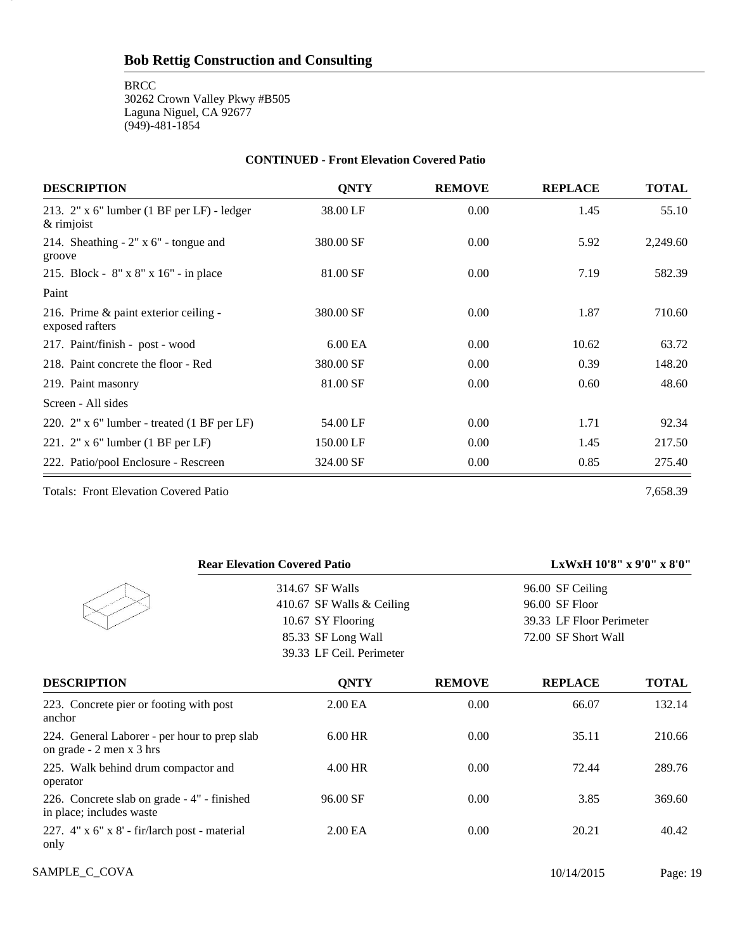**BRCC** 

19

30262 Crown Valley Pkwy #B505 Laguna Niguel, CA 92677 (949)-481-1854

#### **CONTINUED - Front Elevation Covered Patio**

| <b>DESCRIPTION</b>                                           | <b>QNTY</b>         | <b>REMOVE</b> | <b>REPLACE</b> | <b>TOTAL</b> |
|--------------------------------------------------------------|---------------------|---------------|----------------|--------------|
| 213. $2"$ x 6" lumber (1 BF per LF) - ledger<br>$&$ rimjoist | 38.00 LF            | 0.00          | 1.45           | 55.10        |
| 214. Sheathing $-2$ " x 6" - tongue and<br>groove            | 380.00 SF           | 0.00          | 5.92           | 2,249.60     |
| 215. Block - 8" x 8" x 16" - in place                        | 81.00 SF            | 0.00          | 7.19           | 582.39       |
| Paint                                                        |                     |               |                |              |
| 216. Prime & paint exterior ceiling -<br>exposed rafters     | 380.00 SF           | 0.00          | 1.87           | 710.60       |
| 217. Paint/finish - post - wood                              | 6.00 <sub>E</sub> A | 0.00          | 10.62          | 63.72        |
| 218. Paint concrete the floor - Red                          | 380.00 SF           | 0.00          | 0.39           | 148.20       |
| 219. Paint masonry                                           | 81.00 SF            | 0.00          | 0.60           | 48.60        |
| Screen - All sides                                           |                     |               |                |              |
| 220. $2"$ x 6" lumber - treated $(1 BF per LF)$              | 54.00 LF            | 0.00          | 1.71           | 92.34        |
| 221. $2" \times 6"$ lumber (1 BF per LF)                     | 150.00 LF           | 0.00          | 1.45           | 217.50       |
| 222. Patio/pool Enclosure - Rescreen                         | 324.00 SF           | 0.00          | 0.85           | 275.40       |

Totals: Front Elevation Covered Patio 7,658.39

| <b>Rear Elevation Covered Patio</b>                                      |                             |               |                          | LxWxH 10'8" x 9'0" x 8'0" |
|--------------------------------------------------------------------------|-----------------------------|---------------|--------------------------|---------------------------|
|                                                                          | 314.67 SF Walls             |               | 96.00 SF Ceiling         |                           |
|                                                                          | 410.67 SF Walls $&$ Ceiling |               | 96.00 SF Floor           |                           |
|                                                                          | 10.67 SY Flooring           |               | 39.33 LF Floor Perimeter |                           |
|                                                                          | 85.33 SF Long Wall          |               | 72.00 SF Short Wall      |                           |
|                                                                          | 39.33 LF Ceil. Perimeter    |               |                          |                           |
| <b>DESCRIPTION</b>                                                       | <b>ONTY</b>                 | <b>REMOVE</b> | <b>REPLACE</b>           | <b>TOTAL</b>              |
| 223. Concrete pier or footing with post<br>anchor                        | 2.00 <sub>E</sub> A         | 0.00          | 66.07                    | 132.14                    |
| 224. General Laborer - per hour to prep slab<br>on grade - 2 men x 3 hrs | $6.00$ HR                   | 0.00          | 35.11                    | 210.66                    |
| 225. Walk behind drum compactor and<br>operator                          | $4.00$ HR                   | 0.00          | 72.44                    | 289.76                    |
| 226. Concrete slab on grade - 4" - finished<br>in place; includes waste  | 96.00 SF                    | 0.00          | 3.85                     | 369.60                    |
| 227. 4" x 6" x 8' - fir/larch post - material<br>only                    | 2.00 <sub>E</sub> A         | 0.00          | 20.21                    | 40.42                     |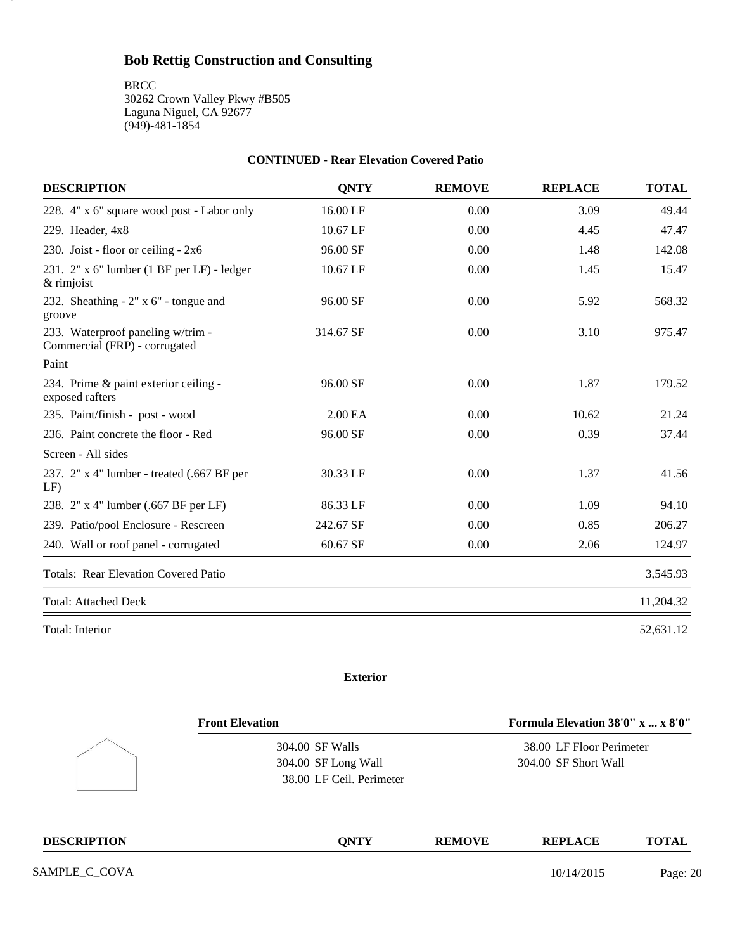**BRCC** 

20

30262 Crown Valley Pkwy #B505 Laguna Niguel, CA 92677 (949)-481-1854

#### **CONTINUED - Rear Elevation Covered Patio**

| <b>DESCRIPTION</b>                                                 | <b>ONTY</b>         | <b>REMOVE</b> | <b>REPLACE</b> | <b>TOTAL</b> |
|--------------------------------------------------------------------|---------------------|---------------|----------------|--------------|
| 228. 4" x 6" square wood post - Labor only                         | 16.00 LF            | 0.00          | 3.09           | 49.44        |
| 229. Header, 4x8                                                   | 10.67 LF            | 0.00          | 4.45           | 47.47        |
| 230. Joist - floor or ceiling - 2x6                                | 96.00 SF            | 0.00          | 1.48           | 142.08       |
| 231. 2" x 6" lumber (1 BF per LF) - ledger<br>& rimjoist           | 10.67 LF            | 0.00          | 1.45           | 15.47        |
| 232. Sheathing $-2$ " x 6" - tongue and<br>groove                  | 96.00 SF            | 0.00          | 5.92           | 568.32       |
| 233. Waterproof paneling w/trim -<br>Commercial (FRP) - corrugated | 314.67 SF           | 0.00          | 3.10           | 975.47       |
| Paint                                                              |                     |               |                |              |
| 234. Prime & paint exterior ceiling -<br>exposed rafters           | 96.00 SF            | 0.00          | 1.87           | 179.52       |
| 235. Paint/finish - post - wood                                    | 2.00 <sub>E</sub> A | 0.00          | 10.62          | 21.24        |
| 236. Paint concrete the floor - Red                                | 96.00 SF            | 0.00          | 0.39           | 37.44        |
| Screen - All sides                                                 |                     |               |                |              |
| 237. 2" x 4" lumber - treated (.667 BF per<br>$LF$ )               | 30.33 LF            | 0.00          | 1.37           | 41.56        |
| 238. 2" x 4" lumber (.667 BF per LF)                               | 86.33 LF            | 0.00          | 1.09           | 94.10        |
| 239. Patio/pool Enclosure - Rescreen                               | 242.67 SF           | 0.00          | 0.85           | 206.27       |
| 240. Wall or roof panel - corrugated                               | 60.67 SF            | 0.00          | 2.06           | 124.97       |
| <b>Totals: Rear Elevation Covered Patio</b>                        |                     |               |                | 3,545.93     |
| <b>Total: Attached Deck</b>                                        |                     |               |                | 11,204.32    |
| Total: Interior                                                    |                     |               |                | 52,631.12    |

# **Exterior**

| <b>Front Elevation</b> |                          | Formula Elevation 38'0" x  x 8'0" |                          |              |
|------------------------|--------------------------|-----------------------------------|--------------------------|--------------|
|                        | 304.00 SF Walls          |                                   | 38.00 LF Floor Perimeter |              |
|                        | 304.00 SF Long Wall      |                                   | 304.00 SF Short Wall     |              |
|                        | 38.00 LF Ceil. Perimeter |                                   |                          |              |
| <b>DESCRIPTION</b>     | <b>ONTY</b>              | <b>REMOVE</b>                     | <b>REPLACE</b>           | <b>TOTAL</b> |
| SAMPLE_C_COVA          |                          |                                   | 10/14/2015               | Page: 20     |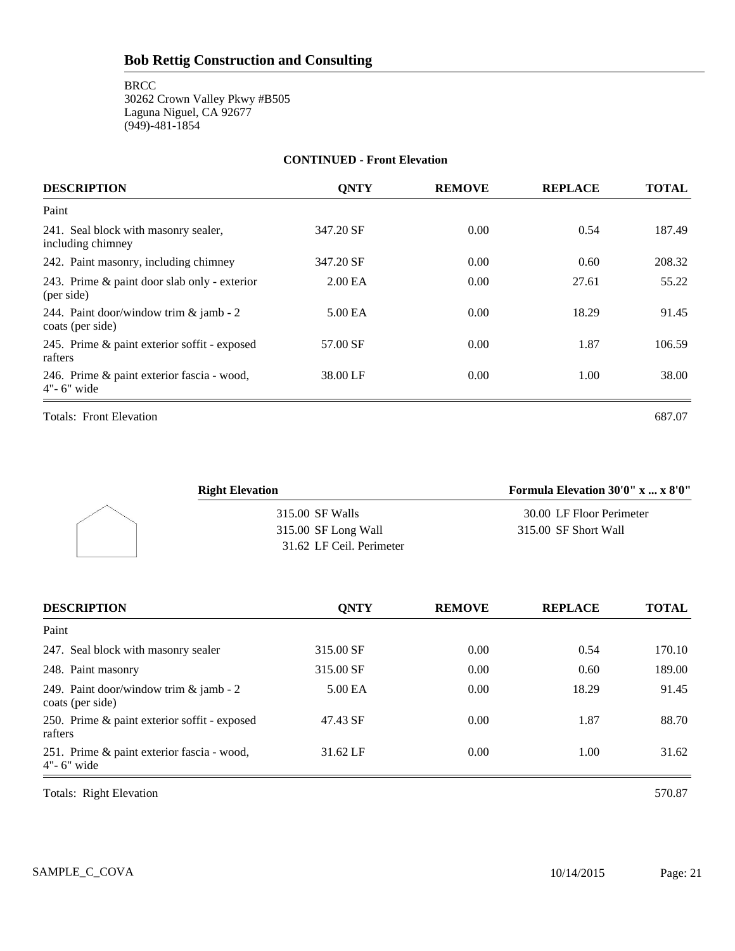#### **CONTINUED - Front Elevation**

| <b>DESCRIPTION</b>                                           | <b>ONTY</b>         | <b>REMOVE</b> | <b>REPLACE</b> | <b>TOTAL</b> |
|--------------------------------------------------------------|---------------------|---------------|----------------|--------------|
| Paint                                                        |                     |               |                |              |
| 241. Seal block with masonry sealer,<br>including chimney    | 347.20 SF           | 0.00          | 0.54           | 187.49       |
| 242. Paint masonry, including chimney                        | 347.20 SF           | 0.00          | 0.60           | 208.32       |
| 243. Prime & paint door slab only - exterior<br>(per side)   | 2.00 <sub>E</sub> A | 0.00          | 27.61          | 55.22        |
| 244. Paint door/window trim & jamb - 2<br>coats (per side)   | 5.00 EA             | 0.00          | 18.29          | 91.45        |
| 245. Prime & paint exterior soffit - exposed<br>rafters      | 57.00 SF            | 0.00          | 1.87           | 106.59       |
| 246. Prime & paint exterior fascia - wood,<br>$4"$ - 6" wide | 38.00 LF            | 0.00          | 1.00           | 38.00        |
| <b>Totals: Front Elevation</b>                               |                     |               |                | 687.07       |

| <b>Right Elevation</b>   | Formula Elevation 30'0" x  x 8'0" |
|--------------------------|-----------------------------------|
| 315.00 SF Walls          | 30.00 LF Floor Perimeter          |
| 315.00 SF Long Wall      | 315.00 SF Short Wall              |
| 31.62 LF Ceil. Perimeter |                                   |

| <b>DESCRIPTION</b>                                           | <b>ONTY</b> | <b>REMOVE</b> | <b>REPLACE</b> | <b>TOTAL</b> |
|--------------------------------------------------------------|-------------|---------------|----------------|--------------|
| Paint                                                        |             |               |                |              |
| 247. Seal block with masonry sealer                          | 315.00 SF   | 0.00          | 0.54           | 170.10       |
| 248. Paint masonry                                           | 315.00 SF   | 0.00          | 0.60           | 189.00       |
| 249. Paint door/window trim & jamb - 2<br>coats (per side)   | 5.00 EA     | 0.00          | 18.29          | 91.45        |
| 250. Prime & paint exterior soffit - exposed<br>rafters      | 47.43 SF    | 0.00          | 1.87           | 88.70        |
| 251. Prime & paint exterior fascia - wood,<br>$4"$ - 6" wide | 31.62 LF    | 0.00          | 1.00           | 31.62        |

Totals: Right Elevation 570.87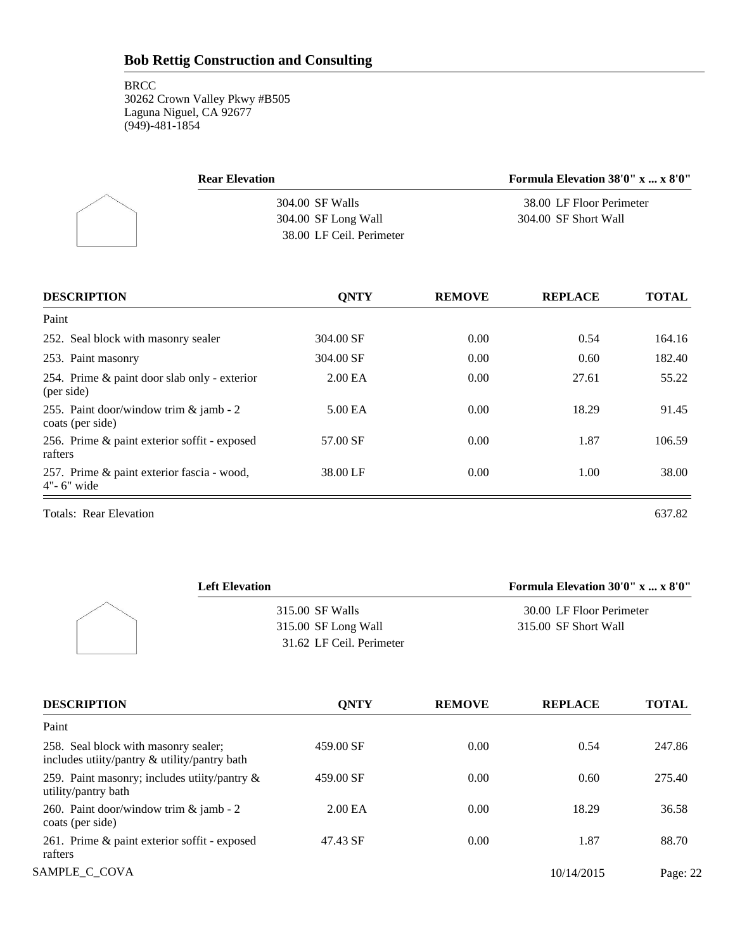| <b>Rear Elevation</b>    | Formula Elevation 38'0" x  x 8'0" |
|--------------------------|-----------------------------------|
| 304.00 SF Walls          | 38.00 LF Floor Perimeter          |
| 304.00 SF Long Wall      | 304.00 SF Short Wall              |
| 38.00 LF Ceil. Perimeter |                                   |

| <b>DESCRIPTION</b>                                           | <b>ONTY</b>         | <b>REMOVE</b> | <b>REPLACE</b> | <b>TOTAL</b> |
|--------------------------------------------------------------|---------------------|---------------|----------------|--------------|
| Paint                                                        |                     |               |                |              |
| 252. Seal block with masonry sealer                          | 304.00 SF           | 0.00          | 0.54           | 164.16       |
| 253. Paint masonry                                           | 304.00 SF           | 0.00          | 0.60           | 182.40       |
| 254. Prime & paint door slab only - exterior<br>(per side)   | 2.00 <sub>E</sub> A | 0.00          | 27.61          | 55.22        |
| 255. Paint door/window trim & jamb - 2<br>coats (per side)   | 5.00 EA             | 0.00          | 18.29          | 91.45        |
| 256. Prime & paint exterior soffit - exposed<br>rafters      | 57.00 SF            | 0.00          | 1.87           | 106.59       |
| 257. Prime & paint exterior fascia - wood,<br>$4"$ - 6" wide | 38.00 LF            | 0.00          | 1.00           | 38.00        |

Totals: Rear Elevation 637.82

| <b>Left Elevation</b>    | Formula Elevation 30'0" x  x 8'0" |
|--------------------------|-----------------------------------|
| 315.00 SF Walls          | 30.00 LF Floor Perimeter          |
| 315.00 SF Long Wall      | 315.00 SF Short Wall              |
| 31.62 LF Ceil. Perimeter |                                   |

| <b>DESCRIPTION</b>                                                                   | <b>ONTY</b>         | <b>REMOVE</b> | <b>REPLACE</b> | <b>TOTAL</b> |
|--------------------------------------------------------------------------------------|---------------------|---------------|----------------|--------------|
| Paint                                                                                |                     |               |                |              |
| 258. Seal block with masonry sealer;<br>includes utiity/pantry & utility/pantry bath | 459.00 SF           | 0.00          | 0.54           | 247.86       |
| 259. Paint masonry; includes utiity/pantry &<br>utility/pantry bath                  | 459.00 SF           | 0.00          | 0.60           | 275.40       |
| 260. Paint door/window trim & jamb - 2<br>coats (per side)                           | 2.00 <sub>E</sub> A | 0.00          | 18.29          | 36.58        |
| 261. Prime & paint exterior soffit - exposed<br>rafters                              | 47.43 SF            | 0.00          | 1.87           | 88.70        |
| SAMPLE C COVA                                                                        |                     |               | 10/14/2015     | Page: 22     |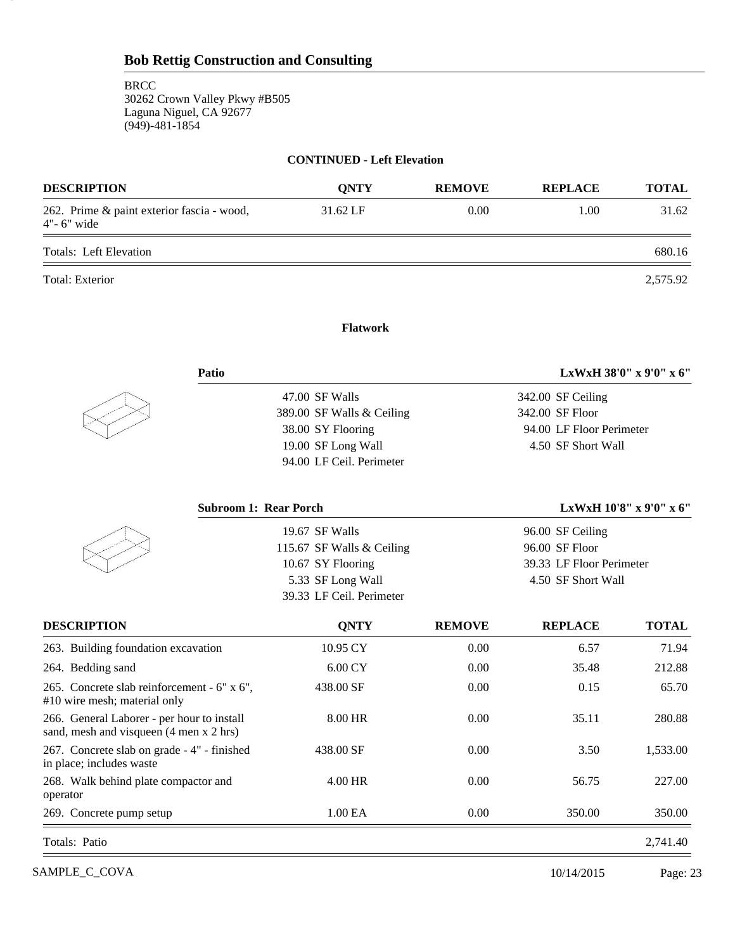23

#### **CONTINUED - Left Elevation**

| <b>DESCRIPTION</b>                                           | <b>ONTY</b> | <b>REMOVE</b> | <b>REPLACE</b> | <b>TOTAL</b> |
|--------------------------------------------------------------|-------------|---------------|----------------|--------------|
| 262. Prime & paint exterior fascia - wood,<br>$4"$ - 6" wide | 31.62 LF    | 0.00          | 1.00           | 31.62        |
| Totals: Left Elevation                                       |             |               |                | 680.16       |
| Total: Exterior                                              |             |               |                | 2,575.92     |

# **Flatwork**

|                           | LxWxH 38'0" x 9'0" x 6"  |
|---------------------------|--------------------------|
| 47.00 SF Walls            | 342.00 SF Ceiling        |
| 389.00 SF Walls & Ceiling | 342.00 SF Floor          |
| 38.00 SY Flooring         | 94.00 LF Floor Perimeter |
| 19.00 SF Long Wall        | 4.50 SF Short Wall       |
| 94.00 LF Ceil. Perimeter  |                          |
|                           | Patio                    |

| <b>Subroom 1: Rear Porch</b> | LxWxH $10'8''$ x $9'0''$ x $6''$ |
|------------------------------|----------------------------------|
| 19.67 SF Walls               | 96.00 SF Ceiling                 |
| 115.67 SF Walls & Ceiling    | 96.00 SF Floor                   |
| 10.67 SY Flooring            | 39.33 LF Floor Perimeter         |
| 5.33 SF Long Wall            | 4.50 SF Short Wall               |
| 39.33 LF Ceil. Perimeter     |                                  |

| <b>DESCRIPTION</b>                                                                    | <b>ONTY</b>         | <b>REMOVE</b> | <b>REPLACE</b> | <b>TOTAL</b> |
|---------------------------------------------------------------------------------------|---------------------|---------------|----------------|--------------|
| 263. Building foundation excavation                                                   | 10.95 CY            | 0.00          | 6.57           | 71.94        |
| 264. Bedding sand                                                                     | $6.00 \mathrm{CY}$  | 0.00          | 35.48          | 212.88       |
| 265. Concrete slab reinforcement - 6" x 6",<br>#10 wire mesh; material only           | 438.00 SF           | 0.00          | 0.15           | 65.70        |
| 266. General Laborer - per hour to install<br>sand, mesh and visqueen (4 men x 2 hrs) | 8.00 HR             | 0.00          | 35.11          | 280.88       |
| 267. Concrete slab on grade - 4" - finished<br>in place; includes waste               | 438.00 SF           | 0.00          | 3.50           | 1,533.00     |
| 268. Walk behind plate compactor and<br>operator                                      | 4.00 HR             | 0.00          | 56.75          | 227.00       |
| 269. Concrete pump setup                                                              | 1.00 <sub>E</sub> A | 0.00          | 350.00         | 350.00       |
| Totals: Patio                                                                         |                     |               |                | 2,741.40     |

SAMPLE\_C\_COVA 2015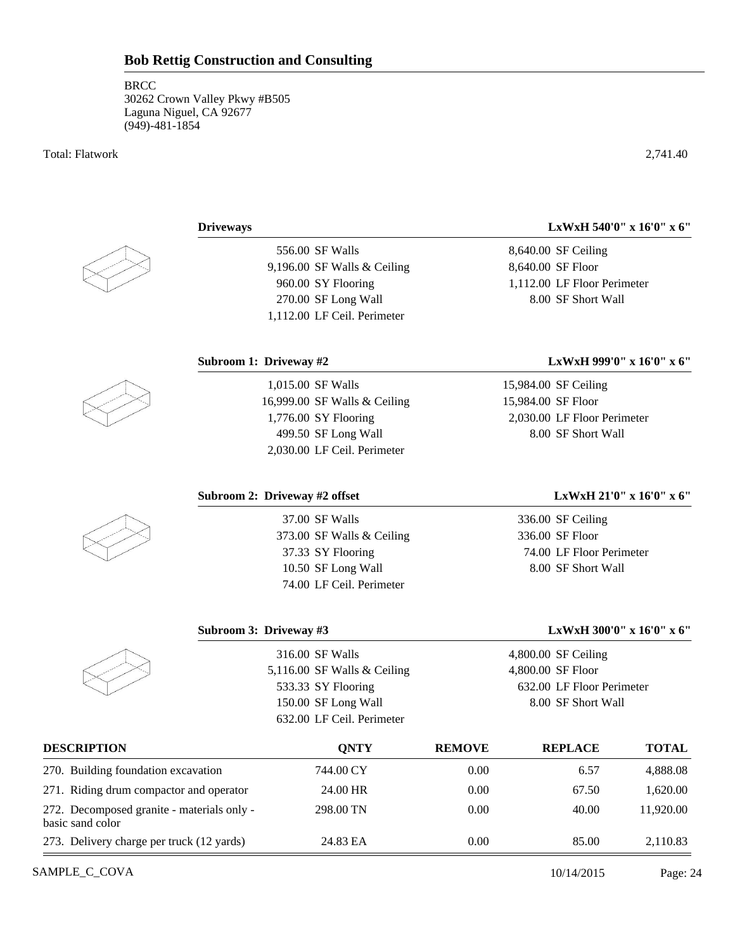Total: Flatwork 2,741.40

556.00 SF Walls 9,196.00 SF Walls & Ceiling 960.00 SY Flooring 270.00 SF Long Wall 1,112.00 LF Ceil. Perimeter

**Subroom 1: Driveway #2 LxWxH 999'0" x 16'0" x 6"**

**Driveways LxWxH 540'0" x 16'0" x 6"**

8,640.00 SF Ceiling 8,640.00 SF Floor 1,112.00 LF Floor Perimeter 8.00 SF Short Wall

1,015.00 SF Walls 16,999.00 SF Walls & Ceiling 1,776.00 SY Flooring 499.50 SF Long Wall 2,030.00 LF Ceil. Perimeter

15,984.00 SF Ceiling

15,984.00 SF Floor 2,030.00 LF Floor Perimeter 8.00 SF Short Wall

37.00 SF Walls 373.00 SF Walls & Ceiling 37.33 SY Flooring 10.50 SF Long Wall 74.00 LF Ceil. Perimeter

# **Subroom 2: Driveway #2 offset LxWxH 21'0" x 16'0" x 6"**

336.00 SF Ceiling 336.00 SF Floor 74.00 LF Floor Perimeter 8.00 SF Short Wall

# **Subroom 3: Driveway #3 LxWxH 300'0" x 16'0" x 6"**

| 316.00 SF Walls               | $4,800.00$ SF Ceiling     |
|-------------------------------|---------------------------|
| 5,116.00 SF Walls $&$ Ceiling | 4,800.00 SF Floor         |
| 533.33 SY Flooring            | 632.00 LF Floor Perimeter |
| 150.00 SF Long Wall           | 8.00 SF Short Wall        |
| 632.00 LF Ceil. Perimeter     |                           |
|                               |                           |

| <b>DESCRIPTION</b>                                             | ONTY      | <b>REMOVE</b> | <b>REPLACE</b> | <b>TOTAL</b> |  |
|----------------------------------------------------------------|-----------|---------------|----------------|--------------|--|
| 270. Building foundation excavation                            | 744.00 CY | 0.00          | 6.57           | 4,888.08     |  |
| 271. Riding drum compactor and operator                        | 24.00 HR  | 0.00          | 67.50          | 1,620.00     |  |
| 272. Decomposed granite - materials only -<br>basic sand color | 298.00 TN | 0.00          | 40.00          | 11,920.00    |  |
| 273. Delivery charge per truck (12 yards)                      | 24.83 EA  | 0.00          | 85.00          | 2,110.83     |  |

SAMPLE\_C\_COVA Page: 24







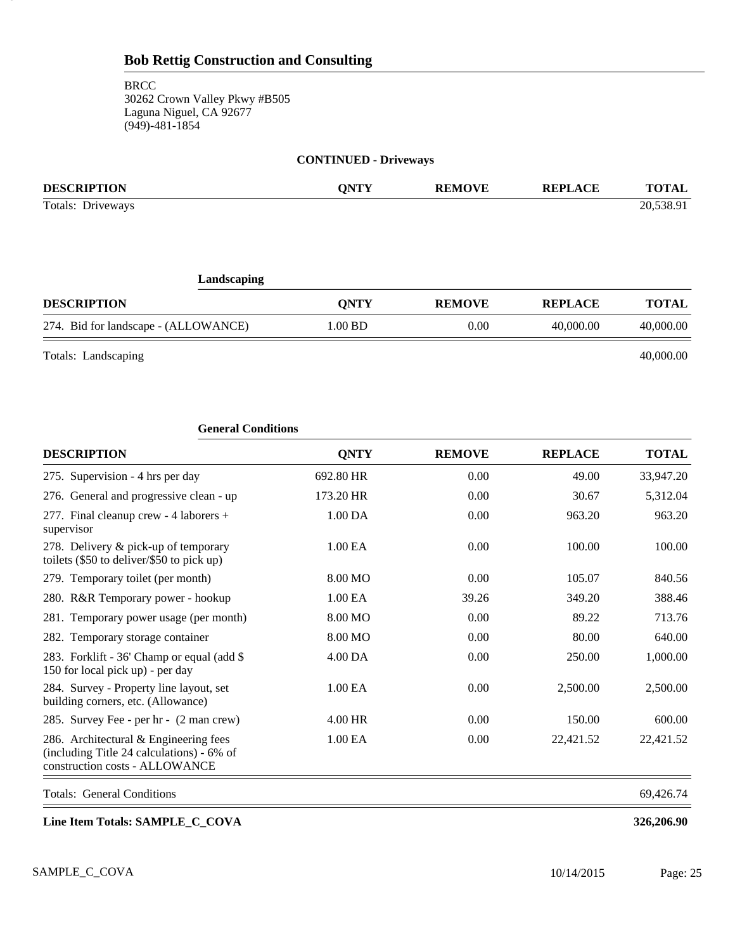# **CONTINUED - Driveways**

| <b>DESCRIPTION</b>                   | <b>ONTY</b> | <b>REMOVE</b> | <b>REPLACE</b> | <b>TOTAL</b> |
|--------------------------------------|-------------|---------------|----------------|--------------|
| Totals: Driveways                    |             |               |                | 20,538.91    |
| Landscaping                          |             |               |                |              |
| <b>DESCRIPTION</b>                   | <b>ONTY</b> | <b>REMOVE</b> | <b>REPLACE</b> | <b>TOTAL</b> |
| 274. Bid for landscape - (ALLOWANCE) | 1.00 BD     | 0.00          | 40,000.00      | 40,000.00    |
|                                      |             |               |                |              |

Totals: Landscaping 40,000.00

25

| <b>General Conditions</b>                                                                                            |                     |               |                |              |
|----------------------------------------------------------------------------------------------------------------------|---------------------|---------------|----------------|--------------|
| <b>DESCRIPTION</b>                                                                                                   | <b>QNTY</b>         | <b>REMOVE</b> | <b>REPLACE</b> | <b>TOTAL</b> |
| 275. Supervision - 4 hrs per day                                                                                     | 692.80 HR           | 0.00          | 49.00          | 33,947.20    |
| 276. General and progressive clean - up                                                                              | 173.20 HR           | 0.00          | 30.67          | 5,312.04     |
| 277. Final cleanup crew - 4 laborers +<br>supervisor                                                                 | 1.00 DA             | 0.00          | 963.20         | 963.20       |
| 278. Delivery & pick-up of temporary<br>toilets $(\$50$ to deliver/ $\$50$ to pick up)                               | 1.00 <sub>E</sub> A | 0.00          | 100.00         | 100.00       |
| 279. Temporary toilet (per month)                                                                                    | 8.00 MO             | 0.00          | 105.07         | 840.56       |
| 280. R&R Temporary power - hookup                                                                                    | 1.00 EA             | 39.26         | 349.20         | 388.46       |
| 281. Temporary power usage (per month)                                                                               | 8.00 MO             | 0.00          | 89.22          | 713.76       |
| 282. Temporary storage container                                                                                     | 8.00 MO             | 0.00          | 80.00          | 640.00       |
| 283. Forklift - 36' Champ or equal (add \$<br>150 for local pick up) - per day                                       | 4.00 DA             | 0.00          | 250.00         | 1,000.00     |
| 284. Survey - Property line layout, set<br>building corners, etc. (Allowance)                                        | 1.00 EA             | 0.00          | 2,500.00       | 2,500.00     |
| 285. Survey Fee - per hr - (2 man crew)                                                                              | 4.00 HR             | 0.00          | 150.00         | 600.00       |
| 286. Architectural & Engineering fees<br>(including Title 24 calculations) - 6% of<br>construction costs - ALLOWANCE | 1.00 EA             | 0.00          | 22,421.52      | 22,421.52    |
| Totals: General Conditions                                                                                           |                     |               |                | 69,426.74    |

**Line Item Totals: SAMPLE\_C\_COVA 326,206.90**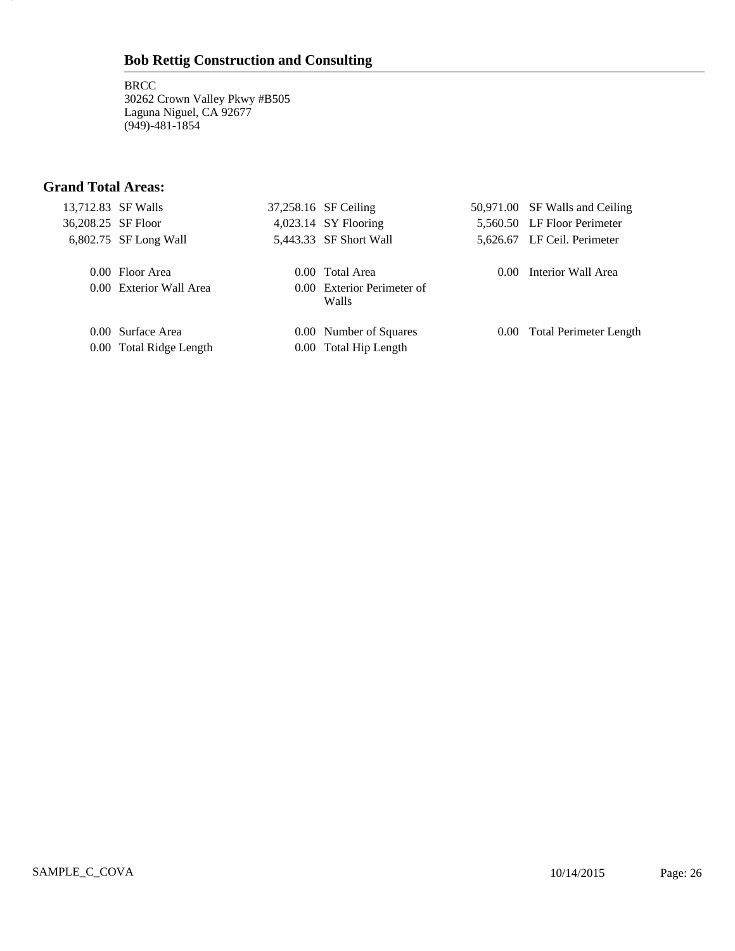**BRCC** 30262 Crown Valley Pkwy #B505 Laguna Niguel, CA 92677 (949)-481-1854

# **Grand Total Areas:**

26

|  | 13,712.83 SF Walls      | 37,258.16 SF Ceiling                |          | 50,971.00 SF Walls and Ceiling |
|--|-------------------------|-------------------------------------|----------|--------------------------------|
|  | 36,208.25 SF Floor      | $4,023.14$ SY Flooring              |          | 5,560.50 LF Floor Perimeter    |
|  | $6,802.75$ SF Long Wall | 5,443.33 SF Short Wall              |          | 5,626.67 LF Ceil. Perimeter    |
|  | 0.00 Floor Area         | 0.00 Total Area                     | $0.00 -$ | Interior Wall Area             |
|  | 0.00 Exterior Wall Area | 0.00 Exterior Perimeter of<br>Walls |          |                                |
|  | 0.00 Surface Area       | 0.00 Number of Squares              |          | 0.00 Total Perimeter Length    |
|  | 0.00 Total Ridge Length | 0.00 Total Hip Length               |          |                                |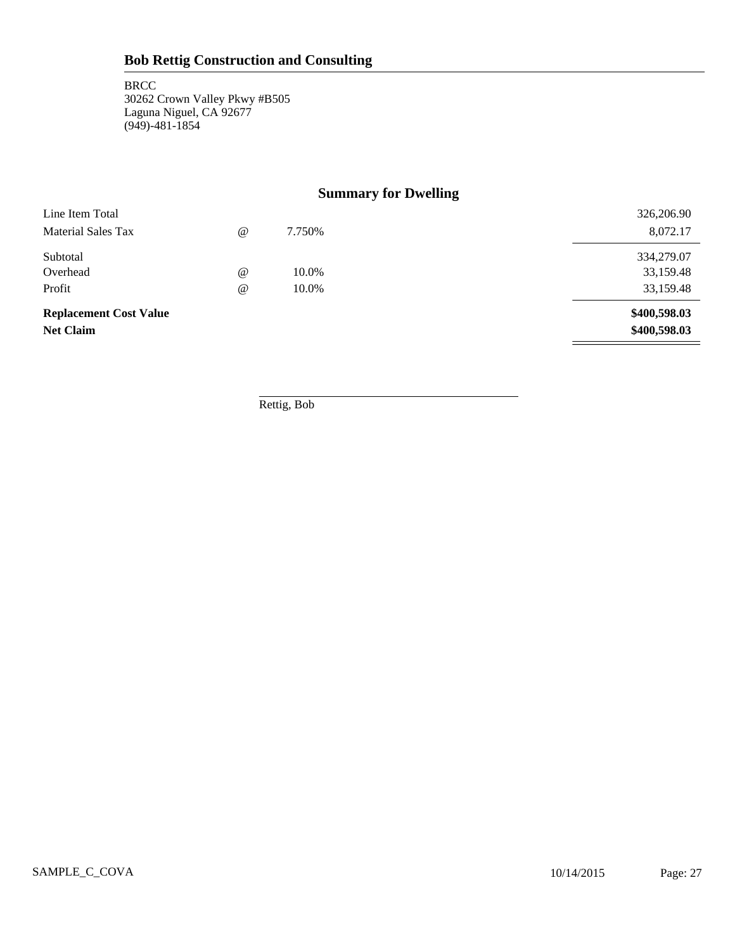# **Summary for Dwelling**

| Subtotal<br>Overhead                              | $^{\circ}$ | 10.0% | 334,279.07<br>33,159.48      |
|---------------------------------------------------|------------|-------|------------------------------|
| Profit                                            | $^{\circ}$ | 10.0% | 33,159.48                    |
| <b>Replacement Cost Value</b><br><b>Net Claim</b> |            |       | \$400,598.03<br>\$400,598.03 |

Rettig, Bob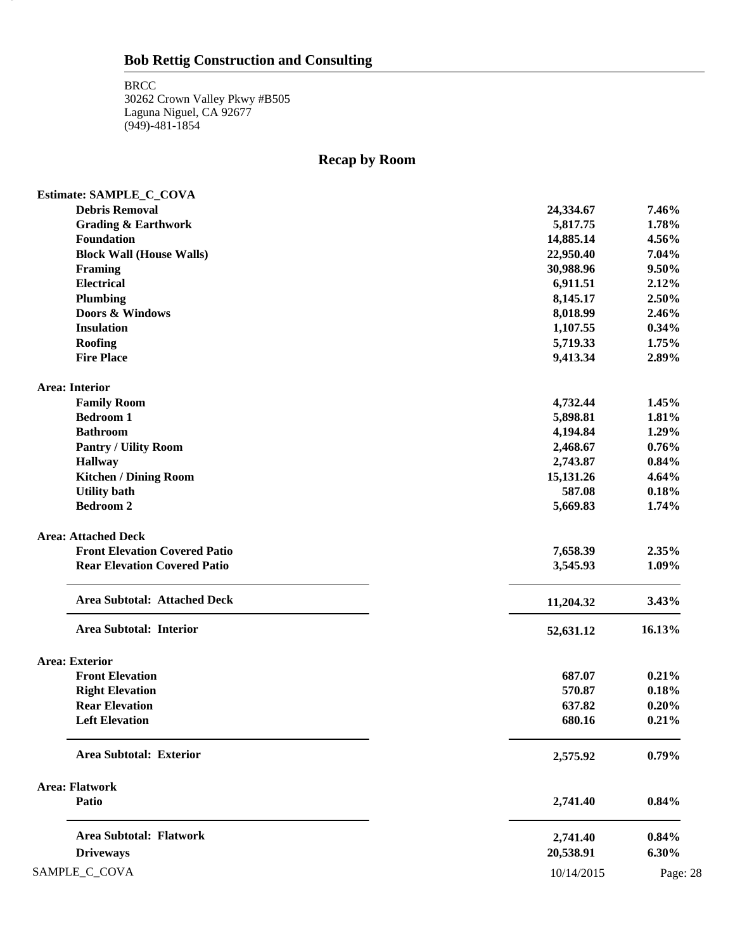28

# **Recap by Room**

| Estimate: SAMPLE_C_COVA              |            |          |
|--------------------------------------|------------|----------|
| <b>Debris Removal</b>                | 24,334.67  | 7.46%    |
| <b>Grading &amp; Earthwork</b>       | 5,817.75   | 1.78%    |
| Foundation                           | 14,885.14  | 4.56%    |
| <b>Block Wall (House Walls)</b>      | 22,950.40  | 7.04%    |
| <b>Framing</b>                       | 30,988.96  | 9.50%    |
| <b>Electrical</b>                    | 6,911.51   | 2.12%    |
| Plumbing                             | 8,145.17   | 2.50%    |
| Doors & Windows                      | 8,018.99   | 2.46%    |
| <b>Insulation</b>                    | 1,107.55   | 0.34%    |
| Roofing                              | 5,719.33   | 1.75%    |
| <b>Fire Place</b>                    | 9,413.34   | 2.89%    |
| <b>Area: Interior</b>                |            |          |
| <b>Family Room</b>                   | 4,732.44   | 1.45%    |
| <b>Bedroom 1</b>                     | 5,898.81   | 1.81%    |
| <b>Bathroom</b>                      | 4,194.84   | 1.29%    |
| <b>Pantry / Uility Room</b>          | 2,468.67   | 0.76%    |
| <b>Hallway</b>                       | 2,743.87   | 0.84%    |
| <b>Kitchen / Dining Room</b>         | 15,131.26  | 4.64%    |
| <b>Utility bath</b>                  | 587.08     | 0.18%    |
| <b>Bedroom 2</b>                     | 5,669.83   | 1.74%    |
| <b>Area: Attached Deck</b>           |            |          |
| <b>Front Elevation Covered Patio</b> | 7,658.39   | 2.35%    |
| <b>Rear Elevation Covered Patio</b>  | 3,545.93   | 1.09%    |
| <b>Area Subtotal: Attached Deck</b>  | 11,204.32  | 3.43%    |
| Area Subtotal: Interior              | 52,631.12  | 16.13%   |
| <b>Area: Exterior</b>                |            |          |
| <b>Front Elevation</b>               | 687.07     | 0.21%    |
| <b>Right Elevation</b>               | 570.87     | 0.18%    |
| <b>Rear Elevation</b>                | 637.82     | 0.20%    |
| <b>Left Elevation</b>                | 680.16     | 0.21%    |
| <b>Area Subtotal: Exterior</b>       | 2,575.92   | 0.79%    |
| <b>Area: Flatwork</b>                |            |          |
| Patio                                | 2,741.40   | 0.84%    |
| <b>Area Subtotal: Flatwork</b>       | 2,741.40   | 0.84%    |
| <b>Driveways</b>                     | 20,538.91  | 6.30%    |
| SAMPLE_C_COVA                        | 10/14/2015 | Page: 28 |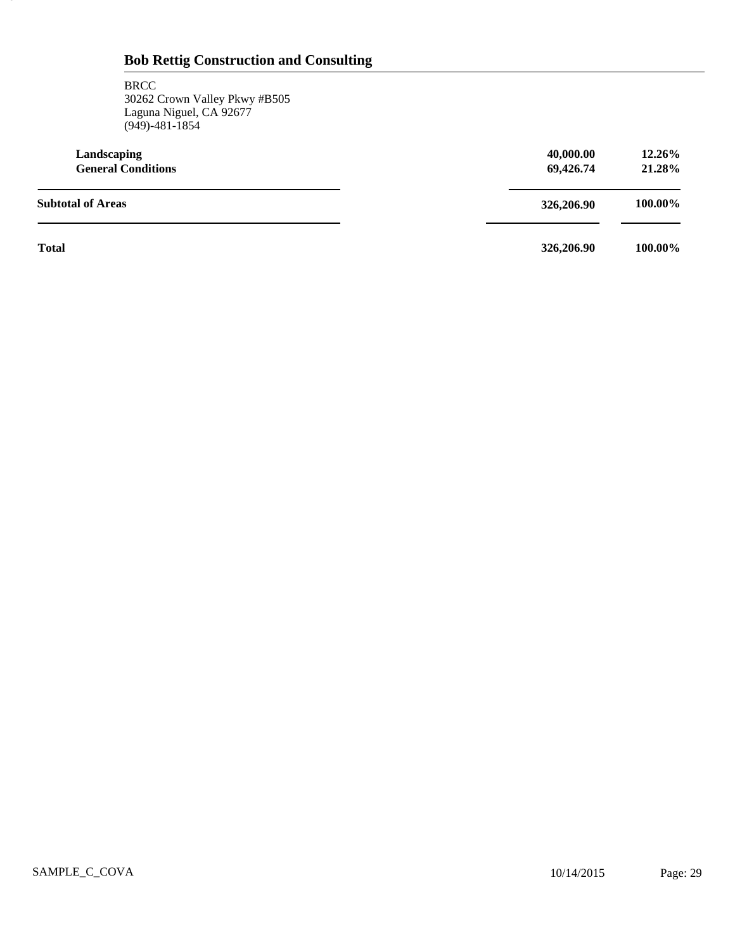#### **BRCC** 30262 Crown Valley Pkwy #B505 Laguna Niguel, CA 92677 (949)-481-1854

29

| Landscaping<br><b>General Conditions</b> | 40,000.00<br>69,426.74 | 12.26%<br>21.28% |
|------------------------------------------|------------------------|------------------|
| <b>Subtotal of Areas</b>                 | 326,206.90             | 100.00%          |
| <b>Total</b>                             | 326,206.90             | 100.00%          |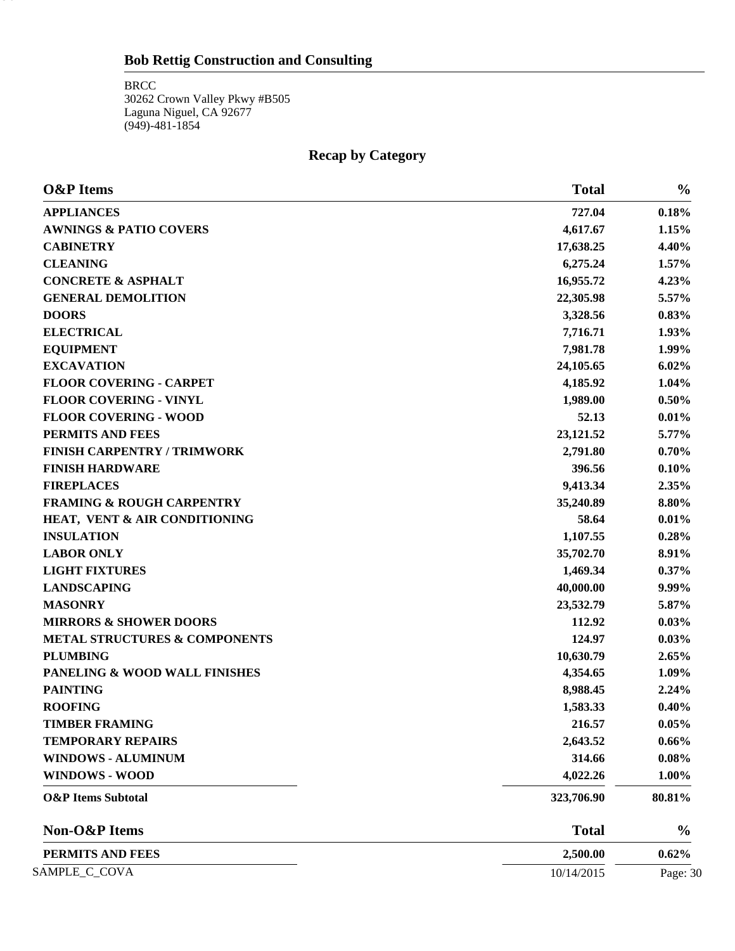BRCC 30262 Crown Valley Pkwy #B505 Laguna Niguel, CA 92677 (949)-481-1854

30

# **Recap by Category**

| <b>O&amp;P</b> Items                     | <b>Total</b> | $\frac{0}{0}$ |
|------------------------------------------|--------------|---------------|
| <b>APPLIANCES</b>                        | 727.04       | 0.18%         |
| <b>AWNINGS &amp; PATIO COVERS</b>        | 4,617.67     | 1.15%         |
| <b>CABINETRY</b>                         | 17,638.25    | 4.40%         |
| <b>CLEANING</b>                          | 6,275.24     | 1.57%         |
| <b>CONCRETE &amp; ASPHALT</b>            | 16,955.72    | 4.23%         |
| <b>GENERAL DEMOLITION</b>                | 22,305.98    | 5.57%         |
| <b>DOORS</b>                             | 3,328.56     | 0.83%         |
| <b>ELECTRICAL</b>                        | 7,716.71     | 1.93%         |
| <b>EQUIPMENT</b>                         | 7,981.78     | 1.99%         |
| <b>EXCAVATION</b>                        | 24,105.65    | $6.02\%$      |
| <b>FLOOR COVERING - CARPET</b>           | 4,185.92     | 1.04%         |
| <b>FLOOR COVERING - VINYL</b>            | 1,989.00     | 0.50%         |
| <b>FLOOR COVERING - WOOD</b>             | 52.13        | 0.01%         |
| PERMITS AND FEES                         | 23,121.52    | 5.77%         |
| <b>FINISH CARPENTRY / TRIMWORK</b>       | 2,791.80     | 0.70%         |
| <b>FINISH HARDWARE</b>                   | 396.56       | 0.10%         |
| <b>FIREPLACES</b>                        | 9,413.34     | 2.35%         |
| <b>FRAMING &amp; ROUGH CARPENTRY</b>     | 35,240.89    | 8.80%         |
| HEAT, VENT & AIR CONDITIONING            | 58.64        | 0.01%         |
| <b>INSULATION</b>                        | 1,107.55     | 0.28%         |
| <b>LABOR ONLY</b>                        | 35,702.70    | 8.91%         |
| <b>LIGHT FIXTURES</b>                    | 1,469.34     | 0.37%         |
| <b>LANDSCAPING</b>                       | 40,000.00    | 9.99%         |
| <b>MASONRY</b>                           | 23,532.79    | 5.87%         |
| <b>MIRRORS &amp; SHOWER DOORS</b>        | 112.92       | 0.03%         |
| <b>METAL STRUCTURES &amp; COMPONENTS</b> | 124.97       | 0.03%         |
| <b>PLUMBING</b>                          | 10,630.79    | 2.65%         |
| PANELING & WOOD WALL FINISHES            | 4,354.65     | 1.09%         |
| <b>PAINTING</b>                          | 8,988.45     | 2.24%         |
| <b>ROOFING</b>                           | 1,583.33     | 0.40%         |
| <b>TIMBER FRAMING</b>                    | 216.57       | 0.05%         |
| <b>TEMPORARY REPAIRS</b>                 | 2,643.52     | 0.66%         |
| <b>WINDOWS - ALUMINUM</b>                | 314.66       | 0.08%         |
| <b>WINDOWS - WOOD</b>                    | 4,022.26     | 1.00%         |
| <b>O&amp;P</b> Items Subtotal            | 323,706.90   | 80.81%        |
| Non-O&P Items                            | <b>Total</b> | $\frac{0}{0}$ |
| PERMITS AND FEES                         | 2,500.00     | 0.62%         |
| SAMPLE_C_COVA                            | 10/14/2015   | Page: 30      |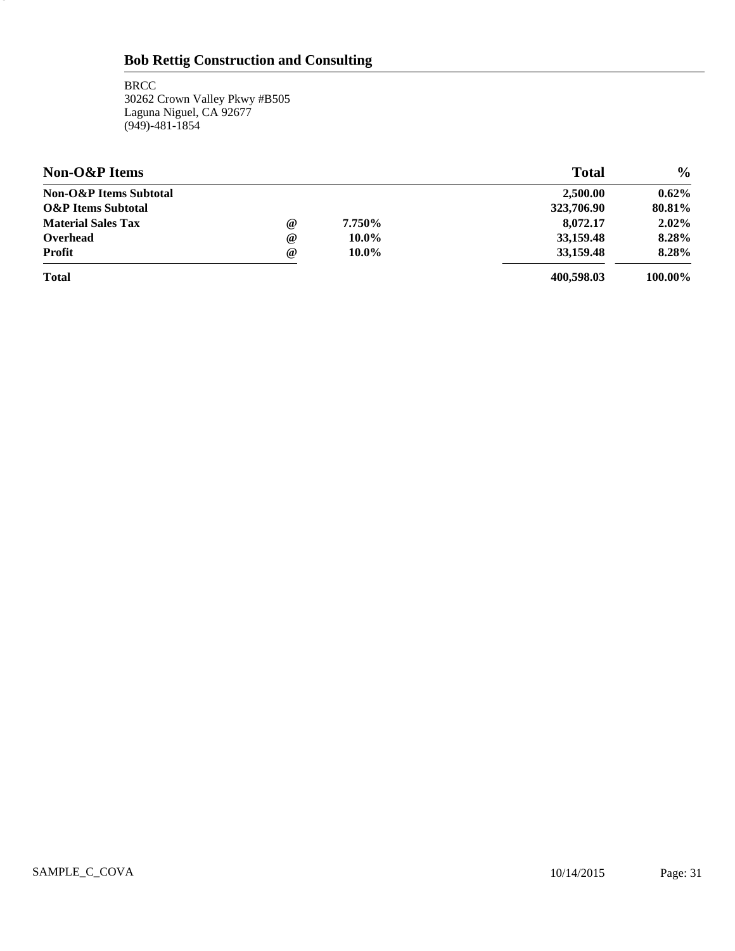**BRCC** 30262 Crown Valley Pkwy #B505 Laguna Niguel, CA 92677 (949)-481-1854

31.

| Non-O&P Items                     |            |          | <b>Total</b> | $\frac{0}{0}$ |
|-----------------------------------|------------|----------|--------------|---------------|
| <b>Non-O&amp;P</b> Items Subtotal |            |          | 2,500.00     | $0.62\%$      |
| <b>O&amp;P</b> Items Subtotal     |            |          | 323,706.90   | 80.81%        |
| <b>Material Sales Tax</b>         | $^{\circ}$ | 7.750%   | 8.072.17     | $2.02\%$      |
| Overhead                          | $\omega$   | $10.0\%$ | 33.159.48    | 8.28%         |
| <b>Profit</b>                     | $\omega$   | $10.0\%$ | 33,159.48    | 8.28%         |
| <b>Total</b>                      |            |          | 400.598.03   | 100.00%       |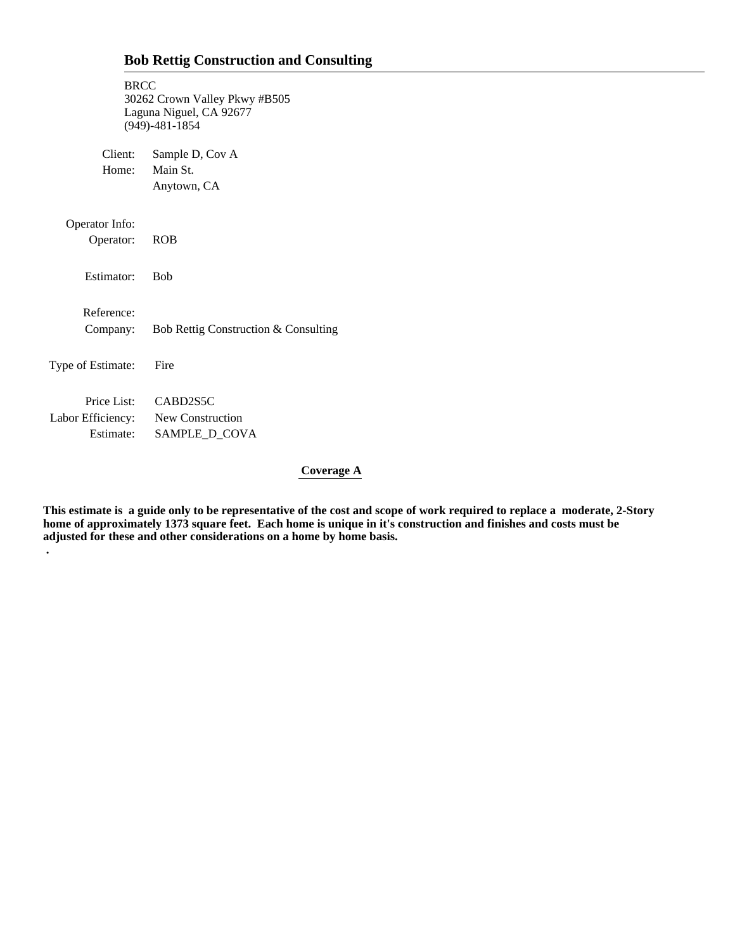| <b>BRCC</b>                                     | 30262 Crown Valley Pkwy #B505<br>Laguna Niguel, CA 92677<br>$(949) - 481 - 1854$ |
|-------------------------------------------------|----------------------------------------------------------------------------------|
| Client:<br>Home:                                | Sample D, Cov A<br>Main St.<br>Anytown, CA                                       |
| Operator Info:<br>Operator:                     | <b>ROB</b>                                                                       |
| Estimator:                                      | <b>B</b> ob                                                                      |
| Reference:<br>Company:                          | Bob Rettig Construction & Consulting                                             |
| Type of Estimate:                               | Fire                                                                             |
| Labor Efficiency: New Construction<br>Estimate: | Price List: CABD2S5C<br>SAMPLE_D_COVA                                            |

 **.**

# **Coverage A**

**This estimate is a guide only to be representative of the cost and scope of work required to replace a moderate, 2-Story home of approximately 1373 square feet. Each home is unique in it's construction and finishes and costs must be adjusted for these and other considerations on a home by home basis.**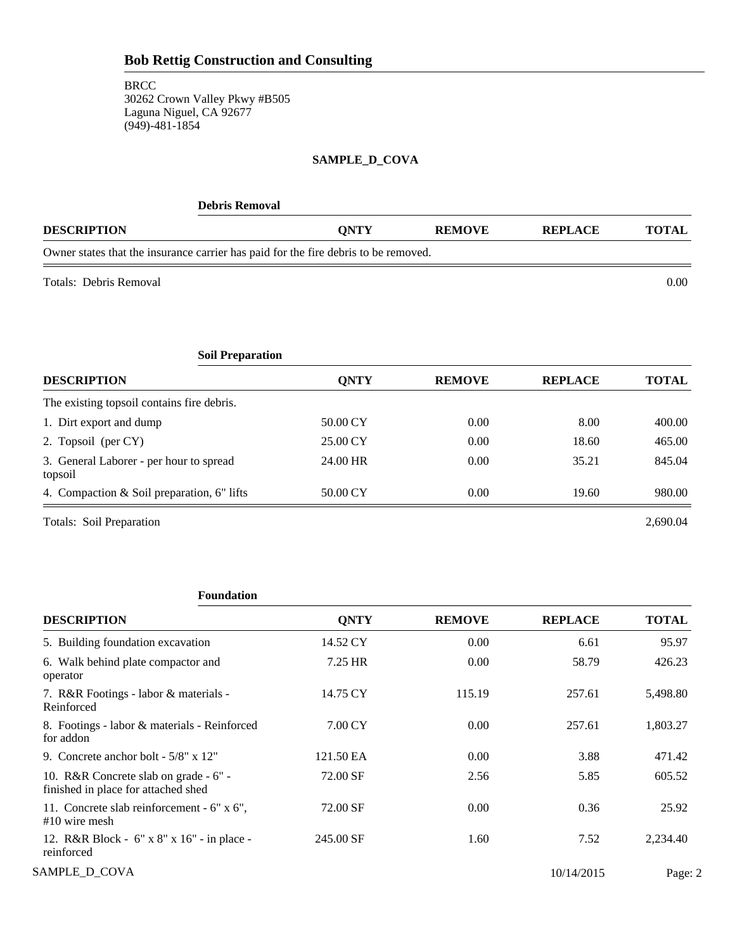# **SAMPLE\_D\_COVA**

| <b>Debris Removal</b>                                                               |             |               |         |              |
|-------------------------------------------------------------------------------------|-------------|---------------|---------|--------------|
| <b>DESCRIPTION</b>                                                                  | <b>ONTY</b> | <b>REMOVE</b> | REPLACE | <b>TOTAL</b> |
| Owner states that the insurance carrier has paid for the fire debris to be removed. |             |               |         |              |
|                                                                                     |             |               |         |              |

Totals: Debris Removal 0.00

| <b>Soil Preparation</b>                            |             |               |                |              |
|----------------------------------------------------|-------------|---------------|----------------|--------------|
| <b>DESCRIPTION</b>                                 | <b>ONTY</b> | <b>REMOVE</b> | <b>REPLACE</b> | <b>TOTAL</b> |
| The existing topsoil contains fire debris.         |             |               |                |              |
| 1. Dirt export and dump                            | 50.00 CY    | 0.00          | 8.00           | 400.00       |
| 2. Topsoil (per CY)                                | 25.00 CY    | 0.00          | 18.60          | 465.00       |
| 3. General Laborer - per hour to spread<br>topsoil | 24.00 HR    | 0.00          | 35.21          | 845.04       |
| 4. Compaction & Soil preparation, 6" lifts         | 50.00 CY    | 0.00          | 19.60          | 980.00       |
| Totals: Soil Preparation                           |             |               |                | 2.690.04     |

# **Foundation**

| <b>DESCRIPTION</b>                                                           | <b>ONTY</b> | <b>REMOVE</b> | <b>REPLACE</b> | <b>TOTAL</b> |
|------------------------------------------------------------------------------|-------------|---------------|----------------|--------------|
| 5. Building foundation excavation                                            | 14.52 CY    | 0.00          | 6.61           | 95.97        |
| 6. Walk behind plate compactor and<br>operator                               | 7.25 HR     | 0.00          | 58.79          | 426.23       |
| 7. R&R Footings - labor & materials -<br>Reinforced                          | 14.75 CY    | 115.19        | 257.61         | 5,498.80     |
| 8. Footings - labor & materials - Reinforced<br>for addon                    | 7.00 CY     | 0.00          | 257.61         | 1,803.27     |
| 9. Concrete anchor bolt - 5/8" x 12"                                         | 121.50 EA   | 0.00          | 3.88           | 471.42       |
| 10. R&R Concrete slab on grade - 6" -<br>finished in place for attached shed | 72.00 SF    | 2.56          | 5.85           | 605.52       |
| 11. Concrete slab reinforcement - 6" x 6",<br>$#10$ wire mesh                | 72.00 SF    | 0.00          | 0.36           | 25.92        |
| 12. R&R Block - 6" x 8" x 16" - in place -<br>reinforced                     | 245.00 SF   | 1.60          | 7.52           | 2,234.40     |
| SAMPLE_D_COVA                                                                |             |               | 10/14/2015     | Page: 2      |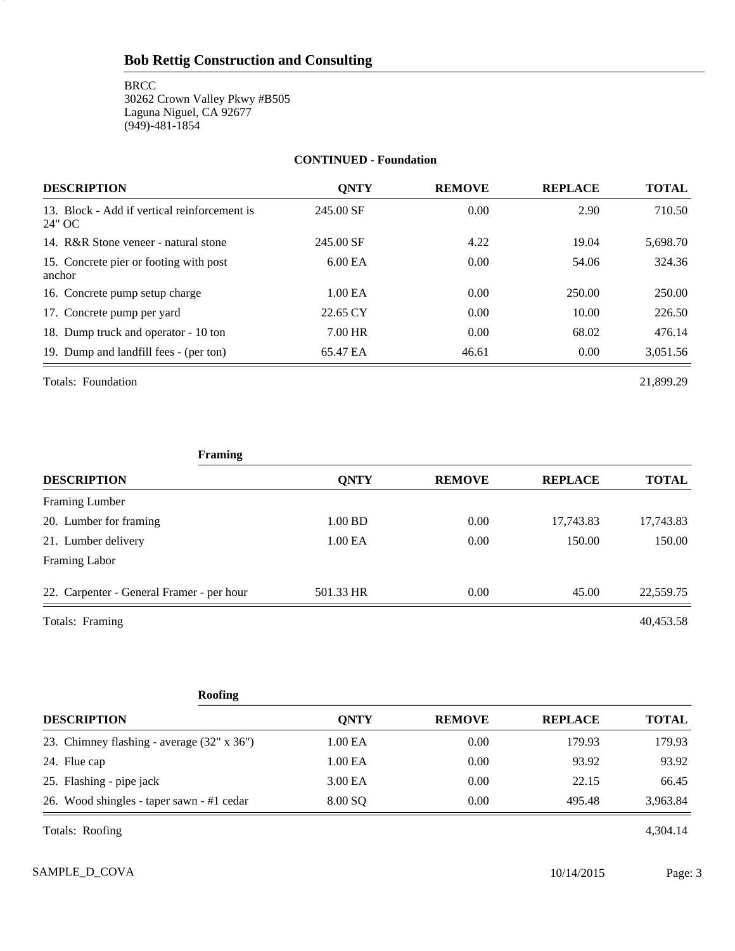**BRCC** 30262 Crown Valley Pkwy #B505 Laguna Niguel, CA 92677 (949)-481-1854

#### **CONTINUED - Foundation**

| <b>DESCRIPTION</b>                                     | <b>ONTY</b> | <b>REMOVE</b> | <b>REPLACE</b> | <b>TOTAL</b> |
|--------------------------------------------------------|-------------|---------------|----------------|--------------|
| 13. Block - Add if vertical reinforcement is<br>24" OC | 245.00 SF   | 0.00          | 2.90           | 710.50       |
| 14. R&R Stone veneer - natural stone                   | 245.00 SF   | 4.22          | 19.04          | 5,698.70     |
| 15. Concrete pier or footing with post<br>anchor       | $6.00E$ A   | 0.00          | 54.06          | 324.36       |
| 16. Concrete pump setup charge                         | 1.00 EA     | 0.00          | 250.00         | 250.00       |
| 17. Concrete pump per yard                             | 22.65 CY    | 0.00          | 10.00          | 226.50       |
| 18. Dump truck and operator - 10 ton                   | 7.00 HR     | 0.00          | 68.02          | 476.14       |
| 19. Dump and landfill fees - (per ton)                 | 65.47 EA    | 46.61         | 0.00           | 3,051.56     |

Totals: Foundation 21,899.29

3

| Framing                                   |             |               |                |              |
|-------------------------------------------|-------------|---------------|----------------|--------------|
| <b>DESCRIPTION</b>                        | <b>QNTY</b> | <b>REMOVE</b> | <b>REPLACE</b> | <b>TOTAL</b> |
| Framing Lumber                            |             |               |                |              |
| 20. Lumber for framing                    | 1.00 BD     | 0.00          | 17,743.83      | 17,743.83    |
| 21. Lumber delivery                       | 1.00 EA     | 0.00          | 150.00         | 150.00       |
| Framing Labor                             |             |               |                |              |
| 22. Carpenter - General Framer - per hour | 501.33 HR   | 0.00          | 45.00          | 22,559.75    |
| Totals: Framing                           |             |               |                | 40,453.58    |

| <b>Roofing</b>                             |             |               |                |              |
|--------------------------------------------|-------------|---------------|----------------|--------------|
| <b>DESCRIPTION</b>                         | <b>ONTY</b> | <b>REMOVE</b> | <b>REPLACE</b> | <b>TOTAL</b> |
| 23. Chimney flashing - average (32" x 36") | 1.00 EA     | 0.00          | 179.93         | 179.93       |
| 24. Flue cap                               | 1.00 EA     | 0.00          | 93.92          | 93.92        |
| 25. Flashing - pipe jack                   | 3.00 EA     | 0.00          | 22.15          | 66.45        |
| 26. Wood shingles - taper sawn - #1 cedar  | 8.00 SQ     | 0.00          | 495.48         | 3,963.84     |
| Totals: Roofing                            |             |               |                | 4,304.14     |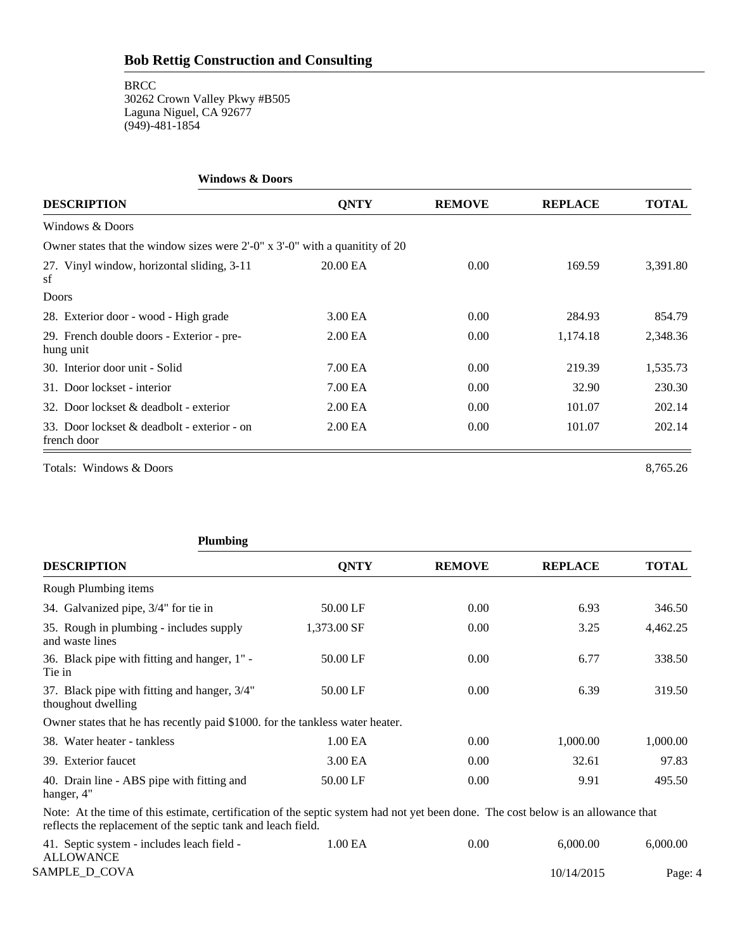| <b>Windows &amp; Doors</b>                                                                         |                     |               |                |              |
|----------------------------------------------------------------------------------------------------|---------------------|---------------|----------------|--------------|
| <b>DESCRIPTION</b>                                                                                 | <b>QNTY</b>         | <b>REMOVE</b> | <b>REPLACE</b> | <b>TOTAL</b> |
| Windows & Doors                                                                                    |                     |               |                |              |
| Owner states that the window sizes were $2^{\prime}$ -0" x $3^{\prime}$ -0" with a quanitity of 20 |                     |               |                |              |
| 27. Vinyl window, horizontal sliding, 3-11<br>sf                                                   | 20.00 EA            | 0.00          | 169.59         | 3,391.80     |
| Doors                                                                                              |                     |               |                |              |
| 28. Exterior door - wood - High grade                                                              | 3.00 EA             | 0.00          | 284.93         | 854.79       |
| 29. French double doors - Exterior - pre-<br>hung unit                                             | 2.00 <sub>E</sub> A | 0.00          | 1,174.18       | 2,348.36     |
| 30. Interior door unit - Solid                                                                     | 7.00 EA             | 0.00          | 219.39         | 1,535.73     |
| 31. Door lockset - interior                                                                        | 7.00 EA             | 0.00          | 32.90          | 230.30       |
| 32. Door lockset & deadbolt - exterior                                                             | 2.00 <sub>E</sub> A | 0.00          | 101.07         | 202.14       |
| 33. Door lockset & deadbolt - exterior - on<br>french door                                         | 2.00 <sub>E</sub> A | 0.00          | 101.07         | 202.14       |
| Totals: Windows & Doors                                                                            |                     |               |                | 8,765.26     |

| <b>Plumbing</b>                                                               |             |               |                |              |
|-------------------------------------------------------------------------------|-------------|---------------|----------------|--------------|
| <b>DESCRIPTION</b>                                                            | <b>ONTY</b> | <b>REMOVE</b> | <b>REPLACE</b> | <b>TOTAL</b> |
| Rough Plumbing items                                                          |             |               |                |              |
| 34. Galvanized pipe, 3/4" for tie in                                          | 50.00 LF    | 0.00          | 6.93           | 346.50       |
| 35. Rough in plumbing - includes supply<br>and waste lines                    | 1,373.00 SF | 0.00          | 3.25           | 4,462.25     |
| 36. Black pipe with fitting and hanger, 1" -<br>Tie in                        | 50.00 LF    | 0.00          | 6.77           | 338.50       |
| 37. Black pipe with fitting and hanger, 3/4"<br>thoughout dwelling            | 50.00 LF    | 0.00          | 6.39           | 319.50       |
| Owner states that he has recently paid \$1000, for the tankless water heater. |             |               |                |              |
| 38. Water heater - tankless                                                   | 1.00 EA     | 0.00          | 1,000.00       | 1,000.00     |
| 39. Exterior faucet                                                           | 3.00 EA     | 0.00          | 32.61          | 97.83        |
| 40. Drain line - ABS pipe with fitting and<br>hanger, 4"                      | 50.00 LF    | 0.00          | 9.91           | 495.50       |

Note: At the time of this estimate, certification of the septic system had not yet been done. The cost below is an allowance that reflects the replacement of the septic tank and leach field.

| 41. Septic system - includes leach field - | .00 EA | $0.00\,$ | 6.000.00   | 6,000,00 |
|--------------------------------------------|--------|----------|------------|----------|
| <b>ALLOWANCE</b>                           |        |          |            |          |
| SAMPLE D COVA                              |        |          | 10/14/2015 | Page: 4  |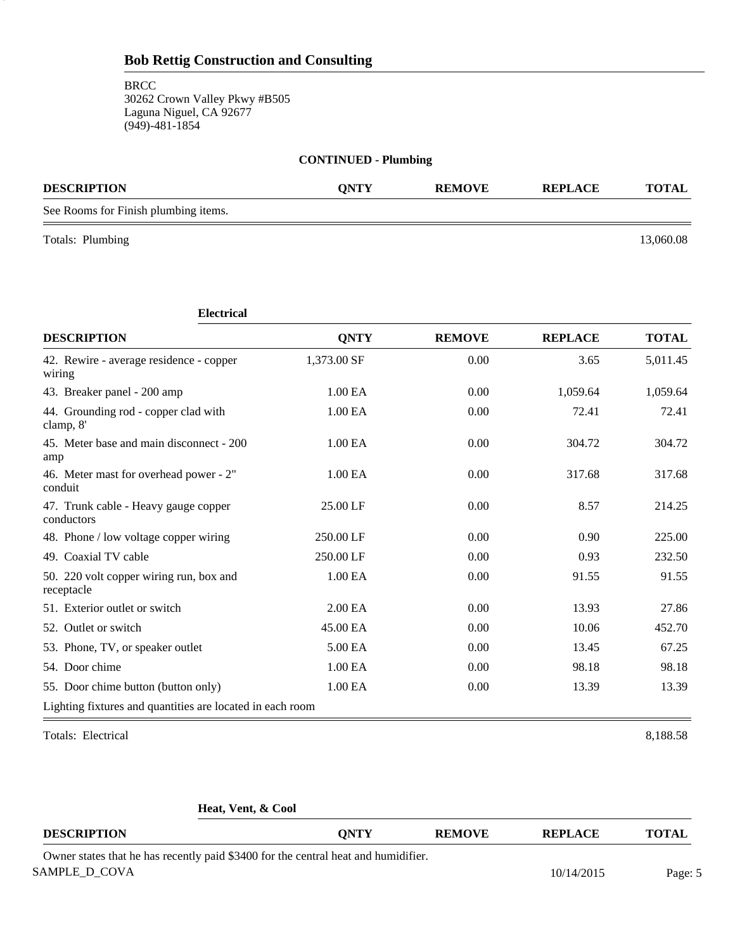**BRCC** 30262 Crown Valley Pkwy #B505 Laguna Niguel, CA 92677 (949)-481-1854

|                                      | <b>CONTINUED - Plumbing</b> |               |                |              |
|--------------------------------------|-----------------------------|---------------|----------------|--------------|
| <b>DESCRIPTION</b>                   | <b>ONTY</b>                 | <b>REMOVE</b> | <b>REPLACE</b> | <b>TOTAL</b> |
| See Rooms for Finish plumbing items. |                             |               |                |              |

Totals: Plumbing 13,060.08

5

| <b>Electrical</b>                                         |                     |               |                |              |
|-----------------------------------------------------------|---------------------|---------------|----------------|--------------|
| <b>DESCRIPTION</b>                                        | <b>ONTY</b>         | <b>REMOVE</b> | <b>REPLACE</b> | <b>TOTAL</b> |
| 42. Rewire - average residence - copper<br>wiring         | 1,373.00 SF         | 0.00          | 3.65           | 5,011.45     |
| 43. Breaker panel - 200 amp                               | 1.00 <sub>E</sub> A | 0.00          | 1,059.64       | 1,059.64     |
| 44. Grounding rod - copper clad with<br>clamp, 8'         | 1.00 EA             | 0.00          | 72.41          | 72.41        |
| 45. Meter base and main disconnect - 200<br>amp           | 1.00 EA             | 0.00          | 304.72         | 304.72       |
| 46. Meter mast for overhead power - 2"<br>conduit         | 1.00 EA             | 0.00          | 317.68         | 317.68       |
| 47. Trunk cable - Heavy gauge copper<br>conductors        | 25.00 LF            | 0.00          | 8.57           | 214.25       |
| 48. Phone / low voltage copper wiring                     | 250.00 LF           | 0.00          | 0.90           | 225.00       |
| 49. Coaxial TV cable                                      | 250.00 LF           | 0.00          | 0.93           | 232.50       |
| 50. 220 volt copper wiring run, box and<br>receptacle     | 1.00 EA             | 0.00          | 91.55          | 91.55        |
| 51. Exterior outlet or switch                             | 2.00 EA             | 0.00          | 13.93          | 27.86        |
| 52. Outlet or switch                                      | 45.00 EA            | 0.00          | 10.06          | 452.70       |
| 53. Phone, TV, or speaker outlet                          | 5.00 EA             | 0.00          | 13.45          | 67.25        |
| 54. Door chime                                            | 1.00 EA             | 0.00          | 98.18          | 98.18        |
| 55. Door chime button (button only)                       | 1.00 EA             | 0.00          | 13.39          | 13.39        |
| Lighting fixtures and quantities are located in each room |                     |               |                |              |
| Totals: Electrical                                        |                     |               |                | 8,188.58     |

**Heat, Vent, & Cool**

| <b>DESCRIPTION</b>                                                                 | <b>ONTY</b> | <b>REMOVE</b> | <b>REPLACE</b> | TOTAL   |
|------------------------------------------------------------------------------------|-------------|---------------|----------------|---------|
| Owner states that he has recently paid \$3400 for the central heat and humidifier. |             |               |                |         |
| SAMPLE D COVA                                                                      |             |               | 10/14/2015     | Page: 5 |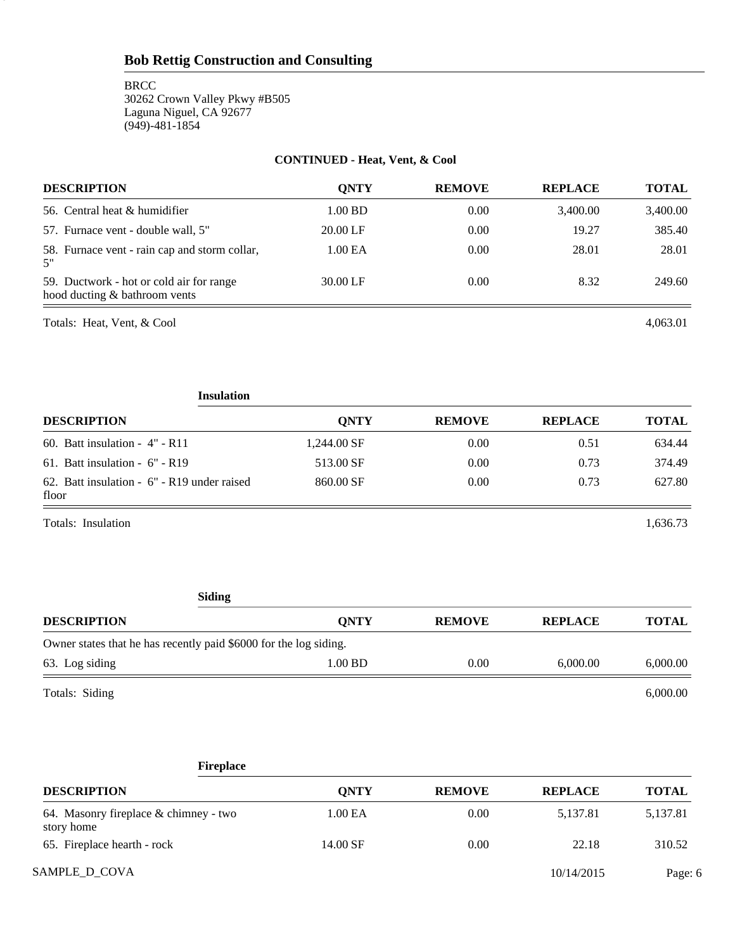**BRCC** 30262 Crown Valley Pkwy #B505 Laguna Niguel, CA 92677 (949)-481-1854

#### **CONTINUED - Heat, Vent, & Cool**

| <b>DESCRIPTION</b>                                                        | <b>ONTY</b>         | <b>REMOVE</b> | <b>REPLACE</b> | <b>TOTAL</b> |
|---------------------------------------------------------------------------|---------------------|---------------|----------------|--------------|
| 56. Central heat & humidifier                                             | $1.00$ BD           | 0.00          | 3,400.00       | 3,400.00     |
| 57. Furnace vent - double wall, 5"                                        | 20.00 LF            | 0.00          | 19.27          | 385.40       |
| 58. Furnace vent - rain cap and storm collar,<br>5"                       | 1.00 <sub>E</sub> A | 0.00          | 28.01          | 28.01        |
| 59. Ductwork - hot or cold air for range<br>hood ducting & bathroom vents | 30.00 LF            | 0.00          | 8.32           | 249.60       |

Totals: Heat, Vent, & Cool 4,063.01 4,063.01

6

**Insulation DESCRIPTION QNTY REMOVE REPLACE TOTAL** 60. Batt insulation - 4" - R11 1,244.00 SF 0.00 0.51 634.44 61. Batt insulation - 6" - R19 513.00 SF 0.00 0.73 374.49 62. Batt insulation - 6" - R19 under raised 860.00 SF 0.00 0.73 627.80 floor

Totals: Insulation 1,636.73

#### **Siding**

| <b>DESCRIPTION</b>                                                | <b>ONTY</b> | <b>REMOVE</b> | <b>REPLACE</b> | <b>TOTAL</b> |
|-------------------------------------------------------------------|-------------|---------------|----------------|--------------|
| Owner states that he has recently paid \$6000 for the log siding. |             |               |                |              |
| 63. Log siding                                                    | $1.00$ BD   | 0.00          | 6.000.00       | 6,000.00     |
| Totals: Siding                                                    |             |               |                | 6,000.00     |

# SAMPLE\_D\_COVA Page: 6 **Fireplace DESCRIPTION QNTY REMOVE REPLACE TOTAL** 64. Masonry fireplace & chimney - two 1.00 EA 0.00 5,137.81 5,137.81 5,137.81 story home 65. Fireplace hearth - rock 14.00 SF 0.00 22.18 310.52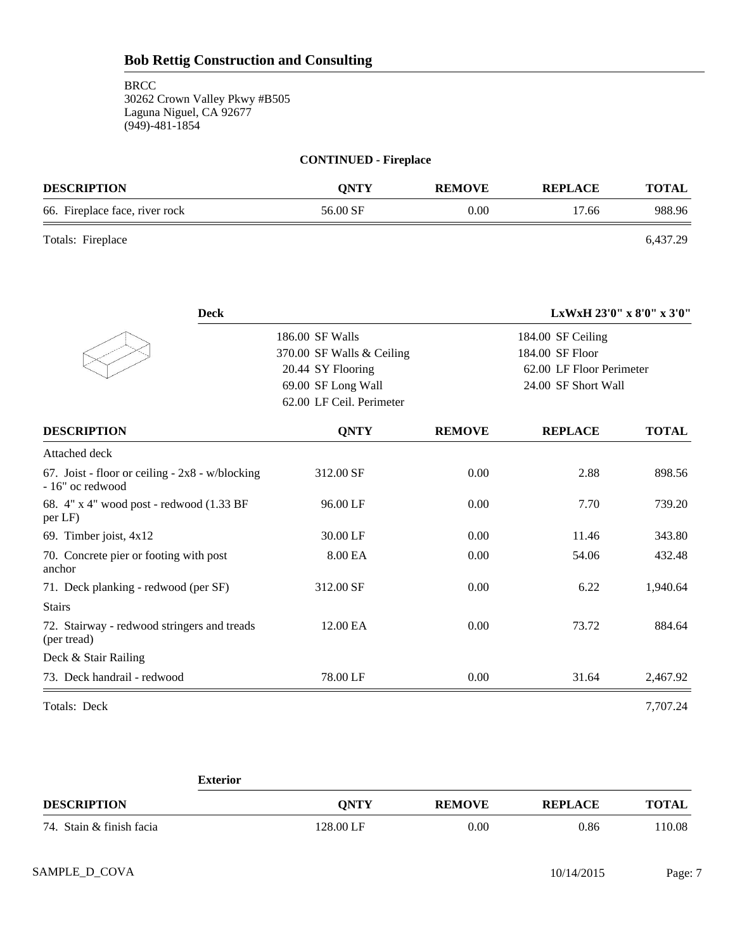| <b>CONTINUED - Fireplace</b>                                                         |          |      |       |        |  |
|--------------------------------------------------------------------------------------|----------|------|-------|--------|--|
| <b>DESCRIPTION</b><br><b>ONTY</b><br><b>REMOVE</b><br><b>REPLACE</b><br><b>TOTAL</b> |          |      |       |        |  |
| 66. Fireplace face, river rock                                                       | 56.00 SF | 0.00 | 17.66 | 988.96 |  |

Totals: Fireplace 6,437.29

| <b>Deck</b>                                                            |                                                                                                                     |               | LxWxH 23'0" x 8'0" x 3'0"                                                               |              |
|------------------------------------------------------------------------|---------------------------------------------------------------------------------------------------------------------|---------------|-----------------------------------------------------------------------------------------|--------------|
|                                                                        | 186.00 SF Walls<br>370.00 SF Walls & Ceiling<br>20.44 SY Flooring<br>69.00 SF Long Wall<br>62.00 LF Ceil. Perimeter |               | 184.00 SF Ceiling<br>184.00 SF Floor<br>62.00 LF Floor Perimeter<br>24.00 SF Short Wall |              |
| <b>DESCRIPTION</b>                                                     | <b>QNTY</b>                                                                                                         | <b>REMOVE</b> | <b>REPLACE</b>                                                                          | <b>TOTAL</b> |
| Attached deck                                                          |                                                                                                                     |               |                                                                                         |              |
| 67. Joist - floor or ceiling - $2x8 - w/b$ locking<br>- 16" oc redwood | 312.00 SF                                                                                                           | 0.00          | 2.88                                                                                    | 898.56       |
| 68. 4" x 4" wood post - redwood (1.33 BF<br>per LF)                    | 96.00 LF                                                                                                            | 0.00          | 7.70                                                                                    | 739.20       |
| 69. Timber joist, 4x12                                                 | 30.00 LF                                                                                                            | 0.00          | 11.46                                                                                   | 343.80       |
| 70. Concrete pier or footing with post<br>anchor                       | 8.00 EA                                                                                                             | 0.00          | 54.06                                                                                   | 432.48       |
| 71. Deck planking - redwood (per SF)                                   | 312.00 SF                                                                                                           | 0.00          | 6.22                                                                                    | 1,940.64     |
| <b>Stairs</b>                                                          |                                                                                                                     |               |                                                                                         |              |
| 72. Stairway - redwood stringers and treads<br>(per tread)             | 12.00 EA                                                                                                            | 0.00          | 73.72                                                                                   | 884.64       |
| Deck & Stair Railing                                                   |                                                                                                                     |               |                                                                                         |              |
| 73. Deck handrail - redwood                                            | 78.00 LF                                                                                                            | 0.00          | 31.64                                                                                   | 2,467.92     |
| Totals: Deck                                                           |                                                                                                                     |               |                                                                                         | 7,707.24     |

|                          | <b>Exterior</b> |               |                |              |  |
|--------------------------|-----------------|---------------|----------------|--------------|--|
| <b>DESCRIPTION</b>       | <b>ONTY</b>     | <b>REMOVE</b> | <b>REPLACE</b> | <b>TOTAL</b> |  |
| 74. Stain & finish facia | 128.00 LF       | 0.00          | 0.86           | 110.08       |  |
|                          |                 |               |                |              |  |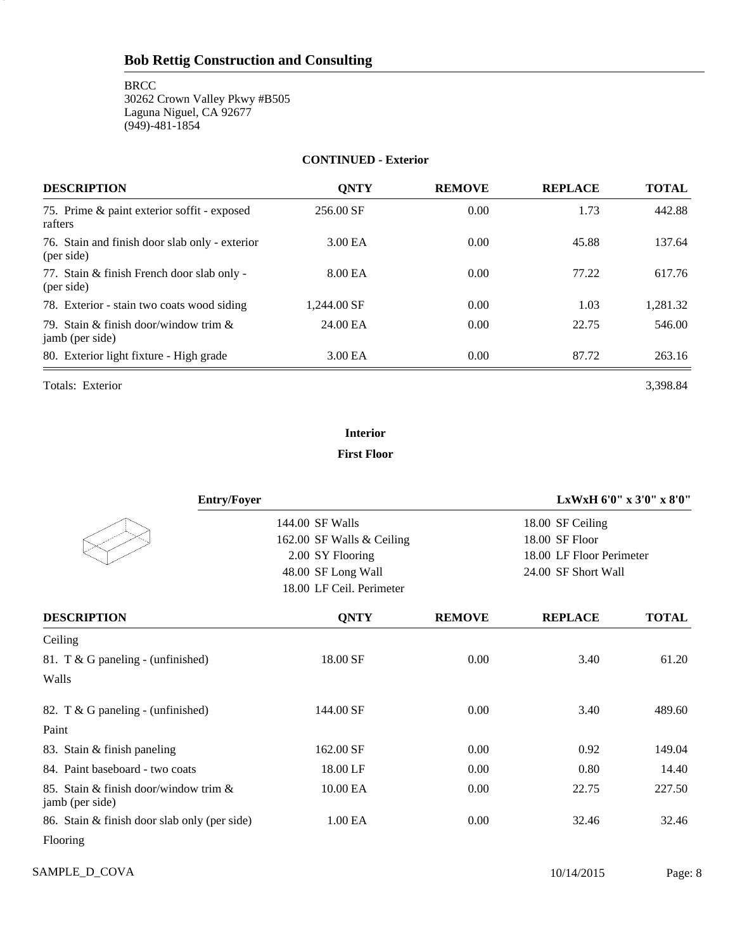**BRCC** 30262 Crown Valley Pkwy #B505 Laguna Niguel, CA 92677 (949)-481-1854

#### **CONTINUED - Exterior**

| <b>DESCRIPTION</b>                                           | <b>ONTY</b> | <b>REMOVE</b> | <b>REPLACE</b> | <b>TOTAL</b> |
|--------------------------------------------------------------|-------------|---------------|----------------|--------------|
| 75. Prime & paint exterior soffit - exposed<br>rafters       | 256.00 SF   | 0.00          | 1.73           | 442.88       |
| 76. Stain and finish door slab only - exterior<br>(per side) | 3.00 EA     | 0.00          | 45.88          | 137.64       |
| 77. Stain & finish French door slab only -<br>(per side)     | 8.00 EA     | 0.00          | 77.22          | 617.76       |
| 78. Exterior - stain two coats wood siding                   | 1.244.00 SF | 0.00          | 1.03           | 1.281.32     |
| 79. Stain & finish door/window trim $\&$<br>jamb (per side)  | 24.00 EA    | 0.00          | 22.75          | 546.00       |
| 80. Exterior light fixture - High grade                      | 3.00 EA     | 0.00          | 87.72          | 263.16       |

Totals: Exterior 3,398.84

8

# **Interior**

# **First Floor**

| <b>Entry/Foyer</b>                                       |                           |               |                          | LxWxH 6'0" x 3'0" x 8'0" |
|----------------------------------------------------------|---------------------------|---------------|--------------------------|--------------------------|
|                                                          | 144.00 SF Walls           |               | 18.00 SF Ceiling         |                          |
|                                                          | 162.00 SF Walls & Ceiling |               | 18.00 SF Floor           |                          |
|                                                          | 2.00 SY Flooring          |               | 18.00 LF Floor Perimeter |                          |
|                                                          | 48.00 SF Long Wall        |               | 24.00 SF Short Wall      |                          |
|                                                          | 18.00 LF Ceil. Perimeter  |               |                          |                          |
| <b>DESCRIPTION</b>                                       | <b>QNTY</b>               | <b>REMOVE</b> | <b>REPLACE</b>           | <b>TOTAL</b>             |
| Ceiling                                                  |                           |               |                          |                          |
| 81. T & G paneling - (unfinished)                        | 18.00 SF                  | 0.00          | 3.40                     | 61.20                    |
| Walls                                                    |                           |               |                          |                          |
| 82. T & G paneling - (unfinished)                        | 144.00 SF                 | 0.00          | 3.40                     | 489.60                   |
| Paint                                                    |                           |               |                          |                          |
| 83. Stain & finish paneling                              | 162.00 SF                 | 0.00          | 0.92                     | 149.04                   |
| 84. Paint baseboard - two coats                          | 18.00 LF                  | 0.00          | 0.80                     | 14.40                    |
| 85. Stain & finish door/window trim &<br>jamb (per side) | 10.00 EA                  | 0.00          | 22.75                    | 227.50                   |
| 86. Stain & finish door slab only (per side)             | 1.00 EA                   | 0.00          | 32.46                    | 32.46                    |
| Flooring                                                 |                           |               |                          |                          |

SAMPLE\_D\_COVA Page: 8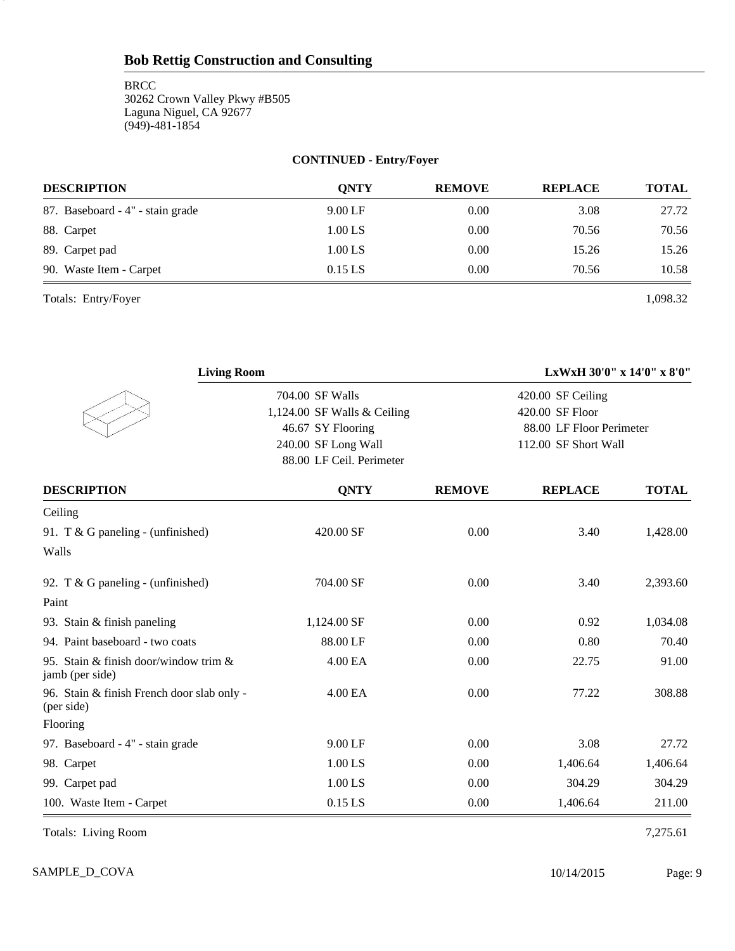**BRCC** 30262 Crown Valley Pkwy #B505 Laguna Niguel, CA 92677 (949)-481-1854

# **CONTINUED - Entry/Foyer**

| <b>DESCRIPTION</b>               | <b>ONTY</b> | <b>REMOVE</b> | <b>REPLACE</b> | <b>TOTAL</b> |
|----------------------------------|-------------|---------------|----------------|--------------|
| 87. Baseboard - 4" - stain grade | $9.00$ LF   | 0.00          | 3.08           | 27.72        |
| 88. Carpet                       | $1.00$ LS   | 0.00          | 70.56          | 70.56        |
| 89. Carpet pad                   | $1.00$ LS   | 0.00          | 15.26          | 15.26        |
| 90. Waste Item - Carpet          | $0.15$ LS   | 0.00          | 70.56          | 10.58        |

Totals: Entry/Foyer 1,098.32

9

| <b>Living Room</b>                                       |                             |               | LxWxH 30'0" x 14'0" x 8'0"           |              |
|----------------------------------------------------------|-----------------------------|---------------|--------------------------------------|--------------|
|                                                          | 704.00 SF Walls             |               | 420.00 SF Ceiling<br>420.00 SF Floor |              |
|                                                          | 1,124.00 SF Walls & Ceiling |               | 88.00 LF Floor Perimeter             |              |
|                                                          | 46.67 SY Flooring           |               |                                      |              |
|                                                          | 240.00 SF Long Wall         |               | 112.00 SF Short Wall                 |              |
|                                                          | 88.00 LF Ceil. Perimeter    |               |                                      |              |
| <b>DESCRIPTION</b>                                       | <b>QNTY</b>                 | <b>REMOVE</b> | <b>REPLACE</b>                       | <b>TOTAL</b> |
| Ceiling                                                  |                             |               |                                      |              |
| 91. T & G paneling - (unfinished)                        | 420.00 SF                   | 0.00          | 3.40                                 | 1,428.00     |
| Walls                                                    |                             |               |                                      |              |
| 92. T & G paneling - (unfinished)                        | 704.00 SF                   | 0.00          | 3.40                                 | 2,393.60     |
| Paint                                                    |                             |               |                                      |              |
| 93. Stain & finish paneling                              | 1,124.00 SF                 | 0.00          | 0.92                                 | 1,034.08     |
| 94. Paint baseboard - two coats                          | 88.00 LF                    | 0.00          | 0.80                                 | 70.40        |
| 95. Stain & finish door/window trim &<br>jamb (per side) | 4.00 EA                     | 0.00          | 22.75                                | 91.00        |
| 96. Stain & finish French door slab only -<br>(per side) | 4.00 EA                     | 0.00          | 77.22                                | 308.88       |
| Flooring                                                 |                             |               |                                      |              |
| 97. Baseboard - 4" - stain grade                         | 9.00 LF                     | 0.00          | 3.08                                 | 27.72        |
| 98. Carpet                                               | $1.00$ LS                   | 0.00          | 1,406.64                             | 1,406.64     |
| 99. Carpet pad                                           | 1.00 LS                     | 0.00          | 304.29                               | 304.29       |
| 100. Waste Item - Carpet                                 | $0.15$ LS                   | 0.00          | 1,406.64                             | 211.00       |

Totals: Living Room 7,275.61

SAMPLE\_D\_COVA Page: 9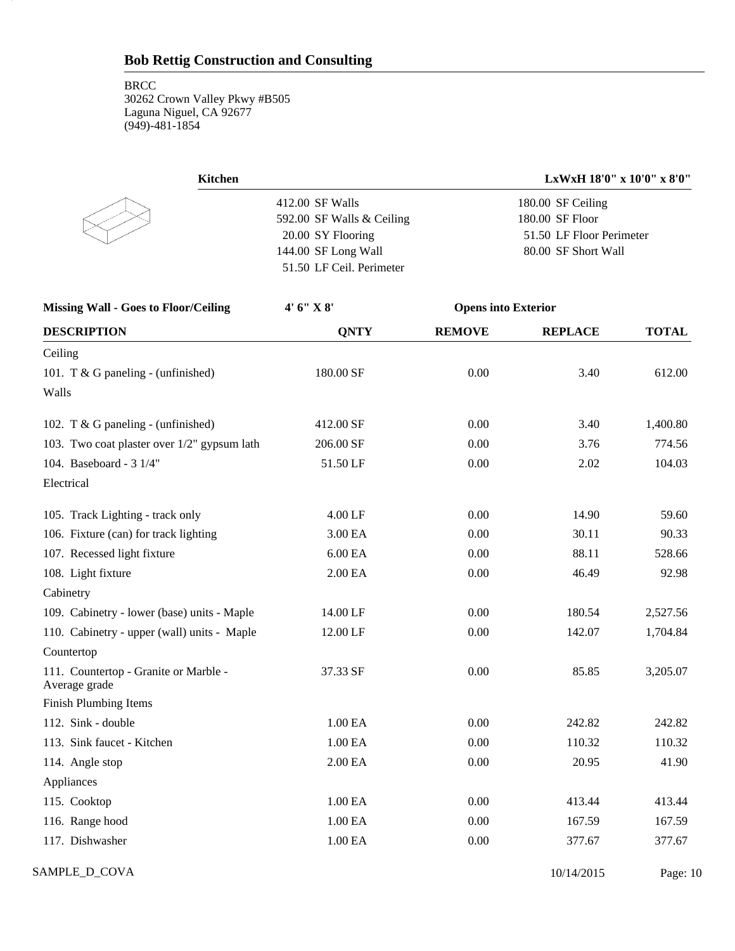10

| Kitchen                   | LxWxH 18'0" x 10'0" x 8'0" |
|---------------------------|----------------------------|
| 412.00 SF Walls           | 180.00 SF Ceiling          |
| 592.00 SF Walls & Ceiling | 180.00 SF Floor            |
| 20.00 SY Flooring         | 51.50 LF Floor Perimeter   |
| 144.00 SF Long Wall       | 80.00 SF Short Wall        |
| 51.50 LF Ceil. Perimeter  |                            |

| <b>Missing Wall - Goes to Floor/Ceiling</b>            | 4' 6" X 8'  | <b>Opens into Exterior</b> |                |              |
|--------------------------------------------------------|-------------|----------------------------|----------------|--------------|
| <b>DESCRIPTION</b>                                     | <b>QNTY</b> | <b>REMOVE</b>              | <b>REPLACE</b> | <b>TOTAL</b> |
| Ceiling                                                |             |                            |                |              |
| 101. T & G paneling - (unfinished)                     | 180.00 SF   | 0.00                       | 3.40           | 612.00       |
| Walls                                                  |             |                            |                |              |
| 102. T & G paneling - (unfinished)                     | 412.00 SF   | 0.00                       | 3.40           | 1,400.80     |
| 103. Two coat plaster over 1/2" gypsum lath            | 206.00 SF   | 0.00                       | 3.76           | 774.56       |
| 104. Baseboard - 3 1/4"                                | 51.50 LF    | 0.00                       | 2.02           | 104.03       |
| Electrical                                             |             |                            |                |              |
| 105. Track Lighting - track only                       | 4.00 LF     | 0.00                       | 14.90          | 59.60        |
| 106. Fixture (can) for track lighting                  | 3.00 EA     | 0.00                       | 30.11          | 90.33        |
| 107. Recessed light fixture                            | 6.00 EA     | 0.00                       | 88.11          | 528.66       |
| 108. Light fixture                                     | 2.00 EA     | 0.00                       | 46.49          | 92.98        |
| Cabinetry                                              |             |                            |                |              |
| 109. Cabinetry - lower (base) units - Maple            | 14.00 LF    | 0.00                       | 180.54         | 2,527.56     |
| 110. Cabinetry - upper (wall) units - Maple            | 12.00 LF    | 0.00                       | 142.07         | 1,704.84     |
| Countertop                                             |             |                            |                |              |
| 111. Countertop - Granite or Marble -<br>Average grade | 37.33 SF    | 0.00                       | 85.85          | 3,205.07     |
| Finish Plumbing Items                                  |             |                            |                |              |
| 112. Sink - double                                     | 1.00 EA     | 0.00                       | 242.82         | 242.82       |
| 113. Sink faucet - Kitchen                             | 1.00 EA     | 0.00                       | 110.32         | 110.32       |
| 114. Angle stop                                        | 2.00 EA     | 0.00                       | 20.95          | 41.90        |
| Appliances                                             |             |                            |                |              |
| 115. Cooktop                                           | 1.00 EA     | 0.00                       | 413.44         | 413.44       |
| 116. Range hood                                        | 1.00 EA     | 0.00                       | 167.59         | 167.59       |
| 117. Dishwasher                                        | 1.00 EA     | 0.00                       | 377.67         | 377.67       |

SAMPLE\_D\_COVA Page: 10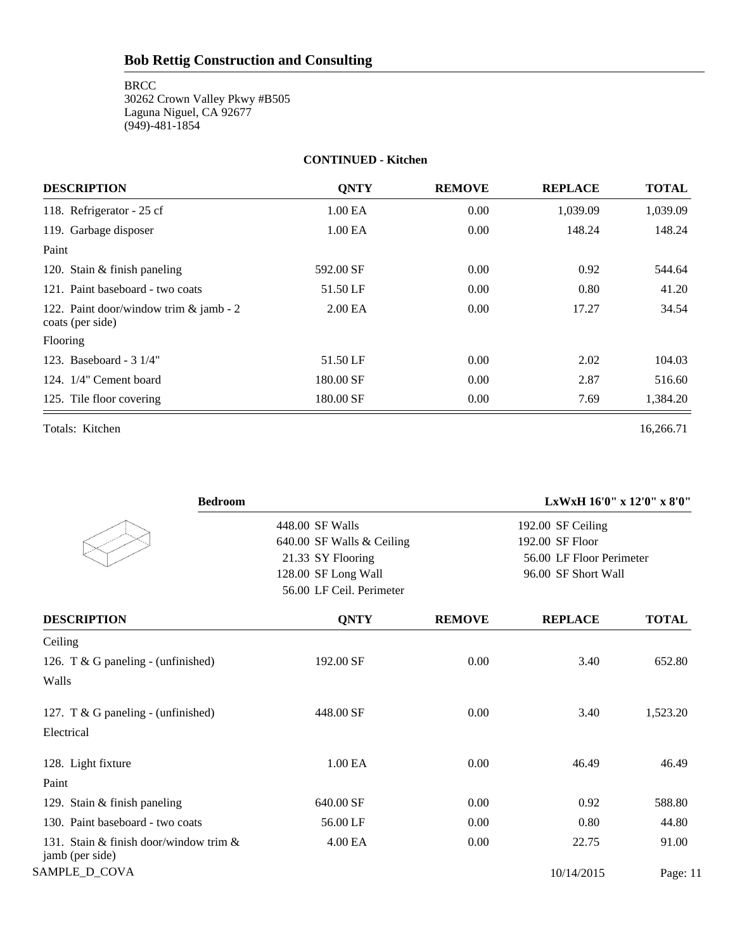BRCC 30262 Crown Valley Pkwy #B505 Laguna Niguel, CA 92677 (949)-481-1854

#### **CONTINUED - Kitchen**

| <b>DESCRIPTION</b>                                         | <b>ONTY</b>         | <b>REMOVE</b> | <b>REPLACE</b> | <b>TOTAL</b> |
|------------------------------------------------------------|---------------------|---------------|----------------|--------------|
| 118. Refrigerator - 25 cf                                  | 1.00 EA             | 0.00          | 1,039.09       | 1,039.09     |
| 119. Garbage disposer                                      | 1.00 <sub>E</sub> A | 0.00          | 148.24         | 148.24       |
| Paint                                                      |                     |               |                |              |
| 120. Stain $&$ finish paneling                             | 592.00 SF           | 0.00          | 0.92           | 544.64       |
| 121. Paint baseboard - two coats                           | 51.50 LF            | 0.00          | 0.80           | 41.20        |
| 122. Paint door/window trim & jamb - 2<br>coats (per side) | 2.00 <sub>E</sub> A | 0.00          | 17.27          | 34.54        |
| Flooring                                                   |                     |               |                |              |
| 123. Baseboard - 3 1/4"                                    | 51.50 LF            | 0.00          | 2.02           | 104.03       |
| 124. 1/4" Cement board                                     | 180.00 SF           | 0.00          | 2.87           | 516.60       |
| 125. Tile floor covering                                   | 180.00 SF           | 0.00          | 7.69           | 1,384.20     |
| Totals: Kitchen                                            |                     |               |                | 16,266.71    |

| <b>Bedroom</b>                                            |                           |               | LxWxH 16'0" x 12'0" x 8'0" |              |
|-----------------------------------------------------------|---------------------------|---------------|----------------------------|--------------|
|                                                           | 448.00 SF Walls           |               | 192.00 SF Ceiling          |              |
|                                                           | 640.00 SF Walls & Ceiling |               | 192.00 SF Floor            |              |
|                                                           | 21.33 SY Flooring         |               | 56.00 LF Floor Perimeter   |              |
|                                                           | 128.00 SF Long Wall       |               | 96.00 SF Short Wall        |              |
|                                                           | 56.00 LF Ceil. Perimeter  |               |                            |              |
| <b>DESCRIPTION</b>                                        | <b>QNTY</b>               | <b>REMOVE</b> | <b>REPLACE</b>             | <b>TOTAL</b> |
| Ceiling                                                   |                           |               |                            |              |
| 126. T & G paneling - (unfinished)                        | 192.00 SF                 | 0.00          | 3.40                       | 652.80       |
| Walls                                                     |                           |               |                            |              |
| 127. T & G paneling - (unfinished)                        | 448.00 SF                 | 0.00          | 3.40                       | 1,523.20     |
| Electrical                                                |                           |               |                            |              |
| 128. Light fixture                                        | 1.00 <sub>E</sub> A       | 0.00          | 46.49                      | 46.49        |
| Paint                                                     |                           |               |                            |              |
| 129. Stain & finish paneling                              | 640.00 SF                 | 0.00          | 0.92                       | 588.80       |
| 130. Paint baseboard - two coats                          | 56.00 LF                  | 0.00          | 0.80                       | 44.80        |
| 131. Stain & finish door/window trim &<br>jamb (per side) | 4.00 EA                   | 0.00          | 22.75                      | 91.00        |
| SAMPLE_D_COVA                                             |                           |               | 10/14/2015                 | Page: 11     |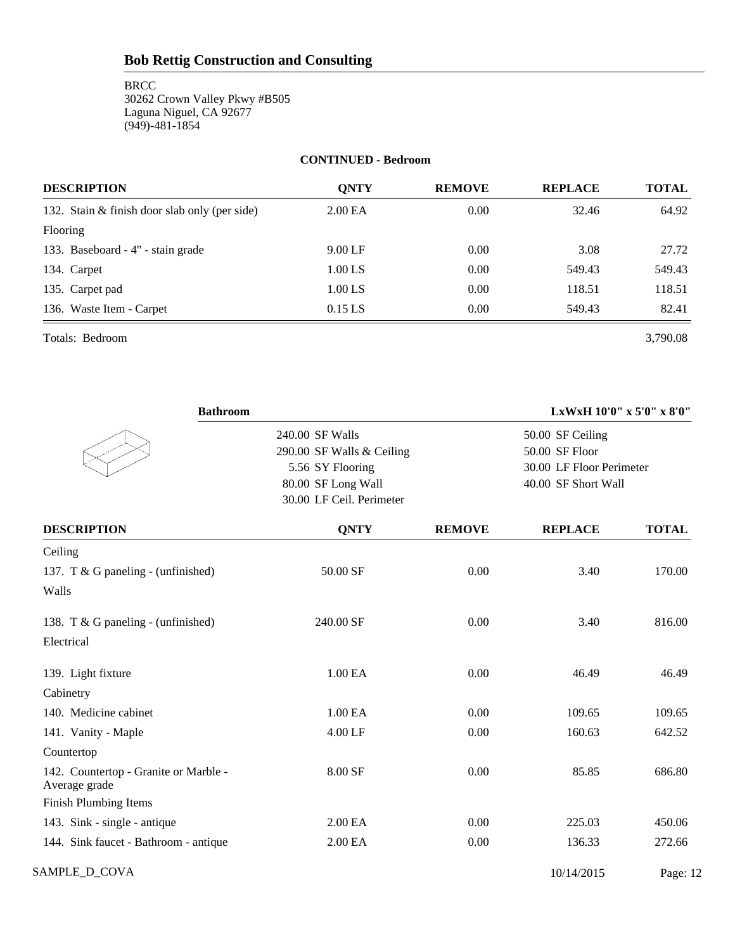**BRCC** 30262 Crown Valley Pkwy #B505 Laguna Niguel, CA 92677 (949)-481-1854

#### **CONTINUED - Bedroom**

| <b>DESCRIPTION</b>                            | <b>ONTY</b> | <b>REMOVE</b> | <b>REPLACE</b> | <b>TOTAL</b> |
|-----------------------------------------------|-------------|---------------|----------------|--------------|
| 132. Stain & finish door slab only (per side) | 2.00 EA     | 0.00          | 32.46          | 64.92        |
| Flooring                                      |             |               |                |              |
| 133. Baseboard - 4" - stain grade             | $9.00$ LF   | 0.00          | 3.08           | 27.72        |
| 134. Carpet                                   | $1.00$ LS   | 0.00          | 549.43         | 549.43       |
| 135. Carpet pad                               | $1.00$ LS   | 0.00          | 118.51         | 118.51       |
| 136. Waste Item - Carpet                      | $0.15$ LS   | 0.00          | 549.43         | 82.41        |

Totals: Bedroom 3,790.08

| <b>Bathroom</b>                                        |                                                                                                                    | LxWxH 10'0" x 5'0" x 8'0" |                                                                                       |              |  |
|--------------------------------------------------------|--------------------------------------------------------------------------------------------------------------------|---------------------------|---------------------------------------------------------------------------------------|--------------|--|
|                                                        | 240.00 SF Walls<br>290.00 SF Walls & Ceiling<br>5.56 SY Flooring<br>80.00 SF Long Wall<br>30.00 LF Ceil. Perimeter |                           | 50.00 SF Ceiling<br>50.00 SF Floor<br>30.00 LF Floor Perimeter<br>40.00 SF Short Wall |              |  |
| <b>DESCRIPTION</b>                                     | <b>QNTY</b>                                                                                                        | <b>REMOVE</b>             | <b>REPLACE</b>                                                                        | <b>TOTAL</b> |  |
| Ceiling                                                |                                                                                                                    |                           |                                                                                       |              |  |
| 137. T & G paneling - (unfinished)<br>Walls            | 50.00 SF                                                                                                           | 0.00                      | 3.40                                                                                  | 170.00       |  |
| 138. T & G paneling - (unfinished)<br>Electrical       | 240.00 SF                                                                                                          | 0.00                      | 3.40                                                                                  | 816.00       |  |
| 139. Light fixture                                     | 1.00 EA                                                                                                            | 0.00                      | 46.49                                                                                 | 46.49        |  |
| Cabinetry                                              |                                                                                                                    |                           |                                                                                       |              |  |
| 140. Medicine cabinet                                  | 1.00 EA                                                                                                            | 0.00                      | 109.65                                                                                | 109.65       |  |
| 141. Vanity - Maple                                    | 4.00 LF                                                                                                            | 0.00                      | 160.63                                                                                | 642.52       |  |
| Countertop                                             |                                                                                                                    |                           |                                                                                       |              |  |
| 142. Countertop - Granite or Marble -<br>Average grade | 8.00 SF                                                                                                            | 0.00                      | 85.85                                                                                 | 686.80       |  |
| Finish Plumbing Items                                  |                                                                                                                    |                           |                                                                                       |              |  |
| 143. Sink - single - antique                           | 2.00 EA                                                                                                            | 0.00                      | 225.03                                                                                | 450.06       |  |
| 144. Sink faucet - Bathroom - antique                  | 2.00 EA                                                                                                            | 0.00                      | 136.33                                                                                | 272.66       |  |
| SAMPLE_D_COVA                                          |                                                                                                                    |                           | 10/14/2015                                                                            | Page: 12     |  |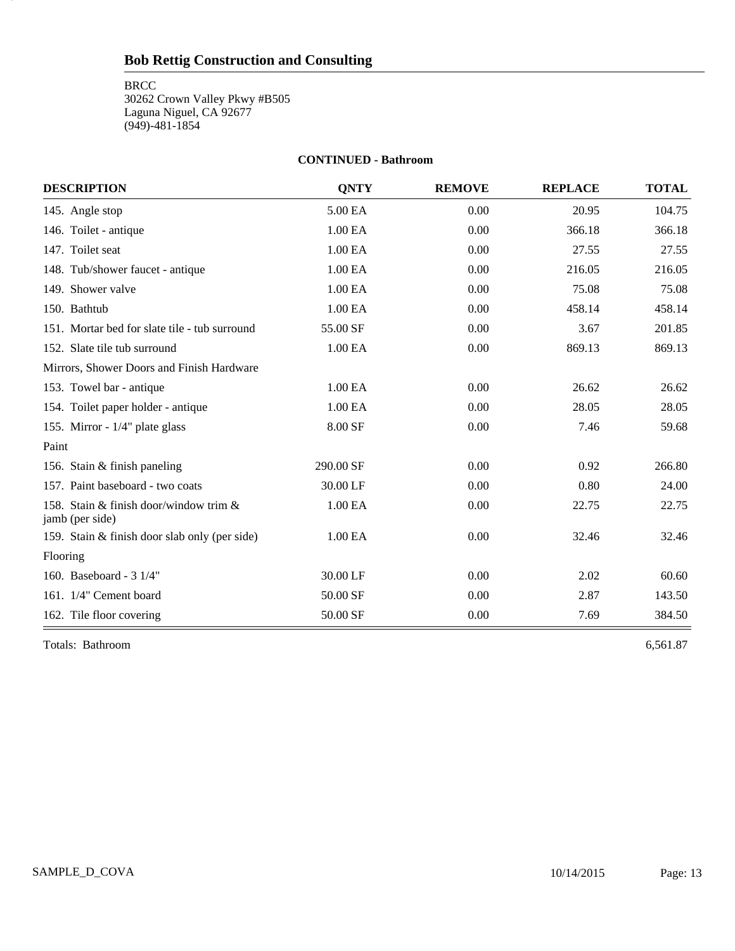**BRCC** 30262 Crown Valley Pkwy #B505 Laguna Niguel, CA 92677 (949)-481-1854

#### **CONTINUED - Bathroom**

| <b>DESCRIPTION</b>                                        | <b>ONTY</b> | <b>REMOVE</b> | <b>REPLACE</b> | <b>TOTAL</b> |
|-----------------------------------------------------------|-------------|---------------|----------------|--------------|
| 145. Angle stop                                           | 5.00 EA     | 0.00          | 20.95          | 104.75       |
| 146. Toilet - antique                                     | 1.00 EA     | 0.00          | 366.18         | 366.18       |
| 147. Toilet seat                                          | 1.00 EA     | 0.00          | 27.55          | 27.55        |
| 148. Tub/shower faucet - antique                          | 1.00 EA     | 0.00          | 216.05         | 216.05       |
| 149. Shower valve                                         | 1.00 EA     | 0.00          | 75.08          | 75.08        |
| 150. Bathtub                                              | 1.00 EA     | 0.00          | 458.14         | 458.14       |
| 151. Mortar bed for slate tile - tub surround             | 55.00 SF    | 0.00          | 3.67           | 201.85       |
| 152. Slate tile tub surround                              | 1.00 EA     | 0.00          | 869.13         | 869.13       |
| Mirrors, Shower Doors and Finish Hardware                 |             |               |                |              |
| 153. Towel bar - antique                                  | 1.00 EA     | 0.00          | 26.62          | 26.62        |
| 154. Toilet paper holder - antique                        | 1.00 EA     | 0.00          | 28.05          | 28.05        |
| 155. Mirror - 1/4" plate glass                            | 8.00 SF     | 0.00          | 7.46           | 59.68        |
| Paint                                                     |             |               |                |              |
| 156. Stain & finish paneling                              | 290.00 SF   | 0.00          | 0.92           | 266.80       |
| 157. Paint baseboard - two coats                          | 30.00 LF    | 0.00          | 0.80           | 24.00        |
| 158. Stain & finish door/window trim &<br>jamb (per side) | 1.00 EA     | 0.00          | 22.75          | 22.75        |
| 159. Stain & finish door slab only (per side)             | 1.00 EA     | 0.00          | 32.46          | 32.46        |
| Flooring                                                  |             |               |                |              |
| 160. Baseboard - 3 1/4"                                   | 30.00 LF    | 0.00          | 2.02           | 60.60        |
| 161. 1/4" Cement board                                    | 50.00 SF    | 0.00          | 2.87           | 143.50       |
| 162. Tile floor covering                                  | 50.00 SF    | 0.00          | 7.69           | 384.50       |

Totals: Bathroom 6,561.87

13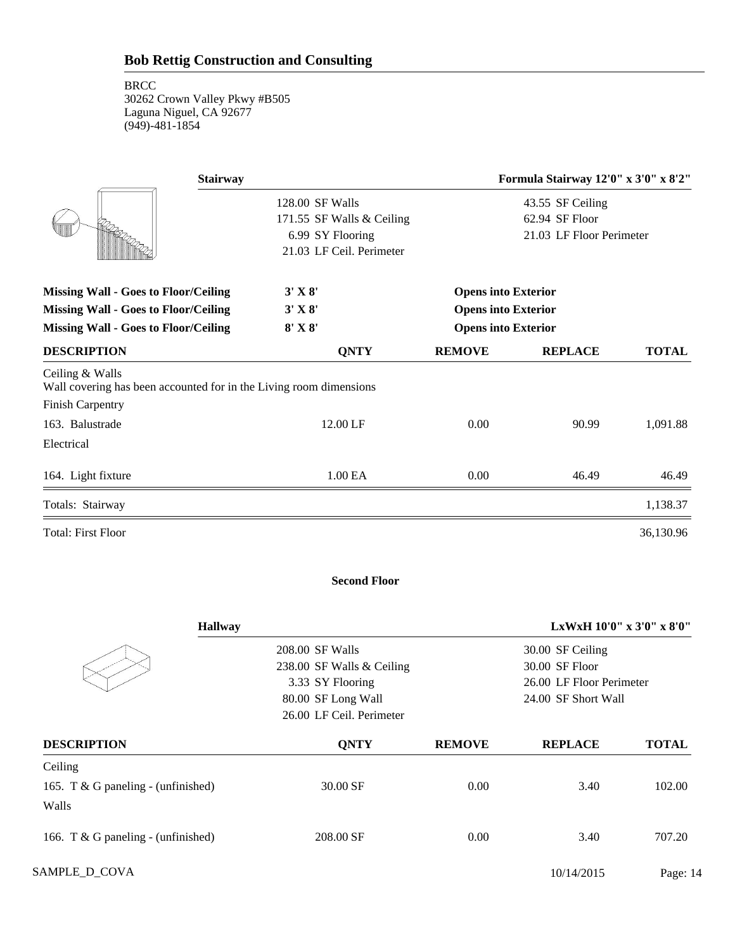| <b>Stairway</b>                                                                       |                                              | Formula Stairway 12'0" x 3'0" x 8'2" |                                    |              |  |
|---------------------------------------------------------------------------------------|----------------------------------------------|--------------------------------------|------------------------------------|--------------|--|
|                                                                                       | 128.00 SF Walls<br>171.55 SF Walls & Ceiling |                                      | 43.55 SF Ceiling<br>62.94 SF Floor |              |  |
|                                                                                       | 6.99 SY Flooring                             |                                      | 21.03 LF Floor Perimeter           |              |  |
|                                                                                       | 21.03 LF Ceil. Perimeter                     |                                      |                                    |              |  |
| <b>Missing Wall - Goes to Floor/Ceiling</b>                                           | $3'$ X $8'$                                  | <b>Opens into Exterior</b>           |                                    |              |  |
| <b>Missing Wall - Goes to Floor/Ceiling</b>                                           | $3'$ X $8'$                                  | <b>Opens into Exterior</b>           |                                    |              |  |
| $8'$ X $8'$<br><b>Missing Wall - Goes to Floor/Ceiling</b>                            |                                              | <b>Opens into Exterior</b>           |                                    |              |  |
| <b>DESCRIPTION</b>                                                                    | <b>QNTY</b>                                  | <b>REMOVE</b>                        | <b>REPLACE</b>                     | <b>TOTAL</b> |  |
| Ceiling & Walls<br>Wall covering has been accounted for in the Living room dimensions |                                              |                                      |                                    |              |  |
| <b>Finish Carpentry</b>                                                               |                                              |                                      |                                    |              |  |
| 163. Balustrade                                                                       | 12.00 LF                                     | 0.00                                 | 90.99                              | 1,091.88     |  |
| Electrical                                                                            |                                              |                                      |                                    |              |  |
| 164. Light fixture                                                                    | 1.00 EA                                      | 0.00                                 | 46.49                              | 46.49        |  |
| Totals: Stairway                                                                      |                                              |                                      |                                    | 1,138.37     |  |
| <b>Total: First Floor</b>                                                             |                                              |                                      |                                    | 36,130.96    |  |

#### **Second Floor**

| <b>Hallway</b>                     |                           |               | LxWxH $10'0''$ x $3'0''$ x $8'0''$ |              |
|------------------------------------|---------------------------|---------------|------------------------------------|--------------|
|                                    | 208.00 SF Walls           |               | 30.00 SF Ceiling                   |              |
|                                    | 238.00 SF Walls & Ceiling |               | 30.00 SF Floor                     |              |
|                                    | 3.33 SY Flooring          |               | 26.00 LF Floor Perimeter           |              |
|                                    | 80.00 SF Long Wall        |               | 24.00 SF Short Wall                |              |
|                                    | 26.00 LF Ceil. Perimeter  |               |                                    |              |
| <b>DESCRIPTION</b>                 | <b>ONTY</b>               | <b>REMOVE</b> | <b>REPLACE</b>                     | <b>TOTAL</b> |
| Ceiling                            |                           |               |                                    |              |
| 165. T & G paneling - (unfinished) | 30.00 SF                  | 0.00          | 3.40                               | 102.00       |
| Walls                              |                           |               |                                    |              |
| 166. T & G paneling - (unfinished) | 208.00 SF                 | 0.00          | 3.40                               | 707.20       |
| SAMPLE_D_COVA                      |                           |               | 10/14/2015                         | Page: 14     |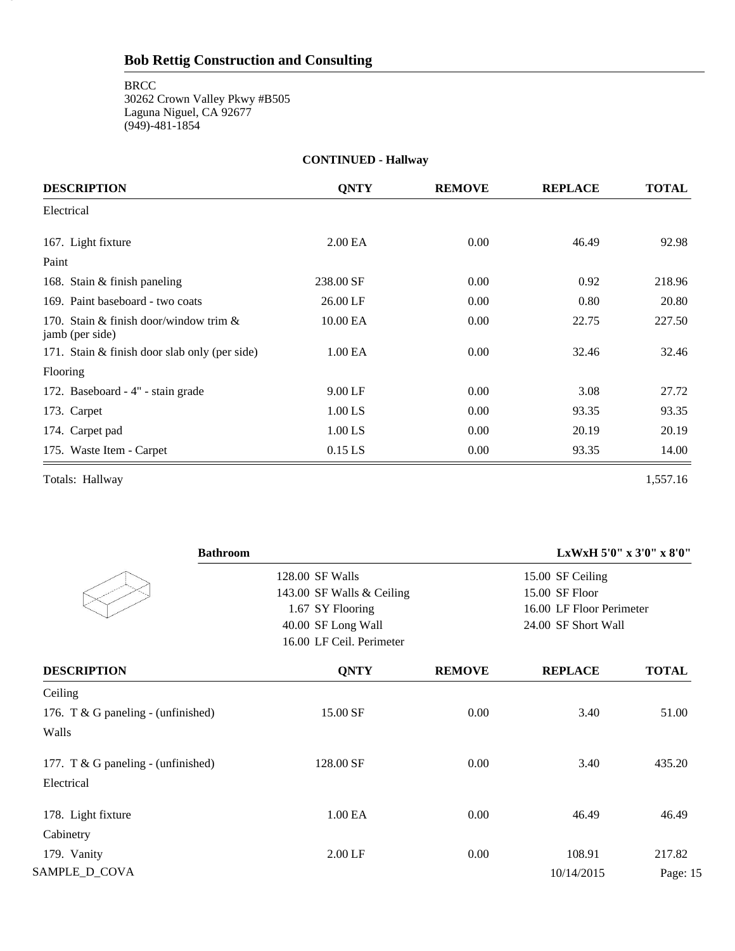**CONTINUED - Hallway DESCRIPTION QNTY REMOVE REPLACE TOTAL** Electrical 167. Light fixture 2.00 EA 0.00 46.49 92.98 Paint 168. Stain & finish paneling 238.00 SF 0.00 0.92 218.96 169. Paint baseboard - two coats 26.00 LF 0.00 0.80 20.80 170. Stain & finish door/window trim & 10.00 EA 0.00 22.75 227.50 227.50 jamb (per side) 171. Stain & finish door slab only (per side) 1.00 EA 0.00 32.46 32.46 32.46 Flooring 172. Baseboard - 4" - stain grade 9.00 LF 0.00 3.08 27.72 173. Carpet 1.00 LS 0.00 93.35 93.35 93.35 174. Carpet pad 1.00 LS 0.00 20.19 20.19 20.19 175. Waste Item - Carpet 0.15 LS 0.00 93.35 14.00

Totals: Hallway 1,557.16

15

| <b>Bathroom</b>                    |                           |               |                          | LxWxH 5'0" x 3'0" x 8'0" |
|------------------------------------|---------------------------|---------------|--------------------------|--------------------------|
|                                    | 128.00 SF Walls           |               | 15.00 SF Ceiling         |                          |
|                                    | 143.00 SF Walls & Ceiling |               | 15.00 SF Floor           |                          |
|                                    | 1.67 SY Flooring          |               | 16.00 LF Floor Perimeter |                          |
|                                    | 40.00 SF Long Wall        |               | 24.00 SF Short Wall      |                          |
|                                    | 16.00 LF Ceil. Perimeter  |               |                          |                          |
| <b>DESCRIPTION</b>                 | <b>QNTY</b>               | <b>REMOVE</b> | <b>REPLACE</b>           | <b>TOTAL</b>             |
| Ceiling                            |                           |               |                          |                          |
| 176. T & G paneling - (unfinished) | 15.00 SF                  | 0.00          | 3.40                     | 51.00                    |
| Walls                              |                           |               |                          |                          |
| 177. T & G paneling - (unfinished) | 128.00 SF                 | 0.00          | 3.40                     | 435.20                   |
| Electrical                         |                           |               |                          |                          |
| 178. Light fixture                 | 1.00 EA                   | 0.00          | 46.49                    | 46.49                    |
| Cabinetry                          |                           |               |                          |                          |
| 179. Vanity                        | 2.00 LF                   | 0.00          | 108.91                   | 217.82                   |
| SAMPLE_D_COVA                      |                           |               | 10/14/2015               | Page: 15                 |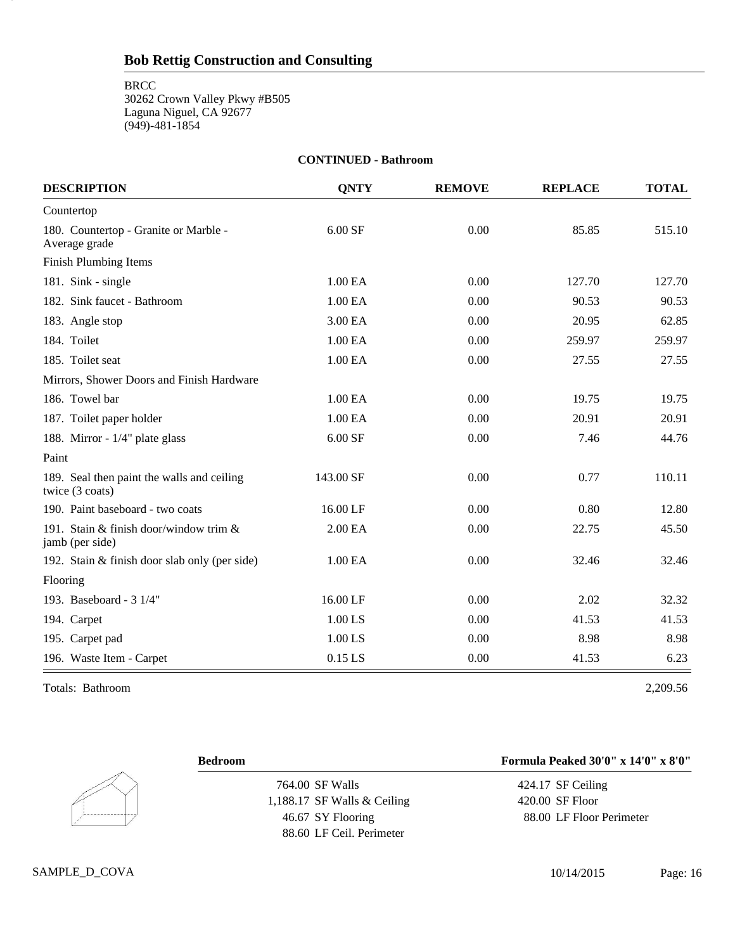| <b>CONTINUED - Bathroom</b>                                   |             |               |                |              |  |
|---------------------------------------------------------------|-------------|---------------|----------------|--------------|--|
| <b>DESCRIPTION</b>                                            | <b>QNTY</b> | <b>REMOVE</b> | <b>REPLACE</b> | <b>TOTAL</b> |  |
| Countertop                                                    |             |               |                |              |  |
| 180. Countertop - Granite or Marble -<br>Average grade        | 6.00 SF     | 0.00          | 85.85          | 515.10       |  |
| <b>Finish Plumbing Items</b>                                  |             |               |                |              |  |
| 181. Sink - single                                            | 1.00 EA     | 0.00          | 127.70         | 127.70       |  |
| 182. Sink faucet - Bathroom                                   | 1.00 EA     | 0.00          | 90.53          | 90.53        |  |
| 183. Angle stop                                               | 3.00 EA     | 0.00          | 20.95          | 62.85        |  |
| 184. Toilet                                                   | 1.00 EA     | 0.00          | 259.97         | 259.97       |  |
| 185. Toilet seat                                              | 1.00 EA     | 0.00          | 27.55          | 27.55        |  |
| Mirrors, Shower Doors and Finish Hardware                     |             |               |                |              |  |
| 186. Towel bar                                                | 1.00 EA     | 0.00          | 19.75          | 19.75        |  |
| 187. Toilet paper holder                                      | 1.00 EA     | 0.00          | 20.91          | 20.91        |  |
| 188. Mirror - 1/4" plate glass                                | 6.00 SF     | 0.00          | 7.46           | 44.76        |  |
| Paint                                                         |             |               |                |              |  |
| 189. Seal then paint the walls and ceiling<br>twice (3 coats) | 143.00 SF   | 0.00          | 0.77           | 110.11       |  |
| 190. Paint baseboard - two coats                              | 16.00 LF    | 0.00          | 0.80           | 12.80        |  |
| 191. Stain & finish door/window trim $\&$<br>jamb (per side)  | 2.00 EA     | 0.00          | 22.75          | 45.50        |  |
| 192. Stain & finish door slab only (per side)                 | 1.00 EA     | 0.00          | 32.46          | 32.46        |  |
| Flooring                                                      |             |               |                |              |  |
| 193. Baseboard - 3 1/4"                                       | 16.00 LF    | 0.00          | 2.02           | 32.32        |  |
| 194. Carpet                                                   | 1.00 LS     | 0.00          | 41.53          | 41.53        |  |
| 195. Carpet pad                                               | 1.00 LS     | 0.00          | 8.98           | 8.98         |  |
| 196. Waste Item - Carpet                                      | $0.15$ LS   | 0.00          | 41.53          | 6.23         |  |

Totals: Bathroom 2,209.56

16

 $\overline{\phantom{a}}$ 

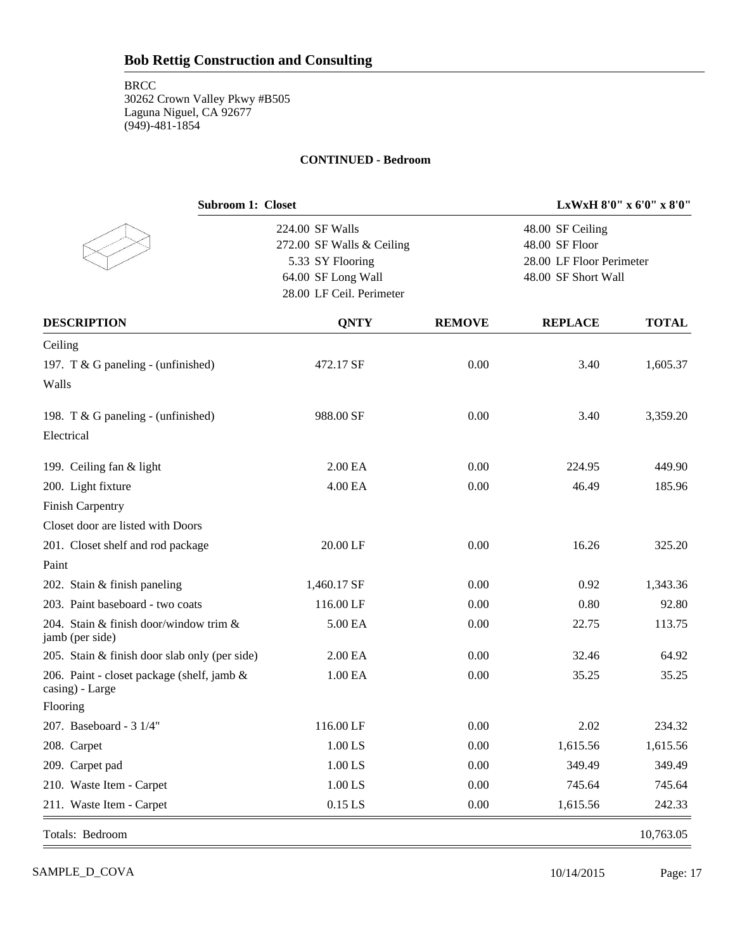#### **CONTINUED - Bedroom**

| <b>Subroom 1: Closet</b>                                      |                           | LxWxH 8'0" x 6'0" x 8'0" |                          |              |  |
|---------------------------------------------------------------|---------------------------|--------------------------|--------------------------|--------------|--|
|                                                               | 224.00 SF Walls           |                          | 48.00 SF Ceiling         |              |  |
|                                                               | 272.00 SF Walls & Ceiling |                          | 48.00 SF Floor           |              |  |
|                                                               | 5.33 SY Flooring          |                          | 28.00 LF Floor Perimeter |              |  |
|                                                               | 64.00 SF Long Wall        |                          | 48.00 SF Short Wall      |              |  |
|                                                               | 28.00 LF Ceil. Perimeter  |                          |                          |              |  |
| <b>DESCRIPTION</b>                                            | <b>QNTY</b>               | <b>REMOVE</b>            | <b>REPLACE</b>           | <b>TOTAL</b> |  |
| Ceiling                                                       |                           |                          |                          |              |  |
| 197. T & G paneling - (unfinished)                            | 472.17 SF                 | 0.00                     | 3.40                     | 1,605.37     |  |
| Walls                                                         |                           |                          |                          |              |  |
| 198. T & G paneling - (unfinished)                            | 988.00 SF                 | 0.00                     | 3.40                     | 3,359.20     |  |
| Electrical                                                    |                           |                          |                          |              |  |
| 199. Ceiling fan & light                                      | 2.00 EA                   | 0.00                     | 224.95                   | 449.90       |  |
| 200. Light fixture                                            | 4.00 EA                   | 0.00                     | 46.49                    | 185.96       |  |
| <b>Finish Carpentry</b>                                       |                           |                          |                          |              |  |
| Closet door are listed with Doors                             |                           |                          |                          |              |  |
| 201. Closet shelf and rod package                             | 20.00 LF                  | 0.00                     | 16.26                    | 325.20       |  |
| Paint                                                         |                           |                          |                          |              |  |
| 202. Stain & finish paneling                                  | 1,460.17 SF               | 0.00                     | 0.92                     | 1,343.36     |  |
| 203. Paint baseboard - two coats                              | 116.00 LF                 | 0.00                     | 0.80                     | 92.80        |  |
| 204. Stain & finish door/window trim &<br>jamb (per side)     | 5.00 EA                   | 0.00                     | 22.75                    | 113.75       |  |
| 205. Stain & finish door slab only (per side)                 | 2.00 EA                   | 0.00                     | 32.46                    | 64.92        |  |
| 206. Paint - closet package (shelf, jamb &<br>casing) - Large | 1.00 EA                   | 0.00                     | 35.25                    | 35.25        |  |
| Flooring                                                      |                           |                          |                          |              |  |
| 207. Baseboard - 3 1/4"                                       | 116.00 LF                 | 0.00                     | 2.02                     | 234.32       |  |
| 208. Carpet                                                   | $1.00$ LS                 | 0.00                     | 1,615.56                 | 1,615.56     |  |
| 209. Carpet pad                                               | $1.00$ LS                 | 0.00                     | 349.49                   | 349.49       |  |
| 210. Waste Item - Carpet                                      | $1.00$ LS                 | 0.00                     | 745.64                   | 745.64       |  |
| 211. Waste Item - Carpet                                      | $0.15$ LS                 | 0.00                     | 1,615.56                 | 242.33       |  |
| Totals: Bedroom                                               |                           |                          |                          | 10,763.05    |  |

SAMPLE\_D\_COVA 10/14/2015 Page: 17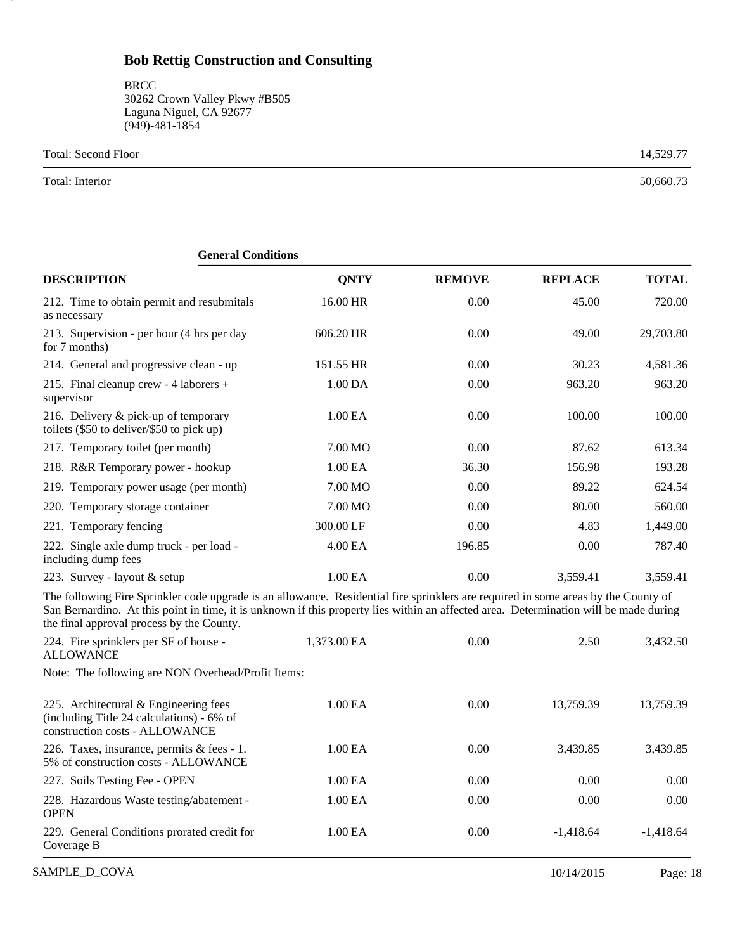**BRCC** 30262 Crown Valley Pkwy #B505 Laguna Niguel, CA 92677 (949)-481-1854

Total: Second Floor 14,529.77

Total: Interior 50,660.73

18

| ликтат социниона                                                                                                                                                                                                                                                                                                         |             |               |                |              |
|--------------------------------------------------------------------------------------------------------------------------------------------------------------------------------------------------------------------------------------------------------------------------------------------------------------------------|-------------|---------------|----------------|--------------|
| <b>DESCRIPTION</b>                                                                                                                                                                                                                                                                                                       | <b>QNTY</b> | <b>REMOVE</b> | <b>REPLACE</b> | <b>TOTAL</b> |
| 212. Time to obtain permit and resubmitals<br>as necessary                                                                                                                                                                                                                                                               | 16.00 HR    | 0.00          | 45.00          | 720.00       |
| 213. Supervision - per hour (4 hrs per day<br>for 7 months)                                                                                                                                                                                                                                                              | 606.20 HR   | 0.00          | 49.00          | 29,703.80    |
| 214. General and progressive clean - up                                                                                                                                                                                                                                                                                  | 151.55 HR   | 0.00          | 30.23          | 4,581.36     |
| 215. Final cleanup crew - 4 laborers +<br>supervisor                                                                                                                                                                                                                                                                     | 1.00 DA     | 0.00          | 963.20         | 963.20       |
| 216. Delivery & pick-up of temporary<br>toilets (\$50 to deliver/\$50 to pick up)                                                                                                                                                                                                                                        | 1.00 EA     | 0.00          | 100.00         | 100.00       |
| 217. Temporary toilet (per month)                                                                                                                                                                                                                                                                                        | 7.00 MO     | 0.00          | 87.62          | 613.34       |
| 218. R&R Temporary power - hookup                                                                                                                                                                                                                                                                                        | 1.00 EA     | 36.30         | 156.98         | 193.28       |
| 219. Temporary power usage (per month)                                                                                                                                                                                                                                                                                   | 7.00 MO     | 0.00          | 89.22          | 624.54       |
| 220. Temporary storage container                                                                                                                                                                                                                                                                                         | 7.00 MO     | 0.00          | 80.00          | 560.00       |
| 221. Temporary fencing                                                                                                                                                                                                                                                                                                   | 300.00 LF   | 0.00          | 4.83           | 1,449.00     |
| 222. Single axle dump truck - per load -<br>including dump fees                                                                                                                                                                                                                                                          | 4.00 EA     | 196.85        | 0.00           | 787.40       |
| 223. Survey - layout & setup                                                                                                                                                                                                                                                                                             | 1.00 EA     | 0.00          | 3,559.41       | 3,559.41     |
| The following Fire Sprinkler code upgrade is an allowance. Residential fire sprinklers are required in some areas by the County of<br>San Bernardino. At this point in time, it is unknown if this property lies within an affected area. Determination will be made during<br>the final approval process by the County. |             |               |                |              |
| 224. Fire sprinklers per SF of house -<br><b>ALLOWANCE</b>                                                                                                                                                                                                                                                               | 1,373.00 EA | 0.00          | 2.50           | 3,432.50     |
| Note: The following are NON Overhead/Profit Items:                                                                                                                                                                                                                                                                       |             |               |                |              |
| 225. Architectural & Engineering fees<br>(including Title 24 calculations) - 6% of<br>construction costs - ALLOWANCE                                                                                                                                                                                                     | 1.00 EA     | 0.00          | 13,759.39      | 13,759.39    |
| 226. Taxes, insurance, permits & fees - 1.<br>5% of construction costs - ALLOWANCE                                                                                                                                                                                                                                       | 1.00 EA     | 0.00          | 3,439.85       | 3,439.85     |
| 227. Soils Testing Fee - OPEN                                                                                                                                                                                                                                                                                            | 1.00 EA     | 0.00          | 0.00           | 0.00         |
| 228. Hazardous Waste testing/abatement -<br><b>OPEN</b>                                                                                                                                                                                                                                                                  | 1.00 EA     | 0.00          | 0.00           | 0.00         |

229. General Conditions prorated credit for 1.00 EA 0.00 -1,418.64 -1,418.64

#### **General Conditions**

Coverage B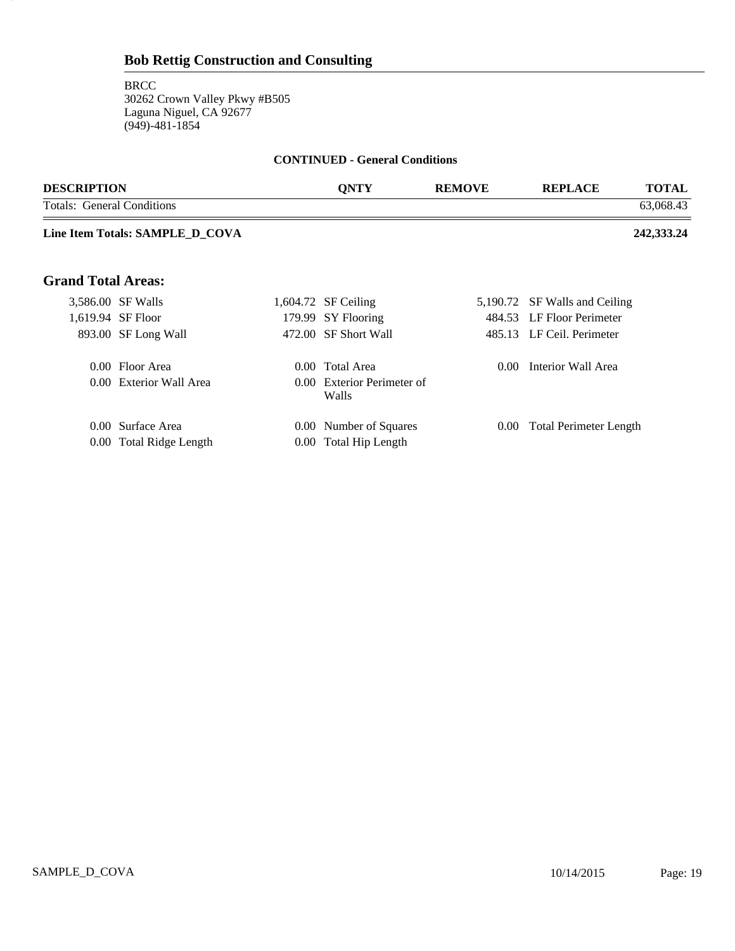### **Bob Rettig Construction and Consulting**

**BRCC** 30262 Crown Valley Pkwy #B505 Laguna Niguel, CA 92677 (949)-481-1854

19

#### **CONTINUED - General Conditions**

| <b>DESCRIPTION</b>         |                                 | <b>QNTY</b>                         | <b>REMOVE</b> | <b>REPLACE</b>                | <b>TOTAL</b> |
|----------------------------|---------------------------------|-------------------------------------|---------------|-------------------------------|--------------|
| Totals: General Conditions |                                 |                                     |               |                               | 63,068.43    |
|                            | Line Item Totals: SAMPLE_D_COVA |                                     |               |                               | 242,333.24   |
| <b>Grand Total Areas:</b>  |                                 |                                     |               |                               |              |
|                            | 3,586.00 SF Walls               | 1,604.72 SF Ceiling                 |               | 5,190.72 SF Walls and Ceiling |              |
|                            | 1,619.94 SF Floor               | 179.99 SY Flooring                  |               | 484.53 LF Floor Perimeter     |              |
|                            | 893.00 SF Long Wall             | 472.00 SF Short Wall                |               | 485.13 LF Ceil. Perimeter     |              |
|                            | 0.00 Floor Area                 | 0.00 Total Area                     | $0.00 -$      | Interior Wall Area            |              |
|                            | 0.00 Exterior Wall Area         | 0.00 Exterior Perimeter of<br>Walls |               |                               |              |
|                            | 0.00 Surface Area               | 0.00 Number of Squares              | $0.00\,$      | Total Perimeter Length        |              |

0.00 Total Ridge Length 0.00 Total Hip Length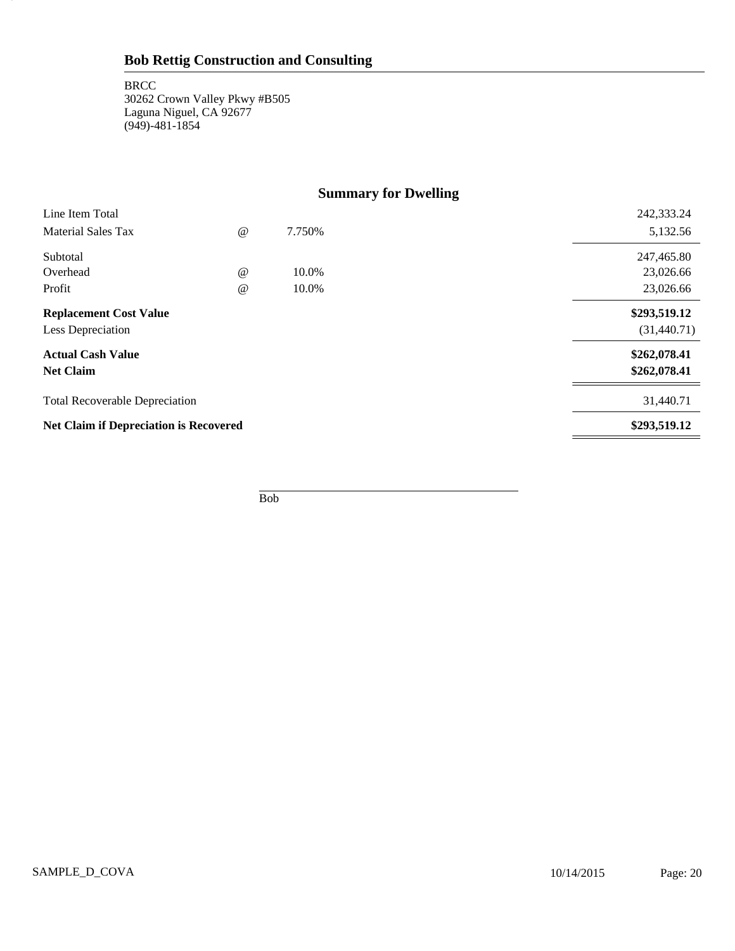**BRCC** 30262 Crown Valley Pkwy #B505 Laguna Niguel, CA 92677 (949)-481-1854

20

# **Summary for Dwelling**

| Line Item Total                               |             |        | 242,333.24   |
|-----------------------------------------------|-------------|--------|--------------|
| <b>Material Sales Tax</b>                     | $\omega$    | 7.750% | 5,132.56     |
| Subtotal                                      |             |        | 247,465.80   |
| Overhead                                      | $\omega$    | 10.0%  | 23,026.66    |
| Profit                                        | $^{\omega}$ | 10.0%  | 23,026.66    |
| <b>Replacement Cost Value</b>                 |             |        | \$293,519.12 |
| Less Depreciation                             |             |        | (31,440.71)  |
| <b>Actual Cash Value</b>                      |             |        | \$262,078.41 |
| <b>Net Claim</b>                              |             |        | \$262,078.41 |
| <b>Total Recoverable Depreciation</b>         |             |        | 31,440.71    |
| <b>Net Claim if Depreciation is Recovered</b> |             |        | \$293,519.12 |
|                                               |             |        |              |

Bob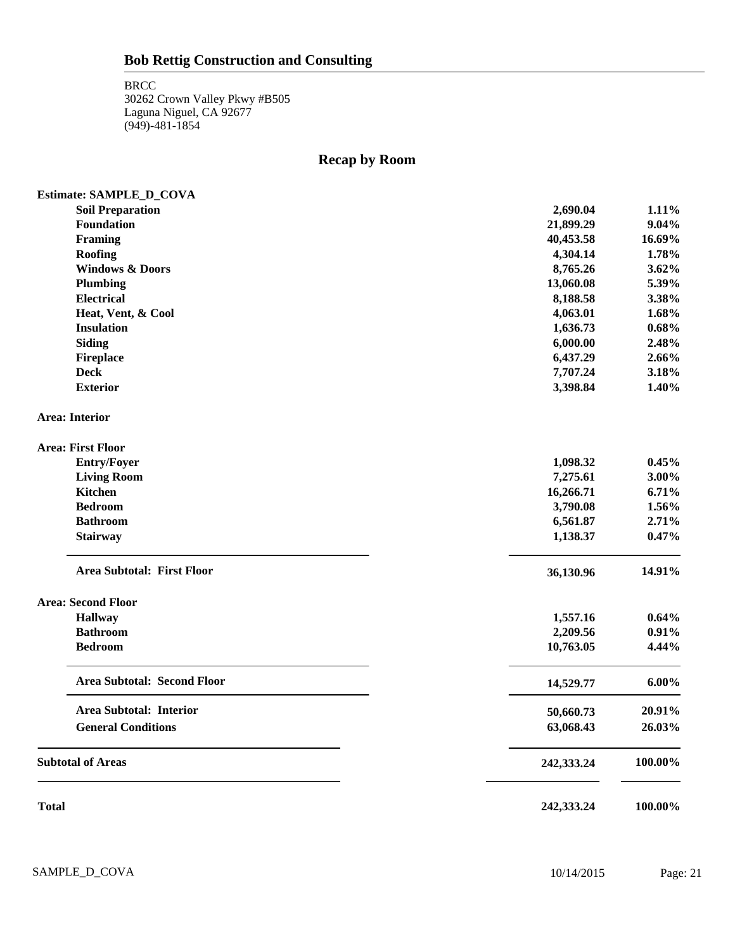**BRCC** 30262 Crown Valley Pkwy #B505 Laguna Niguel, CA 92677 (949)-481-1854

# **Recap by Room**

|              | Estimate: SAMPLE_D_COVA            |            |          |
|--------------|------------------------------------|------------|----------|
|              | <b>Soil Preparation</b>            | 2,690.04   | 1.11%    |
|              | Foundation                         | 21,899.29  | 9.04%    |
|              | <b>Framing</b>                     | 40,453.58  | 16.69%   |
|              | Roofing                            | 4,304.14   | 1.78%    |
|              | <b>Windows &amp; Doors</b>         | 8,765.26   | 3.62%    |
|              | <b>Plumbing</b>                    | 13,060.08  | 5.39%    |
|              | Electrical                         | 8,188.58   | 3.38%    |
|              | Heat, Vent, & Cool                 | 4,063.01   | 1.68%    |
|              | <b>Insulation</b>                  | 1,636.73   | 0.68%    |
|              | <b>Siding</b>                      | 6,000.00   | 2.48%    |
|              | <b>Fireplace</b>                   | 6,437.29   | 2.66%    |
|              | <b>Deck</b>                        | 7,707.24   | 3.18%    |
|              | <b>Exterior</b>                    | 3,398.84   | 1.40%    |
|              | <b>Area: Interior</b>              |            |          |
|              | <b>Area: First Floor</b>           |            |          |
|              | <b>Entry/Foyer</b>                 | 1,098.32   | 0.45%    |
|              | <b>Living Room</b>                 | 7,275.61   | 3.00%    |
|              | <b>Kitchen</b>                     | 16,266.71  | 6.71%    |
|              | <b>Bedroom</b>                     | 3,790.08   | 1.56%    |
|              | <b>Bathroom</b>                    | 6,561.87   | 2.71%    |
|              | <b>Stairway</b>                    | 1,138.37   | 0.47%    |
|              | <b>Area Subtotal: First Floor</b>  | 36,130.96  | 14.91%   |
|              | <b>Area: Second Floor</b>          |            |          |
|              | <b>Hallway</b>                     | 1,557.16   | 0.64%    |
|              | <b>Bathroom</b>                    | 2,209.56   | 0.91%    |
|              | <b>Bedroom</b>                     | 10,763.05  | 4.44%    |
|              | <b>Area Subtotal: Second Floor</b> | 14,529.77  | $6.00\%$ |
|              | <b>Area Subtotal: Interior</b>     | 50,660.73  | 20.91%   |
|              | <b>General Conditions</b>          | 63,068.43  | 26.03%   |
|              | <b>Subtotal of Areas</b>           | 242,333.24 | 100.00%  |
| <b>Total</b> |                                    | 242,333.24 | 100.00%  |

SAMPLE\_D\_COVA 10/14/2015 Page: 21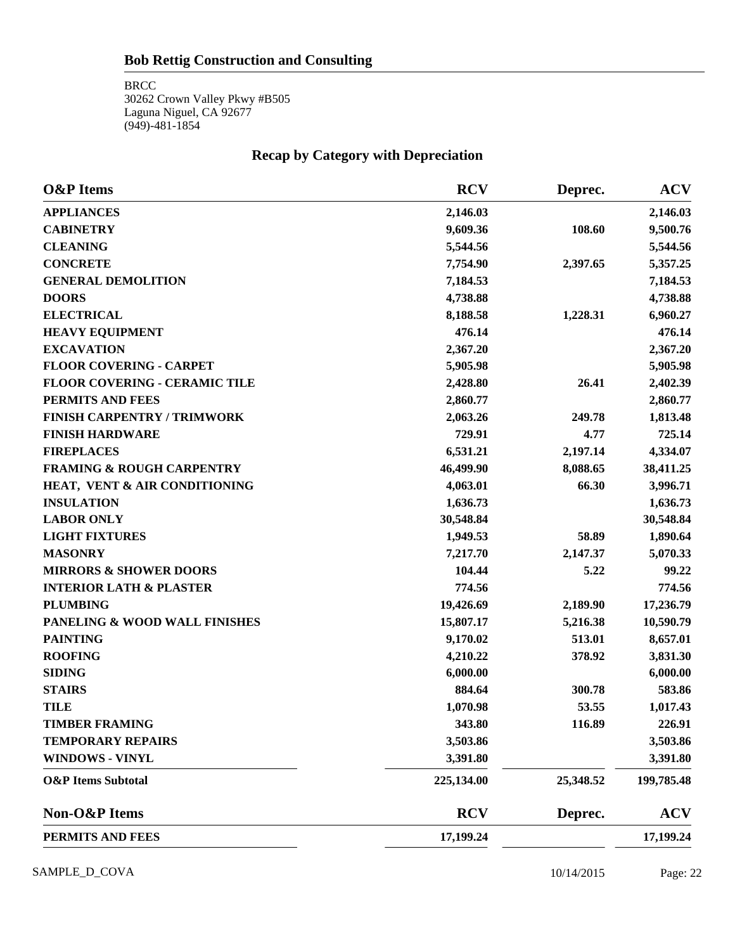#### **Bob Rettig Construction and Consulting**

**BRCC** 30262 Crown Valley Pkwy #B505 Laguna Niguel, CA 92677 (949)-481-1854

# **Recap by Category with Depreciation**

| <b>O&amp;P</b> Items                 | <b>RCV</b> | Deprec.   | <b>ACV</b> |
|--------------------------------------|------------|-----------|------------|
| <b>APPLIANCES</b>                    | 2,146.03   |           | 2,146.03   |
| <b>CABINETRY</b>                     | 9,609.36   | 108.60    | 9,500.76   |
| <b>CLEANING</b>                      | 5,544.56   |           | 5,544.56   |
| <b>CONCRETE</b>                      | 7,754.90   | 2,397.65  | 5,357.25   |
| <b>GENERAL DEMOLITION</b>            | 7,184.53   |           | 7,184.53   |
| <b>DOORS</b>                         | 4,738.88   |           | 4,738.88   |
| <b>ELECTRICAL</b>                    | 8,188.58   | 1,228.31  | 6,960.27   |
| <b>HEAVY EQUIPMENT</b>               | 476.14     |           | 476.14     |
| <b>EXCAVATION</b>                    | 2,367.20   |           | 2,367.20   |
| <b>FLOOR COVERING - CARPET</b>       | 5,905.98   |           | 5,905.98   |
| <b>FLOOR COVERING - CERAMIC TILE</b> | 2,428.80   | 26.41     | 2,402.39   |
| PERMITS AND FEES                     | 2,860.77   |           | 2,860.77   |
| <b>FINISH CARPENTRY / TRIMWORK</b>   | 2,063.26   | 249.78    | 1,813.48   |
| <b>FINISH HARDWARE</b>               | 729.91     | 4.77      | 725.14     |
| <b>FIREPLACES</b>                    | 6,531.21   | 2,197.14  | 4,334.07   |
| <b>FRAMING &amp; ROUGH CARPENTRY</b> | 46,499.90  | 8,088.65  | 38,411.25  |
| HEAT, VENT & AIR CONDITIONING        | 4,063.01   | 66.30     | 3,996.71   |
| <b>INSULATION</b>                    | 1,636.73   |           | 1,636.73   |
| <b>LABOR ONLY</b>                    | 30,548.84  |           | 30,548.84  |
| <b>LIGHT FIXTURES</b>                | 1,949.53   | 58.89     | 1,890.64   |
| <b>MASONRY</b>                       | 7,217.70   | 2,147.37  | 5,070.33   |
| <b>MIRRORS &amp; SHOWER DOORS</b>    | 104.44     | 5.22      | 99.22      |
| <b>INTERIOR LATH &amp; PLASTER</b>   | 774.56     |           | 774.56     |
| <b>PLUMBING</b>                      | 19,426.69  | 2,189.90  | 17,236.79  |
| PANELING & WOOD WALL FINISHES        | 15,807.17  | 5,216.38  | 10,590.79  |
| <b>PAINTING</b>                      | 9,170.02   | 513.01    | 8,657.01   |
| <b>ROOFING</b>                       | 4,210.22   | 378.92    | 3,831.30   |
| <b>SIDING</b>                        | 6,000.00   |           | 6,000.00   |
| <b>STAIRS</b>                        | 884.64     | 300.78    | 583.86     |
| <b>TILE</b>                          | 1,070.98   | 53.55     | 1,017.43   |
| <b>TIMBER FRAMING</b>                | 343.80     | 116.89    | 226.91     |
| <b>TEMPORARY REPAIRS</b>             | 3,503.86   |           | 3,503.86   |
| <b>WINDOWS - VINYL</b>               | 3,391.80   |           | 3,391.80   |
| <b>O&amp;P</b> Items Subtotal        | 225,134.00 | 25,348.52 | 199,785.48 |
| Non-O&P Items                        | <b>RCV</b> | Deprec.   | <b>ACV</b> |
| PERMITS AND FEES                     | 17,199.24  |           | 17,199.24  |